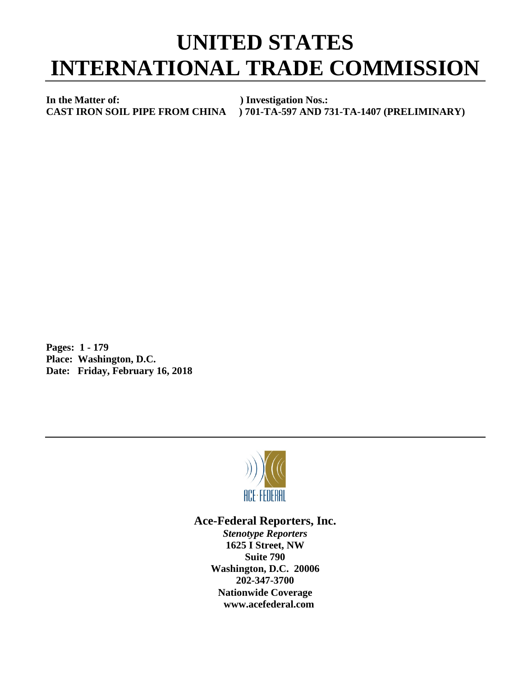## **UNITED STATES INTERNATIONAL TRADE COMMISSION**

**In the Matter of:** ) Investigation Nos.:<br>CAST IRON SOIL PIPE FROM CHINA ) 701-TA-597 AND 7

**CAST IRON SOIL PIPE FROM CHINA ) 701-TA-597 AND 731-TA-1407 (PRELIMINARY)**

**Pages: 1 - 179 Place: Washington, D.C. Date: Friday, February 16, 2018**



## **Ace-Federal Reporters, Inc.**

*Stenotype Reporters* **1625 I Street, NW Suite 790 Washington, D.C. 20006 202-347-3700 Nationwide Coverage www.acefederal.com**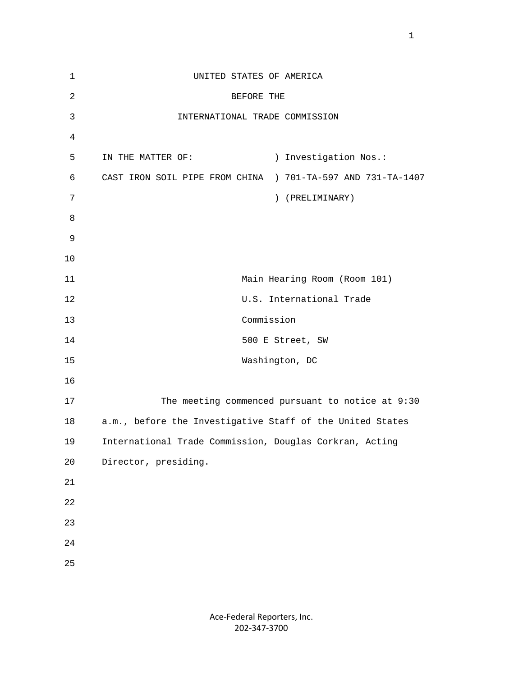| $\mathbf{1}$   | UNITED STATES OF AMERICA                                       |
|----------------|----------------------------------------------------------------|
| $\overline{2}$ | BEFORE THE                                                     |
| 3              | INTERNATIONAL TRADE COMMISSION                                 |
| 4              |                                                                |
| 5              | ) Investigation Nos.:<br>IN THE MATTER OF:                     |
| 6              | CAST IRON SOIL PIPE FROM CHINA<br>) 701-TA-597 AND 731-TA-1407 |
| 7              | ) (PRELIMINARY)                                                |
| 8              |                                                                |
| 9              |                                                                |
| 10             |                                                                |
| 11             | Main Hearing Room (Room 101)                                   |
| 12             | U.S. International Trade                                       |
| 13             | Commission                                                     |
| 14             | 500 E Street, SW                                               |
| 15             | Washington, DC                                                 |
| 16             |                                                                |
| 17             | The meeting commenced pursuant to notice at 9:30               |
| 18             | a.m., before the Investigative Staff of the United States      |
| 19             | International Trade Commission, Douglas Corkran, Acting        |
| 20             | Director, presiding.                                           |
| 21             |                                                                |
| 22             |                                                                |
| 23             |                                                                |
| 24             |                                                                |
| 25             |                                                                |
|                |                                                                |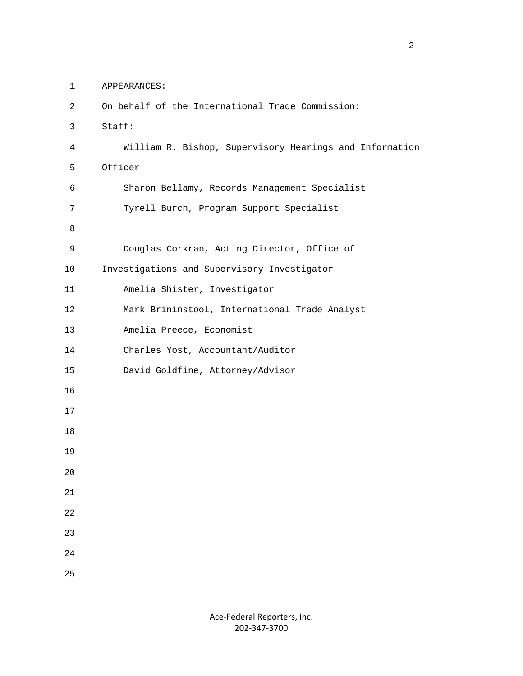1 APPEARANCES:

| $\overline{2}$ | On behalf of the International Trade Commission:        |
|----------------|---------------------------------------------------------|
| 3              | Staff:                                                  |
| $\overline{4}$ | William R. Bishop, Supervisory Hearings and Information |
| 5              | Officer                                                 |
| 6              | Sharon Bellamy, Records Management Specialist           |
| 7              | Tyrell Burch, Program Support Specialist                |
| 8              |                                                         |
| 9              | Douglas Corkran, Acting Director, Office of             |
| 10             | Investigations and Supervisory Investigator             |
| 11             | Amelia Shister, Investigator                            |
| 12             | Mark Brininstool, International Trade Analyst           |
| 13             | Amelia Preece, Economist                                |
| 14             | Charles Yost, Accountant/Auditor                        |
| 15             | David Goldfine, Attorney/Advisor                        |
| 16             |                                                         |
| 17             |                                                         |
| 18             |                                                         |
| 19             |                                                         |
| 20             |                                                         |
| 21             |                                                         |
| 22             |                                                         |
| 23             |                                                         |
| 24             |                                                         |
| 25             |                                                         |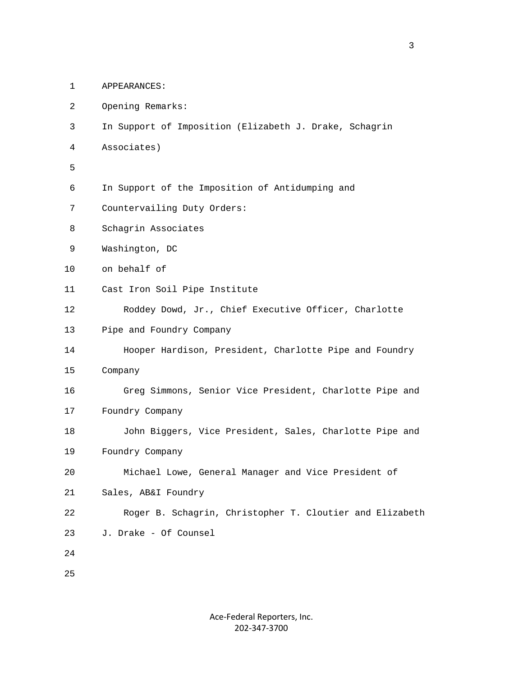1 APPEARANCES:

- 2 Opening Remarks:
- 3 In Support of Imposition (Elizabeth J. Drake, Schagrin
- 4 Associates)
- 5
	- 6 In Support of the Imposition of Antidumping and
	- 7 Countervailing Duty Orders:
	- 8 Schagrin Associates
	- 9 Washington, DC
	- 10 on behalf of
	- 11 Cast Iron Soil Pipe Institute
	- 12 Roddey Dowd, Jr., Chief Executive Officer, Charlotte
	- 13 Pipe and Foundry Company
	- 14 Hooper Hardison, President, Charlotte Pipe and Foundry
	- 15 Company
	- 16 Greg Simmons, Senior Vice President, Charlotte Pipe and
	- 17 Foundry Company
	- 18 John Biggers, Vice President, Sales, Charlotte Pipe and
	- 19 Foundry Company

```
 20 Michael Lowe, General Manager and Vice President of
```
- 21 Sales, AB&I Foundry
- 22 Roger B. Schagrin, Christopher T. Cloutier and Elizabeth
- 23 J. Drake Of Counsel
- 24

25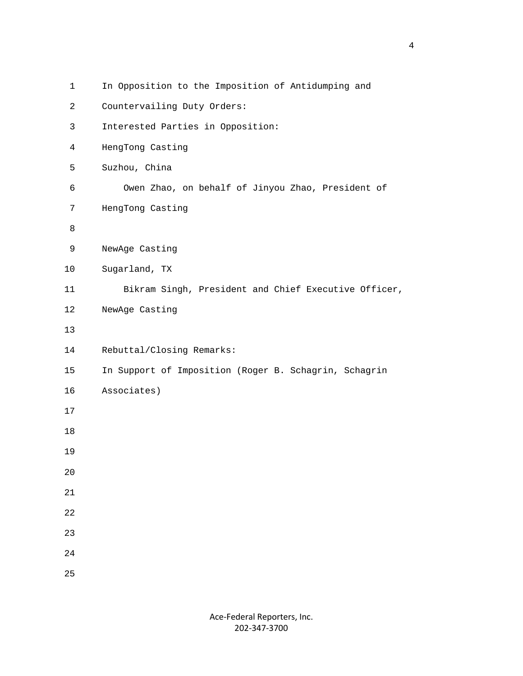| $\mathbf 1$    | In Opposition to the Imposition of Antidumping and    |
|----------------|-------------------------------------------------------|
| $\overline{2}$ | Countervailing Duty Orders:                           |
| $\mathsf{3}$   | Interested Parties in Opposition:                     |
| $\overline{4}$ | HengTong Casting                                      |
| 5              | Suzhou, China                                         |
| 6              | Owen Zhao, on behalf of Jinyou Zhao, President of     |
| 7              | HengTong Casting                                      |
| 8              |                                                       |
| 9              | NewAge Casting                                        |
| 10             | Sugarland, TX                                         |
| 11             | Bikram Singh, President and Chief Executive Officer,  |
| 12             | NewAge Casting                                        |
| 13             |                                                       |
| 14             | Rebuttal/Closing Remarks:                             |
| 15             | In Support of Imposition (Roger B. Schagrin, Schagrin |
| 16             | Associates)                                           |
| 17             |                                                       |
| 18             |                                                       |
| 19             |                                                       |
| $20$           |                                                       |
| 21             |                                                       |
| 22             |                                                       |
| 23             |                                                       |
| 24             |                                                       |
| 25             |                                                       |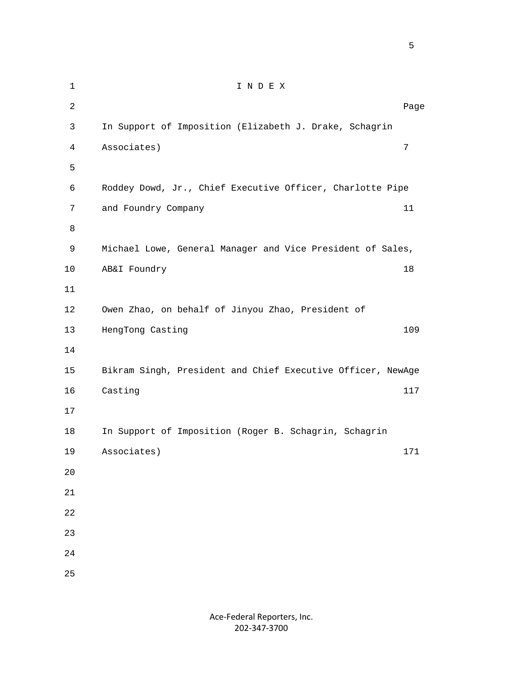1 I N D E X 2 Dage of the state of the state of the state of the state of the state of the state of the state of the state of the state of the state of the state of the state of the state of the state of the state of the state of the 3 In Support of Imposition (Elizabeth J. Drake, Schagrin 4 Associates) 7 6 Roddey Dowd, Jr., Chief Executive Officer, Charlotte Pipe 7 and Foundry Company 11 9 Michael Lowe, General Manager and Vice President of Sales, 10 AB&I Foundry 18 12 Owen Zhao, on behalf of Jinyou Zhao, President of 13 HengTong Casting 109

```
 14
     15 Bikram Singh, President and Chief Executive Officer, NewAge
16 Casting 117
```
5

8

11

 18 In Support of Imposition (Roger B. Schagrin, Schagrin 19 Associates) 171 20

21

- 22 23
- 24
- 25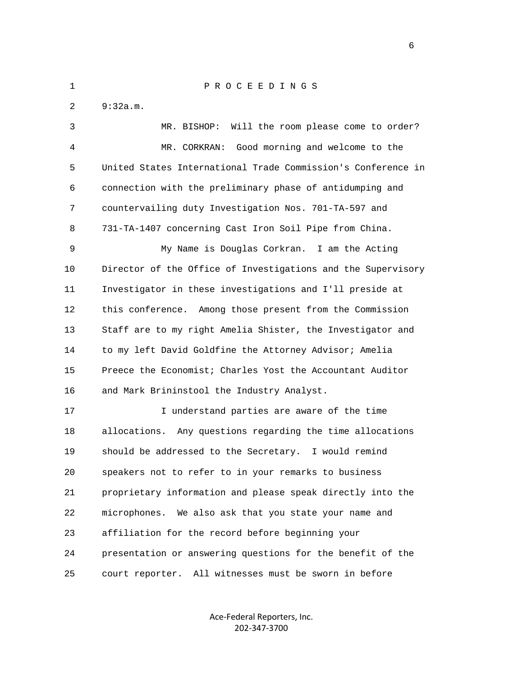1 P R O C E E D I N G S 2 9:32a.m. 3 MR. BISHOP: Will the room please come to order? 4 MR. CORKRAN: Good morning and welcome to the 5 United States International Trade Commission's Conference in 6 connection with the preliminary phase of antidumping and 7 countervailing duty Investigation Nos. 701-TA-597 and 8 731-TA-1407 concerning Cast Iron Soil Pipe from China. 9 My Name is Douglas Corkran. I am the Acting 10 Director of the Office of Investigations and the Supervisory 11 Investigator in these investigations and I'll preside at 12 this conference. Among those present from the Commission 13 Staff are to my right Amelia Shister, the Investigator and 14 to my left David Goldfine the Attorney Advisor; Amelia 15 Preece the Economist; Charles Yost the Accountant Auditor 16 and Mark Brininstool the Industry Analyst. 17 I understand parties are aware of the time 18 allocations. Any questions regarding the time allocations 19 should be addressed to the Secretary. I would remind 20 speakers not to refer to in your remarks to business 21 proprietary information and please speak directly into the 22 microphones. We also ask that you state your name and 23 affiliation for the record before beginning your 24 presentation or answering questions for the benefit of the 25 court reporter. All witnesses must be sworn in before

> Ace-Federal Reporters, Inc. 202-347-3700

entrante de la construction de la construction de la construction de la construction de la construction de la<br>Entrante de la construction de la construction de la construction de la construction de la construction de la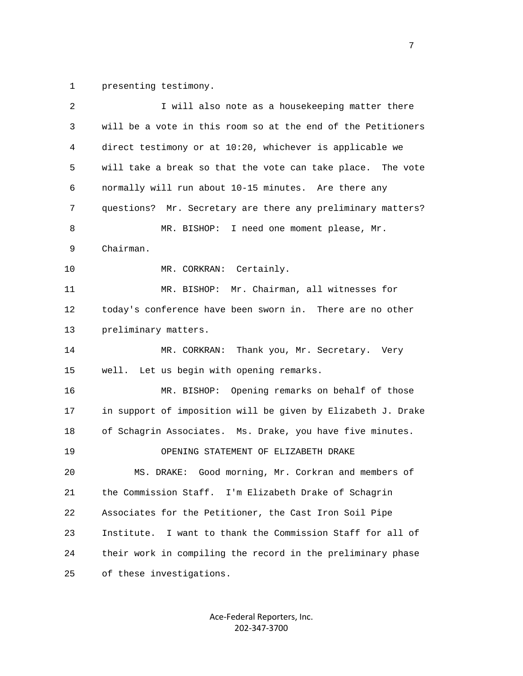1 presenting testimony.

| 2            | I will also note as a housekeeping matter there               |
|--------------|---------------------------------------------------------------|
| $\mathsf{3}$ | will be a vote in this room so at the end of the Petitioners  |
| 4            | direct testimony or at 10:20, whichever is applicable we      |
| 5            | will take a break so that the vote can take place. The vote   |
| 6            | normally will run about 10-15 minutes. Are there any          |
| 7            | questions? Mr. Secretary are there any preliminary matters?   |
| 8            | MR. BISHOP: I need one moment please, Mr.                     |
| 9            | Chairman.                                                     |
| 10           | MR. CORKRAN:<br>Certainly.                                    |
| 11           | MR. BISHOP: Mr. Chairman, all witnesses for                   |
| 12           | today's conference have been sworn in. There are no other     |
| 13           | preliminary matters.                                          |
| 14           | MR. CORKRAN:<br>Thank you, Mr. Secretary. Very                |
| 15           | well. Let us begin with opening remarks.                      |
| 16           | MR. BISHOP: Opening remarks on behalf of those                |
| 17           | in support of imposition will be given by Elizabeth J. Drake  |
| 18           | of Schagrin Associates. Ms. Drake, you have five minutes.     |
| 19           | OPENING STATEMENT OF ELIZABETH DRAKE                          |
| 20           | MS. DRAKE: Good morning, Mr. Corkran and members of           |
| 21           | the Commission Staff. I'm Elizabeth Drake of Schagrin         |
| 22           | Associates for the Petitioner, the Cast Iron Soil Pipe        |
| 23           | I want to thank the Commission Staff for all of<br>Institute. |
| 24           | their work in compiling the record in the preliminary phase   |
| 25           | of these investigations.                                      |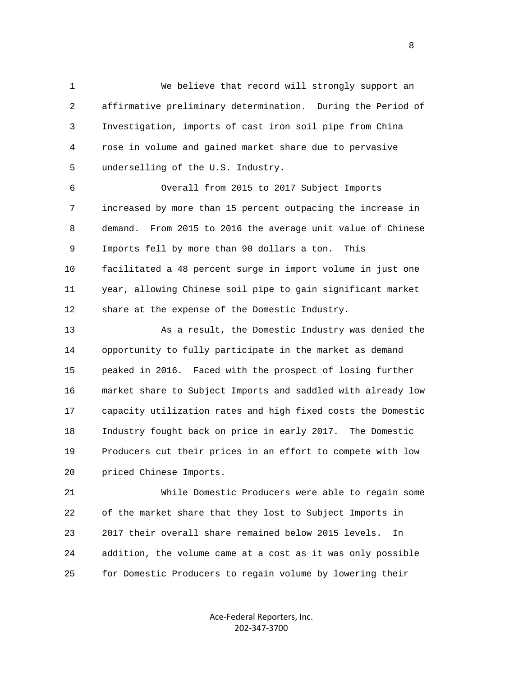1 We believe that record will strongly support an 2 affirmative preliminary determination. During the Period of 3 Investigation, imports of cast iron soil pipe from China 4 rose in volume and gained market share due to pervasive 5 underselling of the U.S. Industry.

 6 Overall from 2015 to 2017 Subject Imports 7 increased by more than 15 percent outpacing the increase in 8 demand. From 2015 to 2016 the average unit value of Chinese 9 Imports fell by more than 90 dollars a ton. This 10 facilitated a 48 percent surge in import volume in just one 11 year, allowing Chinese soil pipe to gain significant market 12 share at the expense of the Domestic Industry.

 13 As a result, the Domestic Industry was denied the 14 opportunity to fully participate in the market as demand 15 peaked in 2016. Faced with the prospect of losing further 16 market share to Subject Imports and saddled with already low 17 capacity utilization rates and high fixed costs the Domestic 18 Industry fought back on price in early 2017. The Domestic 19 Producers cut their prices in an effort to compete with low 20 priced Chinese Imports.

 21 While Domestic Producers were able to regain some 22 of the market share that they lost to Subject Imports in 23 2017 their overall share remained below 2015 levels. In 24 addition, the volume came at a cost as it was only possible 25 for Domestic Producers to regain volume by lowering their

> Ace-Federal Reporters, Inc. 202-347-3700

en andere en de la provincia de la provincia de la provincia de la provincia de la provincia de la provincia d<br>En 1990, en la provincia de la provincia de la provincia de la provincia de la provincia de la provincia de la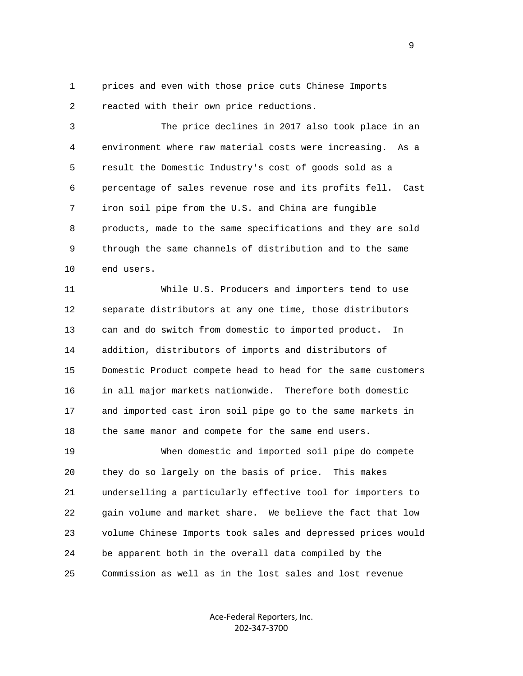1 prices and even with those price cuts Chinese Imports 2 reacted with their own price reductions.

 3 The price declines in 2017 also took place in an 4 environment where raw material costs were increasing. As a 5 result the Domestic Industry's cost of goods sold as a 6 percentage of sales revenue rose and its profits fell. Cast 7 iron soil pipe from the U.S. and China are fungible 8 products, made to the same specifications and they are sold 9 through the same channels of distribution and to the same 10 end users.

 11 While U.S. Producers and importers tend to use 12 separate distributors at any one time, those distributors 13 can and do switch from domestic to imported product. In 14 addition, distributors of imports and distributors of 15 Domestic Product compete head to head for the same customers 16 in all major markets nationwide. Therefore both domestic 17 and imported cast iron soil pipe go to the same markets in 18 the same manor and compete for the same end users.

 19 When domestic and imported soil pipe do compete 20 they do so largely on the basis of price. This makes 21 underselling a particularly effective tool for importers to 22 gain volume and market share. We believe the fact that low 23 volume Chinese Imports took sales and depressed prices would 24 be apparent both in the overall data compiled by the 25 Commission as well as in the lost sales and lost revenue

> Ace-Federal Reporters, Inc. 202-347-3700

 $\sim$  9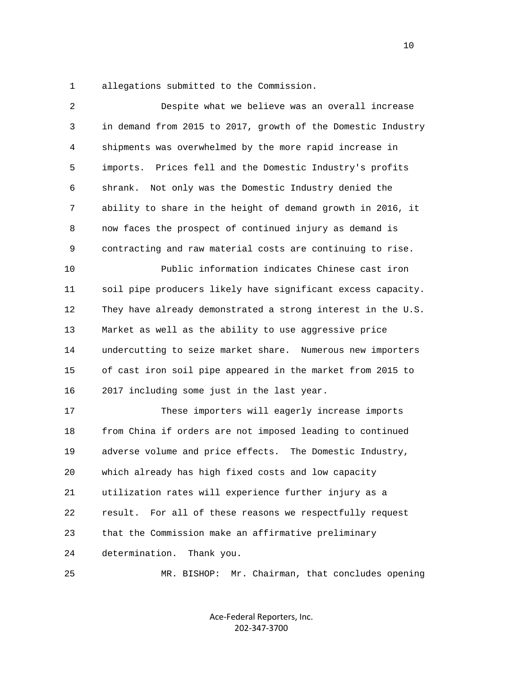1 allegations submitted to the Commission.

| 2  | Despite what we believe was an overall increase              |
|----|--------------------------------------------------------------|
| 3  | in demand from 2015 to 2017, growth of the Domestic Industry |
| 4  | shipments was overwhelmed by the more rapid increase in      |
| 5  | Prices fell and the Domestic Industry's profits<br>imports.  |
| 6  | Not only was the Domestic Industry denied the<br>shrank.     |
| 7  | ability to share in the height of demand growth in 2016, it  |
| 8  | now faces the prospect of continued injury as demand is      |
| 9  | contracting and raw material costs are continuing to rise.   |
| 10 | Public information indicates Chinese cast iron               |
| 11 | soil pipe producers likely have significant excess capacity. |
| 12 | They have already demonstrated a strong interest in the U.S. |
| 13 | Market as well as the ability to use aggressive price        |
| 14 | undercutting to seize market share. Numerous new importers   |
| 15 | of cast iron soil pipe appeared in the market from 2015 to   |
| 16 | 2017 including some just in the last year.                   |
| 17 | These importers will eagerly increase imports                |
| 18 | from China if orders are not imposed leading to continued    |
| 19 | adverse volume and price effects. The Domestic Industry,     |
| 20 | which already has high fixed costs and low capacity          |
| 21 | utilization rates will experience further injury as a        |
| 22 | For all of these reasons we respectfully request<br>result.  |
| 23 | that the Commission make an affirmative preliminary          |
| 24 | determination.<br>Thank you.                                 |
| 25 | MR. BISHOP: Mr. Chairman, that concludes opening             |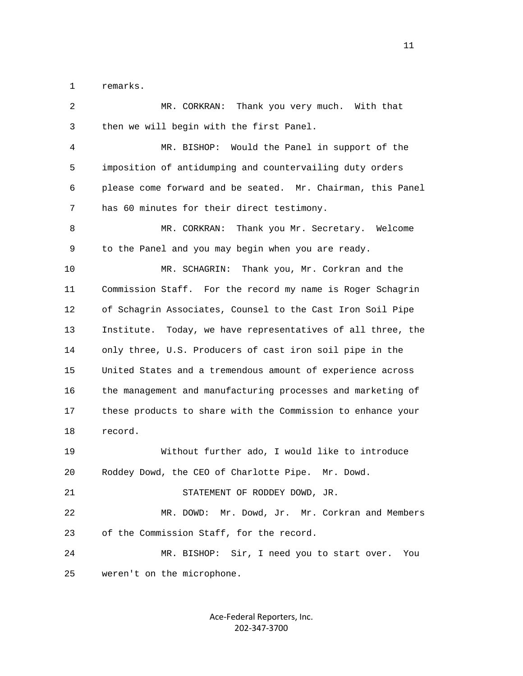1 remarks.

| 2  | MR. CORKRAN:<br>Thank you very much. With that                 |
|----|----------------------------------------------------------------|
| 3  | then we will begin with the first Panel.                       |
| 4  | MR. BISHOP: Would the Panel in support of the                  |
| 5  | imposition of antidumping and countervailing duty orders       |
| 6  | please come forward and be seated. Mr. Chairman, this Panel    |
| 7  | has 60 minutes for their direct testimony.                     |
| 8  | MR. CORKRAN:<br>Thank you Mr. Secretary. Welcome               |
| 9  | to the Panel and you may begin when you are ready.             |
| 10 | Thank you, Mr. Corkran and the<br>MR. SCHAGRIN:                |
| 11 | Commission Staff. For the record my name is Roger Schagrin     |
| 12 | of Schagrin Associates, Counsel to the Cast Iron Soil Pipe     |
| 13 | Institute.<br>Today, we have representatives of all three, the |
| 14 | only three, U.S. Producers of cast iron soil pipe in the       |
| 15 | United States and a tremendous amount of experience across     |
| 16 | the management and manufacturing processes and marketing of    |
| 17 | these products to share with the Commission to enhance your    |
| 18 | record.                                                        |
| 19 | Without further ado, I would like to introduce                 |
| 20 | Roddey Dowd, the CEO of Charlotte Pipe. Mr. Dowd.              |
| 21 | STATEMENT OF RODDEY DOWD, JR.                                  |
| 22 | Mr. Dowd, Jr. Mr. Corkran and Members<br>MR. DOWD:             |
| 23 | of the Commission Staff, for the record.                       |
| 24 | MR. BISHOP: Sir, I need you to start over.<br>You              |
| 25 | weren't on the microphone.                                     |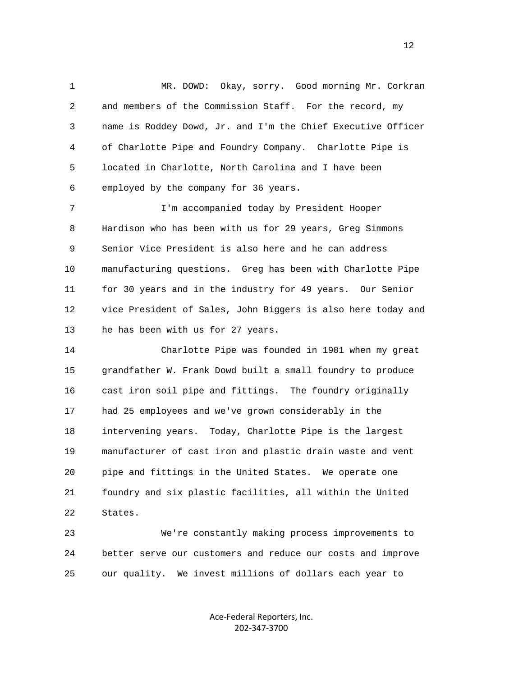1 MR. DOWD: Okay, sorry. Good morning Mr. Corkran 2 and members of the Commission Staff. For the record, my 3 name is Roddey Dowd, Jr. and I'm the Chief Executive Officer 4 of Charlotte Pipe and Foundry Company. Charlotte Pipe is 5 located in Charlotte, North Carolina and I have been 6 employed by the company for 36 years.

 7 I'm accompanied today by President Hooper 8 Hardison who has been with us for 29 years, Greg Simmons 9 Senior Vice President is also here and he can address 10 manufacturing questions. Greg has been with Charlotte Pipe 11 for 30 years and in the industry for 49 years. Our Senior 12 vice President of Sales, John Biggers is also here today and 13 he has been with us for 27 years.

 14 Charlotte Pipe was founded in 1901 when my great 15 grandfather W. Frank Dowd built a small foundry to produce 16 cast iron soil pipe and fittings. The foundry originally 17 had 25 employees and we've grown considerably in the 18 intervening years. Today, Charlotte Pipe is the largest 19 manufacturer of cast iron and plastic drain waste and vent 20 pipe and fittings in the United States. We operate one 21 foundry and six plastic facilities, all within the United 22 States.

 23 We're constantly making process improvements to 24 better serve our customers and reduce our costs and improve 25 our quality. We invest millions of dollars each year to

> Ace-Federal Reporters, Inc. 202-347-3700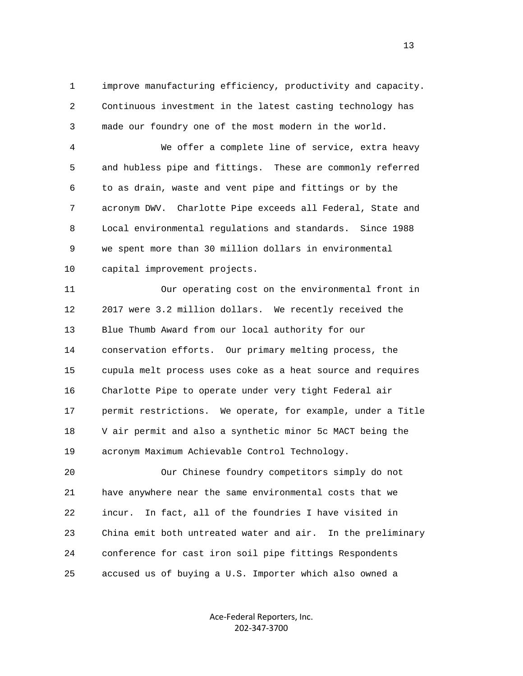1 improve manufacturing efficiency, productivity and capacity. 2 Continuous investment in the latest casting technology has 3 made our foundry one of the most modern in the world.

 4 We offer a complete line of service, extra heavy 5 and hubless pipe and fittings. These are commonly referred 6 to as drain, waste and vent pipe and fittings or by the 7 acronym DWV. Charlotte Pipe exceeds all Federal, State and 8 Local environmental regulations and standards. Since 1988 9 we spent more than 30 million dollars in environmental 10 capital improvement projects.

 11 Our operating cost on the environmental front in 12 2017 were 3.2 million dollars. We recently received the 13 Blue Thumb Award from our local authority for our 14 conservation efforts. Our primary melting process, the 15 cupula melt process uses coke as a heat source and requires 16 Charlotte Pipe to operate under very tight Federal air 17 permit restrictions. We operate, for example, under a Title 18 V air permit and also a synthetic minor 5c MACT being the 19 acronym Maximum Achievable Control Technology.

 20 Our Chinese foundry competitors simply do not 21 have anywhere near the same environmental costs that we 22 incur. In fact, all of the foundries I have visited in 23 China emit both untreated water and air. In the preliminary 24 conference for cast iron soil pipe fittings Respondents 25 accused us of buying a U.S. Importer which also owned a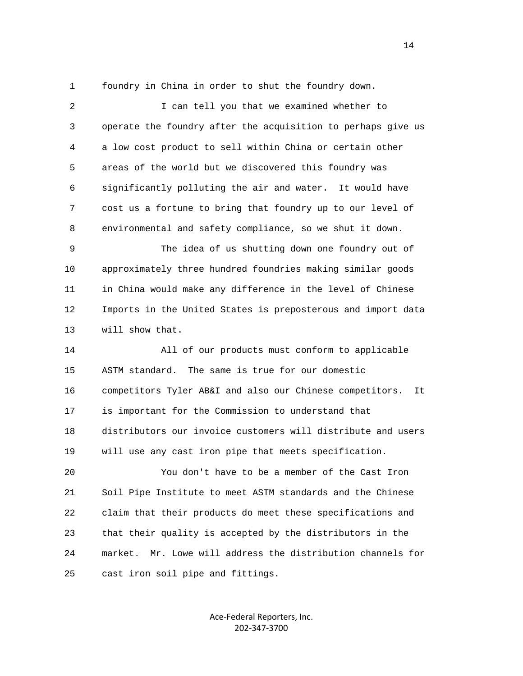1 foundry in China in order to shut the foundry down.

 2 I can tell you that we examined whether to 3 operate the foundry after the acquisition to perhaps give us 4 a low cost product to sell within China or certain other 5 areas of the world but we discovered this foundry was 6 significantly polluting the air and water. It would have 7 cost us a fortune to bring that foundry up to our level of 8 environmental and safety compliance, so we shut it down. 9 The idea of us shutting down one foundry out of 10 approximately three hundred foundries making similar goods 11 in China would make any difference in the level of Chinese 12 Imports in the United States is preposterous and import data 13 will show that. 14 All of our products must conform to applicable 15 ASTM standard. The same is true for our domestic 16 competitors Tyler AB&I and also our Chinese competitors. It 17 is important for the Commission to understand that 18 distributors our invoice customers will distribute and users 19 will use any cast iron pipe that meets specification. 20 You don't have to be a member of the Cast Iron 21 Soil Pipe Institute to meet ASTM standards and the Chinese 22 claim that their products do meet these specifications and 23 that their quality is accepted by the distributors in the 24 market. Mr. Lowe will address the distribution channels for 25 cast iron soil pipe and fittings.

> Ace-Federal Reporters, Inc. 202-347-3700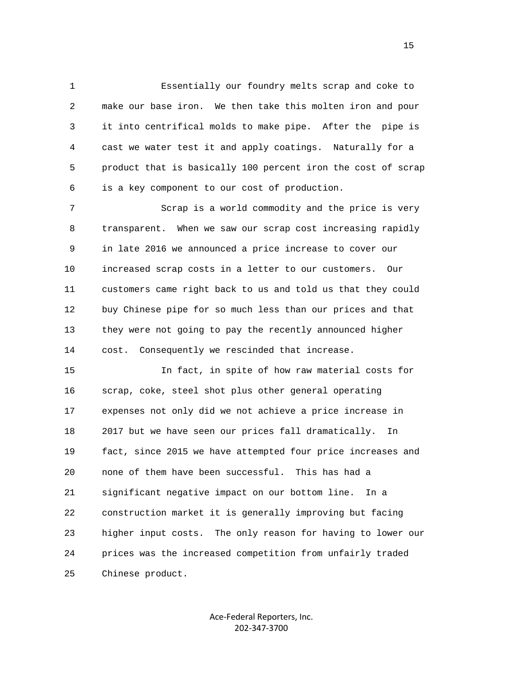1 Essentially our foundry melts scrap and coke to 2 make our base iron. We then take this molten iron and pour 3 it into centrifical molds to make pipe. After the pipe is 4 cast we water test it and apply coatings. Naturally for a 5 product that is basically 100 percent iron the cost of scrap 6 is a key component to our cost of production.

 7 Scrap is a world commodity and the price is very 8 transparent. When we saw our scrap cost increasing rapidly 9 in late 2016 we announced a price increase to cover our 10 increased scrap costs in a letter to our customers. Our 11 customers came right back to us and told us that they could 12 buy Chinese pipe for so much less than our prices and that 13 they were not going to pay the recently announced higher 14 cost. Consequently we rescinded that increase.

 15 In fact, in spite of how raw material costs for 16 scrap, coke, steel shot plus other general operating 17 expenses not only did we not achieve a price increase in 18 2017 but we have seen our prices fall dramatically. In 19 fact, since 2015 we have attempted four price increases and 20 none of them have been successful. This has had a 21 significant negative impact on our bottom line. In a 22 construction market it is generally improving but facing 23 higher input costs. The only reason for having to lower our 24 prices was the increased competition from unfairly traded 25 Chinese product.

> Ace-Federal Reporters, Inc. 202-347-3700

the contract of the contract of the contract of the contract of the contract of the contract of the contract of the contract of the contract of the contract of the contract of the contract of the contract of the contract o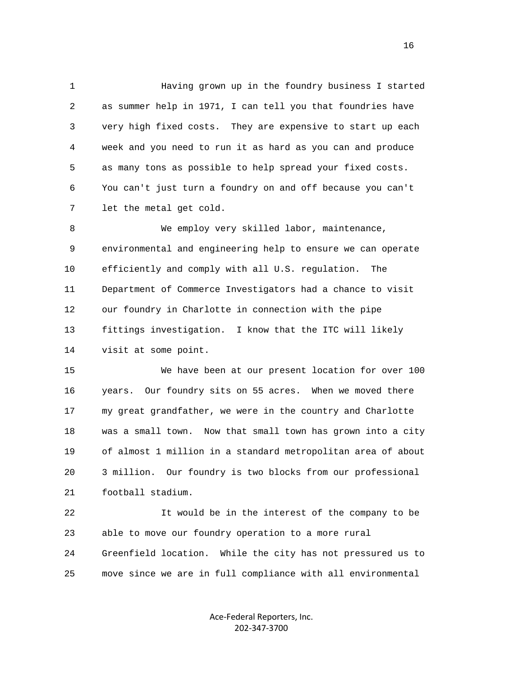1 Having grown up in the foundry business I started 2 as summer help in 1971, I can tell you that foundries have 3 very high fixed costs. They are expensive to start up each 4 week and you need to run it as hard as you can and produce 5 as many tons as possible to help spread your fixed costs. 6 You can't just turn a foundry on and off because you can't 7 let the metal get cold.

8 We employ very skilled labor, maintenance, 9 environmental and engineering help to ensure we can operate 10 efficiently and comply with all U.S. regulation. The 11 Department of Commerce Investigators had a chance to visit 12 our foundry in Charlotte in connection with the pipe 13 fittings investigation. I know that the ITC will likely 14 visit at some point.

 15 We have been at our present location for over 100 16 years. Our foundry sits on 55 acres. When we moved there 17 my great grandfather, we were in the country and Charlotte 18 was a small town. Now that small town has grown into a city 19 of almost 1 million in a standard metropolitan area of about 20 3 million. Our foundry is two blocks from our professional 21 football stadium.

 22 It would be in the interest of the company to be 23 able to move our foundry operation to a more rural 24 Greenfield location. While the city has not pressured us to 25 move since we are in full compliance with all environmental

> Ace-Federal Reporters, Inc. 202-347-3700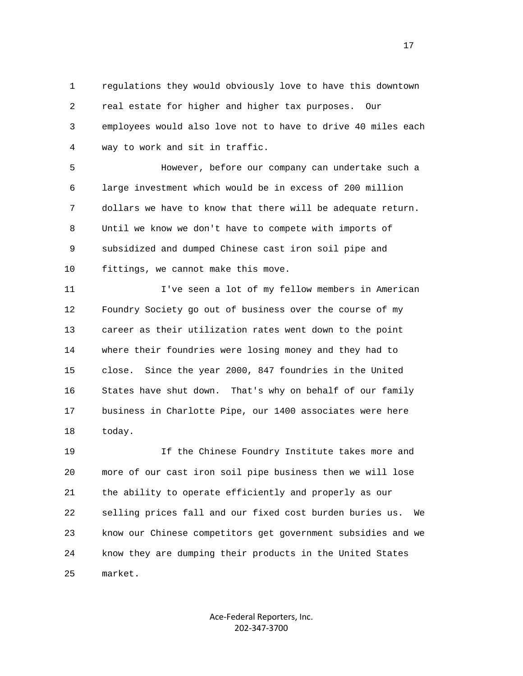1 regulations they would obviously love to have this downtown 2 real estate for higher and higher tax purposes. Our 3 employees would also love not to have to drive 40 miles each 4 way to work and sit in traffic.

 5 However, before our company can undertake such a 6 large investment which would be in excess of 200 million 7 dollars we have to know that there will be adequate return. 8 Until we know we don't have to compete with imports of 9 subsidized and dumped Chinese cast iron soil pipe and 10 fittings, we cannot make this move.

 11 I've seen a lot of my fellow members in American 12 Foundry Society go out of business over the course of my 13 career as their utilization rates went down to the point 14 where their foundries were losing money and they had to 15 close. Since the year 2000, 847 foundries in the United 16 States have shut down. That's why on behalf of our family 17 business in Charlotte Pipe, our 1400 associates were here 18 today.

 19 If the Chinese Foundry Institute takes more and 20 more of our cast iron soil pipe business then we will lose 21 the ability to operate efficiently and properly as our 22 selling prices fall and our fixed cost burden buries us. We 23 know our Chinese competitors get government subsidies and we 24 know they are dumping their products in the United States 25 market.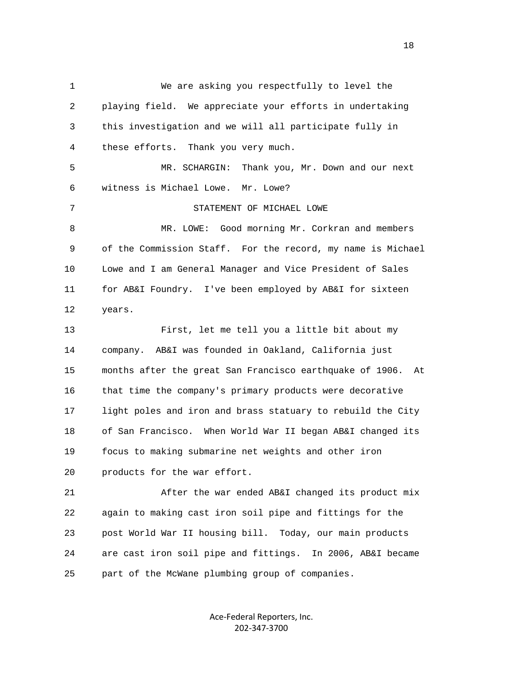1 We are asking you respectfully to level the 2 playing field. We appreciate your efforts in undertaking 3 this investigation and we will all participate fully in 4 these efforts. Thank you very much. 5 MR. SCHARGIN: Thank you, Mr. Down and our next 6 witness is Michael Lowe. Mr. Lowe? 7 STATEMENT OF MICHAEL LOWE 8 MR. LOWE: Good morning Mr. Corkran and members 9 of the Commission Staff. For the record, my name is Michael 10 Lowe and I am General Manager and Vice President of Sales 11 for AB&I Foundry. I've been employed by AB&I for sixteen 12 years. 13 First, let me tell you a little bit about my 14 company. AB&I was founded in Oakland, California just 15 months after the great San Francisco earthquake of 1906. At 16 that time the company's primary products were decorative 17 light poles and iron and brass statuary to rebuild the City 18 of San Francisco. When World War II began AB&I changed its 19 focus to making submarine net weights and other iron 20 products for the war effort. 21 After the war ended AB&I changed its product mix 22 again to making cast iron soil pipe and fittings for the 23 post World War II housing bill. Today, our main products 24 are cast iron soil pipe and fittings. In 2006, AB&I became

25 part of the McWane plumbing group of companies.

Ace-Federal Reporters, Inc. 202-347-3700

n 18 ann an 18 an t-Iomraid ann an 18 an 18 an 18 an 18 an 18 an 18 an 18 an 18 an 18 an 18 an 18 an 18 an 18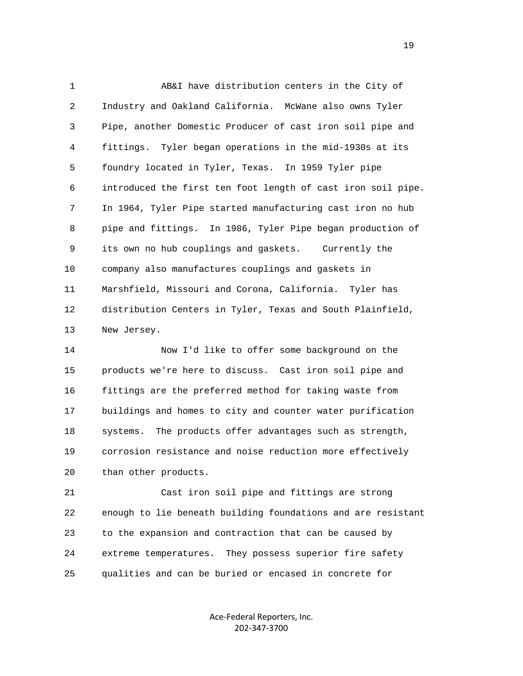1 AB&I have distribution centers in the City of 2 Industry and Oakland California. McWane also owns Tyler 3 Pipe, another Domestic Producer of cast iron soil pipe and 4 fittings. Tyler began operations in the mid-1930s at its 5 foundry located in Tyler, Texas. In 1959 Tyler pipe 6 introduced the first ten foot length of cast iron soil pipe. 7 In 1964, Tyler Pipe started manufacturing cast iron no hub 8 pipe and fittings. In 1986, Tyler Pipe began production of 9 its own no hub couplings and gaskets. Currently the 10 company also manufactures couplings and gaskets in 11 Marshfield, Missouri and Corona, California. Tyler has 12 distribution Centers in Tyler, Texas and South Plainfield, 13 New Jersey.

 14 Now I'd like to offer some background on the 15 products we're here to discuss. Cast iron soil pipe and 16 fittings are the preferred method for taking waste from 17 buildings and homes to city and counter water purification 18 systems. The products offer advantages such as strength, 19 corrosion resistance and noise reduction more effectively 20 than other products.

 21 Cast iron soil pipe and fittings are strong 22 enough to lie beneath building foundations and are resistant 23 to the expansion and contraction that can be caused by 24 extreme temperatures. They possess superior fire safety 25 qualities and can be buried or encased in concrete for

> Ace-Federal Reporters, Inc. 202-347-3700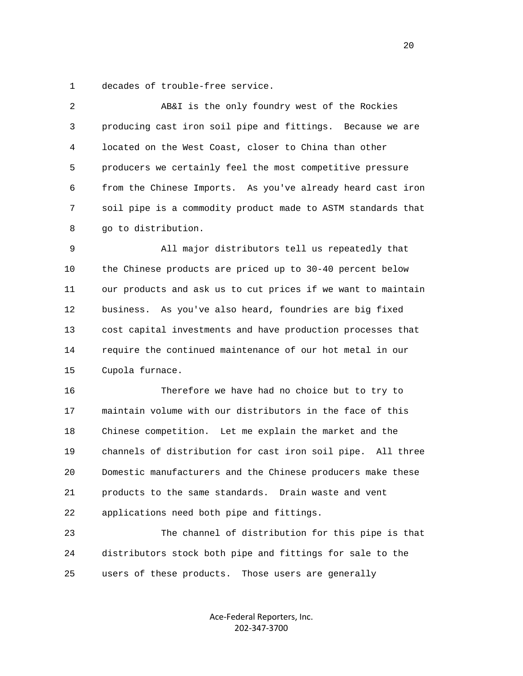1 decades of trouble-free service.

| 2  | AB&I is the only foundry west of the Rockies                 |
|----|--------------------------------------------------------------|
| 3  | producing cast iron soil pipe and fittings. Because we are   |
| 4  | located on the West Coast, closer to China than other        |
| 5  | producers we certainly feel the most competitive pressure    |
| 6  | from the Chinese Imports. As you've already heard cast iron  |
| 7  | soil pipe is a commodity product made to ASTM standards that |
| 8  | go to distribution.                                          |
| 9  | All major distributors tell us repeatedly that               |
| 10 | the Chinese products are priced up to 30-40 percent below    |
| 11 | our products and ask us to cut prices if we want to maintain |
| 12 | business. As you've also heard, foundries are big fixed      |
| 13 | cost capital investments and have production processes that  |
| 14 | require the continued maintenance of our hot metal in our    |
| 15 | Cupola furnace.                                              |
| 16 | Therefore we have had no choice but to try to                |
| 17 | maintain volume with our distributors in the face of this    |
| 18 | Chinese competition. Let me explain the market and the       |
| 19 | channels of distribution for cast iron soil pipe. All three  |
| 20 | Domestic manufacturers and the Chinese producers make these  |
| 21 | products to the same standards. Drain waste and vent         |
| 22 | applications need both pipe and fittings.                    |
| 23 | The channel of distribution for this pipe is that            |

 24 distributors stock both pipe and fittings for sale to the 25 users of these products. Those users are generally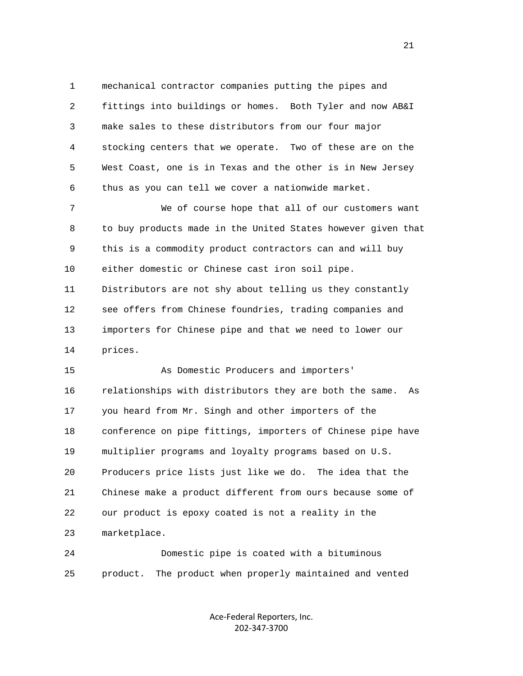1 mechanical contractor companies putting the pipes and 2 fittings into buildings or homes. Both Tyler and now AB&I 3 make sales to these distributors from our four major 4 stocking centers that we operate. Two of these are on the 5 West Coast, one is in Texas and the other is in New Jersey 6 thus as you can tell we cover a nationwide market.

 7 We of course hope that all of our customers want 8 to buy products made in the United States however given that 9 this is a commodity product contractors can and will buy 10 either domestic or Chinese cast iron soil pipe. 11 Distributors are not shy about telling us they constantly 12 see offers from Chinese foundries, trading companies and 13 importers for Chinese pipe and that we need to lower our 14 prices.

 15 As Domestic Producers and importers' 16 relationships with distributors they are both the same. As 17 you heard from Mr. Singh and other importers of the 18 conference on pipe fittings, importers of Chinese pipe have 19 multiplier programs and loyalty programs based on U.S. 20 Producers price lists just like we do. The idea that the 21 Chinese make a product different from ours because some of 22 our product is epoxy coated is not a reality in the 23 marketplace.

 24 Domestic pipe is coated with a bituminous 25 product. The product when properly maintained and vented

> Ace-Federal Reporters, Inc. 202-347-3700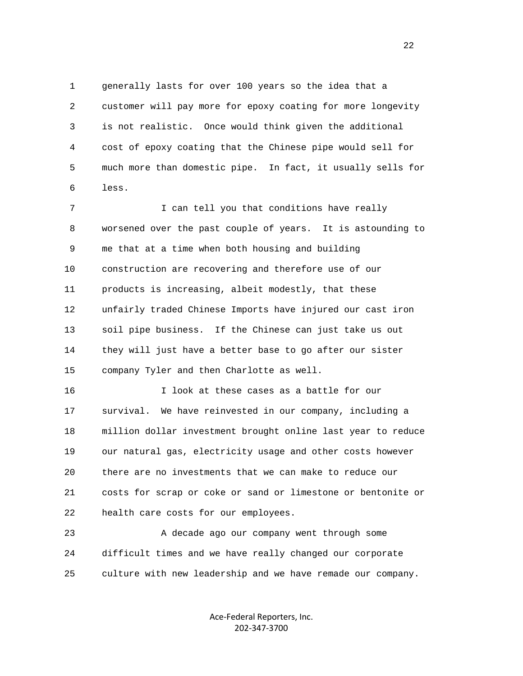1 generally lasts for over 100 years so the idea that a 2 customer will pay more for epoxy coating for more longevity 3 is not realistic. Once would think given the additional 4 cost of epoxy coating that the Chinese pipe would sell for 5 much more than domestic pipe. In fact, it usually sells for 6 less.

7 1 I can tell you that conditions have really 8 worsened over the past couple of years. It is astounding to 9 me that at a time when both housing and building 10 construction are recovering and therefore use of our 11 products is increasing, albeit modestly, that these 12 unfairly traded Chinese Imports have injured our cast iron 13 soil pipe business. If the Chinese can just take us out 14 they will just have a better base to go after our sister 15 company Tyler and then Charlotte as well.

 16 I look at these cases as a battle for our 17 survival. We have reinvested in our company, including a 18 million dollar investment brought online last year to reduce 19 our natural gas, electricity usage and other costs however 20 there are no investments that we can make to reduce our 21 costs for scrap or coke or sand or limestone or bentonite or 22 health care costs for our employees.

 23 A decade ago our company went through some 24 difficult times and we have really changed our corporate 25 culture with new leadership and we have remade our company.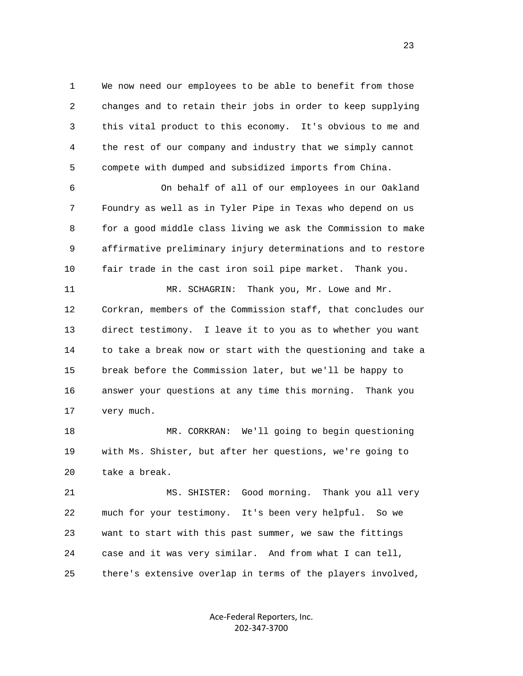1 We now need our employees to be able to benefit from those 2 changes and to retain their jobs in order to keep supplying 3 this vital product to this economy. It's obvious to me and 4 the rest of our company and industry that we simply cannot 5 compete with dumped and subsidized imports from China.

 6 On behalf of all of our employees in our Oakland 7 Foundry as well as in Tyler Pipe in Texas who depend on us 8 for a good middle class living we ask the Commission to make 9 affirmative preliminary injury determinations and to restore 10 fair trade in the cast iron soil pipe market. Thank you.

11 MR. SCHAGRIN: Thank you, Mr. Lowe and Mr. 12 Corkran, members of the Commission staff, that concludes our 13 direct testimony. I leave it to you as to whether you want 14 to take a break now or start with the questioning and take a 15 break before the Commission later, but we'll be happy to 16 answer your questions at any time this morning. Thank you 17 very much.

 18 MR. CORKRAN: We'll going to begin questioning 19 with Ms. Shister, but after her questions, we're going to 20 take a break.

 21 MS. SHISTER: Good morning. Thank you all very 22 much for your testimony. It's been very helpful. So we 23 want to start with this past summer, we saw the fittings 24 case and it was very similar. And from what I can tell, 25 there's extensive overlap in terms of the players involved,

> Ace-Federal Reporters, Inc. 202-347-3700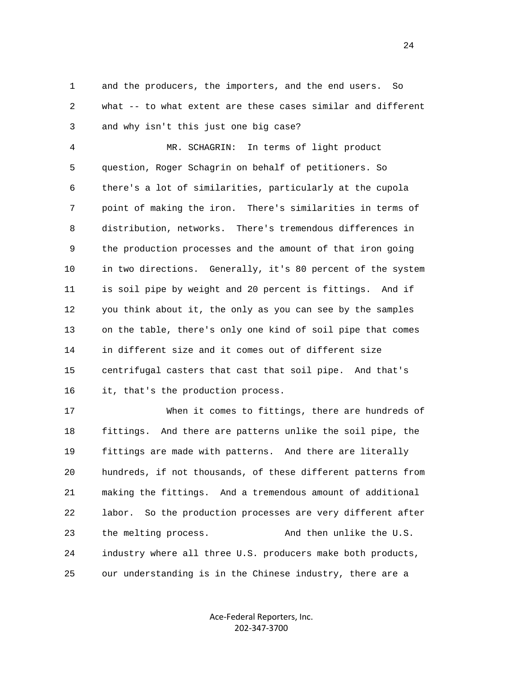1 and the producers, the importers, and the end users. So 2 what -- to what extent are these cases similar and different 3 and why isn't this just one big case?

 4 MR. SCHAGRIN: In terms of light product 5 question, Roger Schagrin on behalf of petitioners. So 6 there's a lot of similarities, particularly at the cupola 7 point of making the iron. There's similarities in terms of 8 distribution, networks. There's tremendous differences in 9 the production processes and the amount of that iron going 10 in two directions. Generally, it's 80 percent of the system 11 is soil pipe by weight and 20 percent is fittings. And if 12 you think about it, the only as you can see by the samples 13 on the table, there's only one kind of soil pipe that comes 14 in different size and it comes out of different size 15 centrifugal casters that cast that soil pipe. And that's 16 it, that's the production process.

 17 When it comes to fittings, there are hundreds of 18 fittings. And there are patterns unlike the soil pipe, the 19 fittings are made with patterns. And there are literally 20 hundreds, if not thousands, of these different patterns from 21 making the fittings. And a tremendous amount of additional 22 labor. So the production processes are very different after 23 the melting process. And then unlike the U.S. 24 industry where all three U.S. producers make both products, 25 our understanding is in the Chinese industry, there are a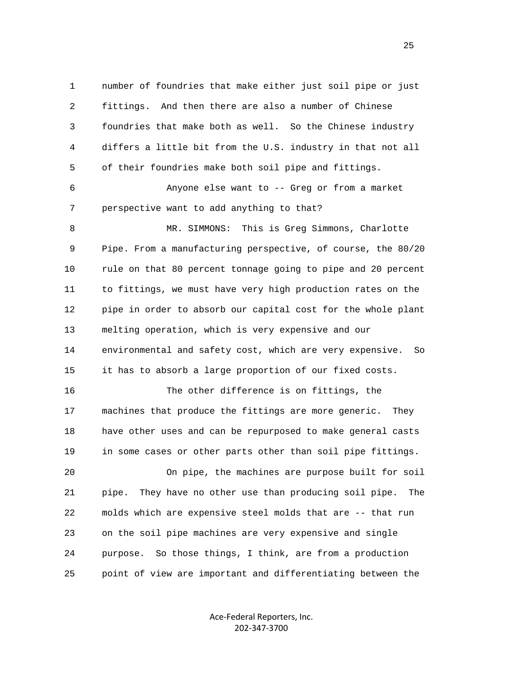1 number of foundries that make either just soil pipe or just 2 fittings. And then there are also a number of Chinese 3 foundries that make both as well. So the Chinese industry 4 differs a little bit from the U.S. industry in that not all 5 of their foundries make both soil pipe and fittings. 6 Anyone else want to -- Greg or from a market 7 perspective want to add anything to that? 8 MR. SIMMONS: This is Greg Simmons, Charlotte 9 Pipe. From a manufacturing perspective, of course, the 80/20 10 rule on that 80 percent tonnage going to pipe and 20 percent 11 to fittings, we must have very high production rates on the 12 pipe in order to absorb our capital cost for the whole plant 13 melting operation, which is very expensive and our 14 environmental and safety cost, which are very expensive. So 15 it has to absorb a large proportion of our fixed costs. 16 The other difference is on fittings, the 17 machines that produce the fittings are more generic. They 18 have other uses and can be repurposed to make general casts 19 in some cases or other parts other than soil pipe fittings. 20 On pipe, the machines are purpose built for soil 21 pipe. They have no other use than producing soil pipe. The 22 molds which are expensive steel molds that are -- that run 23 on the soil pipe machines are very expensive and single

25 point of view are important and differentiating between the

Ace-Federal Reporters, Inc. 202-347-3700

24 purpose. So those things, I think, are from a production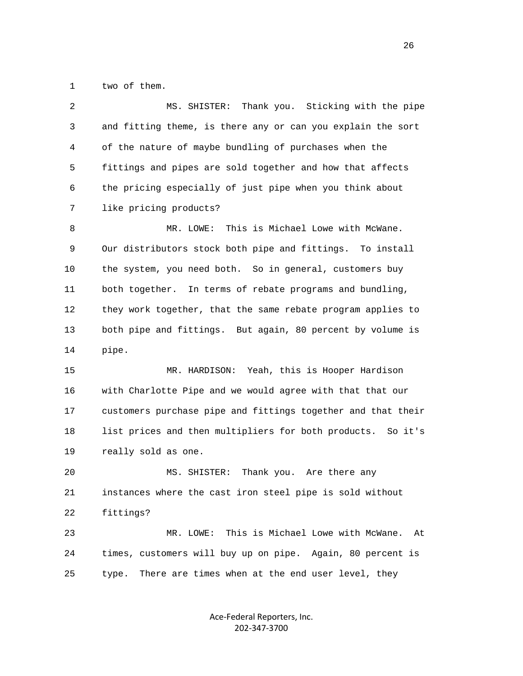1 two of them.

 2 MS. SHISTER: Thank you. Sticking with the pipe 3 and fitting theme, is there any or can you explain the sort 4 of the nature of maybe bundling of purchases when the 5 fittings and pipes are sold together and how that affects 6 the pricing especially of just pipe when you think about 7 like pricing products? 8 MR. LOWE: This is Michael Lowe with McWane. 9 Our distributors stock both pipe and fittings. To install 10 the system, you need both. So in general, customers buy 11 both together. In terms of rebate programs and bundling, 12 they work together, that the same rebate program applies to 13 both pipe and fittings. But again, 80 percent by volume is 14 pipe. 15 MR. HARDISON: Yeah, this is Hooper Hardison 16 with Charlotte Pipe and we would agree with that that our 17 customers purchase pipe and fittings together and that their 18 list prices and then multipliers for both products. So it's 19 really sold as one. 20 MS. SHISTER: Thank you. Are there any 21 instances where the cast iron steel pipe is sold without 22 fittings? 23 MR. LOWE: This is Michael Lowe with McWane. At 24 times, customers will buy up on pipe. Again, 80 percent is

> Ace-Federal Reporters, Inc. 202-347-3700

25 type. There are times when at the end user level, they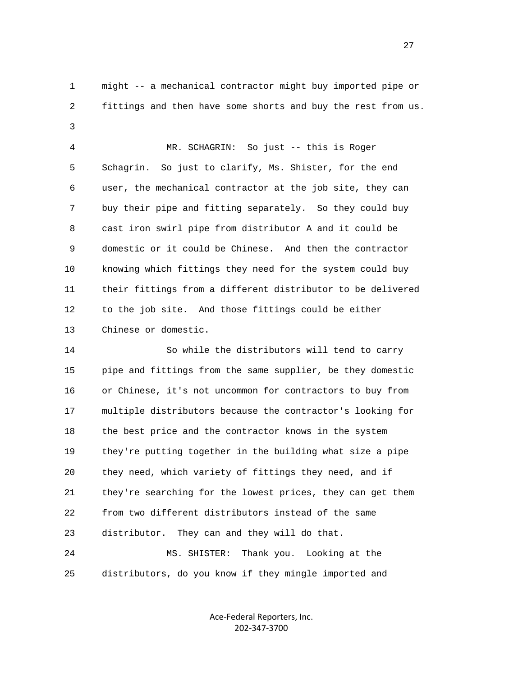1 might -- a mechanical contractor might buy imported pipe or 2 fittings and then have some shorts and buy the rest from us. 3

> 4 MR. SCHAGRIN: So just -- this is Roger 5 Schagrin. So just to clarify, Ms. Shister, for the end 6 user, the mechanical contractor at the job site, they can 7 buy their pipe and fitting separately. So they could buy 8 cast iron swirl pipe from distributor A and it could be 9 domestic or it could be Chinese. And then the contractor 10 knowing which fittings they need for the system could buy 11 their fittings from a different distributor to be delivered 12 to the job site. And those fittings could be either 13 Chinese or domestic.

 14 So while the distributors will tend to carry 15 pipe and fittings from the same supplier, be they domestic 16 or Chinese, it's not uncommon for contractors to buy from 17 multiple distributors because the contractor's looking for 18 the best price and the contractor knows in the system 19 they're putting together in the building what size a pipe 20 they need, which variety of fittings they need, and if 21 they're searching for the lowest prices, they can get them 22 from two different distributors instead of the same 23 distributor. They can and they will do that.

 24 MS. SHISTER: Thank you. Looking at the 25 distributors, do you know if they mingle imported and

> Ace-Federal Reporters, Inc. 202-347-3700

27 and 27 and 27 and 27 and 27 and 27 and 27 and 27 and 27 and 27 and 27 and 27 and 27 and 27 and 27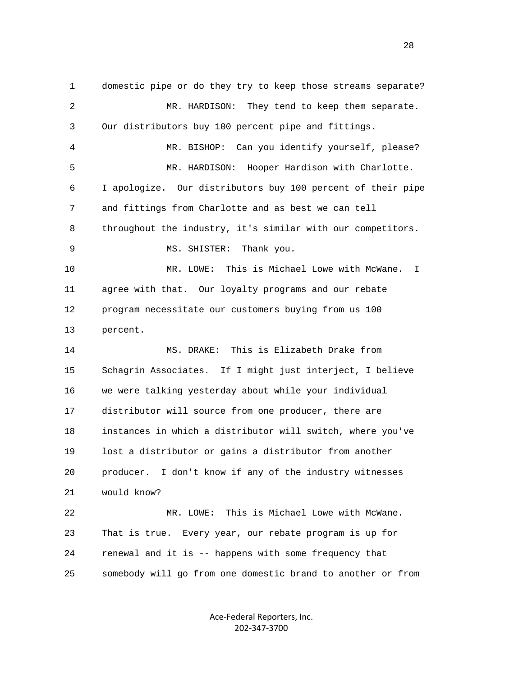1 domestic pipe or do they try to keep those streams separate? 2 MR. HARDISON: They tend to keep them separate. 3 Our distributors buy 100 percent pipe and fittings. 4 MR. BISHOP: Can you identify yourself, please? 5 MR. HARDISON: Hooper Hardison with Charlotte. 6 I apologize. Our distributors buy 100 percent of their pipe 7 and fittings from Charlotte and as best we can tell 8 throughout the industry, it's similar with our competitors. 9 MS. SHISTER: Thank you. 10 MR. LOWE: This is Michael Lowe with McWane. I 11 agree with that. Our loyalty programs and our rebate 12 program necessitate our customers buying from us 100 13 percent. 14 MS. DRAKE: This is Elizabeth Drake from 15 Schagrin Associates. If I might just interject, I believe 16 we were talking yesterday about while your individual 17 distributor will source from one producer, there are 18 instances in which a distributor will switch, where you've 19 lost a distributor or gains a distributor from another 20 producer. I don't know if any of the industry witnesses 21 would know? 22 MR. LOWE: This is Michael Lowe with McWane. 23 That is true. Every year, our rebate program is up for 24 renewal and it is -- happens with some frequency that 25 somebody will go from one domestic brand to another or from

> Ace-Federal Reporters, Inc. 202-347-3700

<u>28 and 28</u>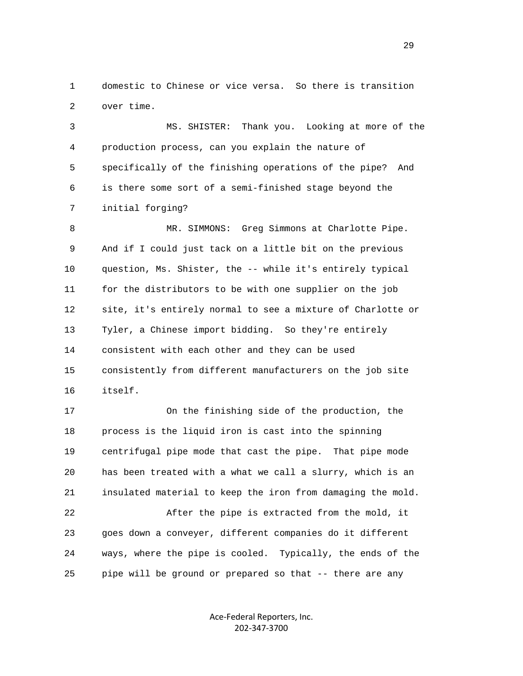1 domestic to Chinese or vice versa. So there is transition 2 over time.

 3 MS. SHISTER: Thank you. Looking at more of the 4 production process, can you explain the nature of 5 specifically of the finishing operations of the pipe? And 6 is there some sort of a semi-finished stage beyond the 7 initial forging?

 8 MR. SIMMONS: Greg Simmons at Charlotte Pipe. 9 And if I could just tack on a little bit on the previous 10 question, Ms. Shister, the -- while it's entirely typical 11 for the distributors to be with one supplier on the job 12 site, it's entirely normal to see a mixture of Charlotte or 13 Tyler, a Chinese import bidding. So they're entirely 14 consistent with each other and they can be used 15 consistently from different manufacturers on the job site 16 itself.

 17 On the finishing side of the production, the 18 process is the liquid iron is cast into the spinning 19 centrifugal pipe mode that cast the pipe. That pipe mode 20 has been treated with a what we call a slurry, which is an 21 insulated material to keep the iron from damaging the mold. 22 After the pipe is extracted from the mold, it 23 goes down a conveyer, different companies do it different 24 ways, where the pipe is cooled. Typically, the ends of the 25 pipe will be ground or prepared so that -- there are any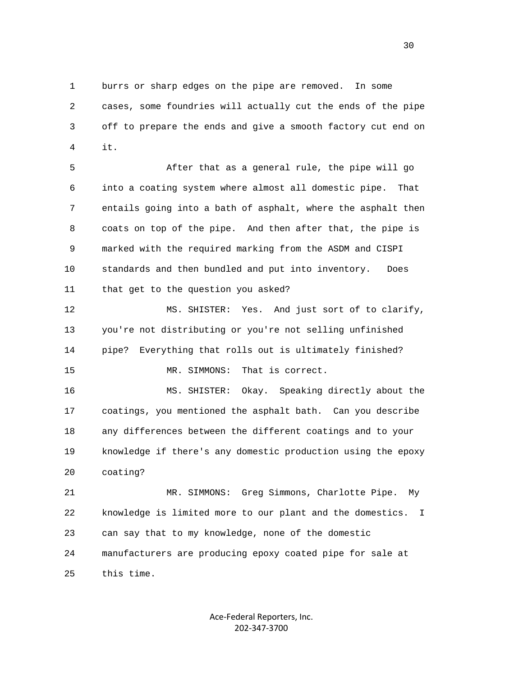1 burrs or sharp edges on the pipe are removed. In some 2 cases, some foundries will actually cut the ends of the pipe 3 off to prepare the ends and give a smooth factory cut end on 4 it.

> 5 After that as a general rule, the pipe will go 6 into a coating system where almost all domestic pipe. That 7 entails going into a bath of asphalt, where the asphalt then 8 coats on top of the pipe. And then after that, the pipe is 9 marked with the required marking from the ASDM and CISPI 10 standards and then bundled and put into inventory. Does 11 that get to the question you asked?

> 12 MS. SHISTER: Yes. And just sort of to clarify, 13 you're not distributing or you're not selling unfinished 14 pipe? Everything that rolls out is ultimately finished? 15 MR. SIMMONS: That is correct.

> 16 MS. SHISTER: Okay. Speaking directly about the 17 coatings, you mentioned the asphalt bath. Can you describe 18 any differences between the different coatings and to your 19 knowledge if there's any domestic production using the epoxy 20 coating?

> 21 MR. SIMMONS: Greg Simmons, Charlotte Pipe. My 22 knowledge is limited more to our plant and the domestics. I 23 can say that to my knowledge, none of the domestic 24 manufacturers are producing epoxy coated pipe for sale at 25 this time.

> > Ace-Federal Reporters, Inc. 202-347-3700

 $30<sup>2</sup>$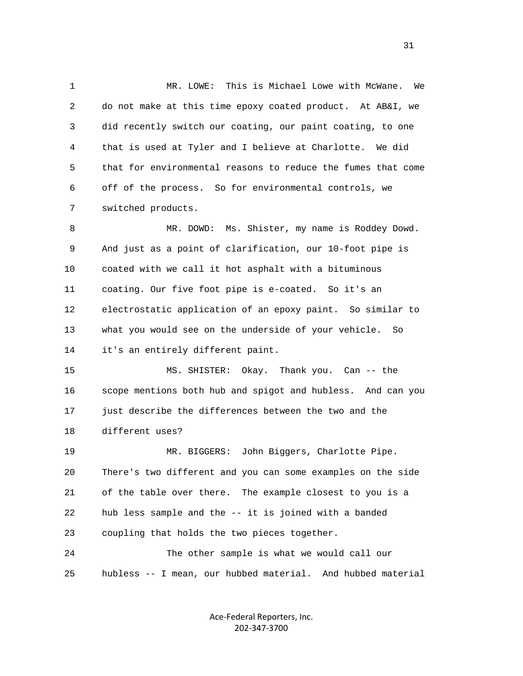1 MR. LOWE: This is Michael Lowe with McWane. We 2 do not make at this time epoxy coated product. At AB&I, we 3 did recently switch our coating, our paint coating, to one 4 that is used at Tyler and I believe at Charlotte. We did 5 that for environmental reasons to reduce the fumes that come 6 off of the process. So for environmental controls, we 7 switched products.

 8 MR. DOWD: Ms. Shister, my name is Roddey Dowd. 9 And just as a point of clarification, our 10-foot pipe is 10 coated with we call it hot asphalt with a bituminous 11 coating. Our five foot pipe is e-coated. So it's an 12 electrostatic application of an epoxy paint. So similar to 13 what you would see on the underside of your vehicle. So 14 it's an entirely different paint.

 15 MS. SHISTER: Okay. Thank you. Can -- the 16 scope mentions both hub and spigot and hubless. And can you 17 just describe the differences between the two and the 18 different uses?

 19 MR. BIGGERS: John Biggers, Charlotte Pipe. 20 There's two different and you can some examples on the side 21 of the table over there. The example closest to you is a 22 hub less sample and the -- it is joined with a banded 23 coupling that holds the two pieces together. 24 The other sample is what we would call our

25 hubless -- I mean, our hubbed material. And hubbed material

Ace-Federal Reporters, Inc. 202-347-3700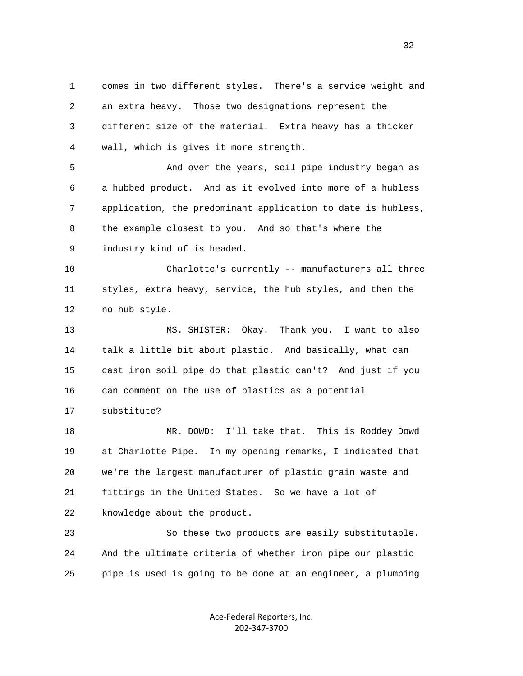1 comes in two different styles. There's a service weight and 2 an extra heavy. Those two designations represent the 3 different size of the material. Extra heavy has a thicker 4 wall, which is gives it more strength.

 5 And over the years, soil pipe industry began as 6 a hubbed product. And as it evolved into more of a hubless 7 application, the predominant application to date is hubless, 8 the example closest to you. And so that's where the 9 industry kind of is headed.

 10 Charlotte's currently -- manufacturers all three 11 styles, extra heavy, service, the hub styles, and then the 12 no hub style.

 13 MS. SHISTER: Okay. Thank you. I want to also 14 talk a little bit about plastic. And basically, what can 15 cast iron soil pipe do that plastic can't? And just if you 16 can comment on the use of plastics as a potential

17 substitute?

 18 MR. DOWD: I'll take that. This is Roddey Dowd 19 at Charlotte Pipe. In my opening remarks, I indicated that 20 we're the largest manufacturer of plastic grain waste and 21 fittings in the United States. So we have a lot of 22 knowledge about the product.

 23 So these two products are easily substitutable. 24 And the ultimate criteria of whether iron pipe our plastic 25 pipe is used is going to be done at an engineer, a plumbing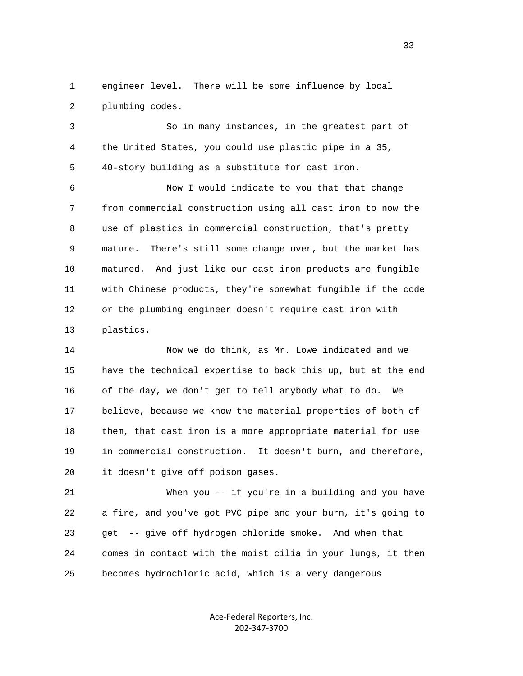1 engineer level. There will be some influence by local 2 plumbing codes.

 3 So in many instances, in the greatest part of 4 the United States, you could use plastic pipe in a 35, 5 40-story building as a substitute for cast iron.

 6 Now I would indicate to you that that change 7 from commercial construction using all cast iron to now the 8 use of plastics in commercial construction, that's pretty 9 mature. There's still some change over, but the market has 10 matured. And just like our cast iron products are fungible 11 with Chinese products, they're somewhat fungible if the code 12 or the plumbing engineer doesn't require cast iron with 13 plastics.

 14 Now we do think, as Mr. Lowe indicated and we 15 have the technical expertise to back this up, but at the end 16 of the day, we don't get to tell anybody what to do. We 17 believe, because we know the material properties of both of 18 them, that cast iron is a more appropriate material for use 19 in commercial construction. It doesn't burn, and therefore, 20 it doesn't give off poison gases.

 21 When you -- if you're in a building and you have 22 a fire, and you've got PVC pipe and your burn, it's going to 23 get -- give off hydrogen chloride smoke. And when that 24 comes in contact with the moist cilia in your lungs, it then 25 becomes hydrochloric acid, which is a very dangerous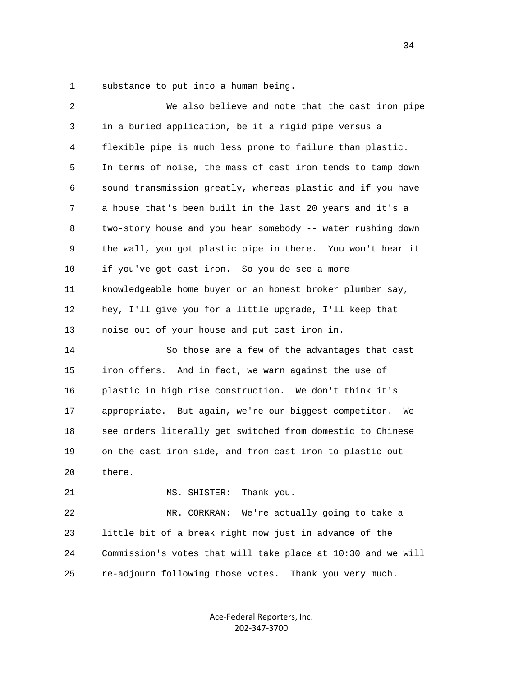1 substance to put into a human being.

| 2  | We also believe and note that the cast iron pipe             |
|----|--------------------------------------------------------------|
| 3  | in a buried application, be it a rigid pipe versus a         |
| 4  | flexible pipe is much less prone to failure than plastic.    |
| 5  | In terms of noise, the mass of cast iron tends to tamp down  |
| 6  | sound transmission greatly, whereas plastic and if you have  |
| 7  | a house that's been built in the last 20 years and it's a    |
| 8  | two-story house and you hear somebody -- water rushing down  |
| 9  | the wall, you got plastic pipe in there. You won't hear it   |
| 10 | if you've got cast iron. So you do see a more                |
| 11 | knowledgeable home buyer or an honest broker plumber say,    |
| 12 | hey, I'll give you for a little upgrade, I'll keep that      |
| 13 | noise out of your house and put cast iron in.                |
| 14 | So those are a few of the advantages that cast               |
| 15 | iron offers. And in fact, we warn against the use of         |
| 16 | plastic in high rise construction. We don't think it's       |
| 17 | appropriate. But again, we're our biggest competitor.<br>We  |
| 18 | see orders literally get switched from domestic to Chinese   |
| 19 | on the cast iron side, and from cast iron to plastic out     |
| 20 | there.                                                       |
| 21 | MS. SHISTER:<br>Thank you.                                   |
| 22 | We're actually going to take a<br>MR. CORKRAN:               |
| 23 | little bit of a break right now just in advance of the       |
| 24 | Commission's votes that will take place at 10:30 and we will |
| 25 | re-adjourn following those votes.<br>Thank you very much.    |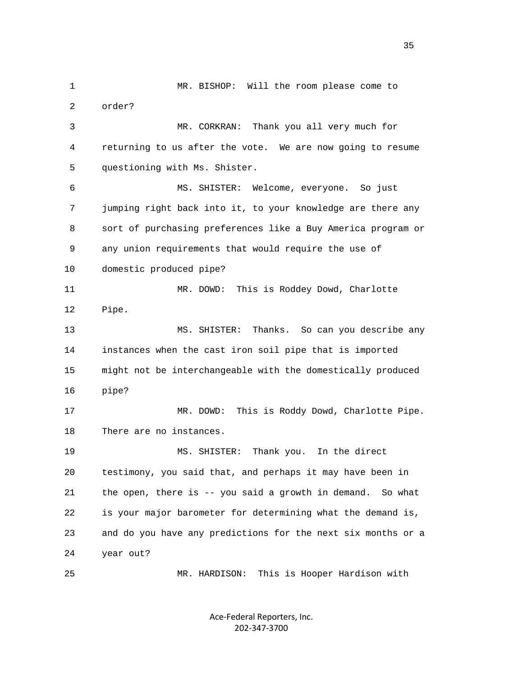1 MR. BISHOP: Will the room please come to 2 order? 3 MR. CORKRAN: Thank you all very much for 4 returning to us after the vote. We are now going to resume 5 questioning with Ms. Shister. 6 MS. SHISTER: Welcome, everyone. So just 7 jumping right back into it, to your knowledge are there any 8 sort of purchasing preferences like a Buy America program or 9 any union requirements that would require the use of 10 domestic produced pipe? 11 MR. DOWD: This is Roddey Dowd, Charlotte 12 Pipe. 13 MS. SHISTER: Thanks. So can you describe any 14 instances when the cast iron soil pipe that is imported 15 might not be interchangeable with the domestically produced 16 pipe? 17 MR. DOWD: This is Roddy Dowd, Charlotte Pipe. 18 There are no instances. 19 MS. SHISTER: Thank you. In the direct 20 testimony, you said that, and perhaps it may have been in 21 the open, there is -- you said a growth in demand. So what 22 is your major barometer for determining what the demand is, 23 and do you have any predictions for the next six months or a 24 year out? 25 MR. HARDISON: This is Hooper Hardison with

> Ace-Federal Reporters, Inc. 202-347-3700

<u>35 and 200 minutes and 200 minutes and 200 minutes and 200 minutes and 200 minutes and 200 minutes and 200 minutes and 200 minutes and 200 minutes and 200 minutes and 200 minutes and 200 minutes and 200 minutes and 200 mi</u>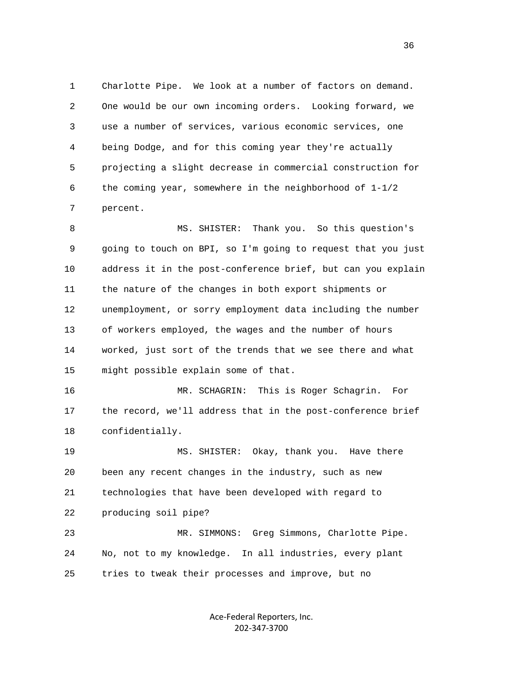1 Charlotte Pipe. We look at a number of factors on demand. 2 One would be our own incoming orders. Looking forward, we 3 use a number of services, various economic services, one 4 being Dodge, and for this coming year they're actually 5 projecting a slight decrease in commercial construction for 6 the coming year, somewhere in the neighborhood of 1-1/2 7 percent.

 8 MS. SHISTER: Thank you. So this question's 9 going to touch on BPI, so I'm going to request that you just 10 address it in the post-conference brief, but can you explain 11 the nature of the changes in both export shipments or 12 unemployment, or sorry employment data including the number 13 of workers employed, the wages and the number of hours 14 worked, just sort of the trends that we see there and what 15 might possible explain some of that.

 16 MR. SCHAGRIN: This is Roger Schagrin. For 17 the record, we'll address that in the post-conference brief 18 confidentially.

 19 MS. SHISTER: Okay, thank you. Have there 20 been any recent changes in the industry, such as new 21 technologies that have been developed with regard to 22 producing soil pipe?

 23 MR. SIMMONS: Greg Simmons, Charlotte Pipe. 24 No, not to my knowledge. In all industries, every plant 25 tries to tweak their processes and improve, but no

> Ace-Federal Reporters, Inc. 202-347-3700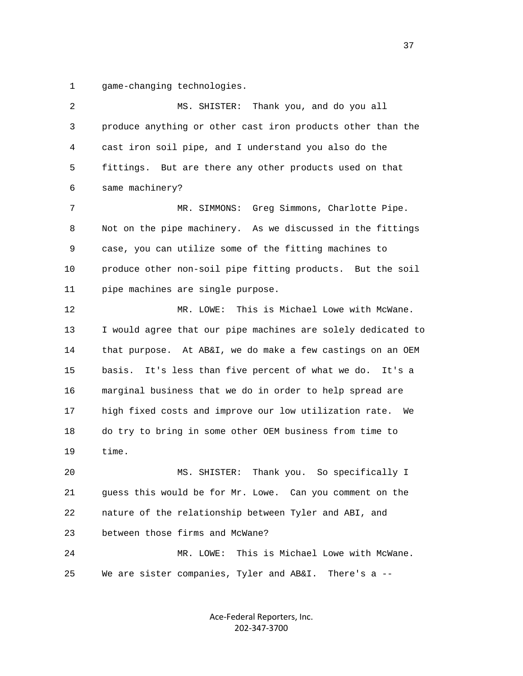1 game-changing technologies.

 2 MS. SHISTER: Thank you, and do you all 3 produce anything or other cast iron products other than the 4 cast iron soil pipe, and I understand you also do the 5 fittings. But are there any other products used on that 6 same machinery? 7 MR. SIMMONS: Greg Simmons, Charlotte Pipe. 8 Not on the pipe machinery. As we discussed in the fittings 9 case, you can utilize some of the fitting machines to 10 produce other non-soil pipe fitting products. But the soil 11 pipe machines are single purpose. 12 MR. LOWE: This is Michael Lowe with McWane. 13 I would agree that our pipe machines are solely dedicated to 14 that purpose. At AB&I, we do make a few castings on an OEM 15 basis. It's less than five percent of what we do. It's a 16 marginal business that we do in order to help spread are 17 high fixed costs and improve our low utilization rate. We 18 do try to bring in some other OEM business from time to 19 time. 20 MS. SHISTER: Thank you. So specifically I 21 guess this would be for Mr. Lowe. Can you comment on the 22 nature of the relationship between Tyler and ABI, and 23 between those firms and McWane? 24 MR. LOWE: This is Michael Lowe with McWane. 25 We are sister companies, Tyler and AB&I. There's a --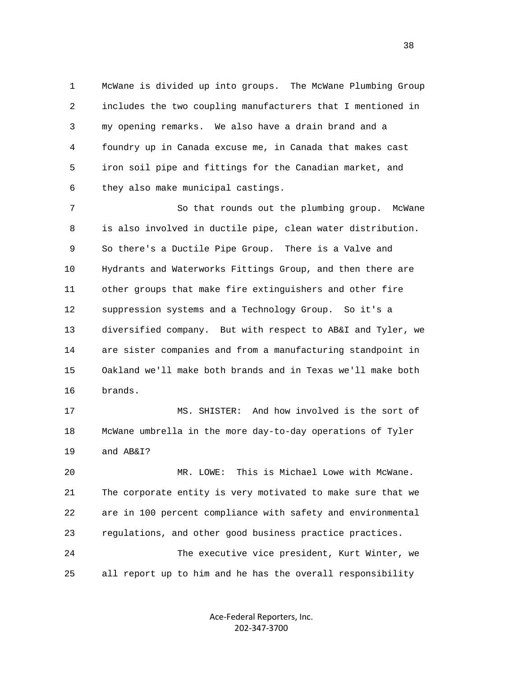1 McWane is divided up into groups. The McWane Plumbing Group 2 includes the two coupling manufacturers that I mentioned in 3 my opening remarks. We also have a drain brand and a 4 foundry up in Canada excuse me, in Canada that makes cast 5 iron soil pipe and fittings for the Canadian market, and 6 they also make municipal castings.

 7 So that rounds out the plumbing group. McWane 8 is also involved in ductile pipe, clean water distribution. 9 So there's a Ductile Pipe Group. There is a Valve and 10 Hydrants and Waterworks Fittings Group, and then there are 11 other groups that make fire extinguishers and other fire 12 suppression systems and a Technology Group. So it's a 13 diversified company. But with respect to AB&I and Tyler, we 14 are sister companies and from a manufacturing standpoint in 15 Oakland we'll make both brands and in Texas we'll make both 16 brands.

 17 MS. SHISTER: And how involved is the sort of 18 McWane umbrella in the more day-to-day operations of Tyler 19 and AB&I?

 20 MR. LOWE: This is Michael Lowe with McWane. 21 The corporate entity is very motivated to make sure that we 22 are in 100 percent compliance with safety and environmental 23 regulations, and other good business practice practices. 24 The executive vice president, Kurt Winter, we 25 all report up to him and he has the overall responsibility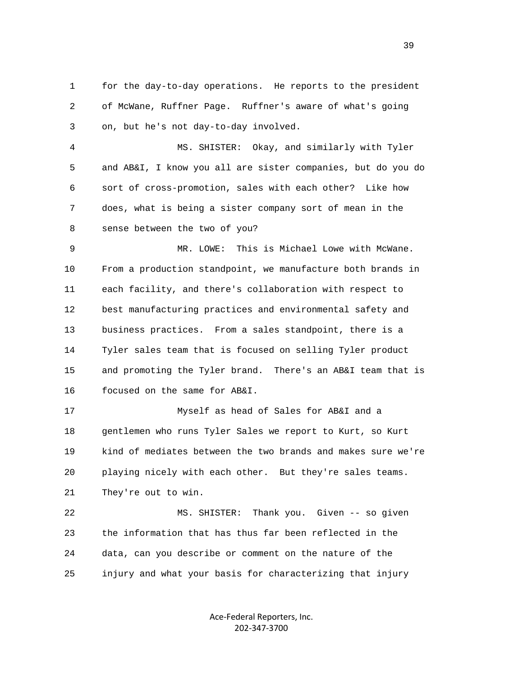1 for the day-to-day operations. He reports to the president 2 of McWane, Ruffner Page. Ruffner's aware of what's going 3 on, but he's not day-to-day involved.

 4 MS. SHISTER: Okay, and similarly with Tyler 5 and AB&I, I know you all are sister companies, but do you do 6 sort of cross-promotion, sales with each other? Like how 7 does, what is being a sister company sort of mean in the 8 sense between the two of you?

 9 MR. LOWE: This is Michael Lowe with McWane. 10 From a production standpoint, we manufacture both brands in 11 each facility, and there's collaboration with respect to 12 best manufacturing practices and environmental safety and 13 business practices. From a sales standpoint, there is a 14 Tyler sales team that is focused on selling Tyler product 15 and promoting the Tyler brand. There's an AB&I team that is 16 focused on the same for AB&I.

 17 Myself as head of Sales for AB&I and a 18 gentlemen who runs Tyler Sales we report to Kurt, so Kurt 19 kind of mediates between the two brands and makes sure we're 20 playing nicely with each other. But they're sales teams. 21 They're out to win.

 22 MS. SHISTER: Thank you. Given -- so given 23 the information that has thus far been reflected in the 24 data, can you describe or comment on the nature of the 25 injury and what your basis for characterizing that injury

> Ace-Federal Reporters, Inc. 202-347-3700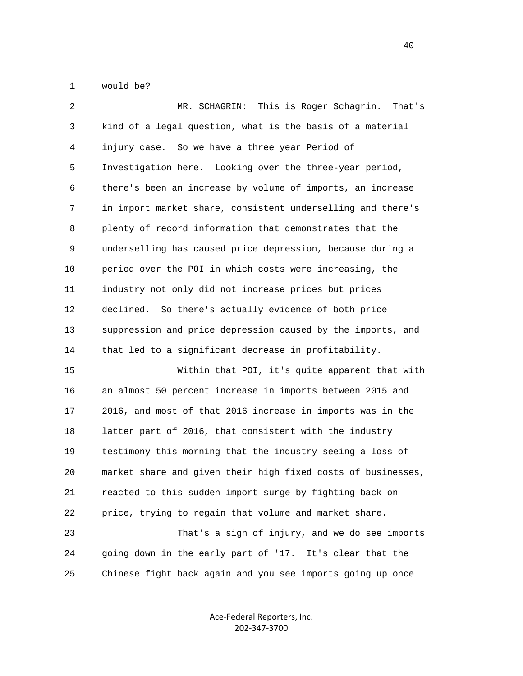1 would be?

| 2  | This is Roger Schagrin.<br>MR. SCHAGRIN:<br>That's           |
|----|--------------------------------------------------------------|
| 3  | kind of a legal question, what is the basis of a material    |
| 4  | injury case. So we have a three year Period of               |
| 5  | Investigation here. Looking over the three-year period,      |
| 6  | there's been an increase by volume of imports, an increase   |
| 7  | in import market share, consistent underselling and there's  |
| 8  | plenty of record information that demonstrates that the      |
| 9  | underselling has caused price depression, because during a   |
| 10 | period over the POI in which costs were increasing, the      |
| 11 | industry not only did not increase prices but prices         |
| 12 | declined. So there's actually evidence of both price         |
| 13 | suppression and price depression caused by the imports, and  |
| 14 | that led to a significant decrease in profitability.         |
| 15 | Within that POI, it's quite apparent that with               |
| 16 | an almost 50 percent increase in imports between 2015 and    |
| 17 | 2016, and most of that 2016 increase in imports was in the   |
| 18 | latter part of 2016, that consistent with the industry       |
| 19 | testimony this morning that the industry seeing a loss of    |
| 20 | market share and given their high fixed costs of businesses, |
| 21 | reacted to this sudden import surge by fighting back on      |
| 22 | price, trying to regain that volume and market share.        |
| 23 | That's a sign of injury, and we do see imports               |
| 24 | going down in the early part of '17. It's clear that the     |
| 25 | Chinese fight back again and you see imports going up once   |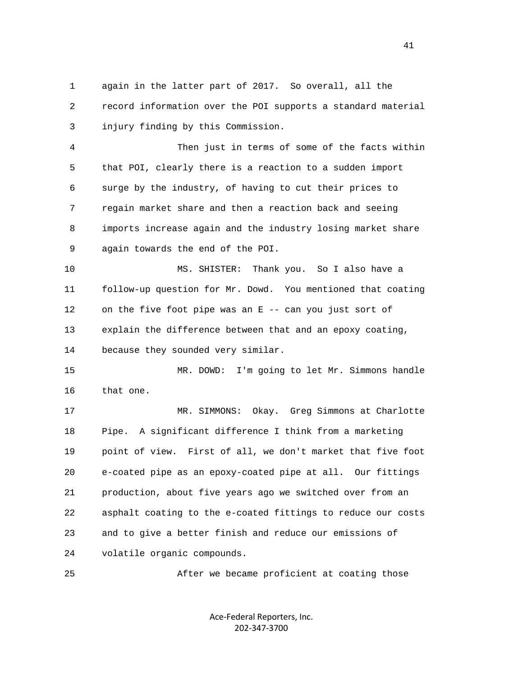1 again in the latter part of 2017. So overall, all the 2 record information over the POI supports a standard material 3 injury finding by this Commission.

 4 Then just in terms of some of the facts within 5 that POI, clearly there is a reaction to a sudden import 6 surge by the industry, of having to cut their prices to 7 regain market share and then a reaction back and seeing 8 imports increase again and the industry losing market share 9 again towards the end of the POI.

 10 MS. SHISTER: Thank you. So I also have a 11 follow-up question for Mr. Dowd. You mentioned that coating 12 on the five foot pipe was an E -- can you just sort of 13 explain the difference between that and an epoxy coating, 14 because they sounded very similar.

 15 MR. DOWD: I'm going to let Mr. Simmons handle 16 that one.

 17 MR. SIMMONS: Okay. Greg Simmons at Charlotte 18 Pipe. A significant difference I think from a marketing 19 point of view. First of all, we don't market that five foot 20 e-coated pipe as an epoxy-coated pipe at all. Our fittings 21 production, about five years ago we switched over from an 22 asphalt coating to the e-coated fittings to reduce our costs 23 and to give a better finish and reduce our emissions of 24 volatile organic compounds.

25 After we became proficient at coating those

Ace-Federal Reporters, Inc. 202-347-3700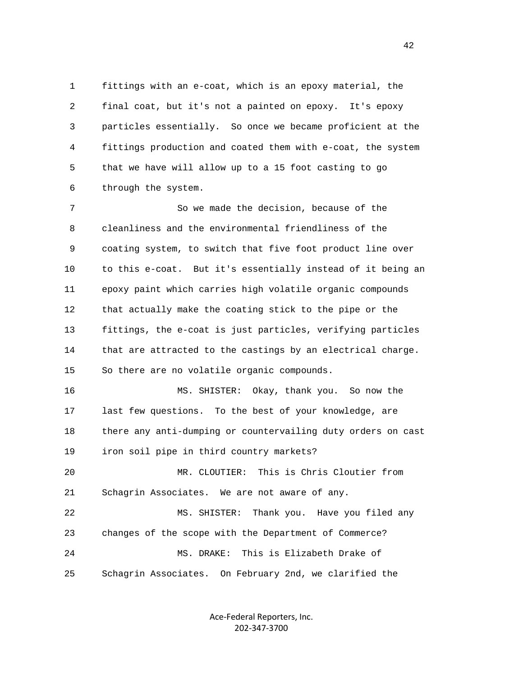1 fittings with an e-coat, which is an epoxy material, the 2 final coat, but it's not a painted on epoxy. It's epoxy 3 particles essentially. So once we became proficient at the 4 fittings production and coated them with e-coat, the system 5 that we have will allow up to a 15 foot casting to go 6 through the system.

 7 So we made the decision, because of the 8 cleanliness and the environmental friendliness of the 9 coating system, to switch that five foot product line over 10 to this e-coat. But it's essentially instead of it being an 11 epoxy paint which carries high volatile organic compounds 12 that actually make the coating stick to the pipe or the 13 fittings, the e-coat is just particles, verifying particles 14 that are attracted to the castings by an electrical charge. 15 So there are no volatile organic compounds.

 16 MS. SHISTER: Okay, thank you. So now the 17 last few questions. To the best of your knowledge, are 18 there any anti-dumping or countervailing duty orders on cast 19 iron soil pipe in third country markets?

 20 MR. CLOUTIER: This is Chris Cloutier from 21 Schagrin Associates. We are not aware of any.

 22 MS. SHISTER: Thank you. Have you filed any 23 changes of the scope with the Department of Commerce? 24 MS. DRAKE: This is Elizabeth Drake of 25 Schagrin Associates. On February 2nd, we clarified the

> Ace-Federal Reporters, Inc. 202-347-3700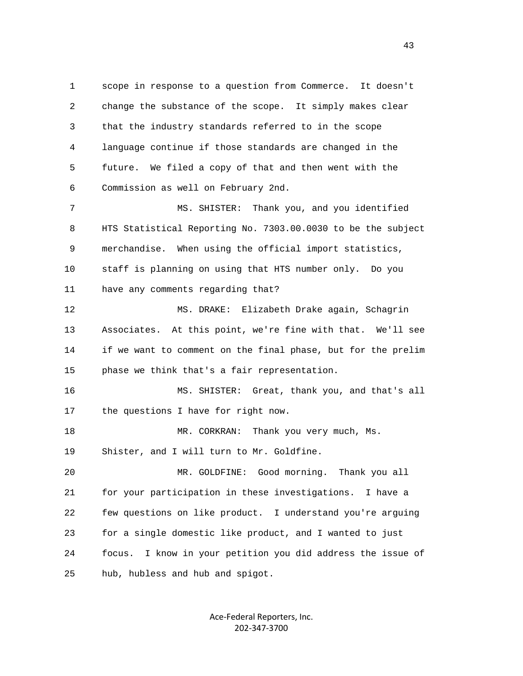1 scope in response to a question from Commerce. It doesn't 2 change the substance of the scope. It simply makes clear 3 that the industry standards referred to in the scope 4 language continue if those standards are changed in the 5 future. We filed a copy of that and then went with the 6 Commission as well on February 2nd. 7 MS. SHISTER: Thank you, and you identified 8 HTS Statistical Reporting No. 7303.00.0030 to be the subject 9 merchandise. When using the official import statistics,

 10 staff is planning on using that HTS number only. Do you 11 have any comments regarding that?

 12 MS. DRAKE: Elizabeth Drake again, Schagrin 13 Associates. At this point, we're fine with that. We'll see 14 if we want to comment on the final phase, but for the prelim 15 phase we think that's a fair representation.

 16 MS. SHISTER: Great, thank you, and that's all 17 the questions I have for right now.

18 MR. CORKRAN: Thank you very much, Ms. 19 Shister, and I will turn to Mr. Goldfine.

 20 MR. GOLDFINE: Good morning. Thank you all 21 for your participation in these investigations. I have a 22 few questions on like product. I understand you're arguing 23 for a single domestic like product, and I wanted to just 24 focus. I know in your petition you did address the issue of 25 hub, hubless and hub and spigot.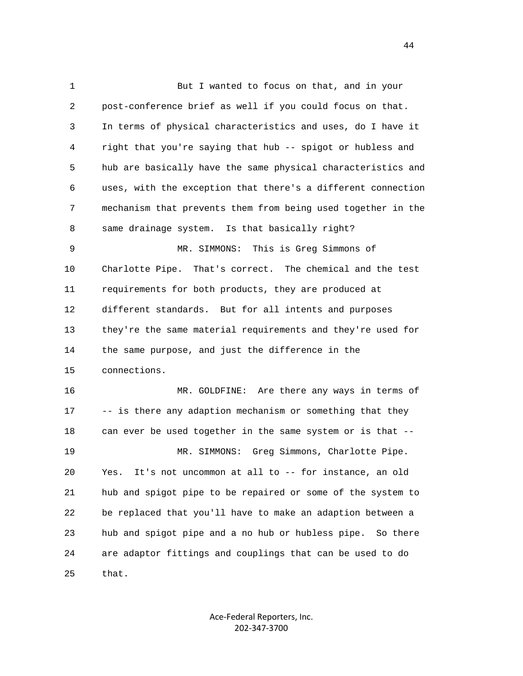1 But I wanted to focus on that, and in your 2 post-conference brief as well if you could focus on that. 3 In terms of physical characteristics and uses, do I have it 4 right that you're saying that hub -- spigot or hubless and 5 hub are basically have the same physical characteristics and 6 uses, with the exception that there's a different connection 7 mechanism that prevents them from being used together in the 8 same drainage system. Is that basically right? 9 MR. SIMMONS: This is Greg Simmons of 10 Charlotte Pipe. That's correct. The chemical and the test 11 requirements for both products, they are produced at 12 different standards. But for all intents and purposes 13 they're the same material requirements and they're used for 14 the same purpose, and just the difference in the 15 connections. 16 MR. GOLDFINE: Are there any ways in terms of 17 -- is there any adaption mechanism or something that they 18 can ever be used together in the same system or is that -- 19 MR. SIMMONS: Greg Simmons, Charlotte Pipe. 20 Yes. It's not uncommon at all to -- for instance, an old 21 hub and spigot pipe to be repaired or some of the system to 22 be replaced that you'll have to make an adaption between a 23 hub and spigot pipe and a no hub or hubless pipe. So there 24 are adaptor fittings and couplings that can be used to do 25 that.

> Ace-Federal Reporters, Inc. 202-347-3700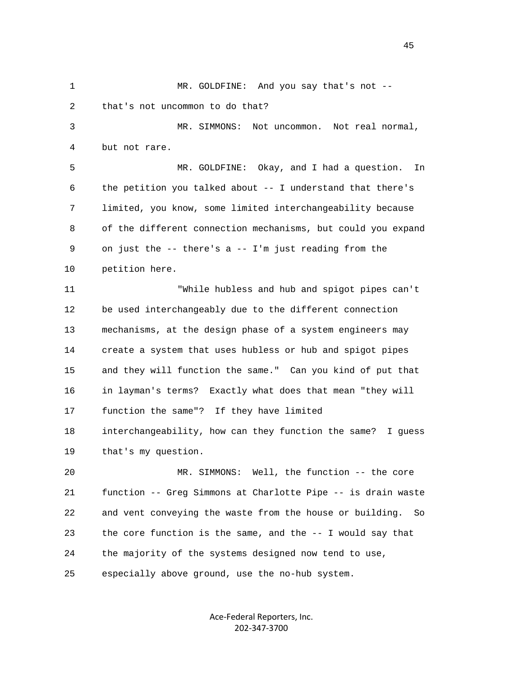1 MR. GOLDFINE: And you say that's not -- 2 that's not uncommon to do that? 3 MR. SIMMONS: Not uncommon. Not real normal, 4 but not rare. 5 MR. GOLDFINE: Okay, and I had a question. In 6 the petition you talked about -- I understand that there's 7 limited, you know, some limited interchangeability because 8 of the different connection mechanisms, but could you expand 9 on just the -- there's a -- I'm just reading from the 10 petition here. 11 "While hubless and hub and spigot pipes can't 12 be used interchangeably due to the different connection 13 mechanisms, at the design phase of a system engineers may 14 create a system that uses hubless or hub and spigot pipes 15 and they will function the same." Can you kind of put that 16 in layman's terms? Exactly what does that mean "they will 17 function the same"? If they have limited 18 interchangeability, how can they function the same? I guess 19 that's my question. 20 MR. SIMMONS: Well, the function -- the core 21 function -- Greg Simmons at Charlotte Pipe -- is drain waste 22 and vent conveying the waste from the house or building. So 23 the core function is the same, and the -- I would say that 24 the majority of the systems designed now tend to use, 25 especially above ground, use the no-hub system.

> Ace-Federal Reporters, Inc. 202-347-3700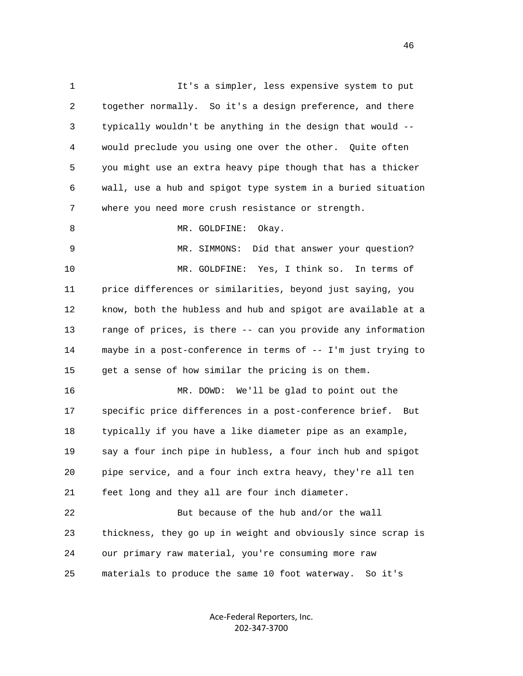1 It's a simpler, less expensive system to put 2 together normally. So it's a design preference, and there 3 typically wouldn't be anything in the design that would -- 4 would preclude you using one over the other. Quite often 5 you might use an extra heavy pipe though that has a thicker 6 wall, use a hub and spigot type system in a buried situation 7 where you need more crush resistance or strength. 8 MR. GOLDFINE: Okay. 9 MR. SIMMONS: Did that answer your question? 10 MR. GOLDFINE: Yes, I think so. In terms of 11 price differences or similarities, beyond just saying, you 12 know, both the hubless and hub and spigot are available at a 13 range of prices, is there -- can you provide any information 14 maybe in a post-conference in terms of -- I'm just trying to 15 get a sense of how similar the pricing is on them. 16 MR. DOWD: We'll be glad to point out the 17 specific price differences in a post-conference brief. But 18 typically if you have a like diameter pipe as an example, 19 say a four inch pipe in hubless, a four inch hub and spigot 20 pipe service, and a four inch extra heavy, they're all ten 21 feet long and they all are four inch diameter. 22 But because of the hub and/or the wall 23 thickness, they go up in weight and obviously since scrap is 24 our primary raw material, you're consuming more raw 25 materials to produce the same 10 foot waterway. So it's

> Ace-Federal Reporters, Inc. 202-347-3700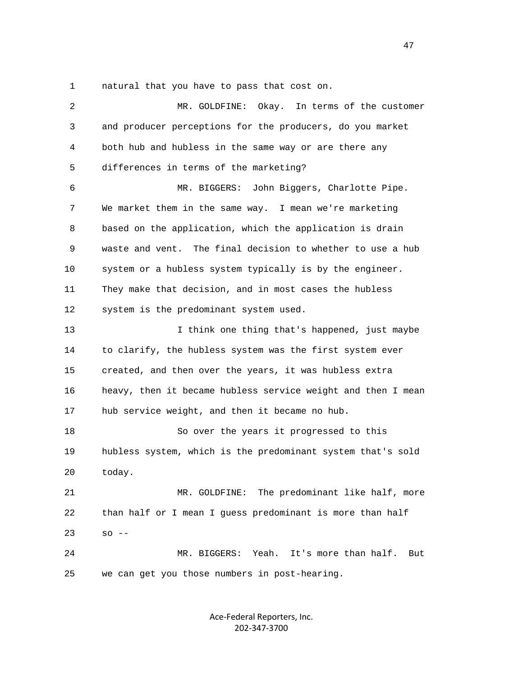1 natural that you have to pass that cost on.

| $\overline{2}$ | MR. GOLDFINE:<br>Okay. In terms of the customer              |
|----------------|--------------------------------------------------------------|
| 3              | and producer perceptions for the producers, do you market    |
| 4              | both hub and hubless in the same way or are there any        |
| 5              | differences in terms of the marketing?                       |
| 6              | MR. BIGGERS: John Biggers, Charlotte Pipe.                   |
| 7              | We market them in the same way. I mean we're marketing       |
| 8              | based on the application, which the application is drain     |
| 9              | waste and vent. The final decision to whether to use a hub   |
| 10             | system or a hubless system typically is by the engineer.     |
| 11             | They make that decision, and in most cases the hubless       |
| 12             | system is the predominant system used.                       |
| 13             | I think one thing that's happened, just maybe                |
| 14             | to clarify, the hubless system was the first system ever     |
| 15             | created, and then over the years, it was hubless extra       |
| 16             | heavy, then it became hubless service weight and then I mean |
| 17             | hub service weight, and then it became no hub.               |
| 18             | So over the years it progressed to this                      |
| 19             | hubless system, which is the predominant system that's sold  |
| 20             | today.                                                       |
| 21             | The predominant like half, more<br>MR. GOLDFINE:             |
| 22             | than half or I mean I guess predominant is more than half    |
| 23             | $SO = -$                                                     |
| 24             | MR. BIGGERS: Yeah.<br>It's more than half.<br>But            |
| 25             | we can get you those numbers in post-hearing.                |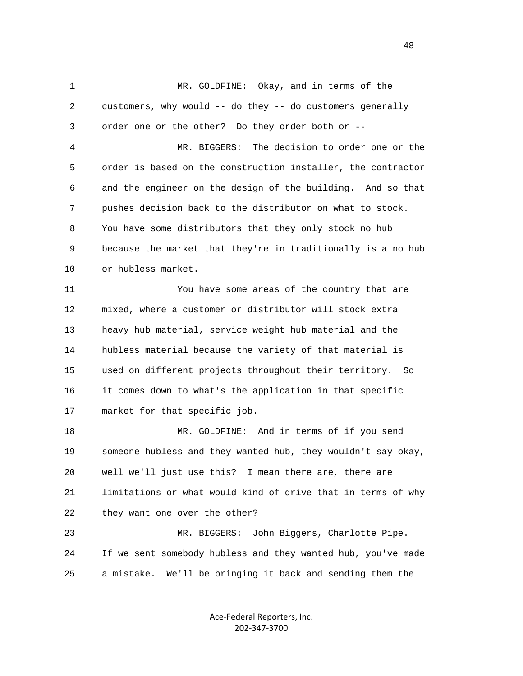1 MR. GOLDFINE: Okay, and in terms of the 2 customers, why would -- do they -- do customers generally 3 order one or the other? Do they order both or -- 4 MR. BIGGERS: The decision to order one or the 5 order is based on the construction installer, the contractor 6 and the engineer on the design of the building. And so that 7 pushes decision back to the distributor on what to stock. 8 You have some distributors that they only stock no hub 9 because the market that they're in traditionally is a no hub 10 or hubless market. 11 You have some areas of the country that are 12 mixed, where a customer or distributor will stock extra 13 heavy hub material, service weight hub material and the 14 hubless material because the variety of that material is 15 used on different projects throughout their territory. So 16 it comes down to what's the application in that specific 17 market for that specific job. 18 MR. GOLDFINE: And in terms of if you send 19 someone hubless and they wanted hub, they wouldn't say okay, 20 well we'll just use this? I mean there are, there are 21 limitations or what would kind of drive that in terms of why 22 they want one over the other? 23 MR. BIGGERS: John Biggers, Charlotte Pipe. 24 If we sent somebody hubless and they wanted hub, you've made 25 a mistake. We'll be bringing it back and sending them the

> Ace-Federal Reporters, Inc. 202-347-3700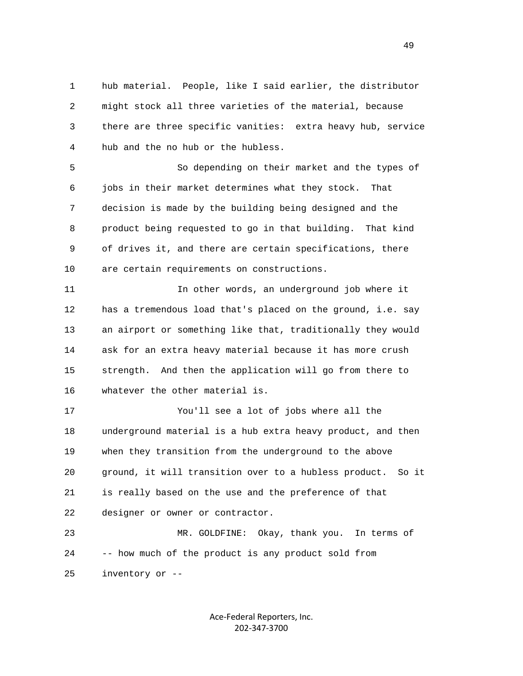1 hub material. People, like I said earlier, the distributor 2 might stock all three varieties of the material, because 3 there are three specific vanities: extra heavy hub, service 4 hub and the no hub or the hubless.

 5 So depending on their market and the types of 6 jobs in their market determines what they stock. That 7 decision is made by the building being designed and the 8 product being requested to go in that building. That kind 9 of drives it, and there are certain specifications, there 10 are certain requirements on constructions.

 11 In other words, an underground job where it 12 has a tremendous load that's placed on the ground, i.e. say 13 an airport or something like that, traditionally they would 14 ask for an extra heavy material because it has more crush 15 strength. And then the application will go from there to 16 whatever the other material is.

 17 You'll see a lot of jobs where all the 18 underground material is a hub extra heavy product, and then 19 when they transition from the underground to the above 20 ground, it will transition over to a hubless product. So it 21 is really based on the use and the preference of that 22 designer or owner or contractor.

 23 MR. GOLDFINE: Okay, thank you. In terms of 24 -- how much of the product is any product sold from 25 inventory or --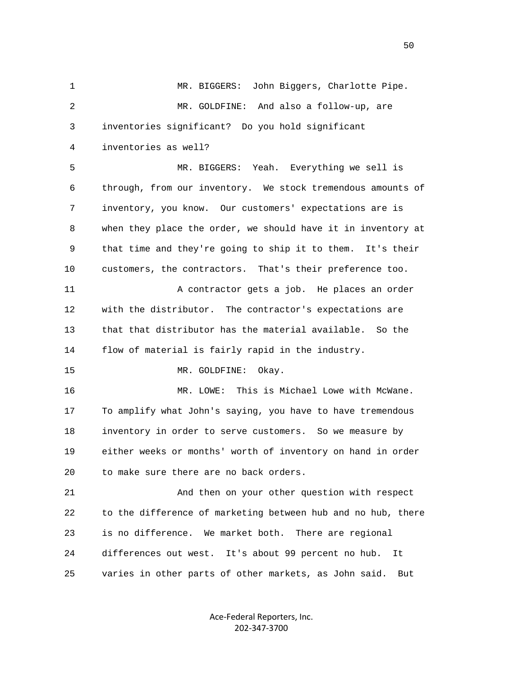1 MR. BIGGERS: John Biggers, Charlotte Pipe. 2 MR. GOLDFINE: And also a follow-up, are 3 inventories significant? Do you hold significant 4 inventories as well? 5 MR. BIGGERS: Yeah. Everything we sell is 6 through, from our inventory. We stock tremendous amounts of 7 inventory, you know. Our customers' expectations are is 8 when they place the order, we should have it in inventory at 9 that time and they're going to ship it to them. It's their 10 customers, the contractors. That's their preference too. 11 A contractor gets a job. He places an order 12 with the distributor. The contractor's expectations are 13 that that distributor has the material available. So the 14 flow of material is fairly rapid in the industry. 15 MR. GOLDFINE: Okay. 16 MR. LOWE: This is Michael Lowe with McWane. 17 To amplify what John's saying, you have to have tremendous 18 inventory in order to serve customers. So we measure by 19 either weeks or months' worth of inventory on hand in order 20 to make sure there are no back orders. 21 And then on your other question with respect 22 to the difference of marketing between hub and no hub, there 23 is no difference. We market both. There are regional 24 differences out west. It's about 99 percent no hub. It 25 varies in other parts of other markets, as John said. But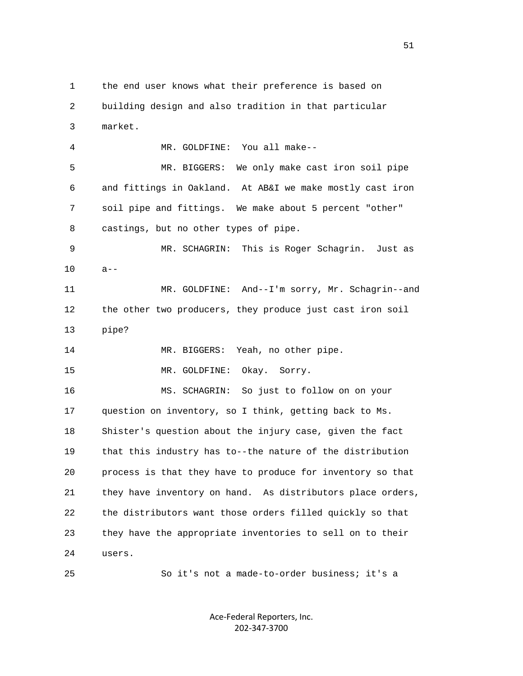1 the end user knows what their preference is based on 2 building design and also tradition in that particular 3 market. 4 MR. GOLDFINE: You all make-- 5 MR. BIGGERS: We only make cast iron soil pipe 6 and fittings in Oakland. At AB&I we make mostly cast iron 7 soil pipe and fittings. We make about 5 percent "other" 8 castings, but no other types of pipe. 9 MR. SCHAGRIN: This is Roger Schagrin. Just as 10 a-- 11 MR. GOLDFINE: And--I'm sorry, Mr. Schagrin--and 12 the other two producers, they produce just cast iron soil 13 pipe? 14 MR. BIGGERS: Yeah, no other pipe. 15 MR. GOLDFINE: Okay. Sorry. 16 MS. SCHAGRIN: So just to follow on on your 17 question on inventory, so I think, getting back to Ms. 18 Shister's question about the injury case, given the fact 19 that this industry has to--the nature of the distribution 20 process is that they have to produce for inventory so that 21 they have inventory on hand. As distributors place orders, 22 the distributors want those orders filled quickly so that 23 they have the appropriate inventories to sell on to their 24 users.

25 So it's not a made-to-order business; it's a

Ace-Federal Reporters, Inc. 202-347-3700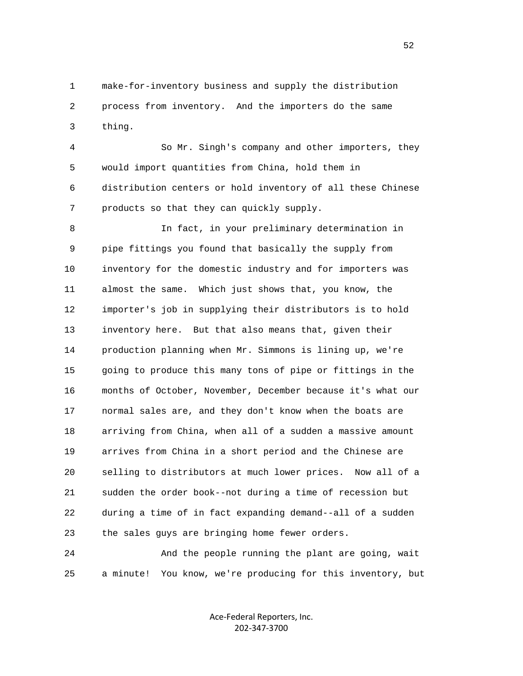1 make-for-inventory business and supply the distribution 2 process from inventory. And the importers do the same 3 thing.

 4 So Mr. Singh's company and other importers, they 5 would import quantities from China, hold them in 6 distribution centers or hold inventory of all these Chinese 7 products so that they can quickly supply.

 8 In fact, in your preliminary determination in 9 pipe fittings you found that basically the supply from 10 inventory for the domestic industry and for importers was 11 almost the same. Which just shows that, you know, the 12 importer's job in supplying their distributors is to hold 13 inventory here. But that also means that, given their 14 production planning when Mr. Simmons is lining up, we're 15 going to produce this many tons of pipe or fittings in the 16 months of October, November, December because it's what our 17 normal sales are, and they don't know when the boats are 18 arriving from China, when all of a sudden a massive amount 19 arrives from China in a short period and the Chinese are 20 selling to distributors at much lower prices. Now all of a 21 sudden the order book--not during a time of recession but 22 during a time of in fact expanding demand--all of a sudden 23 the sales guys are bringing home fewer orders.

 24 And the people running the plant are going, wait 25 a minute! You know, we're producing for this inventory, but

> Ace-Federal Reporters, Inc. 202-347-3700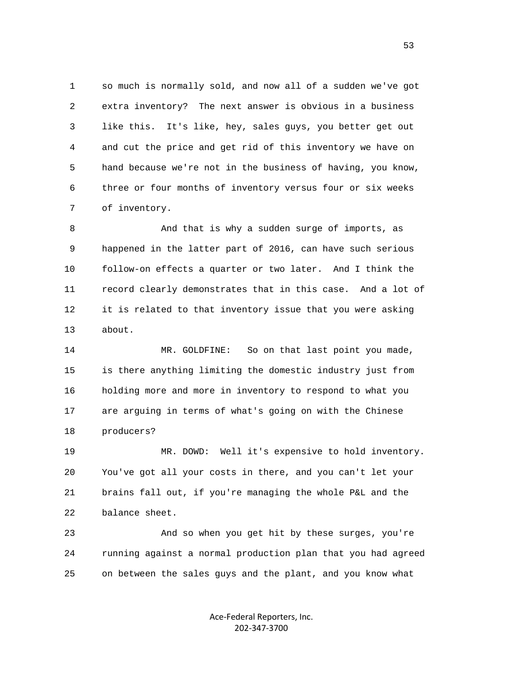1 so much is normally sold, and now all of a sudden we've got 2 extra inventory? The next answer is obvious in a business 3 like this. It's like, hey, sales guys, you better get out 4 and cut the price and get rid of this inventory we have on 5 hand because we're not in the business of having, you know, 6 three or four months of inventory versus four or six weeks 7 of inventory.

 8 And that is why a sudden surge of imports, as 9 happened in the latter part of 2016, can have such serious 10 follow-on effects a quarter or two later. And I think the 11 record clearly demonstrates that in this case. And a lot of 12 it is related to that inventory issue that you were asking 13 about.

 14 MR. GOLDFINE: So on that last point you made, 15 is there anything limiting the domestic industry just from 16 holding more and more in inventory to respond to what you 17 are arguing in terms of what's going on with the Chinese 18 producers?

 19 MR. DOWD: Well it's expensive to hold inventory. 20 You've got all your costs in there, and you can't let your 21 brains fall out, if you're managing the whole P&L and the 22 balance sheet.

 23 And so when you get hit by these surges, you're 24 running against a normal production plan that you had agreed 25 on between the sales guys and the plant, and you know what

> Ace-Federal Reporters, Inc. 202-347-3700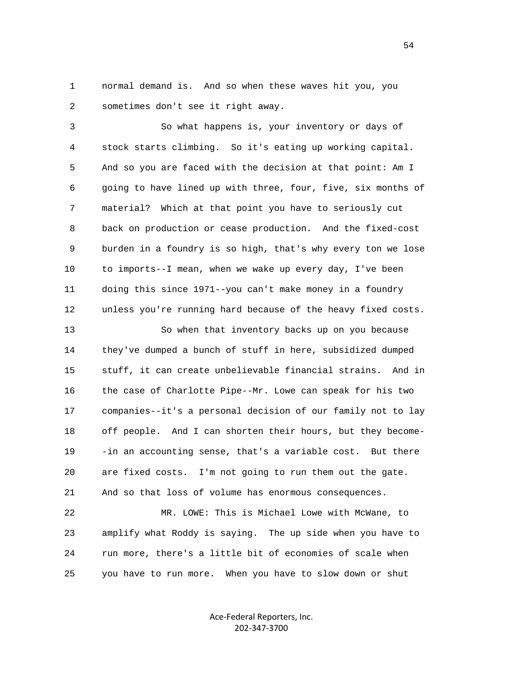1 normal demand is. And so when these waves hit you, you 2 sometimes don't see it right away.

 3 So what happens is, your inventory or days of 4 stock starts climbing. So it's eating up working capital. 5 And so you are faced with the decision at that point: Am I 6 going to have lined up with three, four, five, six months of 7 material? Which at that point you have to seriously cut 8 back on production or cease production. And the fixed-cost 9 burden in a foundry is so high, that's why every ton we lose 10 to imports--I mean, when we wake up every day, I've been 11 doing this since 1971--you can't make money in a foundry 12 unless you're running hard because of the heavy fixed costs.

 13 So when that inventory backs up on you because 14 they've dumped a bunch of stuff in here, subsidized dumped 15 stuff, it can create unbelievable financial strains. And in 16 the case of Charlotte Pipe--Mr. Lowe can speak for his two 17 companies--it's a personal decision of our family not to lay 18 off people. And I can shorten their hours, but they become- 19 -in an accounting sense, that's a variable cost. But there 20 are fixed costs. I'm not going to run them out the gate. 21 And so that loss of volume has enormous consequences.

 22 MR. LOWE: This is Michael Lowe with McWane, to 23 amplify what Roddy is saying. The up side when you have to 24 run more, there's a little bit of economies of scale when 25 you have to run more. When you have to slow down or shut

> Ace-Federal Reporters, Inc. 202-347-3700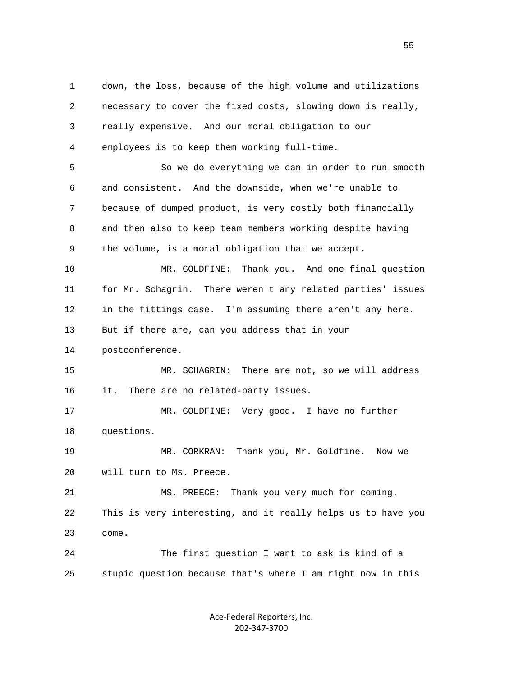1 down, the loss, because of the high volume and utilizations 2 necessary to cover the fixed costs, slowing down is really, 3 really expensive. And our moral obligation to our 4 employees is to keep them working full-time. 5 So we do everything we can in order to run smooth 6 and consistent. And the downside, when we're unable to 7 because of dumped product, is very costly both financially 8 and then also to keep team members working despite having 9 the volume, is a moral obligation that we accept. 10 MR. GOLDFINE: Thank you. And one final question 11 for Mr. Schagrin. There weren't any related parties' issues 12 in the fittings case. I'm assuming there aren't any here. 13 But if there are, can you address that in your 14 postconference. 15 MR. SCHAGRIN: There are not, so we will address 16 it. There are no related-party issues. 17 MR. GOLDFINE: Very good. I have no further 18 questions. 19 MR. CORKRAN: Thank you, Mr. Goldfine. Now we 20 will turn to Ms. Preece. 21 MS. PREECE: Thank you very much for coming. 22 This is very interesting, and it really helps us to have you 23 come. 24 The first question I want to ask is kind of a 25 stupid question because that's where I am right now in this

> Ace-Federal Reporters, Inc. 202-347-3700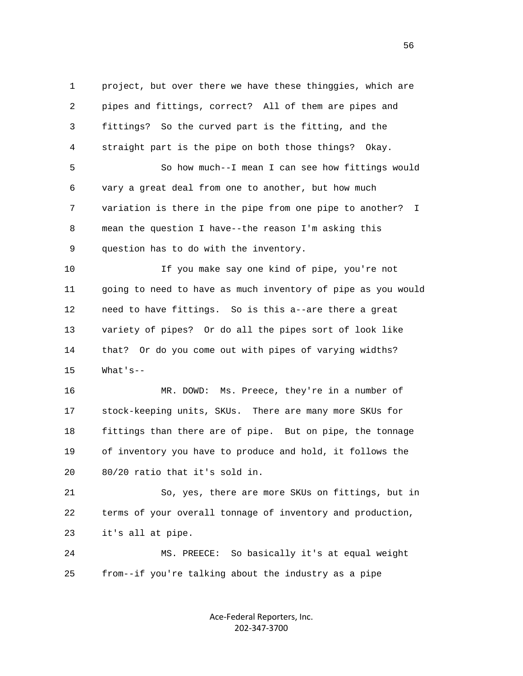1 project, but over there we have these thinggies, which are 2 pipes and fittings, correct? All of them are pipes and 3 fittings? So the curved part is the fitting, and the 4 straight part is the pipe on both those things? Okay. 5 So how much--I mean I can see how fittings would 6 vary a great deal from one to another, but how much 7 variation is there in the pipe from one pipe to another? I 8 mean the question I have--the reason I'm asking this 9 question has to do with the inventory.

 10 If you make say one kind of pipe, you're not 11 going to need to have as much inventory of pipe as you would 12 need to have fittings. So is this a--are there a great 13 variety of pipes? Or do all the pipes sort of look like 14 that? Or do you come out with pipes of varying widths? 15 What's--

 16 MR. DOWD: Ms. Preece, they're in a number of 17 stock-keeping units, SKUs. There are many more SKUs for 18 fittings than there are of pipe. But on pipe, the tonnage 19 of inventory you have to produce and hold, it follows the 20 80/20 ratio that it's sold in.

 21 So, yes, there are more SKUs on fittings, but in 22 terms of your overall tonnage of inventory and production, 23 it's all at pipe.

 24 MS. PREECE: So basically it's at equal weight 25 from--if you're talking about the industry as a pipe

> Ace-Federal Reporters, Inc. 202-347-3700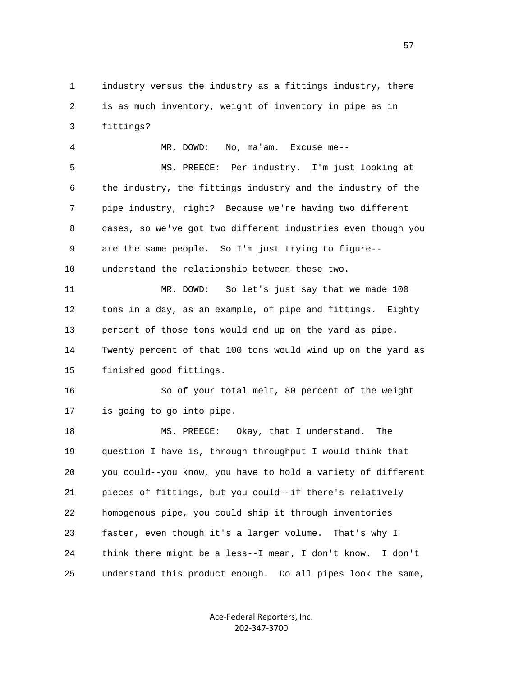1 industry versus the industry as a fittings industry, there 2 is as much inventory, weight of inventory in pipe as in 3 fittings?

 4 MR. DOWD: No, ma'am. Excuse me-- 5 MS. PREECE: Per industry. I'm just looking at 6 the industry, the fittings industry and the industry of the 7 pipe industry, right? Because we're having two different 8 cases, so we've got two different industries even though you 9 are the same people. So I'm just trying to figure-- 10 understand the relationship between these two. 11 MR. DOWD: So let's just say that we made 100 12 tons in a day, as an example, of pipe and fittings. Eighty 13 percent of those tons would end up on the yard as pipe. 14 Twenty percent of that 100 tons would wind up on the yard as

15 finished good fittings.

 16 So of your total melt, 80 percent of the weight 17 is going to go into pipe.

 18 MS. PREECE: Okay, that I understand. The 19 question I have is, through throughput I would think that 20 you could--you know, you have to hold a variety of different 21 pieces of fittings, but you could--if there's relatively 22 homogenous pipe, you could ship it through inventories 23 faster, even though it's a larger volume. That's why I 24 think there might be a less--I mean, I don't know. I don't 25 understand this product enough. Do all pipes look the same,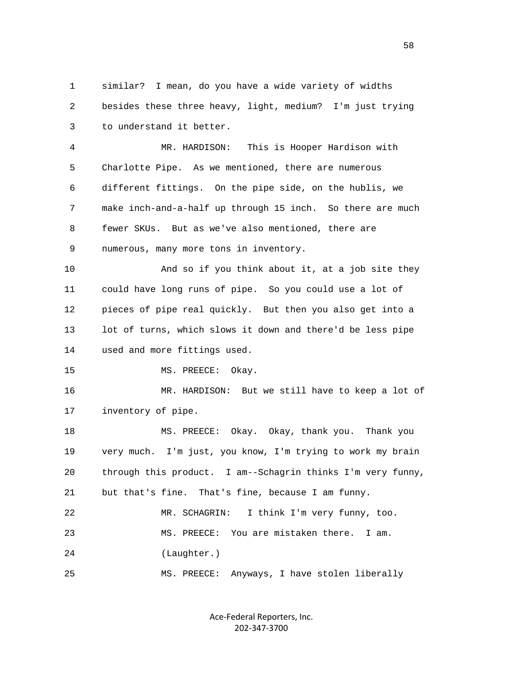1 similar? I mean, do you have a wide variety of widths 2 besides these three heavy, light, medium? I'm just trying 3 to understand it better.

 4 MR. HARDISON: This is Hooper Hardison with 5 Charlotte Pipe. As we mentioned, there are numerous 6 different fittings. On the pipe side, on the hublis, we 7 make inch-and-a-half up through 15 inch. So there are much 8 fewer SKUs. But as we've also mentioned, there are 9 numerous, many more tons in inventory.

 10 And so if you think about it, at a job site they 11 could have long runs of pipe. So you could use a lot of 12 pieces of pipe real quickly. But then you also get into a 13 lot of turns, which slows it down and there'd be less pipe 14 used and more fittings used.

15 MS. PREECE: Okay.

 16 MR. HARDISON: But we still have to keep a lot of 17 inventory of pipe.

 18 MS. PREECE: Okay. Okay, thank you. Thank you 19 very much. I'm just, you know, I'm trying to work my brain 20 through this product. I am--Schagrin thinks I'm very funny, 21 but that's fine. That's fine, because I am funny. 22 MR. SCHAGRIN: I think I'm very funny, too. 23 MS. PREECE: You are mistaken there. I am. 24 (Laughter.)

25 MS. PREECE: Anyways, I have stolen liberally

Ace-Federal Reporters, Inc. 202-347-3700

 $58<sup>58</sup>$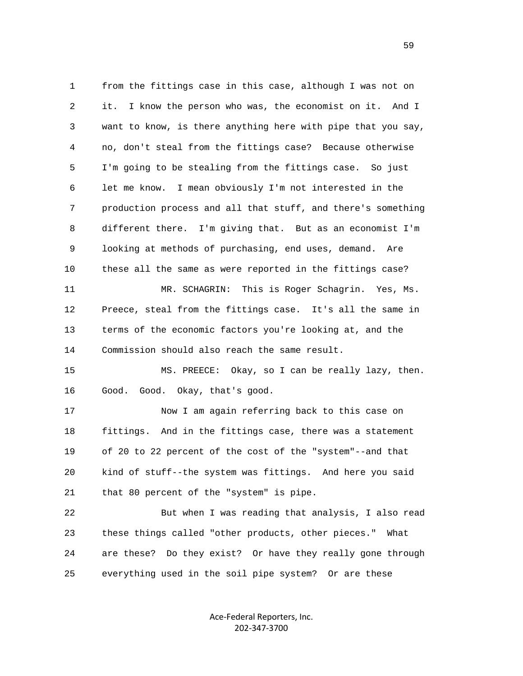1 from the fittings case in this case, although I was not on 2 it. I know the person who was, the economist on it. And I 3 want to know, is there anything here with pipe that you say, 4 no, don't steal from the fittings case? Because otherwise 5 I'm going to be stealing from the fittings case. So just 6 let me know. I mean obviously I'm not interested in the 7 production process and all that stuff, and there's something 8 different there. I'm giving that. But as an economist I'm 9 looking at methods of purchasing, end uses, demand. Are 10 these all the same as were reported in the fittings case? 11 MR. SCHAGRIN: This is Roger Schagrin. Yes, Ms. 12 Preece, steal from the fittings case. It's all the same in 13 terms of the economic factors you're looking at, and the 14 Commission should also reach the same result. 15 MS. PREECE: Okay, so I can be really lazy, then. 16 Good. Good. Okay, that's good. 17 Now I am again referring back to this case on 18 fittings. And in the fittings case, there was a statement 19 of 20 to 22 percent of the cost of the "system"--and that 20 kind of stuff--the system was fittings. And here you said 21 that 80 percent of the "system" is pipe. 22 But when I was reading that analysis, I also read 23 these things called "other products, other pieces." What 24 are these? Do they exist? Or have they really gone through

25 everything used in the soil pipe system? Or are these

Ace-Federal Reporters, Inc. 202-347-3700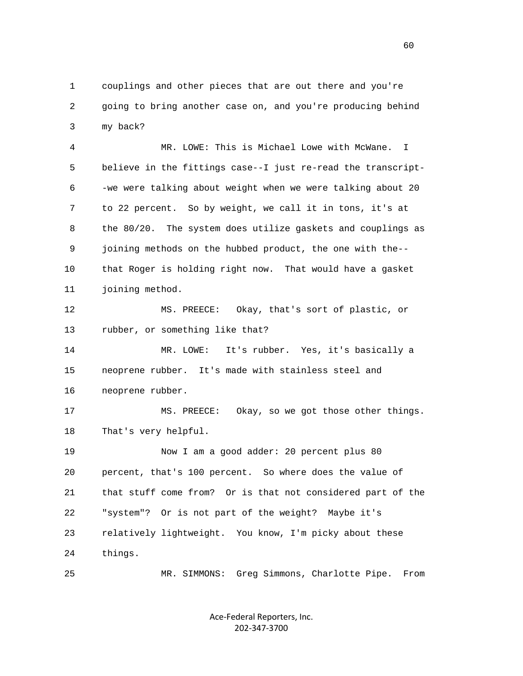1 couplings and other pieces that are out there and you're 2 going to bring another case on, and you're producing behind 3 my back?

 4 MR. LOWE: This is Michael Lowe with McWane. I 5 believe in the fittings case--I just re-read the transcript- 6 -we were talking about weight when we were talking about 20 7 to 22 percent. So by weight, we call it in tons, it's at 8 the 80/20. The system does utilize gaskets and couplings as 9 joining methods on the hubbed product, the one with the-- 10 that Roger is holding right now. That would have a gasket 11 joining method.

 12 MS. PREECE: Okay, that's sort of plastic, or 13 rubber, or something like that?

 14 MR. LOWE: It's rubber. Yes, it's basically a 15 neoprene rubber. It's made with stainless steel and 16 neoprene rubber.

 17 MS. PREECE: Okay, so we got those other things. 18 That's very helpful.

 19 Now I am a good adder: 20 percent plus 80 20 percent, that's 100 percent. So where does the value of 21 that stuff come from? Or is that not considered part of the 22 "system"? Or is not part of the weight? Maybe it's 23 relatively lightweight. You know, I'm picky about these 24 things.

25 MR. SIMMONS: Greg Simmons, Charlotte Pipe. From

Ace-Federal Reporters, Inc. 202-347-3700

 $\sim$  60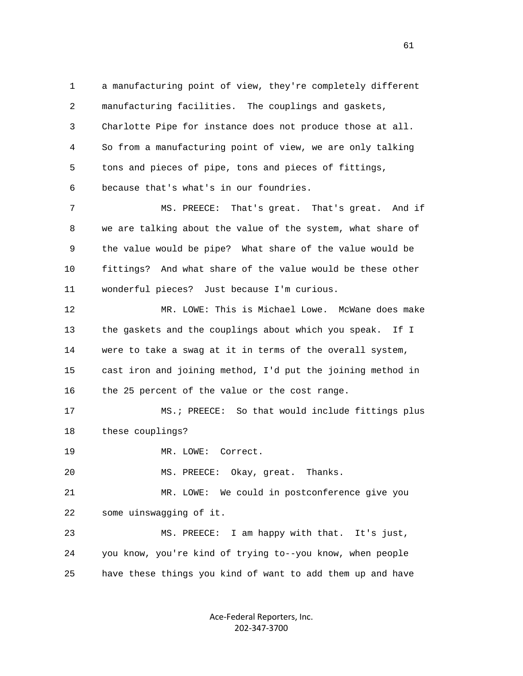1 a manufacturing point of view, they're completely different 2 manufacturing facilities. The couplings and gaskets, 3 Charlotte Pipe for instance does not produce those at all. 4 So from a manufacturing point of view, we are only talking 5 tons and pieces of pipe, tons and pieces of fittings, 6 because that's what's in our foundries.

 7 MS. PREECE: That's great. That's great. And if 8 we are talking about the value of the system, what share of 9 the value would be pipe? What share of the value would be 10 fittings? And what share of the value would be these other 11 wonderful pieces? Just because I'm curious.

 12 MR. LOWE: This is Michael Lowe. McWane does make 13 the gaskets and the couplings about which you speak. If I 14 were to take a swag at it in terms of the overall system, 15 cast iron and joining method, I'd put the joining method in 16 the 25 percent of the value or the cost range.

 17 MS.; PREECE: So that would include fittings plus 18 these couplings?

19 MR. LOWE: Correct.

20 MS. PREECE: Okay, great. Thanks.

 21 MR. LOWE: We could in postconference give you 22 some uinswagging of it.

 23 MS. PREECE: I am happy with that. It's just, 24 you know, you're kind of trying to--you know, when people 25 have these things you kind of want to add them up and have

> Ace-Federal Reporters, Inc. 202-347-3700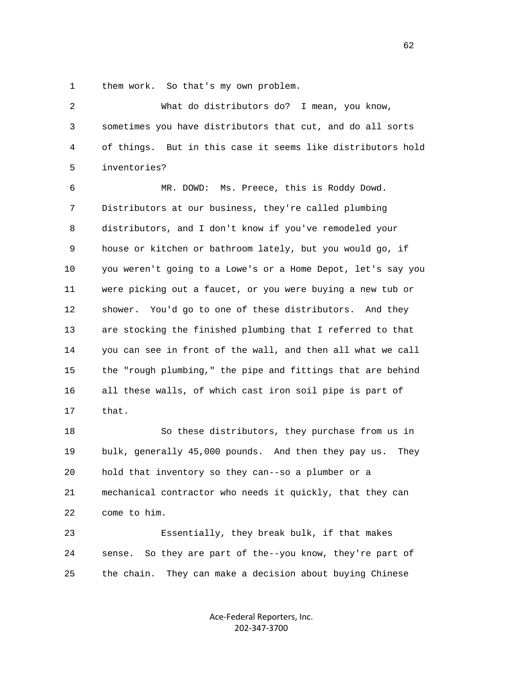1 them work. So that's my own problem.

 2 What do distributors do? I mean, you know, 3 sometimes you have distributors that cut, and do all sorts 4 of things. But in this case it seems like distributors hold 5 inventories? 6 MR. DOWD: Ms. Preece, this is Roddy Dowd. 7 Distributors at our business, they're called plumbing 8 distributors, and I don't know if you've remodeled your 9 house or kitchen or bathroom lately, but you would go, if 10 you weren't going to a Lowe's or a Home Depot, let's say you 11 were picking out a faucet, or you were buying a new tub or 12 shower. You'd go to one of these distributors. And they 13 are stocking the finished plumbing that I referred to that 14 you can see in front of the wall, and then all what we call 15 the "rough plumbing," the pipe and fittings that are behind 16 all these walls, of which cast iron soil pipe is part of 17 that. 18 So these distributors, they purchase from us in

 19 bulk, generally 45,000 pounds. And then they pay us. They 20 hold that inventory so they can--so a plumber or a 21 mechanical contractor who needs it quickly, that they can 22 come to him.

 23 Essentially, they break bulk, if that makes 24 sense. So they are part of the--you know, they're part of 25 the chain. They can make a decision about buying Chinese

> Ace-Federal Reporters, Inc. 202-347-3700

 $\sim$  62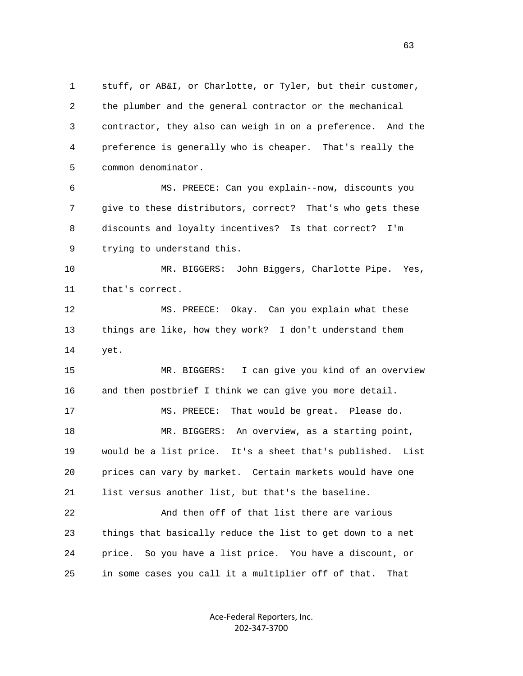1 stuff, or AB&I, or Charlotte, or Tyler, but their customer, 2 the plumber and the general contractor or the mechanical 3 contractor, they also can weigh in on a preference. And the 4 preference is generally who is cheaper. That's really the 5 common denominator.

 6 MS. PREECE: Can you explain--now, discounts you 7 give to these distributors, correct? That's who gets these 8 discounts and loyalty incentives? Is that correct? I'm 9 trying to understand this.

 10 MR. BIGGERS: John Biggers, Charlotte Pipe. Yes, 11 that's correct.

 12 MS. PREECE: Okay. Can you explain what these 13 things are like, how they work? I don't understand them 14 yet.

 15 MR. BIGGERS: I can give you kind of an overview 16 and then postbrief I think we can give you more detail. 17 MS. PREECE: That would be great. Please do. 18 MR. BIGGERS: An overview, as a starting point, 19 would be a list price. It's a sheet that's published. List 20 prices can vary by market. Certain markets would have one 21 list versus another list, but that's the baseline.

 22 And then off of that list there are various 23 things that basically reduce the list to get down to a net 24 price. So you have a list price. You have a discount, or 25 in some cases you call it a multiplier off of that. That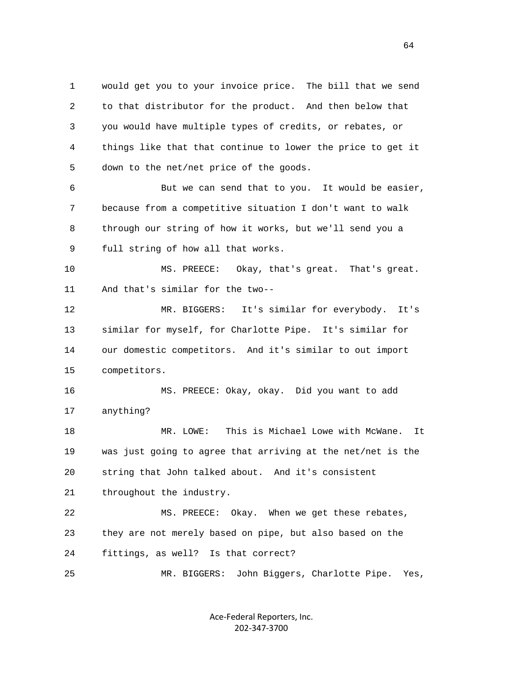1 would get you to your invoice price. The bill that we send 2 to that distributor for the product. And then below that 3 you would have multiple types of credits, or rebates, or 4 things like that that continue to lower the price to get it 5 down to the net/net price of the goods.

 6 But we can send that to you. It would be easier, 7 because from a competitive situation I don't want to walk 8 through our string of how it works, but we'll send you a 9 full string of how all that works.

 10 MS. PREECE: Okay, that's great. That's great. 11 And that's similar for the two--

 12 MR. BIGGERS: It's similar for everybody. It's 13 similar for myself, for Charlotte Pipe. It's similar for 14 our domestic competitors. And it's similar to out import 15 competitors.

 16 MS. PREECE: Okay, okay. Did you want to add 17 anything?

 18 MR. LOWE: This is Michael Lowe with McWane. It 19 was just going to agree that arriving at the net/net is the 20 string that John talked about. And it's consistent 21 throughout the industry.

 22 MS. PREECE: Okay. When we get these rebates, 23 they are not merely based on pipe, but also based on the 24 fittings, as well? Is that correct?

25 MR. BIGGERS: John Biggers, Charlotte Pipe. Yes,

Ace-Federal Reporters, Inc. 202-347-3700

 $\sim$  64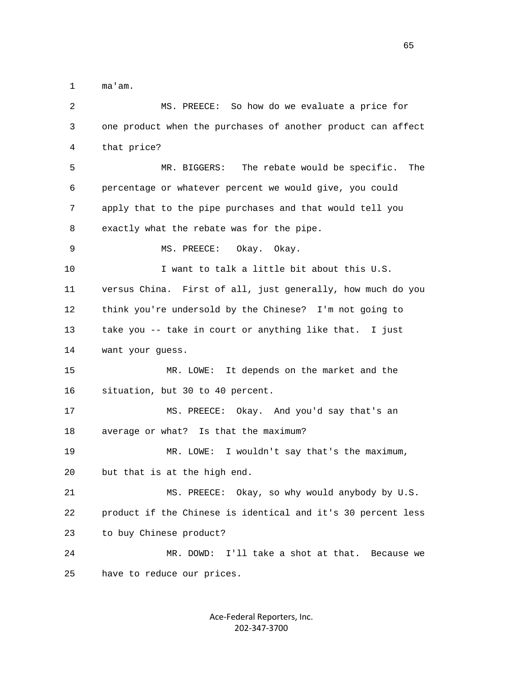1 ma'am.

| $\overline{c}$ | MS. PREECE: So how do we evaluate a price for                |
|----------------|--------------------------------------------------------------|
| 3              | one product when the purchases of another product can affect |
| 4              | that price?                                                  |
| 5              | The rebate would be specific.<br>MR. BIGGERS:<br>The         |
| 6              | percentage or whatever percent we would give, you could      |
| 7              | apply that to the pipe purchases and that would tell you     |
| 8              | exactly what the rebate was for the pipe.                    |
| 9              | MS. PREECE:<br>Okay. Okay.                                   |
| 10             | I want to talk a little bit about this U.S.                  |
| 11             | versus China. First of all, just generally, how much do you  |
| 12             | think you're undersold by the Chinese? I'm not going to      |
| 13             | take you -- take in court or anything like that. I just      |
|                |                                                              |
| 14             | want your guess.                                             |
| 15             | It depends on the market and the<br>MR. LOWE:                |
| 16             | situation, but 30 to 40 percent.                             |
| 17             | MS. PREECE: Okay. And you'd say that's an                    |
| 18             | average or what?<br>Is that the maximum?                     |
| 19             | I wouldn't say that's the maximum,<br>MR. LOWE:              |
| 20             | but that is at the high end.                                 |
| 21             | MS. PREECE: Okay, so why would anybody by U.S.               |
| 22             | product if the Chinese is identical and it's 30 percent less |
| 23             | to buy Chinese product?                                      |
| 24             | I'll take a shot at that. Because we<br>MR. DOWD:            |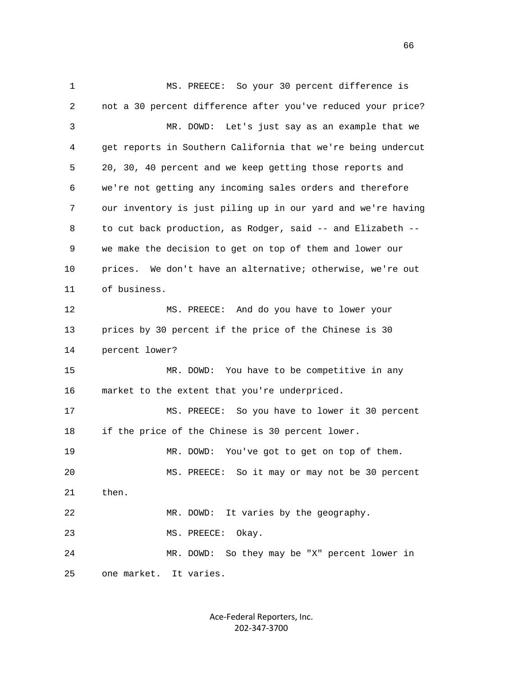1 MS. PREECE: So your 30 percent difference is 2 not a 30 percent difference after you've reduced your price? 3 MR. DOWD: Let's just say as an example that we 4 get reports in Southern California that we're being undercut 5 20, 30, 40 percent and we keep getting those reports and 6 we're not getting any incoming sales orders and therefore 7 our inventory is just piling up in our yard and we're having 8 to cut back production, as Rodger, said -- and Elizabeth -- 9 we make the decision to get on top of them and lower our 10 prices. We don't have an alternative; otherwise, we're out 11 of business. 12 MS. PREECE: And do you have to lower your 13 prices by 30 percent if the price of the Chinese is 30 14 percent lower? 15 MR. DOWD: You have to be competitive in any 16 market to the extent that you're underpriced. 17 MS. PREECE: So you have to lower it 30 percent 18 if the price of the Chinese is 30 percent lower. 19 MR. DOWD: You've got to get on top of them. 20 MS. PREECE: So it may or may not be 30 percent 21 then. 22 MR. DOWD: It varies by the geography. 23 MS. PREECE: Okay. 24 MR. DOWD: So they may be "X" percent lower in 25 one market. It varies.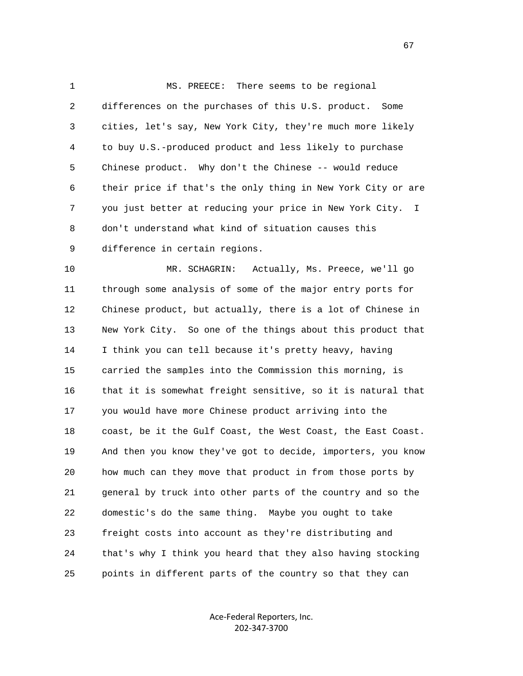1 MS. PREECE: There seems to be regional 2 differences on the purchases of this U.S. product. Some 3 cities, let's say, New York City, they're much more likely 4 to buy U.S.-produced product and less likely to purchase 5 Chinese product. Why don't the Chinese -- would reduce 6 their price if that's the only thing in New York City or are 7 you just better at reducing your price in New York City. I 8 don't understand what kind of situation causes this 9 difference in certain regions.

 10 MR. SCHAGRIN: Actually, Ms. Preece, we'll go 11 through some analysis of some of the major entry ports for 12 Chinese product, but actually, there is a lot of Chinese in 13 New York City. So one of the things about this product that 14 I think you can tell because it's pretty heavy, having 15 carried the samples into the Commission this morning, is 16 that it is somewhat freight sensitive, so it is natural that 17 you would have more Chinese product arriving into the 18 coast, be it the Gulf Coast, the West Coast, the East Coast. 19 And then you know they've got to decide, importers, you know 20 how much can they move that product in from those ports by 21 general by truck into other parts of the country and so the 22 domestic's do the same thing. Maybe you ought to take 23 freight costs into account as they're distributing and 24 that's why I think you heard that they also having stocking 25 points in different parts of the country so that they can

> Ace-Federal Reporters, Inc. 202-347-3700

 $\sim$  67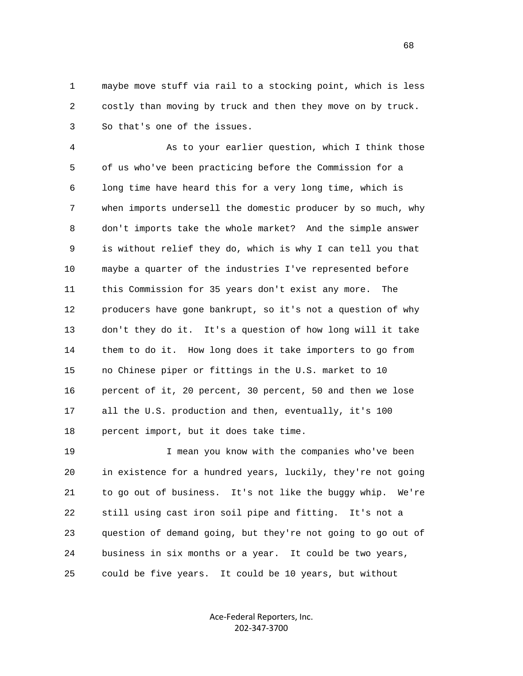1 maybe move stuff via rail to a stocking point, which is less 2 costly than moving by truck and then they move on by truck. 3 So that's one of the issues.

 4 As to your earlier question, which I think those 5 of us who've been practicing before the Commission for a 6 long time have heard this for a very long time, which is 7 when imports undersell the domestic producer by so much, why 8 don't imports take the whole market? And the simple answer 9 is without relief they do, which is why I can tell you that 10 maybe a quarter of the industries I've represented before 11 this Commission for 35 years don't exist any more. The 12 producers have gone bankrupt, so it's not a question of why 13 don't they do it. It's a question of how long will it take 14 them to do it. How long does it take importers to go from 15 no Chinese piper or fittings in the U.S. market to 10 16 percent of it, 20 percent, 30 percent, 50 and then we lose 17 all the U.S. production and then, eventually, it's 100 18 percent import, but it does take time.

 19 I mean you know with the companies who've been 20 in existence for a hundred years, luckily, they're not going 21 to go out of business. It's not like the buggy whip. We're 22 still using cast iron soil pipe and fitting. It's not a 23 question of demand going, but they're not going to go out of 24 business in six months or a year. It could be two years, 25 could be five years. It could be 10 years, but without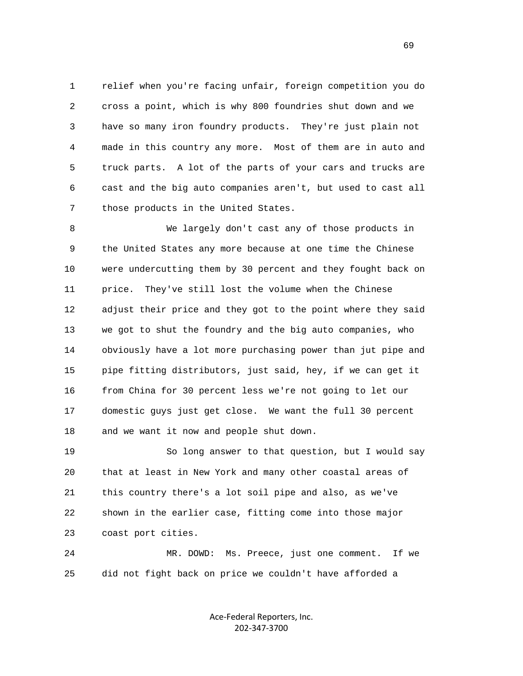1 relief when you're facing unfair, foreign competition you do 2 cross a point, which is why 800 foundries shut down and we 3 have so many iron foundry products. They're just plain not 4 made in this country any more. Most of them are in auto and 5 truck parts. A lot of the parts of your cars and trucks are 6 cast and the big auto companies aren't, but used to cast all 7 those products in the United States.

 8 We largely don't cast any of those products in 9 the United States any more because at one time the Chinese 10 were undercutting them by 30 percent and they fought back on 11 price. They've still lost the volume when the Chinese 12 adjust their price and they got to the point where they said 13 we got to shut the foundry and the big auto companies, who 14 obviously have a lot more purchasing power than jut pipe and 15 pipe fitting distributors, just said, hey, if we can get it 16 from China for 30 percent less we're not going to let our 17 domestic guys just get close. We want the full 30 percent 18 and we want it now and people shut down.

 19 So long answer to that question, but I would say 20 that at least in New York and many other coastal areas of 21 this country there's a lot soil pipe and also, as we've 22 shown in the earlier case, fitting come into those major 23 coast port cities.

 24 MR. DOWD: Ms. Preece, just one comment. If we 25 did not fight back on price we couldn't have afforded a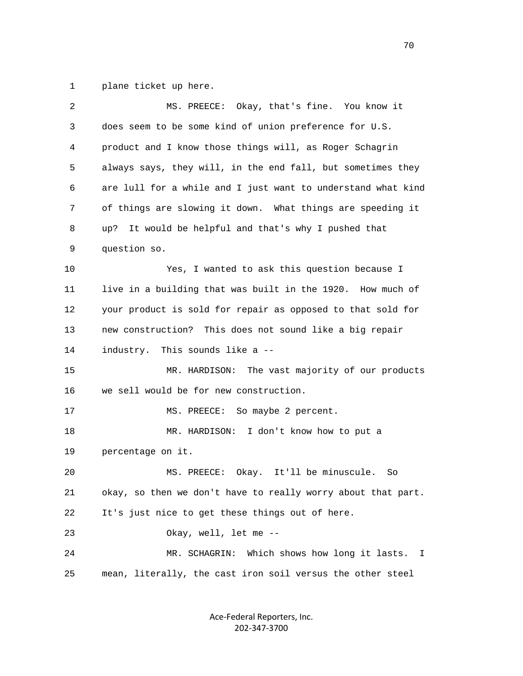1 plane ticket up here.

| $\overline{c}$ | MS. PREECE: Okay, that's fine. You know it                   |
|----------------|--------------------------------------------------------------|
| 3              | does seem to be some kind of union preference for U.S.       |
| 4              | product and I know those things will, as Roger Schagrin      |
| 5              | always says, they will, in the end fall, but sometimes they  |
| 6              | are lull for a while and I just want to understand what kind |
| 7              | of things are slowing it down. What things are speeding it   |
| 8              | It would be helpful and that's why I pushed that<br>up?      |
| 9              | question so.                                                 |
| 10             | Yes, I wanted to ask this question because I                 |
| 11             | live in a building that was built in the 1920. How much of   |
| 12             | your product is sold for repair as opposed to that sold for  |
| 13             | new construction? This does not sound like a big repair      |
| 14             | industry. This sounds like a --                              |
| 15             | The vast majority of our products<br>MR. HARDISON:           |
| 16             | we sell would be for new construction.                       |
| 17             | MS. PREECE:<br>So maybe 2 percent.                           |
| 18             | MR. HARDISON: I don't know how to put a                      |
| 19             | percentage on it.                                            |
| 20             | MS. PREECE: Okay. It'll be minuscule.<br>So                  |
| 21             | okay, so then we don't have to really worry about that part. |
| 22             | It's just nice to get these things out of here.              |
| 23             | Okay, well, let me --                                        |
| 24             | Which shows how long it lasts. I<br>MR. SCHAGRIN:            |
| 25             | mean, literally, the cast iron soil versus the other steel   |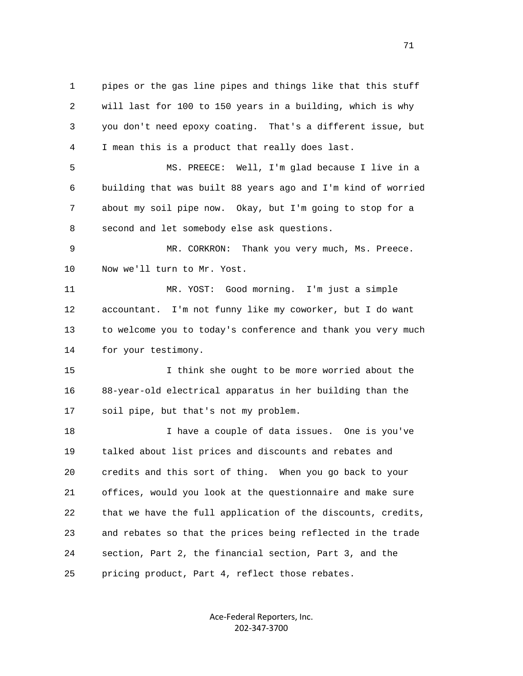1 pipes or the gas line pipes and things like that this stuff 2 will last for 100 to 150 years in a building, which is why 3 you don't need epoxy coating. That's a different issue, but 4 I mean this is a product that really does last.

 5 MS. PREECE: Well, I'm glad because I live in a 6 building that was built 88 years ago and I'm kind of worried 7 about my soil pipe now. Okay, but I'm going to stop for a 8 second and let somebody else ask questions.

 9 MR. CORKRON: Thank you very much, Ms. Preece. 10 Now we'll turn to Mr. Yost.

 11 MR. YOST: Good morning. I'm just a simple 12 accountant. I'm not funny like my coworker, but I do want 13 to welcome you to today's conference and thank you very much 14 for your testimony.

 15 I think she ought to be more worried about the 16 88-year-old electrical apparatus in her building than the 17 soil pipe, but that's not my problem.

 18 I have a couple of data issues. One is you've 19 talked about list prices and discounts and rebates and 20 credits and this sort of thing. When you go back to your 21 offices, would you look at the questionnaire and make sure 22 that we have the full application of the discounts, credits, 23 and rebates so that the prices being reflected in the trade 24 section, Part 2, the financial section, Part 3, and the 25 pricing product, Part 4, reflect those rebates.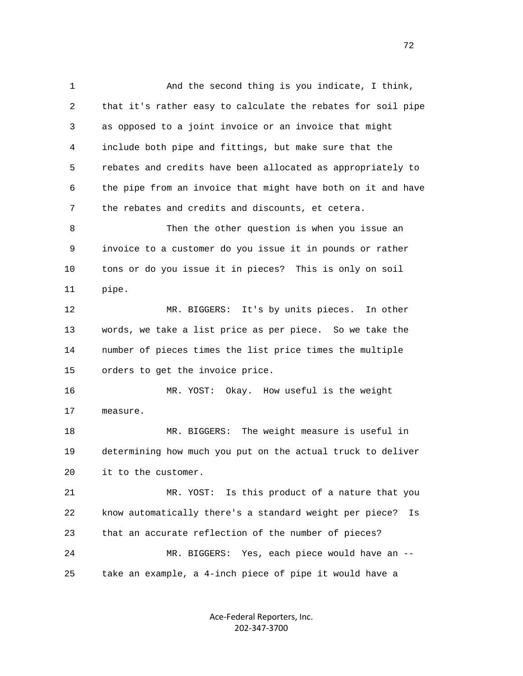1 And the second thing is you indicate, I think, 2 that it's rather easy to calculate the rebates for soil pipe 3 as opposed to a joint invoice or an invoice that might 4 include both pipe and fittings, but make sure that the 5 rebates and credits have been allocated as appropriately to 6 the pipe from an invoice that might have both on it and have 7 the rebates and credits and discounts, et cetera. 8 Then the other question is when you issue an 9 invoice to a customer do you issue it in pounds or rather 10 tons or do you issue it in pieces? This is only on soil 11 pipe. 12 MR. BIGGERS: It's by units pieces. In other 13 words, we take a list price as per piece. So we take the 14 number of pieces times the list price times the multiple 15 orders to get the invoice price. 16 MR. YOST: Okay. How useful is the weight 17 measure. 18 MR. BIGGERS: The weight measure is useful in 19 determining how much you put on the actual truck to deliver 20 it to the customer. 21 MR. YOST: Is this product of a nature that you 22 know automatically there's a standard weight per piece? Is 23 that an accurate reflection of the number of pieces? 24 MR. BIGGERS: Yes, each piece would have an -- 25 take an example, a 4-inch piece of pipe it would have a

> Ace-Federal Reporters, Inc. 202-347-3700

 $72$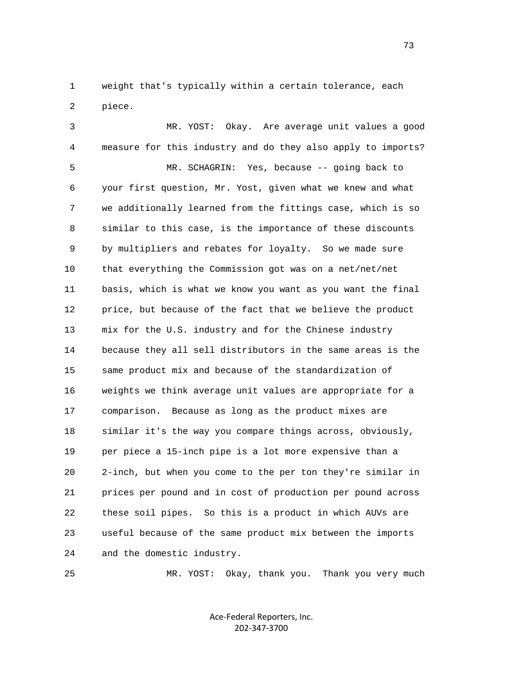1 weight that's typically within a certain tolerance, each 2 piece.

 3 MR. YOST: Okay. Are average unit values a good 4 measure for this industry and do they also apply to imports? 5 MR. SCHAGRIN: Yes, because -- going back to 6 your first question, Mr. Yost, given what we knew and what 7 we additionally learned from the fittings case, which is so 8 similar to this case, is the importance of these discounts 9 by multipliers and rebates for loyalty. So we made sure 10 that everything the Commission got was on a net/net/net 11 basis, which is what we know you want as you want the final 12 price, but because of the fact that we believe the product 13 mix for the U.S. industry and for the Chinese industry 14 because they all sell distributors in the same areas is the 15 same product mix and because of the standardization of 16 weights we think average unit values are appropriate for a 17 comparison. Because as long as the product mixes are 18 similar it's the way you compare things across, obviously, 19 per piece a 15-inch pipe is a lot more expensive than a 20 2-inch, but when you come to the per ton they're similar in 21 prices per pound and in cost of production per pound across 22 these soil pipes. So this is a product in which AUVs are 23 useful because of the same product mix between the imports 24 and the domestic industry.

25 MR. YOST: Okay, thank you. Thank you very much

Ace-Federal Reporters, Inc. 202-347-3700

73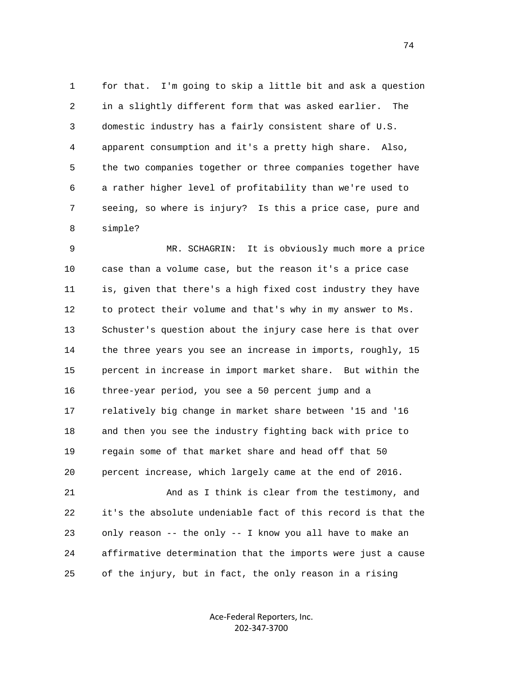1 for that. I'm going to skip a little bit and ask a question 2 in a slightly different form that was asked earlier. The 3 domestic industry has a fairly consistent share of U.S. 4 apparent consumption and it's a pretty high share. Also, 5 the two companies together or three companies together have 6 a rather higher level of profitability than we're used to 7 seeing, so where is injury? Is this a price case, pure and 8 simple?

 9 MR. SCHAGRIN: It is obviously much more a price 10 case than a volume case, but the reason it's a price case 11 is, given that there's a high fixed cost industry they have 12 to protect their volume and that's why in my answer to Ms. 13 Schuster's question about the injury case here is that over 14 the three years you see an increase in imports, roughly, 15 15 percent in increase in import market share. But within the 16 three-year period, you see a 50 percent jump and a 17 relatively big change in market share between '15 and '16 18 and then you see the industry fighting back with price to 19 regain some of that market share and head off that 50 20 percent increase, which largely came at the end of 2016.

 21 And as I think is clear from the testimony, and 22 it's the absolute undeniable fact of this record is that the 23 only reason -- the only -- I know you all have to make an 24 affirmative determination that the imports were just a cause 25 of the injury, but in fact, the only reason in a rising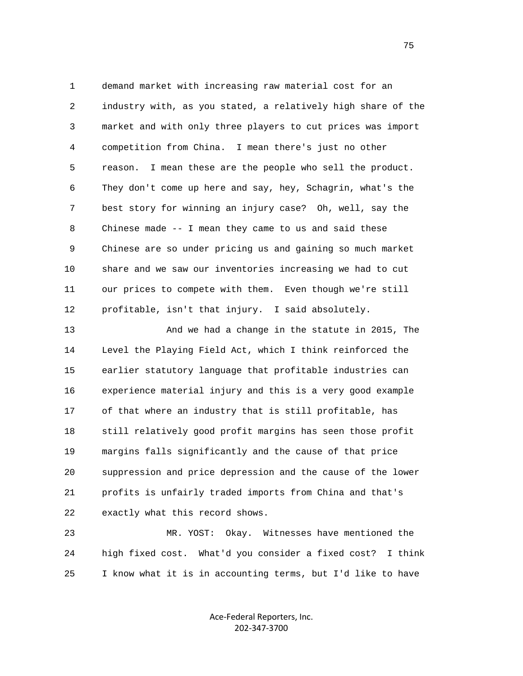1 demand market with increasing raw material cost for an 2 industry with, as you stated, a relatively high share of the 3 market and with only three players to cut prices was import 4 competition from China. I mean there's just no other 5 reason. I mean these are the people who sell the product. 6 They don't come up here and say, hey, Schagrin, what's the 7 best story for winning an injury case? Oh, well, say the 8 Chinese made -- I mean they came to us and said these 9 Chinese are so under pricing us and gaining so much market 10 share and we saw our inventories increasing we had to cut 11 our prices to compete with them. Even though we're still 12 profitable, isn't that injury. I said absolutely.

 13 And we had a change in the statute in 2015, The 14 Level the Playing Field Act, which I think reinforced the 15 earlier statutory language that profitable industries can 16 experience material injury and this is a very good example 17 of that where an industry that is still profitable, has 18 still relatively good profit margins has seen those profit 19 margins falls significantly and the cause of that price 20 suppression and price depression and the cause of the lower 21 profits is unfairly traded imports from China and that's 22 exactly what this record shows.

 23 MR. YOST: Okay. Witnesses have mentioned the 24 high fixed cost. What'd you consider a fixed cost? I think 25 I know what it is in accounting terms, but I'd like to have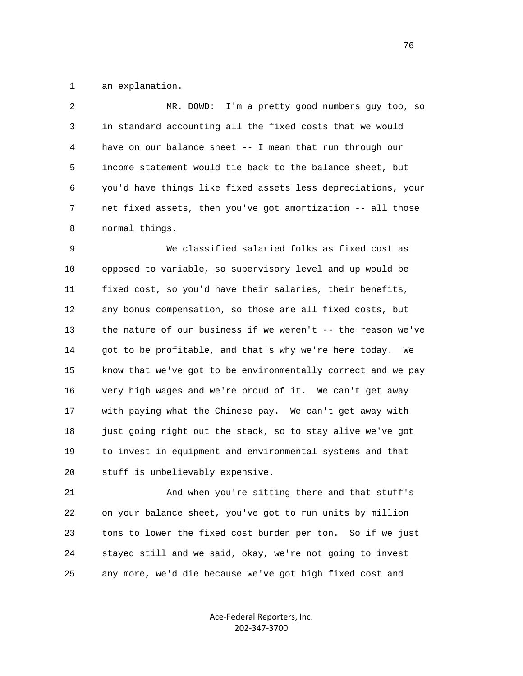1 an explanation.

 2 MR. DOWD: I'm a pretty good numbers guy too, so 3 in standard accounting all the fixed costs that we would 4 have on our balance sheet -- I mean that run through our 5 income statement would tie back to the balance sheet, but 6 you'd have things like fixed assets less depreciations, your 7 net fixed assets, then you've got amortization -- all those 8 normal things.

 9 We classified salaried folks as fixed cost as 10 opposed to variable, so supervisory level and up would be 11 fixed cost, so you'd have their salaries, their benefits, 12 any bonus compensation, so those are all fixed costs, but 13 the nature of our business if we weren't -- the reason we've 14 got to be profitable, and that's why we're here today. We 15 know that we've got to be environmentally correct and we pay 16 very high wages and we're proud of it. We can't get away 17 with paying what the Chinese pay. We can't get away with 18 just going right out the stack, so to stay alive we've got 19 to invest in equipment and environmental systems and that 20 stuff is unbelievably expensive.

 21 And when you're sitting there and that stuff's 22 on your balance sheet, you've got to run units by million 23 tons to lower the fixed cost burden per ton. So if we just 24 stayed still and we said, okay, we're not going to invest 25 any more, we'd die because we've got high fixed cost and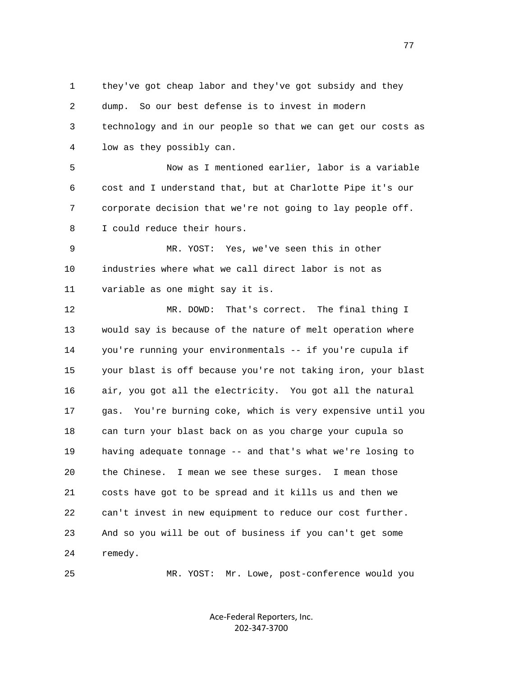1 they've got cheap labor and they've got subsidy and they 2 dump. So our best defense is to invest in modern 3 technology and in our people so that we can get our costs as 4 low as they possibly can.

 5 Now as I mentioned earlier, labor is a variable 6 cost and I understand that, but at Charlotte Pipe it's our 7 corporate decision that we're not going to lay people off. 8 I could reduce their hours.

 9 MR. YOST: Yes, we've seen this in other 10 industries where what we call direct labor is not as 11 variable as one might say it is.

 12 MR. DOWD: That's correct. The final thing I 13 would say is because of the nature of melt operation where 14 you're running your environmentals -- if you're cupula if 15 your blast is off because you're not taking iron, your blast 16 air, you got all the electricity. You got all the natural 17 gas. You're burning coke, which is very expensive until you 18 can turn your blast back on as you charge your cupula so 19 having adequate tonnage -- and that's what we're losing to 20 the Chinese. I mean we see these surges. I mean those 21 costs have got to be spread and it kills us and then we 22 can't invest in new equipment to reduce our cost further. 23 And so you will be out of business if you can't get some 24 remedy.

25 MR. YOST: Mr. Lowe, post-conference would you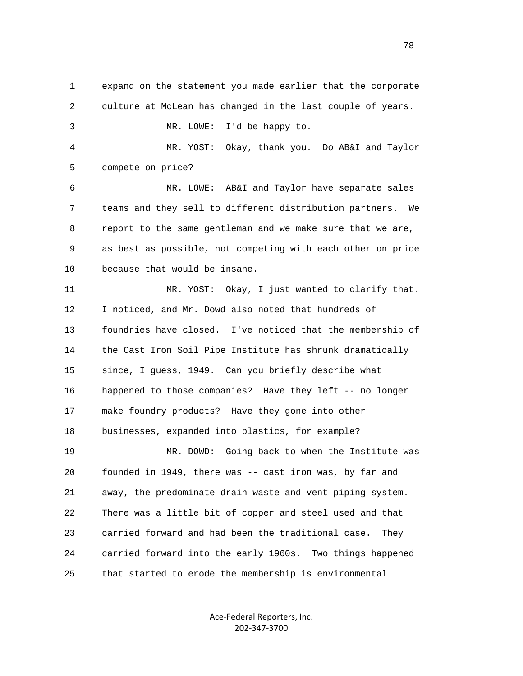1 expand on the statement you made earlier that the corporate 2 culture at McLean has changed in the last couple of years. 3 MR. LOWE: I'd be happy to. 4 MR. YOST: Okay, thank you. Do AB&I and Taylor 5 compete on price? 6 MR. LOWE: AB&I and Taylor have separate sales 7 teams and they sell to different distribution partners. We 8 report to the same gentleman and we make sure that we are, 9 as best as possible, not competing with each other on price 10 because that would be insane. 11 MR. YOST: Okay, I just wanted to clarify that. 12 I noticed, and Mr. Dowd also noted that hundreds of 13 foundries have closed. I've noticed that the membership of 14 the Cast Iron Soil Pipe Institute has shrunk dramatically 15 since, I guess, 1949. Can you briefly describe what 16 happened to those companies? Have they left -- no longer 17 make foundry products? Have they gone into other 18 businesses, expanded into plastics, for example? 19 MR. DOWD: Going back to when the Institute was 20 founded in 1949, there was -- cast iron was, by far and 21 away, the predominate drain waste and vent piping system. 22 There was a little bit of copper and steel used and that 23 carried forward and had been the traditional case. They 24 carried forward into the early 1960s. Two things happened 25 that started to erode the membership is environmental

> Ace-Federal Reporters, Inc. 202-347-3700

na na matsayin na matsayin na matsayin na matsayin na matsayin na matsayin na matsayin na matsayin na matsayin<br>Ta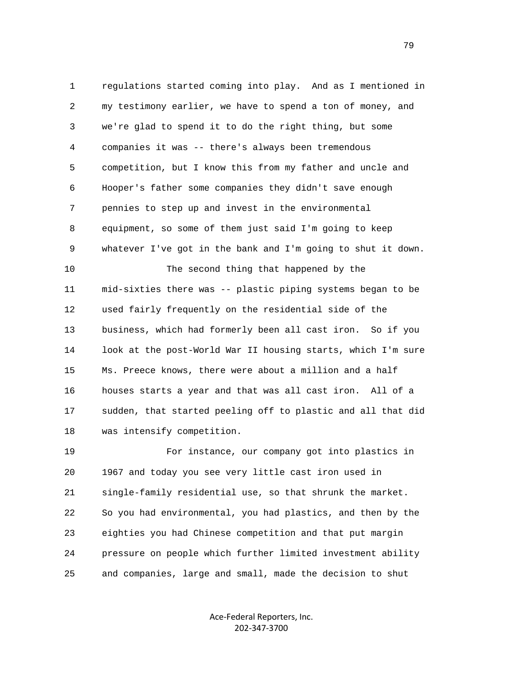1 regulations started coming into play. And as I mentioned in 2 my testimony earlier, we have to spend a ton of money, and 3 we're glad to spend it to do the right thing, but some 4 companies it was -- there's always been tremendous 5 competition, but I know this from my father and uncle and 6 Hooper's father some companies they didn't save enough 7 pennies to step up and invest in the environmental 8 equipment, so some of them just said I'm going to keep 9 whatever I've got in the bank and I'm going to shut it down. 10 The second thing that happened by the 11 mid-sixties there was -- plastic piping systems began to be 12 used fairly frequently on the residential side of the 13 business, which had formerly been all cast iron. So if you 14 look at the post-World War II housing starts, which I'm sure 15 Ms. Preece knows, there were about a million and a half 16 houses starts a year and that was all cast iron. All of a 17 sudden, that started peeling off to plastic and all that did 18 was intensify competition.

 19 For instance, our company got into plastics in 20 1967 and today you see very little cast iron used in 21 single-family residential use, so that shrunk the market. 22 So you had environmental, you had plastics, and then by the 23 eighties you had Chinese competition and that put margin 24 pressure on people which further limited investment ability 25 and companies, large and small, made the decision to shut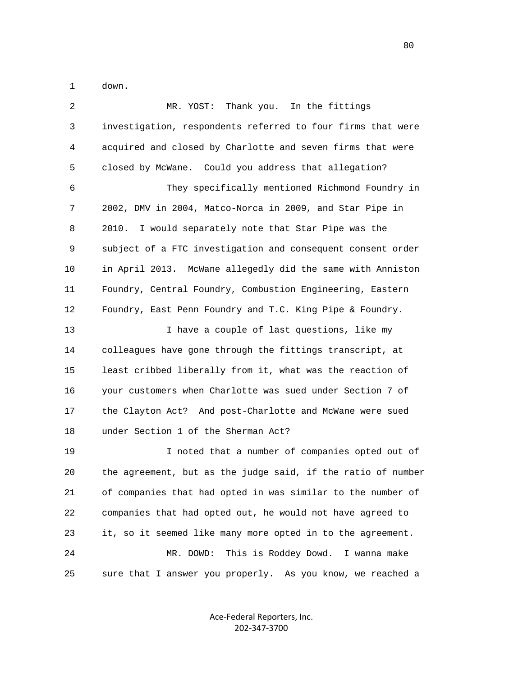1 down.

| 2  | Thank you. In the fittings<br>MR. YOST:                      |
|----|--------------------------------------------------------------|
| 3  | investigation, respondents referred to four firms that were  |
| 4  | acquired and closed by Charlotte and seven firms that were   |
| 5  | closed by McWane. Could you address that allegation?         |
| 6  | They specifically mentioned Richmond Foundry in              |
| 7  | 2002, DMV in 2004, Matco-Norca in 2009, and Star Pipe in     |
| 8  | I would separately note that Star Pipe was the<br>2010.      |
| 9  | subject of a FTC investigation and consequent consent order  |
| 10 | in April 2013. McWane allegedly did the same with Anniston   |
| 11 | Foundry, Central Foundry, Combustion Engineering, Eastern    |
| 12 | Foundry, East Penn Foundry and T.C. King Pipe & Foundry.     |
| 13 | I have a couple of last questions, like my                   |
| 14 | colleagues have gone through the fittings transcript, at     |
| 15 | least cribbed liberally from it, what was the reaction of    |
| 16 | your customers when Charlotte was sued under Section 7 of    |
| 17 | the Clayton Act? And post-Charlotte and McWane were sued     |
| 18 | under Section 1 of the Sherman Act?                          |
| 19 | I noted that a number of companies opted out of              |
| 20 | the agreement, but as the judge said, if the ratio of number |
| 21 | of companies that had opted in was similar to the number of  |
| 22 | companies that had opted out, he would not have agreed to    |
| 23 | it, so it seemed like many more opted in to the agreement.   |
| 24 | This is Roddey Dowd. I wanna make<br>MR. DOWD:               |
| 25 | sure that I answer you properly. As you know, we reached a   |

Ace-Federal Reporters, Inc. 202-347-3700

en de la construction de la construction de la construction de la construction de la construction de la constr<br>De la construction de la construction de la construction de la construction de la construction de la construct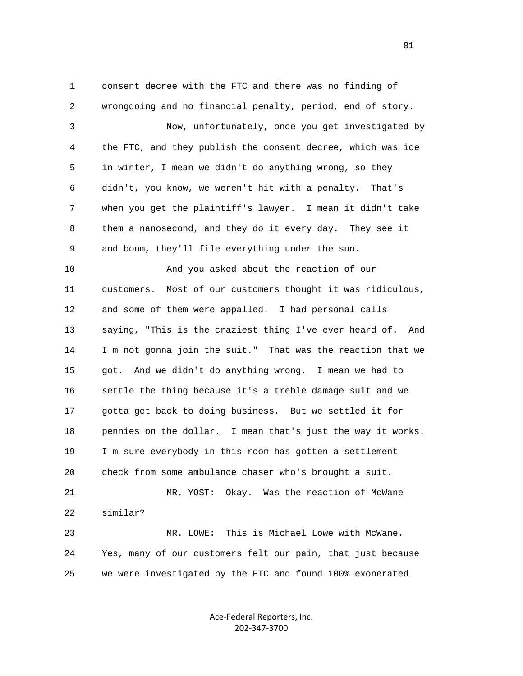1 consent decree with the FTC and there was no finding of 2 wrongdoing and no financial penalty, period, end of story. 3 Now, unfortunately, once you get investigated by 4 the FTC, and they publish the consent decree, which was ice 5 in winter, I mean we didn't do anything wrong, so they 6 didn't, you know, we weren't hit with a penalty. That's 7 when you get the plaintiff's lawyer. I mean it didn't take 8 them a nanosecond, and they do it every day. They see it 9 and boom, they'll file everything under the sun. 10 And you asked about the reaction of our 11 customers. Most of our customers thought it was ridiculous, 12 and some of them were appalled. I had personal calls 13 saying, "This is the craziest thing I've ever heard of. And 14 I'm not gonna join the suit." That was the reaction that we 15 got. And we didn't do anything wrong. I mean we had to 16 settle the thing because it's a treble damage suit and we 17 gotta get back to doing business. But we settled it for 18 pennies on the dollar. I mean that's just the way it works. 19 I'm sure everybody in this room has gotten a settlement 20 check from some ambulance chaser who's brought a suit. 21 MR. YOST: Okay. Was the reaction of McWane

22 similar?

 23 MR. LOWE: This is Michael Lowe with McWane. 24 Yes, many of our customers felt our pain, that just because 25 we were investigated by the FTC and found 100% exonerated

> Ace-Federal Reporters, Inc. 202-347-3700

81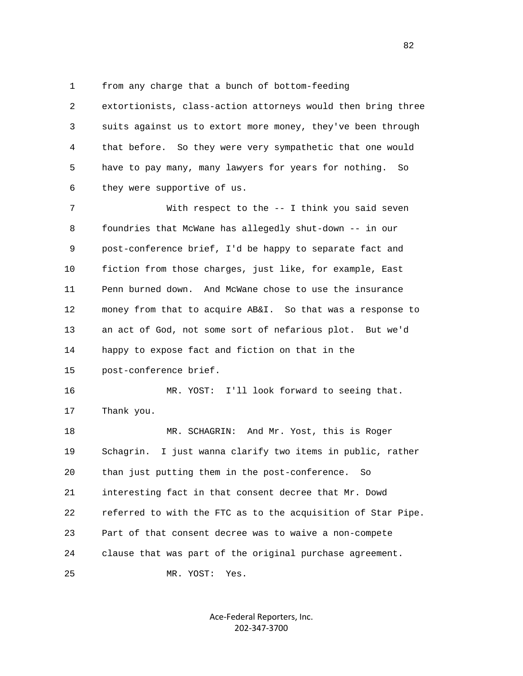1 from any charge that a bunch of bottom-feeding

 2 extortionists, class-action attorneys would then bring three 3 suits against us to extort more money, they've been through 4 that before. So they were very sympathetic that one would 5 have to pay many, many lawyers for years for nothing. So 6 they were supportive of us.

 7 With respect to the -- I think you said seven 8 foundries that McWane has allegedly shut-down -- in our 9 post-conference brief, I'd be happy to separate fact and 10 fiction from those charges, just like, for example, East 11 Penn burned down. And McWane chose to use the insurance 12 money from that to acquire AB&I. So that was a response to 13 an act of God, not some sort of nefarious plot. But we'd 14 happy to expose fact and fiction on that in the 15 post-conference brief.

 16 MR. YOST: I'll look forward to seeing that. 17 Thank you.

18 MR. SCHAGRIN: And Mr. Yost, this is Roger 19 Schagrin. I just wanna clarify two items in public, rather 20 than just putting them in the post-conference. So 21 interesting fact in that consent decree that Mr. Dowd 22 referred to with the FTC as to the acquisition of Star Pipe. 23 Part of that consent decree was to waive a non-compete 24 clause that was part of the original purchase agreement. 25 MR. YOST: Yes.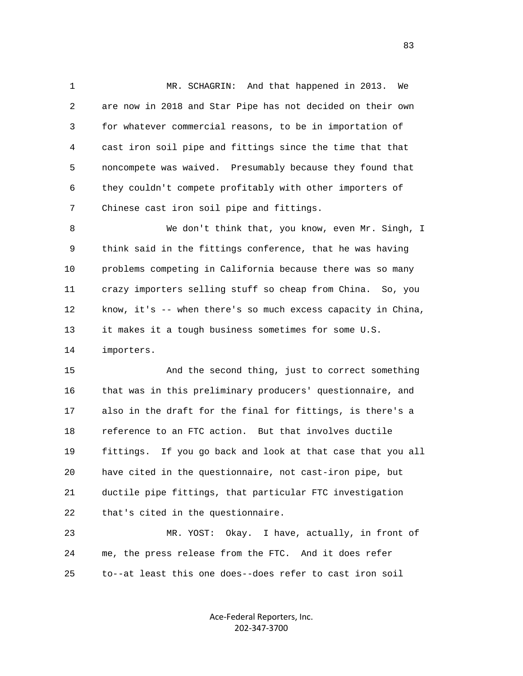1 MR. SCHAGRIN: And that happened in 2013. We 2 are now in 2018 and Star Pipe has not decided on their own 3 for whatever commercial reasons, to be in importation of 4 cast iron soil pipe and fittings since the time that that 5 noncompete was waived. Presumably because they found that 6 they couldn't compete profitably with other importers of 7 Chinese cast iron soil pipe and fittings.

 8 We don't think that, you know, even Mr. Singh, I 9 think said in the fittings conference, that he was having 10 problems competing in California because there was so many 11 crazy importers selling stuff so cheap from China. So, you 12 know, it's -- when there's so much excess capacity in China, 13 it makes it a tough business sometimes for some U.S. 14 importers.

 15 And the second thing, just to correct something 16 that was in this preliminary producers' questionnaire, and 17 also in the draft for the final for fittings, is there's a 18 reference to an FTC action. But that involves ductile 19 fittings. If you go back and look at that case that you all 20 have cited in the questionnaire, not cast-iron pipe, but 21 ductile pipe fittings, that particular FTC investigation 22 that's cited in the questionnaire.

 23 MR. YOST: Okay. I have, actually, in front of 24 me, the press release from the FTC. And it does refer 25 to--at least this one does--does refer to cast iron soil

> Ace-Federal Reporters, Inc. 202-347-3700

experience of the contract of the contract of the contract of the contract of the contract of the contract of the contract of the contract of the contract of the contract of the contract of the contract of the contract of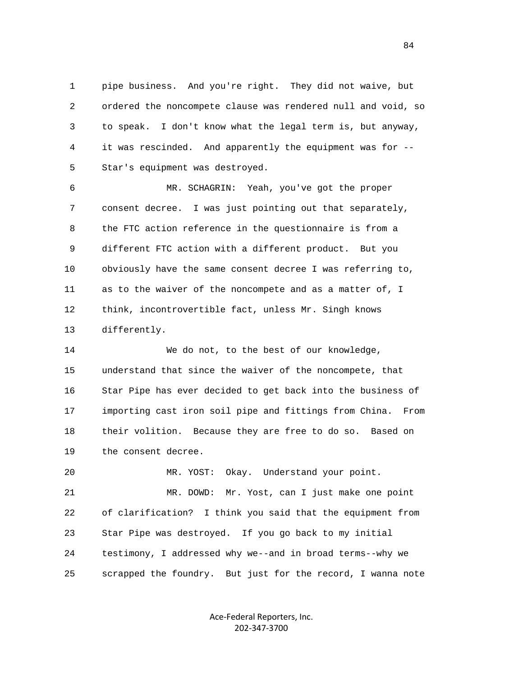1 pipe business. And you're right. They did not waive, but 2 ordered the noncompete clause was rendered null and void, so 3 to speak. I don't know what the legal term is, but anyway, 4 it was rescinded. And apparently the equipment was for -- 5 Star's equipment was destroyed.

 6 MR. SCHAGRIN: Yeah, you've got the proper 7 consent decree. I was just pointing out that separately, 8 the FTC action reference in the questionnaire is from a 9 different FTC action with a different product. But you 10 obviously have the same consent decree I was referring to, 11 as to the waiver of the noncompete and as a matter of, I 12 think, incontrovertible fact, unless Mr. Singh knows 13 differently.

 14 We do not, to the best of our knowledge, 15 understand that since the waiver of the noncompete, that 16 Star Pipe has ever decided to get back into the business of 17 importing cast iron soil pipe and fittings from China. From 18 their volition. Because they are free to do so. Based on 19 the consent decree.

 20 MR. YOST: Okay. Understand your point. 21 MR. DOWD: Mr. Yost, can I just make one point 22 of clarification? I think you said that the equipment from 23 Star Pipe was destroyed. If you go back to my initial 24 testimony, I addressed why we--and in broad terms--why we 25 scrapped the foundry. But just for the record, I wanna note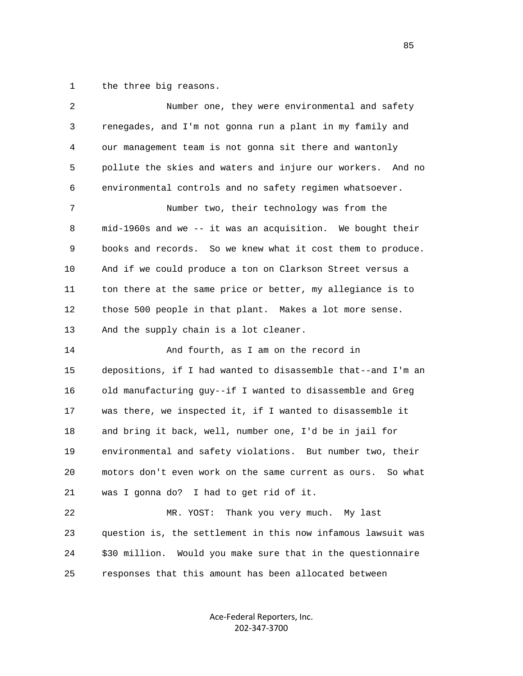1 the three big reasons.

| 2  | Number one, they were environmental and safety                 |
|----|----------------------------------------------------------------|
| 3  | renegades, and I'm not gonna run a plant in my family and      |
| 4  | our management team is not gonna sit there and wantonly        |
| 5  | pollute the skies and waters and injure our workers.<br>And no |
| 6  | environmental controls and no safety regimen whatsoever.       |
| 7  | Number two, their technology was from the                      |
| 8  | mid-1960s and we -- it was an acquisition. We bought their     |
| 9  | books and records. So we knew what it cost them to produce.    |
| 10 | And if we could produce a ton on Clarkson Street versus a      |
| 11 | ton there at the same price or better, my allegiance is to     |
| 12 | those 500 people in that plant. Makes a lot more sense.        |
| 13 | And the supply chain is a lot cleaner.                         |
| 14 | And fourth, as I am on the record in                           |
| 15 | depositions, if I had wanted to disassemble that--and I'm an   |
| 16 | old manufacturing guy--if I wanted to disassemble and Greg     |
| 17 | was there, we inspected it, if I wanted to disassemble it      |
| 18 | and bring it back, well, number one, I'd be in jail for        |
| 19 | environmental and safety violations. But number two, their     |
| 20 | motors don't even work on the same current as ours. So what    |
| 21 | was I gonna do? I had to get rid of it.                        |
| 22 | Thank you very much. My last<br>MR. YOST:                      |
| 23 | question is, the settlement in this now infamous lawsuit was   |
| 24 | \$30 million. Would you make sure that in the questionnaire    |
| 25 | responses that this amount has been allocated between          |

Ace-Federal Reporters, Inc. 202-347-3700

en de la construction de la construction de la construction de la construction de la construction de la constr<br>De la construction de la construction de la construction de la construction de la construction de la construct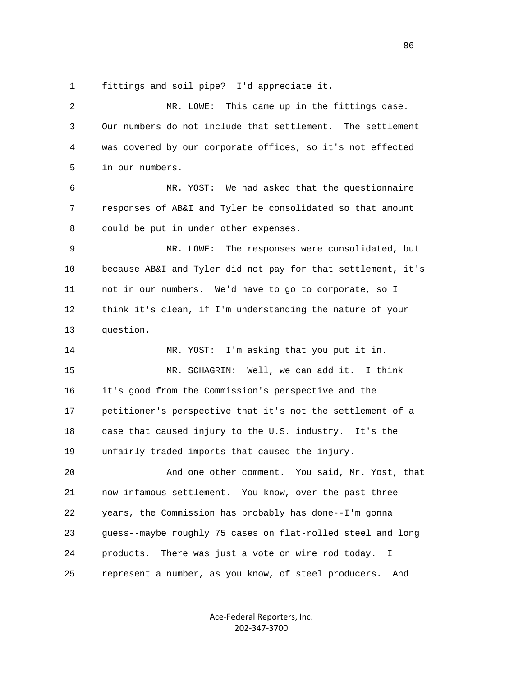1 fittings and soil pipe? I'd appreciate it.

 2 MR. LOWE: This came up in the fittings case. 3 Our numbers do not include that settlement. The settlement 4 was covered by our corporate offices, so it's not effected 5 in our numbers. 6 MR. YOST: We had asked that the questionnaire 7 responses of AB&I and Tyler be consolidated so that amount 8 could be put in under other expenses. 9 MR. LOWE: The responses were consolidated, but 10 because AB&I and Tyler did not pay for that settlement, it's 11 not in our numbers. We'd have to go to corporate, so I 12 think it's clean, if I'm understanding the nature of your 13 question. 14 MR. YOST: I'm asking that you put it in. 15 MR. SCHAGRIN: Well, we can add it. I think 16 it's good from the Commission's perspective and the 17 petitioner's perspective that it's not the settlement of a 18 case that caused injury to the U.S. industry. It's the 19 unfairly traded imports that caused the injury. 20 And one other comment. You said, Mr. Yost, that 21 now infamous settlement. You know, over the past three 22 years, the Commission has probably has done--I'm gonna 23 guess--maybe roughly 75 cases on flat-rolled steel and long 24 products. There was just a vote on wire rod today. I 25 represent a number, as you know, of steel producers. And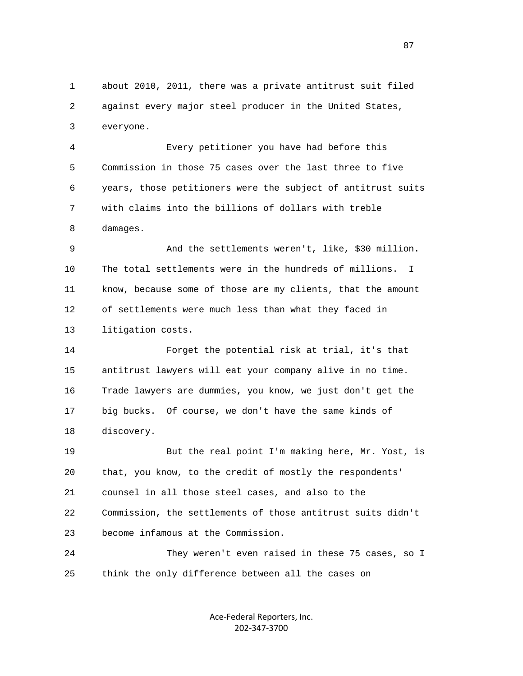1 about 2010, 2011, there was a private antitrust suit filed 2 against every major steel producer in the United States, 3 everyone.

 4 Every petitioner you have had before this 5 Commission in those 75 cases over the last three to five 6 years, those petitioners were the subject of antitrust suits 7 with claims into the billions of dollars with treble 8 damages.

 9 And the settlements weren't, like, \$30 million. 10 The total settlements were in the hundreds of millions. I 11 know, because some of those are my clients, that the amount 12 of settlements were much less than what they faced in 13 litigation costs.

 14 Forget the potential risk at trial, it's that 15 antitrust lawyers will eat your company alive in no time. 16 Trade lawyers are dummies, you know, we just don't get the 17 big bucks. Of course, we don't have the same kinds of 18 discovery.

 19 But the real point I'm making here, Mr. Yost, is 20 that, you know, to the credit of mostly the respondents' 21 counsel in all those steel cases, and also to the 22 Commission, the settlements of those antitrust suits didn't 23 become infamous at the Commission.

 24 They weren't even raised in these 75 cases, so I 25 think the only difference between all the cases on

> Ace-Federal Reporters, Inc. 202-347-3700

en and the state of the state of the state of the state of the state of the state of the state of the state of the state of the state of the state of the state of the state of the state of the state of the state of the sta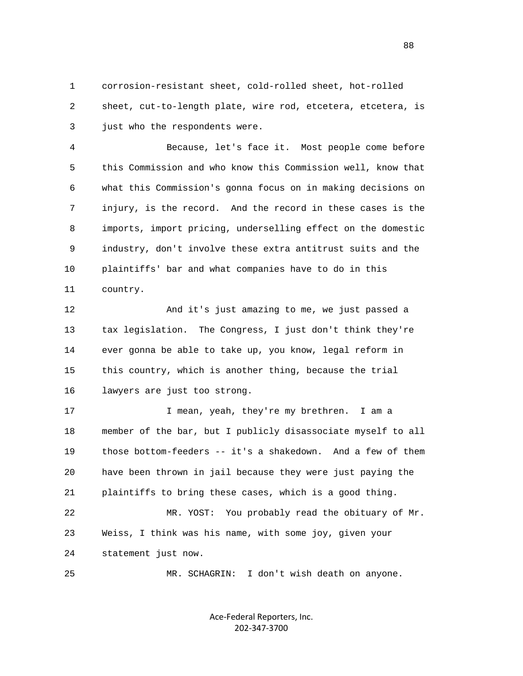1 corrosion-resistant sheet, cold-rolled sheet, hot-rolled 2 sheet, cut-to-length plate, wire rod, etcetera, etcetera, is 3 just who the respondents were.

 4 Because, let's face it. Most people come before 5 this Commission and who know this Commission well, know that 6 what this Commission's gonna focus on in making decisions on 7 injury, is the record. And the record in these cases is the 8 imports, import pricing, underselling effect on the domestic 9 industry, don't involve these extra antitrust suits and the 10 plaintiffs' bar and what companies have to do in this 11 country.

 12 And it's just amazing to me, we just passed a 13 tax legislation. The Congress, I just don't think they're 14 ever gonna be able to take up, you know, legal reform in 15 this country, which is another thing, because the trial 16 lawyers are just too strong.

17 I mean, yeah, they're my brethren. I am a 18 member of the bar, but I publicly disassociate myself to all 19 those bottom-feeders -- it's a shakedown. And a few of them 20 have been thrown in jail because they were just paying the 21 plaintiffs to bring these cases, which is a good thing. 22 MR. YOST: You probably read the obituary of Mr. 23 Weiss, I think was his name, with some joy, given your

24 statement just now.

25 MR. SCHAGRIN: I don't wish death on anyone.

Ace-Federal Reporters, Inc. 202-347-3700

e e seu a constante de la constante de la constante de la constante de la constante de la constante de la cons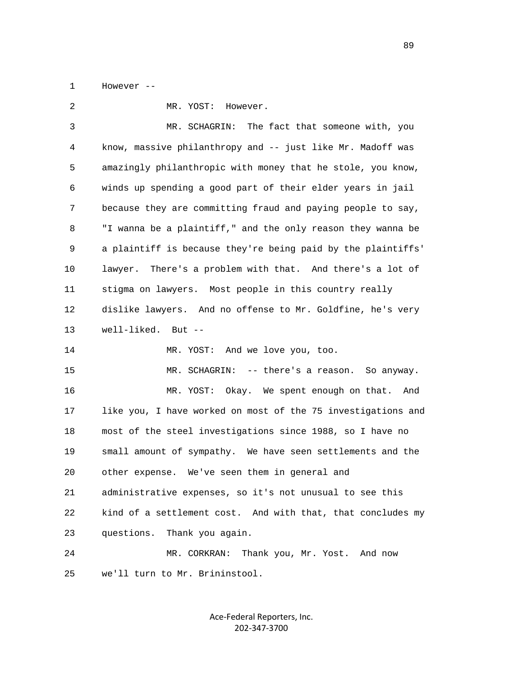1 However --

 2 MR. YOST: However. 3 MR. SCHAGRIN: The fact that someone with, you 4 know, massive philanthropy and -- just like Mr. Madoff was 5 amazingly philanthropic with money that he stole, you know, 6 winds up spending a good part of their elder years in jail 7 because they are committing fraud and paying people to say, 8 "I wanna be a plaintiff," and the only reason they wanna be 9 a plaintiff is because they're being paid by the plaintiffs' 10 lawyer. There's a problem with that. And there's a lot of 11 stigma on lawyers. Most people in this country really 12 dislike lawyers. And no offense to Mr. Goldfine, he's very 13 well-liked. But -- 14 MR. YOST: And we love you, too. 15 MR. SCHAGRIN: -- there's a reason. So anyway. 16 MR. YOST: Okay. We spent enough on that. And 17 like you, I have worked on most of the 75 investigations and 18 most of the steel investigations since 1988, so I have no 19 small amount of sympathy. We have seen settlements and the 20 other expense. We've seen them in general and 21 administrative expenses, so it's not unusual to see this 22 kind of a settlement cost. And with that, that concludes my 23 questions. Thank you again. 24 MR. CORKRAN: Thank you, Mr. Yost. And now 25 we'll turn to Mr. Brininstool.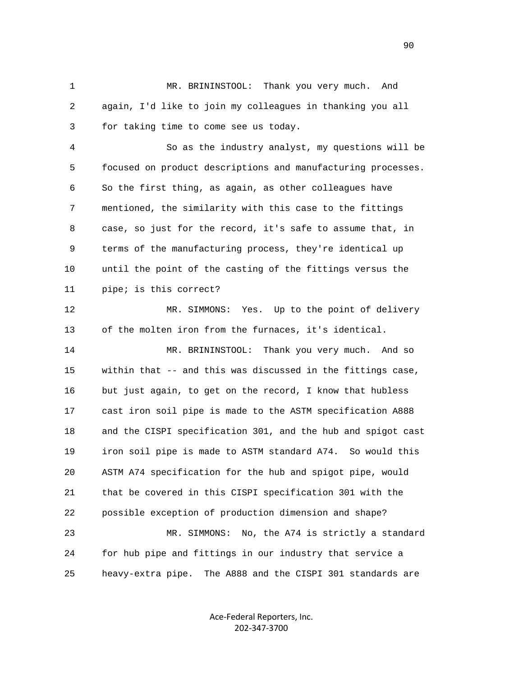1 MR. BRININSTOOL: Thank you very much. And 2 again, I'd like to join my colleagues in thanking you all 3 for taking time to come see us today.

 4 So as the industry analyst, my questions will be 5 focused on product descriptions and manufacturing processes. 6 So the first thing, as again, as other colleagues have 7 mentioned, the similarity with this case to the fittings 8 case, so just for the record, it's safe to assume that, in 9 terms of the manufacturing process, they're identical up 10 until the point of the casting of the fittings versus the 11 pipe; is this correct?

 12 MR. SIMMONS: Yes. Up to the point of delivery 13 of the molten iron from the furnaces, it's identical.

 14 MR. BRININSTOOL: Thank you very much. And so 15 within that -- and this was discussed in the fittings case, 16 but just again, to get on the record, I know that hubless 17 cast iron soil pipe is made to the ASTM specification A888 18 and the CISPI specification 301, and the hub and spigot cast 19 iron soil pipe is made to ASTM standard A74. So would this 20 ASTM A74 specification for the hub and spigot pipe, would 21 that be covered in this CISPI specification 301 with the 22 possible exception of production dimension and shape?

 23 MR. SIMMONS: No, the A74 is strictly a standard 24 for hub pipe and fittings in our industry that service a 25 heavy-extra pipe. The A888 and the CISPI 301 standards are

> Ace-Federal Reporters, Inc. 202-347-3700

en de la construction de la construction de la construction de la construction de la construction de la constr<br>1900 : la construction de la construction de la construction de la construction de la construction de la const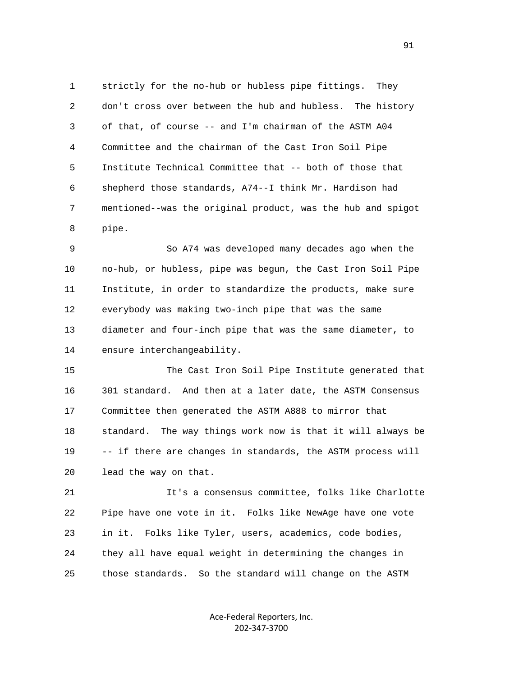1 strictly for the no-hub or hubless pipe fittings. They 2 don't cross over between the hub and hubless. The history 3 of that, of course -- and I'm chairman of the ASTM A04 4 Committee and the chairman of the Cast Iron Soil Pipe 5 Institute Technical Committee that -- both of those that 6 shepherd those standards, A74--I think Mr. Hardison had 7 mentioned--was the original product, was the hub and spigot 8 pipe.

 9 So A74 was developed many decades ago when the 10 no-hub, or hubless, pipe was begun, the Cast Iron Soil Pipe 11 Institute, in order to standardize the products, make sure 12 everybody was making two-inch pipe that was the same 13 diameter and four-inch pipe that was the same diameter, to 14 ensure interchangeability.

 15 The Cast Iron Soil Pipe Institute generated that 16 301 standard. And then at a later date, the ASTM Consensus 17 Committee then generated the ASTM A888 to mirror that 18 standard. The way things work now is that it will always be 19 -- if there are changes in standards, the ASTM process will 20 lead the way on that.

 21 It's a consensus committee, folks like Charlotte 22 Pipe have one vote in it. Folks like NewAge have one vote 23 in it. Folks like Tyler, users, academics, code bodies, 24 they all have equal weight in determining the changes in 25 those standards. So the standard will change on the ASTM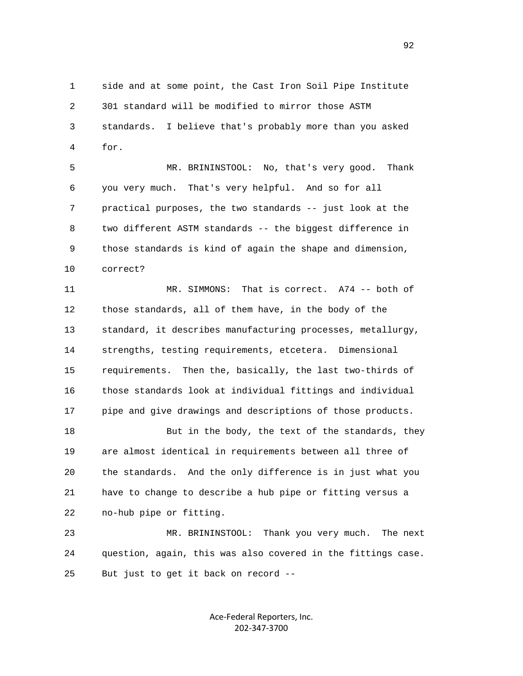1 side and at some point, the Cast Iron Soil Pipe Institute 2 301 standard will be modified to mirror those ASTM 3 standards. I believe that's probably more than you asked 4 for.

 5 MR. BRININSTOOL: No, that's very good. Thank 6 you very much. That's very helpful. And so for all 7 practical purposes, the two standards -- just look at the 8 two different ASTM standards -- the biggest difference in 9 those standards is kind of again the shape and dimension, 10 correct?

 11 MR. SIMMONS: That is correct. A74 -- both of 12 those standards, all of them have, in the body of the 13 standard, it describes manufacturing processes, metallurgy, 14 strengths, testing requirements, etcetera. Dimensional 15 requirements. Then the, basically, the last two-thirds of 16 those standards look at individual fittings and individual 17 pipe and give drawings and descriptions of those products.

18 But in the body, the text of the standards, they 19 are almost identical in requirements between all three of 20 the standards. And the only difference is in just what you 21 have to change to describe a hub pipe or fitting versus a 22 no-hub pipe or fitting.

 23 MR. BRININSTOOL: Thank you very much. The next 24 question, again, this was also covered in the fittings case. 25 But just to get it back on record --

> Ace-Federal Reporters, Inc. 202-347-3700

 $\sim$  92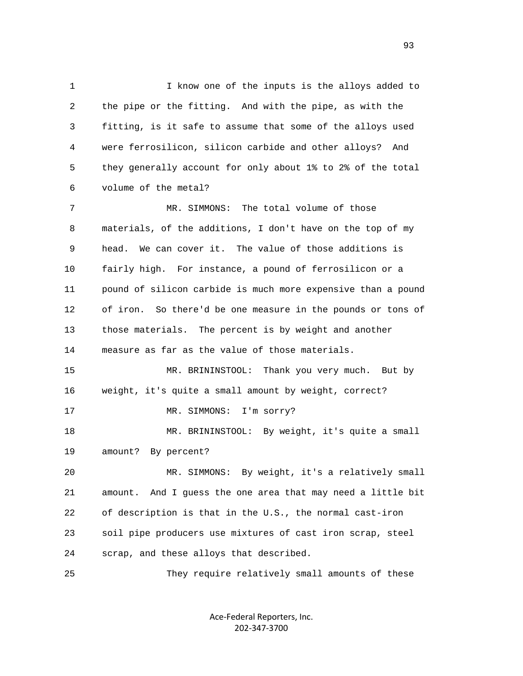1 I know one of the inputs is the alloys added to 2 the pipe or the fitting. And with the pipe, as with the 3 fitting, is it safe to assume that some of the alloys used 4 were ferrosilicon, silicon carbide and other alloys? And 5 they generally account for only about 1% to 2% of the total 6 volume of the metal? 7 MR. SIMMONS: The total volume of those 8 materials, of the additions, I don't have on the top of my 9 head. We can cover it. The value of those additions is 10 fairly high. For instance, a pound of ferrosilicon or a 11 pound of silicon carbide is much more expensive than a pound 12 of iron. So there'd be one measure in the pounds or tons of 13 those materials. The percent is by weight and another 14 measure as far as the value of those materials. 15 MR. BRININSTOOL: Thank you very much. But by 16 weight, it's quite a small amount by weight, correct? 17 MR. SIMMONS: I'm sorry? 18 MR. BRININSTOOL: By weight, it's quite a small 19 amount? By percent? 20 MR. SIMMONS: By weight, it's a relatively small 21 amount. And I guess the one area that may need a little bit 22 of description is that in the U.S., the normal cast-iron 23 soil pipe producers use mixtures of cast iron scrap, steel 24 scrap, and these alloys that described.

25 They require relatively small amounts of these

Ace-Federal Reporters, Inc. 202-347-3700

experience of the contract of the contract of the contract of the contract of the contract of the contract of the contract of the contract of the contract of the contract of the contract of the contract of the contract of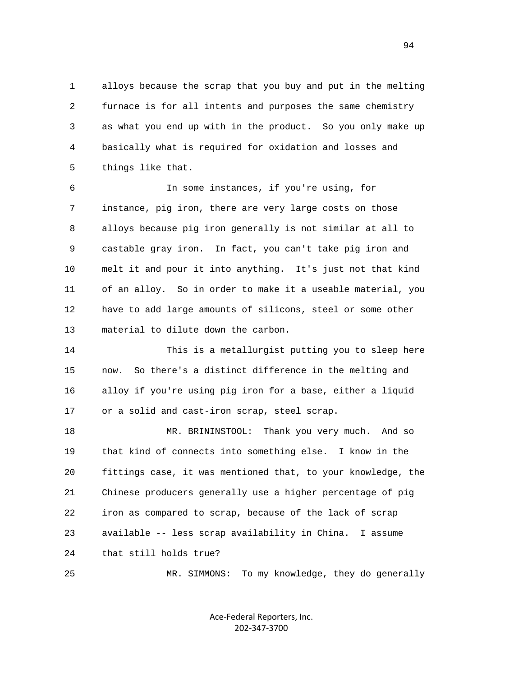1 alloys because the scrap that you buy and put in the melting 2 furnace is for all intents and purposes the same chemistry 3 as what you end up with in the product. So you only make up 4 basically what is required for oxidation and losses and 5 things like that.

 6 In some instances, if you're using, for 7 instance, pig iron, there are very large costs on those 8 alloys because pig iron generally is not similar at all to 9 castable gray iron. In fact, you can't take pig iron and 10 melt it and pour it into anything. It's just not that kind 11 of an alloy. So in order to make it a useable material, you 12 have to add large amounts of silicons, steel or some other 13 material to dilute down the carbon.

 14 This is a metallurgist putting you to sleep here 15 now. So there's a distinct difference in the melting and 16 alloy if you're using pig iron for a base, either a liquid 17 or a solid and cast-iron scrap, steel scrap.

 18 MR. BRININSTOOL: Thank you very much. And so 19 that kind of connects into something else. I know in the 20 fittings case, it was mentioned that, to your knowledge, the 21 Chinese producers generally use a higher percentage of pig 22 iron as compared to scrap, because of the lack of scrap 23 available -- less scrap availability in China. I assume 24 that still holds true?

25 MR. SIMMONS: To my knowledge, they do generally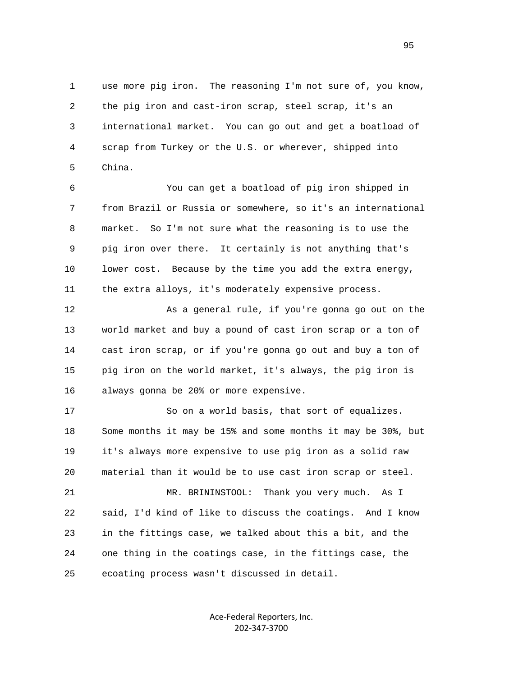1 use more pig iron. The reasoning I'm not sure of, you know, 2 the pig iron and cast-iron scrap, steel scrap, it's an 3 international market. You can go out and get a boatload of 4 scrap from Turkey or the U.S. or wherever, shipped into 5 China.

 6 You can get a boatload of pig iron shipped in 7 from Brazil or Russia or somewhere, so it's an international 8 market. So I'm not sure what the reasoning is to use the 9 pig iron over there. It certainly is not anything that's 10 lower cost. Because by the time you add the extra energy, 11 the extra alloys, it's moderately expensive process.

12 As a general rule, if you're gonna go out on the 13 world market and buy a pound of cast iron scrap or a ton of 14 cast iron scrap, or if you're gonna go out and buy a ton of 15 pig iron on the world market, it's always, the pig iron is 16 always gonna be 20% or more expensive.

 17 So on a world basis, that sort of equalizes. 18 Some months it may be 15% and some months it may be 30%, but 19 it's always more expensive to use pig iron as a solid raw 20 material than it would be to use cast iron scrap or steel.

 21 MR. BRININSTOOL: Thank you very much. As I 22 said, I'd kind of like to discuss the coatings. And I know 23 in the fittings case, we talked about this a bit, and the 24 one thing in the coatings case, in the fittings case, the 25 ecoating process wasn't discussed in detail.

> Ace-Federal Reporters, Inc. 202-347-3700

en 1995 en 1996 en 1996 en 1997 en 1998 en 1998 en 1999 en 1999 en 1999 en 1999 en 1999 en 1999 en 1999 en 19<br>De grote en 1999 en 1999 en 1999 en 1999 en 1999 en 1999 en 1999 en 1999 en 1999 en 1999 en 1999 en 1999 en 19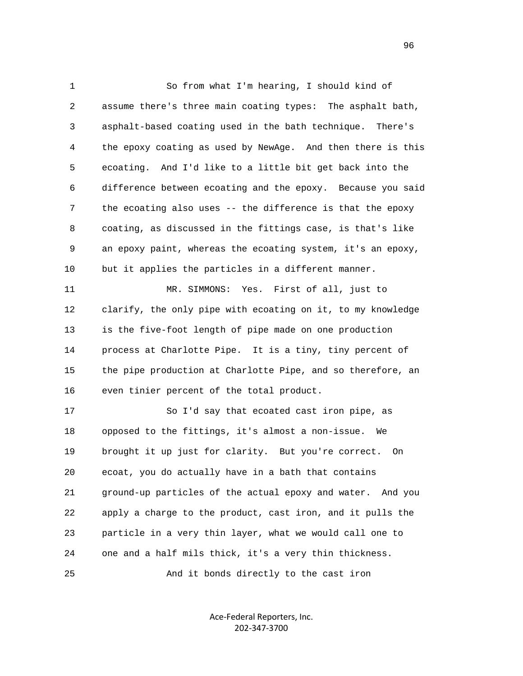1 So from what I'm hearing, I should kind of 2 assume there's three main coating types: The asphalt bath, 3 asphalt-based coating used in the bath technique. There's 4 the epoxy coating as used by NewAge. And then there is this 5 ecoating. And I'd like to a little bit get back into the 6 difference between ecoating and the epoxy. Because you said 7 the ecoating also uses -- the difference is that the epoxy 8 coating, as discussed in the fittings case, is that's like 9 an epoxy paint, whereas the ecoating system, it's an epoxy, 10 but it applies the particles in a different manner. 11 MR. SIMMONS: Yes. First of all, just to 12 clarify, the only pipe with ecoating on it, to my knowledge 13 is the five-foot length of pipe made on one production 14 process at Charlotte Pipe. It is a tiny, tiny percent of 15 the pipe production at Charlotte Pipe, and so therefore, an 16 even tinier percent of the total product. 17 So I'd say that ecoated cast iron pipe, as 18 opposed to the fittings, it's almost a non-issue. We 19 brought it up just for clarity. But you're correct. On 20 ecoat, you do actually have in a bath that contains 21 ground-up particles of the actual epoxy and water. And you 22 apply a charge to the product, cast iron, and it pulls the 23 particle in a very thin layer, what we would call one to 24 one and a half mils thick, it's a very thin thickness.

25 And it bonds directly to the cast iron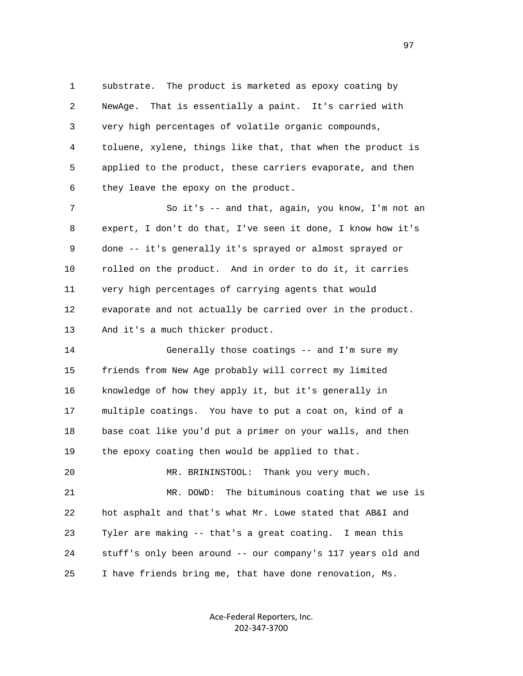1 substrate. The product is marketed as epoxy coating by 2 NewAge. That is essentially a paint. It's carried with 3 very high percentages of volatile organic compounds, 4 toluene, xylene, things like that, that when the product is 5 applied to the product, these carriers evaporate, and then 6 they leave the epoxy on the product.

7 So it's -- and that, again, you know, I'm not an 8 expert, I don't do that, I've seen it done, I know how it's 9 done -- it's generally it's sprayed or almost sprayed or 10 rolled on the product. And in order to do it, it carries 11 very high percentages of carrying agents that would 12 evaporate and not actually be carried over in the product. 13 And it's a much thicker product.

 14 Generally those coatings -- and I'm sure my 15 friends from New Age probably will correct my limited 16 knowledge of how they apply it, but it's generally in 17 multiple coatings. You have to put a coat on, kind of a 18 base coat like you'd put a primer on your walls, and then 19 the epoxy coating then would be applied to that.

 20 MR. BRININSTOOL: Thank you very much. 21 MR. DOWD: The bituminous coating that we use is 22 hot asphalt and that's what Mr. Lowe stated that AB&I and 23 Tyler are making -- that's a great coating. I mean this 24 stuff's only been around -- our company's 117 years old and 25 I have friends bring me, that have done renovation, Ms.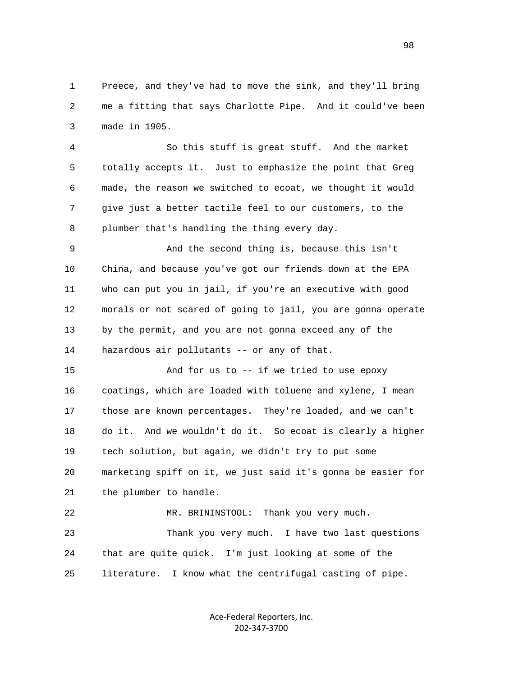1 Preece, and they've had to move the sink, and they'll bring 2 me a fitting that says Charlotte Pipe. And it could've been 3 made in 1905.

 4 So this stuff is great stuff. And the market 5 totally accepts it. Just to emphasize the point that Greg 6 made, the reason we switched to ecoat, we thought it would 7 give just a better tactile feel to our customers, to the 8 plumber that's handling the thing every day.

 9 And the second thing is, because this isn't 10 China, and because you've got our friends down at the EPA 11 who can put you in jail, if you're an executive with good 12 morals or not scared of going to jail, you are gonna operate 13 by the permit, and you are not gonna exceed any of the 14 hazardous air pollutants -- or any of that.

 15 And for us to -- if we tried to use epoxy 16 coatings, which are loaded with toluene and xylene, I mean 17 those are known percentages. They're loaded, and we can't 18 do it. And we wouldn't do it. So ecoat is clearly a higher 19 tech solution, but again, we didn't try to put some 20 marketing spiff on it, we just said it's gonna be easier for 21 the plumber to handle.

 22 MR. BRININSTOOL: Thank you very much. 23 Thank you very much. I have two last questions 24 that are quite quick. I'm just looking at some of the 25 literature. I know what the centrifugal casting of pipe.

> Ace-Federal Reporters, Inc. 202-347-3700

en 1980 en 1980 en 1980 en 1980 en 1980 en 1980 en 1980 en 1980 en 1980 en 1980 en 1980 en 1980 en 1980 en 19<br>De grote en 1980 en 1980 en 1980 en 1980 en 1980 en 1980 en 1980 en 1980 en 1980 en 1980 en 1980 en 1980 en 19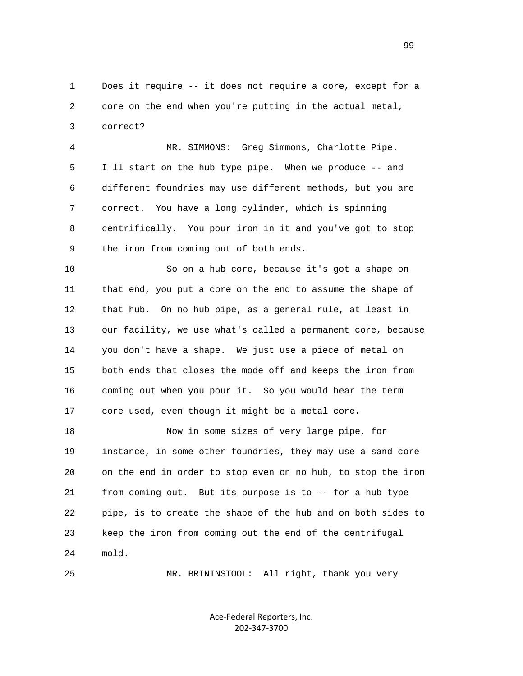1 Does it require -- it does not require a core, except for a 2 core on the end when you're putting in the actual metal, 3 correct?

 4 MR. SIMMONS: Greg Simmons, Charlotte Pipe. 5 I'll start on the hub type pipe. When we produce -- and 6 different foundries may use different methods, but you are 7 correct. You have a long cylinder, which is spinning 8 centrifically. You pour iron in it and you've got to stop 9 the iron from coming out of both ends.

 10 So on a hub core, because it's got a shape on 11 that end, you put a core on the end to assume the shape of 12 that hub. On no hub pipe, as a general rule, at least in 13 our facility, we use what's called a permanent core, because 14 you don't have a shape. We just use a piece of metal on 15 both ends that closes the mode off and keeps the iron from 16 coming out when you pour it. So you would hear the term 17 core used, even though it might be a metal core.

 18 Now in some sizes of very large pipe, for 19 instance, in some other foundries, they may use a sand core 20 on the end in order to stop even on no hub, to stop the iron 21 from coming out. But its purpose is to -- for a hub type 22 pipe, is to create the shape of the hub and on both sides to 23 keep the iron from coming out the end of the centrifugal 24 mold.

25 MR. BRININSTOOL: All right, thank you very

Ace-Federal Reporters, Inc. 202-347-3700

99 and the state of the state of the state of the state of the state of the state of the state of the state of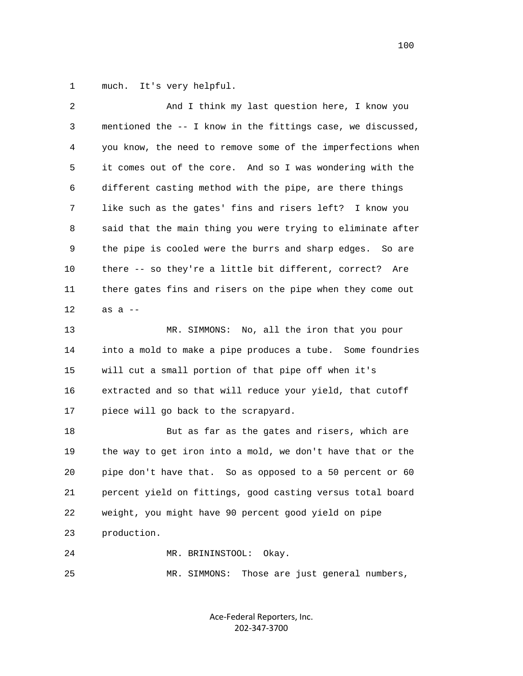1 much. It's very helpful.

| $\overline{c}$ | And I think my last question here, I know you                |
|----------------|--------------------------------------------------------------|
| 3              | mentioned the -- I know in the fittings case, we discussed,  |
| 4              | you know, the need to remove some of the imperfections when  |
| 5              | it comes out of the core. And so I was wondering with the    |
| 6              | different casting method with the pipe, are there things     |
| 7              | like such as the gates' fins and risers left? I know you     |
| 8              | said that the main thing you were trying to eliminate after  |
| 9              | the pipe is cooled were the burrs and sharp edges.<br>So are |
| 10             | there -- so they're a little bit different, correct?<br>Are  |
| 11             | there gates fins and risers on the pipe when they come out   |
| 12             | as $a$ --                                                    |
| 13             | MR. SIMMONS: No, all the iron that you pour                  |
| 14             | into a mold to make a pipe produces a tube. Some foundries   |
| 15             | will cut a small portion of that pipe off when it's          |
| 16             | extracted and so that will reduce your yield, that cutoff    |
| 17             | piece will go back to the scrapyard.                         |
| 18             | But as far as the gates and risers, which are                |
| 19             | the way to get iron into a mold, we don't have that or the   |
| 20             | pipe don't have that. So as opposed to a 50 percent or 60    |
| 21             | percent yield on fittings, good casting versus total board   |
| 22             | weight, you might have 90 percent good yield on pipe         |
| 23             | production.                                                  |
| 24             | MR. BRININSTOOL:<br>Okay.                                    |
| 25             | Those are just general numbers,<br>MR. SIMMONS:              |
|                |                                                              |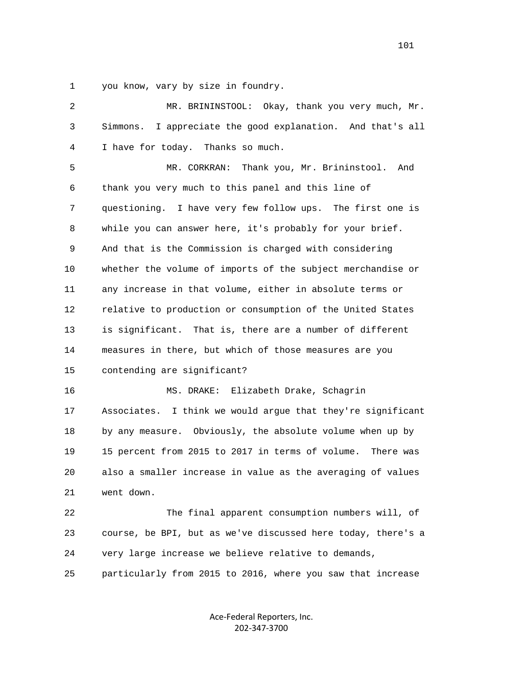1 you know, vary by size in foundry.

| 2            | MR. BRININSTOOL: Okay, thank you very much, Mr.               |
|--------------|---------------------------------------------------------------|
| $\mathsf{3}$ | I appreciate the good explanation. And that's all<br>Simmons. |
| 4            | I have for today. Thanks so much.                             |
| 5            | Thank you, Mr. Brininstool.<br>MR. CORKRAN:<br>And            |
| 6            | thank you very much to this panel and this line of            |
| 7            | questioning. I have very few follow ups. The first one is     |
| 8            | while you can answer here, it's probably for your brief.      |
| 9            | And that is the Commission is charged with considering        |
| 10           | whether the volume of imports of the subject merchandise or   |
| 11           | any increase in that volume, either in absolute terms or      |
| 12           | relative to production or consumption of the United States    |
| 13           | is significant. That is, there are a number of different      |
| 14           | measures in there, but which of those measures are you        |
| 15           | contending are significant?                                   |
| 16           | Elizabeth Drake, Schagrin<br>MS. DRAKE:                       |
| 17           | Associates. I think we would argue that they're significant   |
| 18           | by any measure. Obviously, the absolute volume when up by     |
| 19           | 15 percent from 2015 to 2017 in terms of volume.<br>There was |
| 20           | also a smaller increase in value as the averaging of values   |
| 21           | went down.                                                    |
| 22           | The final apparent consumption numbers will, of               |
| 23           | course, be BPI, but as we've discussed here today, there's a  |
| 24           | very large increase we believe relative to demands,           |
| 25           | particularly from 2015 to 2016, where you saw that increase   |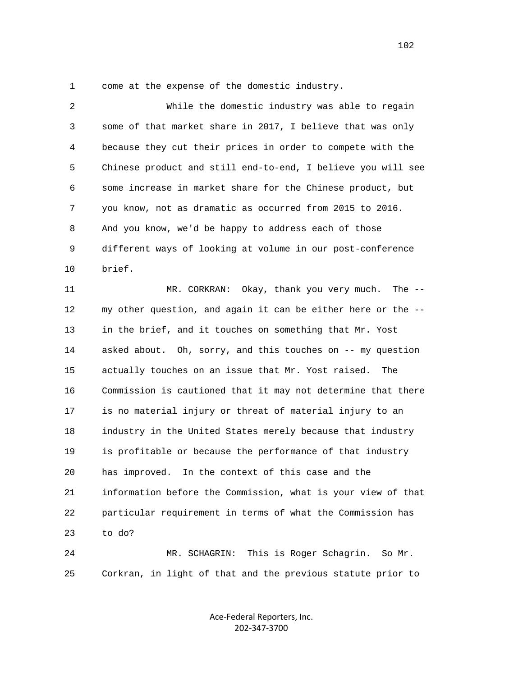1 come at the expense of the domestic industry.

| 2  | While the domestic industry was able to regain               |
|----|--------------------------------------------------------------|
| 3  | some of that market share in 2017, I believe that was only   |
| 4  | because they cut their prices in order to compete with the   |
| 5  | Chinese product and still end-to-end, I believe you will see |
| 6  | some increase in market share for the Chinese product, but   |
| 7  | you know, not as dramatic as occurred from 2015 to 2016.     |
| 8  | And you know, we'd be happy to address each of those         |
| 9  | different ways of looking at volume in our post-conference   |
| 10 | brief.                                                       |
| 11 | MR. CORKRAN: Okay, thank you very much. The --               |
| 12 | my other question, and again it can be either here or the -- |
| 13 | in the brief, and it touches on something that Mr. Yost      |
| 14 | asked about. Oh, sorry, and this touches on -- my question   |
| 15 | actually touches on an issue that Mr. Yost raised.<br>The    |
| 16 | Commission is cautioned that it may not determine that there |
| 17 | is no material injury or threat of material injury to an     |
| 18 | industry in the United States merely because that industry   |
| 19 | is profitable or because the performance of that industry    |
| 20 | has improved. In the context of this case and the            |
| 21 | information before the Commission, what is your view of that |
| 22 | particular requirement in terms of what the Commission has   |
| 23 | to do?                                                       |
| 24 | This is Roger Schagrin.<br>MR. SCHAGRIN:<br>So Mr.           |
| 25 | Corkran, in light of that and the previous statute prior to  |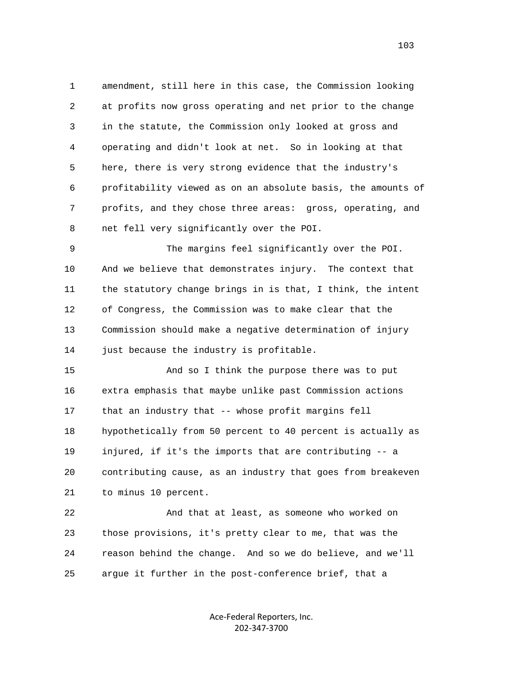1 amendment, still here in this case, the Commission looking 2 at profits now gross operating and net prior to the change 3 in the statute, the Commission only looked at gross and 4 operating and didn't look at net. So in looking at that 5 here, there is very strong evidence that the industry's 6 profitability viewed as on an absolute basis, the amounts of 7 profits, and they chose three areas: gross, operating, and 8 net fell very significantly over the POI.

 9 The margins feel significantly over the POI. 10 And we believe that demonstrates injury. The context that 11 the statutory change brings in is that, I think, the intent 12 of Congress, the Commission was to make clear that the 13 Commission should make a negative determination of injury 14 just because the industry is profitable.

 15 And so I think the purpose there was to put 16 extra emphasis that maybe unlike past Commission actions 17 that an industry that -- whose profit margins fell 18 hypothetically from 50 percent to 40 percent is actually as 19 injured, if it's the imports that are contributing -- a 20 contributing cause, as an industry that goes from breakeven 21 to minus 10 percent.

 22 And that at least, as someone who worked on 23 those provisions, it's pretty clear to me, that was the 24 reason behind the change. And so we do believe, and we'll 25 argue it further in the post-conference brief, that a

> Ace-Federal Reporters, Inc. 202-347-3700

103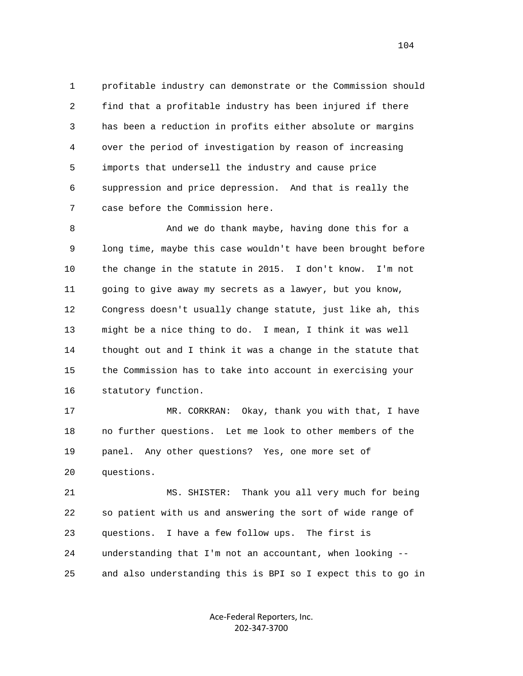1 profitable industry can demonstrate or the Commission should 2 find that a profitable industry has been injured if there 3 has been a reduction in profits either absolute or margins 4 over the period of investigation by reason of increasing 5 imports that undersell the industry and cause price 6 suppression and price depression. And that is really the 7 case before the Commission here.

 8 And we do thank maybe, having done this for a 9 long time, maybe this case wouldn't have been brought before 10 the change in the statute in 2015. I don't know. I'm not 11 going to give away my secrets as a lawyer, but you know, 12 Congress doesn't usually change statute, just like ah, this 13 might be a nice thing to do. I mean, I think it was well 14 thought out and I think it was a change in the statute that 15 the Commission has to take into account in exercising your 16 statutory function.

 17 MR. CORKRAN: Okay, thank you with that, I have 18 no further questions. Let me look to other members of the 19 panel. Any other questions? Yes, one more set of 20 questions.

 21 MS. SHISTER: Thank you all very much for being 22 so patient with us and answering the sort of wide range of 23 questions. I have a few follow ups. The first is 24 understanding that I'm not an accountant, when looking -- 25 and also understanding this is BPI so I expect this to go in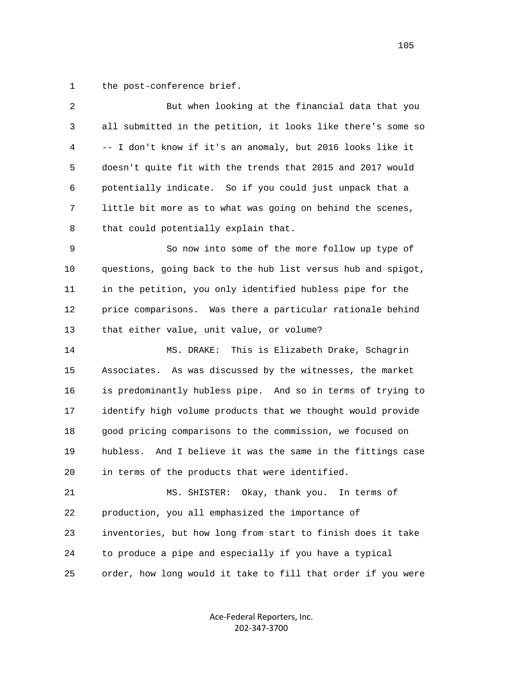1 the post-conference brief.

| $\sqrt{2}$ | But when looking at the financial data that you                |
|------------|----------------------------------------------------------------|
| 3          | all submitted in the petition, it looks like there's some so   |
| 4          | -- I don't know if it's an anomaly, but 2016 looks like it     |
| 5          | doesn't quite fit with the trends that 2015 and 2017 would     |
| 6          | potentially indicate. So if you could just unpack that a       |
| 7          | little bit more as to what was going on behind the scenes,     |
| 8          | that could potentially explain that.                           |
| 9          | So now into some of the more follow up type of                 |
| 10         | questions, going back to the hub list versus hub and spigot,   |
| 11         | in the petition, you only identified hubless pipe for the      |
| 12         | price comparisons. Was there a particular rationale behind     |
| 13         | that either value, unit value, or volume?                      |
| 14         | This is Elizabeth Drake, Schagrin<br>MS. DRAKE:                |
| 15         | Associates. As was discussed by the witnesses, the market      |
| 16         | is predominantly hubless pipe. And so in terms of trying to    |
| 17         | identify high volume products that we thought would provide    |
| 18         | good pricing comparisons to the commission, we focused on      |
| 19         | And I believe it was the same in the fittings case<br>hubless. |
| 20         | in terms of the products that were identified.                 |
| 21         | MS. SHISTER: Okay, thank you. In terms of                      |
| 22         | production, you all emphasized the importance of               |
| 23         | inventories, but how long from start to finish does it take    |
| 24         | to produce a pipe and especially if you have a typical         |
| 25         | order, how long would it take to fill that order if you were   |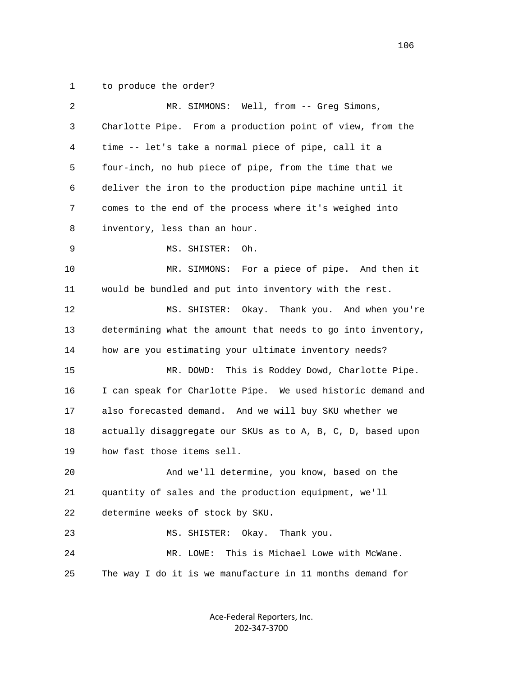1 to produce the order?

| 2  | MR. SIMMONS: Well, from -- Greg Simons,                      |
|----|--------------------------------------------------------------|
| 3  | Charlotte Pipe. From a production point of view, from the    |
| 4  | time -- let's take a normal piece of pipe, call it a         |
| 5  | four-inch, no hub piece of pipe, from the time that we       |
| 6  | deliver the iron to the production pipe machine until it     |
| 7  | comes to the end of the process where it's weighed into      |
| 8  | inventory, less than an hour.                                |
| 9  | Oh.<br>MS. SHISTER:                                          |
| 10 | MR. SIMMONS: For a piece of pipe. And then it                |
| 11 | would be bundled and put into inventory with the rest.       |
| 12 | MS. SHISTER:<br>Okay. Thank you. And when you're             |
| 13 | determining what the amount that needs to go into inventory, |
| 14 | how are you estimating your ultimate inventory needs?        |
| 15 | MR. DOWD:<br>This is Roddey Dowd, Charlotte Pipe.            |
| 16 | I can speak for Charlotte Pipe. We used historic demand and  |
| 17 | also forecasted demand. And we will buy SKU whether we       |
| 18 | actually disaggregate our SKUs as to A, B, C, D, based upon  |
| 19 | how fast those items sell.                                   |
| 20 | And we'll determine, you know, based on the                  |
| 21 | quantity of sales and the production equipment, we'll        |
| 22 | determine weeks of stock by SKU.                             |
| 23 | MS. SHISTER:<br>Okay. Thank you.                             |
| 24 | This is Michael Lowe with McWane.<br>MR. LOWE:               |
| 25 | The way I do it is we manufacture in 11 months demand for    |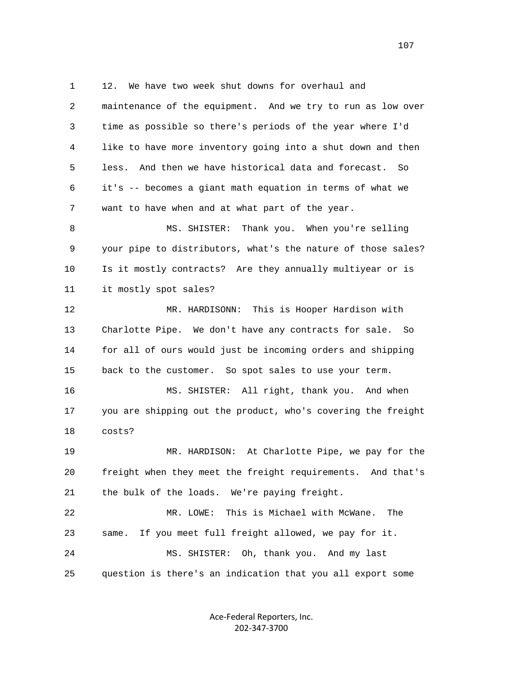1 12. We have two week shut downs for overhaul and 2 maintenance of the equipment. And we try to run as low over 3 time as possible so there's periods of the year where I'd 4 like to have more inventory going into a shut down and then 5 less. And then we have historical data and forecast. So 6 it's -- becomes a giant math equation in terms of what we 7 want to have when and at what part of the year. 8 MS. SHISTER: Thank you. When you're selling 9 your pipe to distributors, what's the nature of those sales? 10 Is it mostly contracts? Are they annually multiyear or is 11 it mostly spot sales? 12 MR. HARDISONN: This is Hooper Hardison with 13 Charlotte Pipe. We don't have any contracts for sale. So 14 for all of ours would just be incoming orders and shipping 15 back to the customer. So spot sales to use your term. 16 MS. SHISTER: All right, thank you. And when 17 you are shipping out the product, who's covering the freight 18 costs? 19 MR. HARDISON: At Charlotte Pipe, we pay for the 20 freight when they meet the freight requirements. And that's 21 the bulk of the loads. We're paying freight. 22 MR. LOWE: This is Michael with McWane. The 23 same. If you meet full freight allowed, we pay for it. 24 MS. SHISTER: Oh, thank you. And my last 25 question is there's an indication that you all export some

> Ace-Federal Reporters, Inc. 202-347-3700

107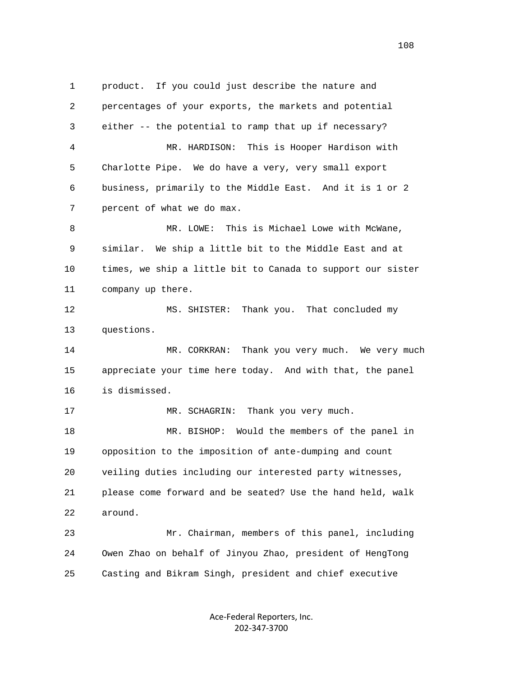1 product. If you could just describe the nature and 2 percentages of your exports, the markets and potential 3 either -- the potential to ramp that up if necessary? 4 MR. HARDISON: This is Hooper Hardison with 5 Charlotte Pipe. We do have a very, very small export 6 business, primarily to the Middle East. And it is 1 or 2 7 percent of what we do max. 8 MR. LOWE: This is Michael Lowe with McWane, 9 similar. We ship a little bit to the Middle East and at 10 times, we ship a little bit to Canada to support our sister 11 company up there. 12 MS. SHISTER: Thank you. That concluded my 13 questions. 14 MR. CORKRAN: Thank you very much. We very much 15 appreciate your time here today. And with that, the panel 16 is dismissed. 17 MR. SCHAGRIN: Thank you very much. 18 MR. BISHOP: Would the members of the panel in 19 opposition to the imposition of ante-dumping and count 20 veiling duties including our interested party witnesses, 21 please come forward and be seated? Use the hand held, walk 22 around. 23 Mr. Chairman, members of this panel, including 24 Owen Zhao on behalf of Jinyou Zhao, president of HengTong

> Ace-Federal Reporters, Inc. 202-347-3700

25 Casting and Bikram Singh, president and chief executive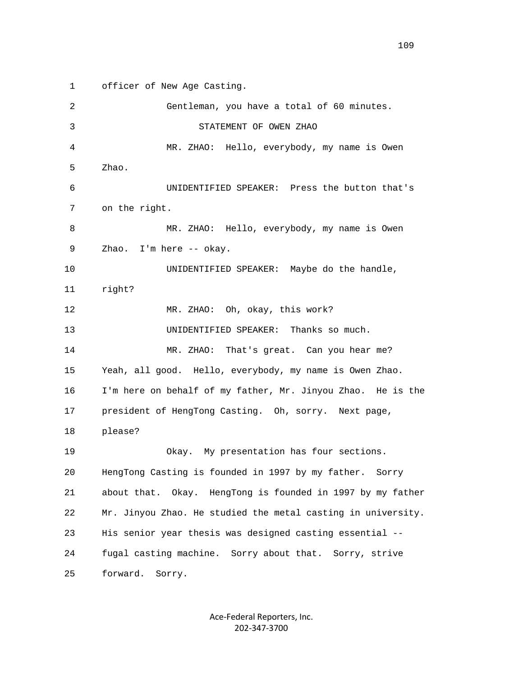1 officer of New Age Casting.

| 2  | Gentleman, you have a total of 60 minutes.                   |
|----|--------------------------------------------------------------|
| 3  | STATEMENT OF OWEN ZHAO                                       |
| 4  | MR. ZHAO: Hello, everybody, my name is Owen                  |
| 5  | Zhao.                                                        |
| 6  | UNIDENTIFIED SPEAKER: Press the button that's                |
| 7  | on the right.                                                |
| 8  | MR. ZHAO: Hello, everybody, my name is Owen                  |
| 9  | Zhao.<br>I'm here -- okay.                                   |
| 10 | UNIDENTIFIED SPEAKER: Maybe do the handle,                   |
| 11 | right?                                                       |
| 12 | MR. ZHAO: Oh, okay, this work?                               |
| 13 | Thanks so much.<br>UNIDENTIFIED SPEAKER:                     |
| 14 | MR. ZHAO: That's great. Can you hear me?                     |
| 15 | Yeah, all good. Hello, everybody, my name is Owen Zhao.      |
| 16 | I'm here on behalf of my father, Mr. Jinyou Zhao. He is the  |
| 17 | president of HengTong Casting. Oh, sorry. Next page,         |
| 18 | please?                                                      |
| 19 | Okay. My presentation has four sections.                     |
| 20 | HengTong Casting is founded in 1997 by my father. Sorry      |
| 21 | about that. Okay. HengTong is founded in 1997 by my father   |
| 22 | Mr. Jinyou Zhao. He studied the metal casting in university. |
| 23 | His senior year thesis was designed casting essential --     |
| 24 | fugal casting machine. Sorry about that. Sorry, strive       |
| 25 | forward.<br>Sorry.                                           |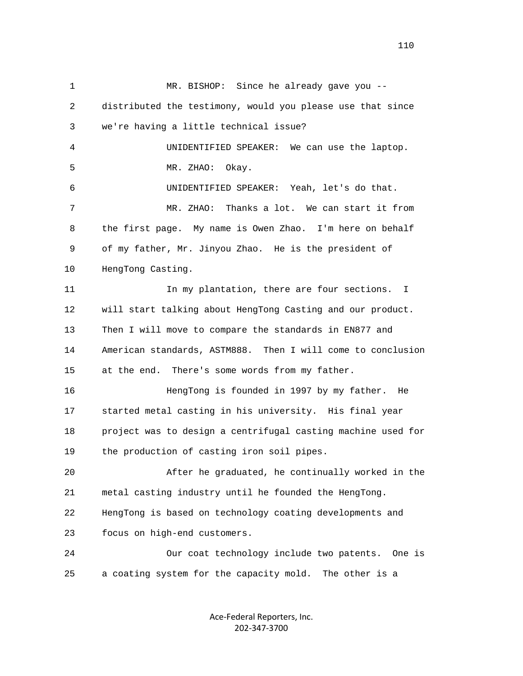1 MR. BISHOP: Since he already gave you -- 2 distributed the testimony, would you please use that since 3 we're having a little technical issue? 4 UNIDENTIFIED SPEAKER: We can use the laptop. 5 MR. ZHAO: Okay. 6 UNIDENTIFIED SPEAKER: Yeah, let's do that. 7 MR. ZHAO: Thanks a lot. We can start it from 8 the first page. My name is Owen Zhao. I'm here on behalf 9 of my father, Mr. Jinyou Zhao. He is the president of 10 HengTong Casting. 11 11 In my plantation, there are four sections. I 12 will start talking about HengTong Casting and our product. 13 Then I will move to compare the standards in EN877 and 14 American standards, ASTM888. Then I will come to conclusion 15 at the end. There's some words from my father. 16 HengTong is founded in 1997 by my father. He 17 started metal casting in his university. His final year 18 project was to design a centrifugal casting machine used for 19 the production of casting iron soil pipes. 20 After he graduated, he continually worked in the 21 metal casting industry until he founded the HengTong. 22 HengTong is based on technology coating developments and 23 focus on high-end customers. 24 Our coat technology include two patents. One is 25 a coating system for the capacity mold. The other is a

> Ace-Federal Reporters, Inc. 202-347-3700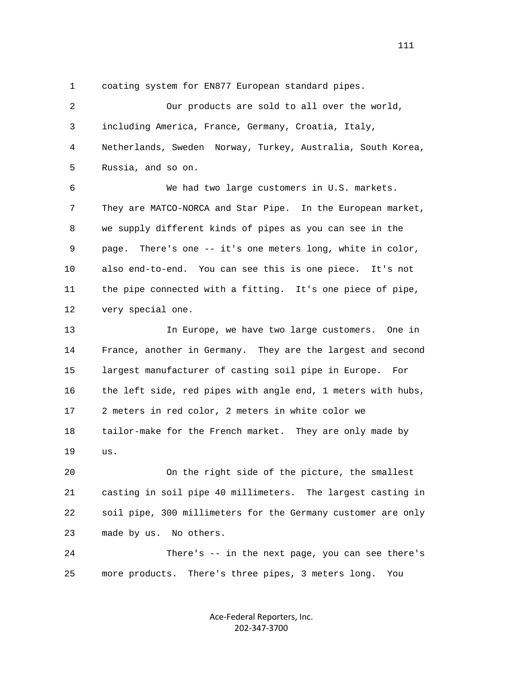1 coating system for EN877 European standard pipes.

 2 Our products are sold to all over the world, 3 including America, France, Germany, Croatia, Italy, 4 Netherlands, Sweden Norway, Turkey, Australia, South Korea, 5 Russia, and so on. 6 We had two large customers in U.S. markets. 7 They are MATCO-NORCA and Star Pipe. In the European market, 8 we supply different kinds of pipes as you can see in the 9 page. There's one -- it's one meters long, white in color, 10 also end-to-end. You can see this is one piece. It's not 11 the pipe connected with a fitting. It's one piece of pipe, 12 very special one. 13 In Europe, we have two large customers. One in 14 France, another in Germany. They are the largest and second 15 largest manufacturer of casting soil pipe in Europe. For 16 the left side, red pipes with angle end, 1 meters with hubs, 17 2 meters in red color, 2 meters in white color we 18 tailor-make for the French market. They are only made by 19 us. 20 On the right side of the picture, the smallest 21 casting in soil pipe 40 millimeters. The largest casting in 22 soil pipe, 300 millimeters for the Germany customer are only 23 made by us. No others. 24 There's -- in the next page, you can see there's 25 more products. There's three pipes, 3 meters long. You

> Ace-Federal Reporters, Inc. 202-347-3700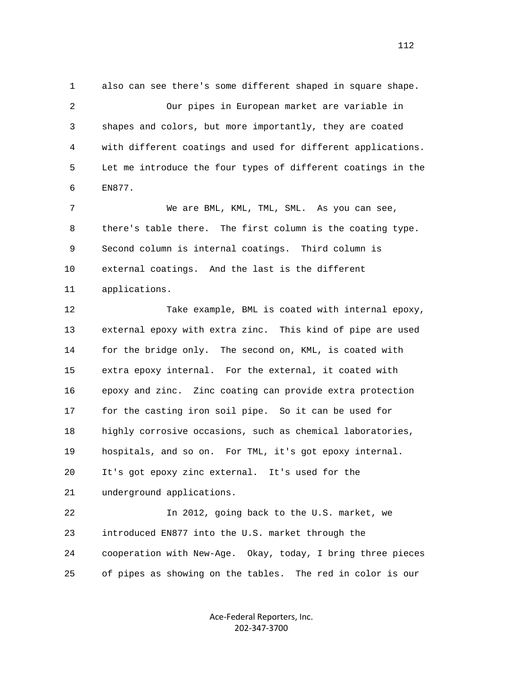1 also can see there's some different shaped in square shape. 2 Our pipes in European market are variable in 3 shapes and colors, but more importantly, they are coated 4 with different coatings and used for different applications. 5 Let me introduce the four types of different coatings in the 6 EN877.

 7 We are BML, KML, TML, SML. As you can see, 8 there's table there. The first column is the coating type. 9 Second column is internal coatings. Third column is 10 external coatings. And the last is the different 11 applications.

 12 Take example, BML is coated with internal epoxy, 13 external epoxy with extra zinc. This kind of pipe are used 14 for the bridge only. The second on, KML, is coated with 15 extra epoxy internal. For the external, it coated with 16 epoxy and zinc. Zinc coating can provide extra protection 17 for the casting iron soil pipe. So it can be used for 18 highly corrosive occasions, such as chemical laboratories, 19 hospitals, and so on. For TML, it's got epoxy internal. 20 It's got epoxy zinc external. It's used for the 21 underground applications. 22 In 2012, going back to the U.S. market, we 23 introduced EN877 into the U.S. market through the 24 cooperation with New-Age. Okay, today, I bring three pieces

25 of pipes as showing on the tables. The red in color is our

Ace-Federal Reporters, Inc. 202-347-3700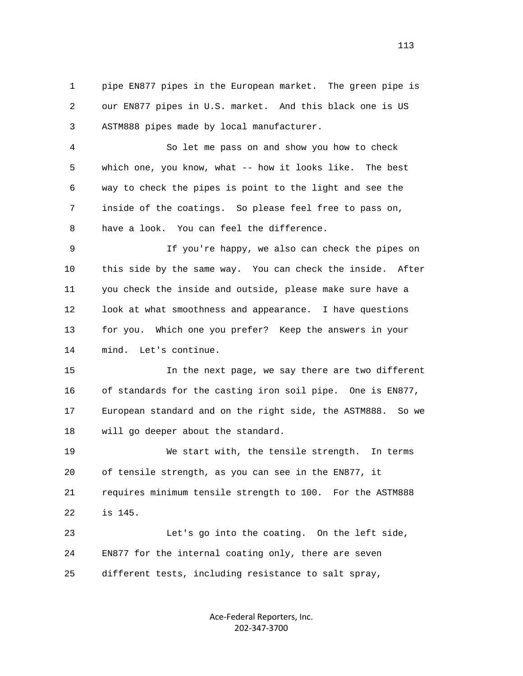1 pipe EN877 pipes in the European market. The green pipe is 2 our EN877 pipes in U.S. market. And this black one is US 3 ASTM888 pipes made by local manufacturer.

 4 So let me pass on and show you how to check 5 which one, you know, what -- how it looks like. The best 6 way to check the pipes is point to the light and see the 7 inside of the coatings. So please feel free to pass on, 8 have a look. You can feel the difference.

 9 If you're happy, we also can check the pipes on 10 this side by the same way. You can check the inside. After 11 you check the inside and outside, please make sure have a 12 look at what smoothness and appearance. I have questions 13 for you. Which one you prefer? Keep the answers in your 14 mind. Let's continue.

 15 In the next page, we say there are two different 16 of standards for the casting iron soil pipe. One is EN877, 17 European standard and on the right side, the ASTM888. So we 18 will go deeper about the standard.

 19 We start with, the tensile strength. In terms 20 of tensile strength, as you can see in the EN877, it 21 requires minimum tensile strength to 100. For the ASTM888 22 is 145.

 23 Let's go into the coating. On the left side, 24 EN877 for the internal coating only, there are seven 25 different tests, including resistance to salt spray,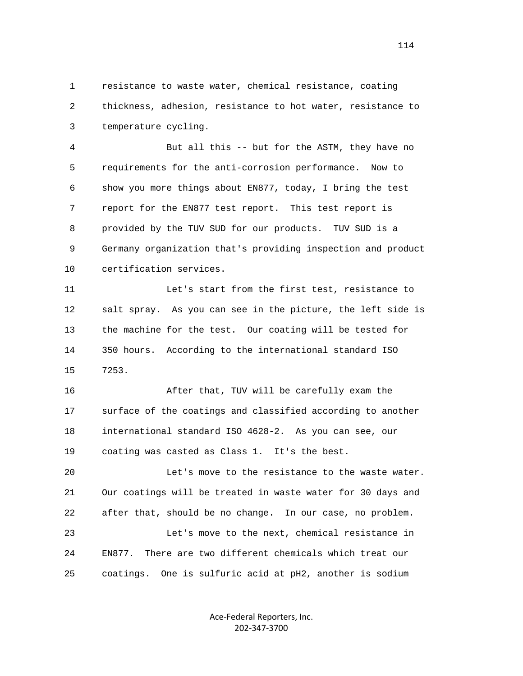1 resistance to waste water, chemical resistance, coating 2 thickness, adhesion, resistance to hot water, resistance to 3 temperature cycling.

 4 But all this -- but for the ASTM, they have no 5 requirements for the anti-corrosion performance. Now to 6 show you more things about EN877, today, I bring the test 7 report for the EN877 test report. This test report is 8 provided by the TUV SUD for our products. TUV SUD is a 9 Germany organization that's providing inspection and product 10 certification services.

 11 Let's start from the first test, resistance to 12 salt spray. As you can see in the picture, the left side is 13 the machine for the test. Our coating will be tested for 14 350 hours. According to the international standard ISO 15 7253.

 16 After that, TUV will be carefully exam the 17 surface of the coatings and classified according to another 18 international standard ISO 4628-2. As you can see, our 19 coating was casted as Class 1. It's the best.

 20 Let's move to the resistance to the waste water. 21 Our coatings will be treated in waste water for 30 days and 22 after that, should be no change. In our case, no problem. 23 Let's move to the next, chemical resistance in 24 EN877. There are two different chemicals which treat our 25 coatings. One is sulfuric acid at pH2, another is sodium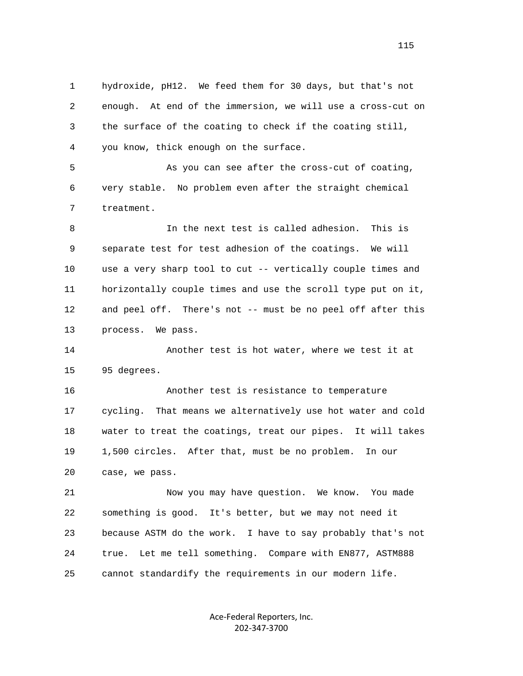1 hydroxide, pH12. We feed them for 30 days, but that's not 2 enough. At end of the immersion, we will use a cross-cut on 3 the surface of the coating to check if the coating still, 4 you know, thick enough on the surface.

 5 As you can see after the cross-cut of coating, 6 very stable. No problem even after the straight chemical 7 treatment.

 8 In the next test is called adhesion. This is 9 separate test for test adhesion of the coatings. We will 10 use a very sharp tool to cut -- vertically couple times and 11 horizontally couple times and use the scroll type put on it, 12 and peel off. There's not -- must be no peel off after this 13 process. We pass.

 14 Another test is hot water, where we test it at 15 95 degrees.

 16 Another test is resistance to temperature 17 cycling. That means we alternatively use hot water and cold 18 water to treat the coatings, treat our pipes. It will takes 19 1,500 circles. After that, must be no problem. In our 20 case, we pass.

 21 Now you may have question. We know. You made 22 something is good. It's better, but we may not need it 23 because ASTM do the work. I have to say probably that's not 24 true. Let me tell something. Compare with EN877, ASTM888 25 cannot standardify the requirements in our modern life.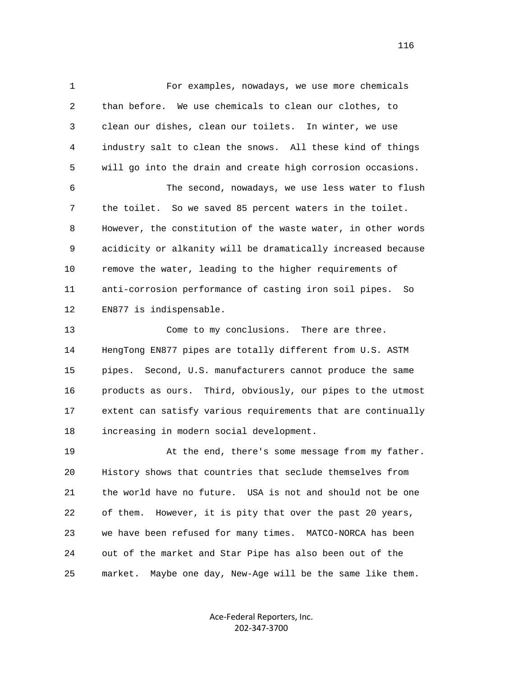1 For examples, nowadays, we use more chemicals 2 than before. We use chemicals to clean our clothes, to 3 clean our dishes, clean our toilets. In winter, we use 4 industry salt to clean the snows. All these kind of things 5 will go into the drain and create high corrosion occasions.

 6 The second, nowadays, we use less water to flush 7 the toilet. So we saved 85 percent waters in the toilet. 8 However, the constitution of the waste water, in other words 9 acidicity or alkanity will be dramatically increased because 10 remove the water, leading to the higher requirements of 11 anti-corrosion performance of casting iron soil pipes. So 12 EN877 is indispensable.

13 Come to my conclusions. There are three. 14 HengTong EN877 pipes are totally different from U.S. ASTM 15 pipes. Second, U.S. manufacturers cannot produce the same 16 products as ours. Third, obviously, our pipes to the utmost 17 extent can satisfy various requirements that are continually 18 increasing in modern social development.

19 At the end, there's some message from my father. 20 History shows that countries that seclude themselves from 21 the world have no future. USA is not and should not be one 22 of them. However, it is pity that over the past 20 years, 23 we have been refused for many times. MATCO-NORCA has been 24 out of the market and Star Pipe has also been out of the 25 market. Maybe one day, New-Age will be the same like them.

> Ace-Federal Reporters, Inc. 202-347-3700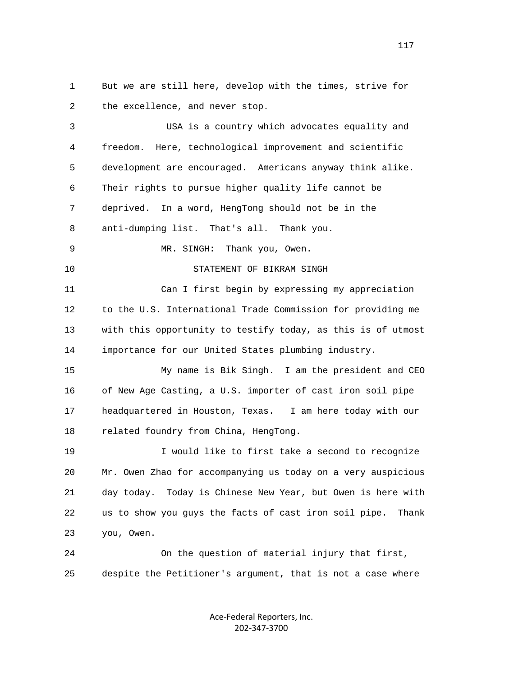1 But we are still here, develop with the times, strive for 2 the excellence, and never stop.

 3 USA is a country which advocates equality and 4 freedom. Here, technological improvement and scientific 5 development are encouraged. Americans anyway think alike. 6 Their rights to pursue higher quality life cannot be 7 deprived. In a word, HengTong should not be in the 8 anti-dumping list. That's all. Thank you. 9 MR. SINGH: Thank you, Owen. 10 STATEMENT OF BIKRAM SINGH 11 Can I first begin by expressing my appreciation 12 to the U.S. International Trade Commission for providing me 13 with this opportunity to testify today, as this is of utmost 14 importance for our United States plumbing industry. 15 My name is Bik Singh. I am the president and CEO 16 of New Age Casting, a U.S. importer of cast iron soil pipe 17 headquartered in Houston, Texas. I am here today with our 18 related foundry from China, HengTong. 19 I would like to first take a second to recognize 20 Mr. Owen Zhao for accompanying us today on a very auspicious 21 day today. Today is Chinese New Year, but Owen is here with 22 us to show you guys the facts of cast iron soil pipe. Thank 23 you, Owen. 24 On the question of material injury that first, 25 despite the Petitioner's argument, that is not a case where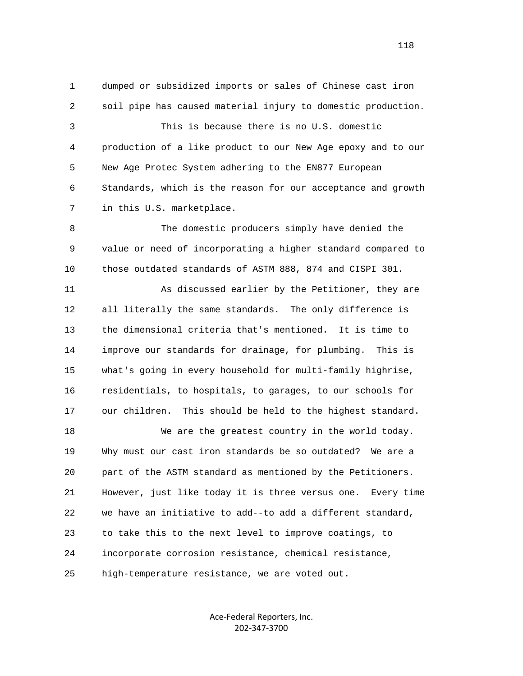1 dumped or subsidized imports or sales of Chinese cast iron 2 soil pipe has caused material injury to domestic production. 3 This is because there is no U.S. domestic 4 production of a like product to our New Age epoxy and to our 5 New Age Protec System adhering to the EN877 European 6 Standards, which is the reason for our acceptance and growth 7 in this U.S. marketplace.

 8 The domestic producers simply have denied the 9 value or need of incorporating a higher standard compared to 10 those outdated standards of ASTM 888, 874 and CISPI 301.

 11 As discussed earlier by the Petitioner, they are 12 all literally the same standards. The only difference is 13 the dimensional criteria that's mentioned. It is time to 14 improve our standards for drainage, for plumbing. This is 15 what's going in every household for multi-family highrise, 16 residentials, to hospitals, to garages, to our schools for 17 our children. This should be held to the highest standard.

 18 We are the greatest country in the world today. 19 Why must our cast iron standards be so outdated? We are a 20 part of the ASTM standard as mentioned by the Petitioners. 21 However, just like today it is three versus one. Every time 22 we have an initiative to add--to add a different standard, 23 to take this to the next level to improve coatings, to 24 incorporate corrosion resistance, chemical resistance, 25 high-temperature resistance, we are voted out.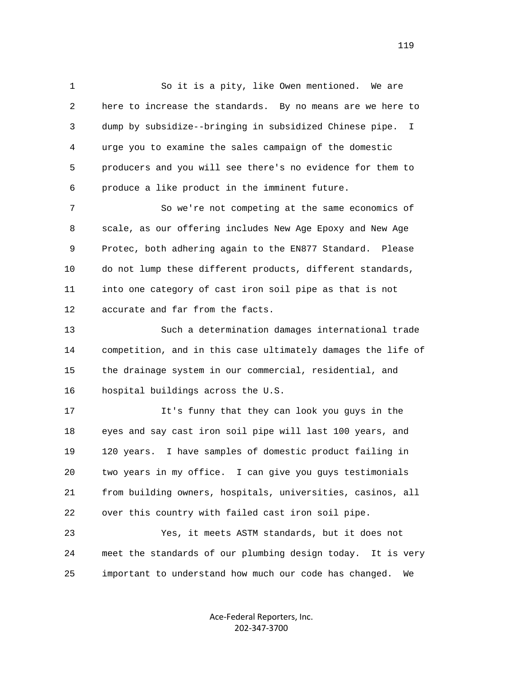1 So it is a pity, like Owen mentioned. We are 2 here to increase the standards. By no means are we here to 3 dump by subsidize--bringing in subsidized Chinese pipe. I 4 urge you to examine the sales campaign of the domestic 5 producers and you will see there's no evidence for them to 6 produce a like product in the imminent future.

 7 So we're not competing at the same economics of 8 scale, as our offering includes New Age Epoxy and New Age 9 Protec, both adhering again to the EN877 Standard. Please 10 do not lump these different products, different standards, 11 into one category of cast iron soil pipe as that is not 12 accurate and far from the facts.

 13 Such a determination damages international trade 14 competition, and in this case ultimately damages the life of 15 the drainage system in our commercial, residential, and 16 hospital buildings across the U.S.

 17 It's funny that they can look you guys in the 18 eyes and say cast iron soil pipe will last 100 years, and 19 120 years. I have samples of domestic product failing in 20 two years in my office. I can give you guys testimonials 21 from building owners, hospitals, universities, casinos, all 22 over this country with failed cast iron soil pipe.

 23 Yes, it meets ASTM standards, but it does not 24 meet the standards of our plumbing design today. It is very 25 important to understand how much our code has changed. We

> Ace-Federal Reporters, Inc. 202-347-3700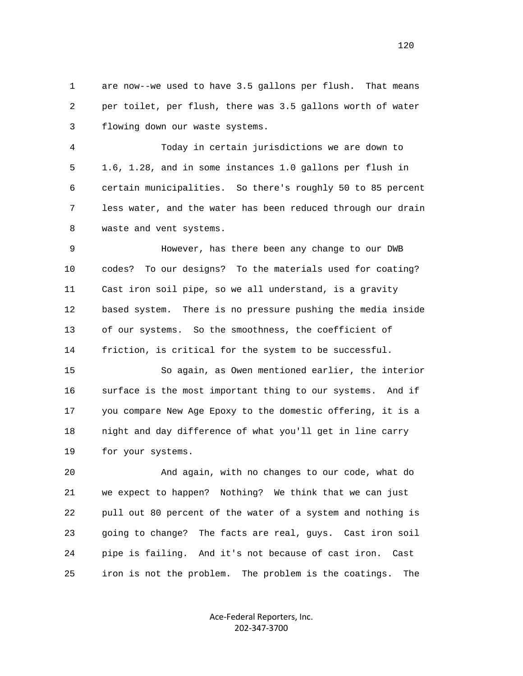1 are now--we used to have 3.5 gallons per flush. That means 2 per toilet, per flush, there was 3.5 gallons worth of water 3 flowing down our waste systems.

 4 Today in certain jurisdictions we are down to 5 1.6, 1.28, and in some instances 1.0 gallons per flush in 6 certain municipalities. So there's roughly 50 to 85 percent 7 less water, and the water has been reduced through our drain 8 waste and vent systems.

 9 However, has there been any change to our DWB 10 codes? To our designs? To the materials used for coating? 11 Cast iron soil pipe, so we all understand, is a gravity 12 based system. There is no pressure pushing the media inside 13 of our systems. So the smoothness, the coefficient of 14 friction, is critical for the system to be successful.

 15 So again, as Owen mentioned earlier, the interior 16 surface is the most important thing to our systems. And if 17 you compare New Age Epoxy to the domestic offering, it is a 18 night and day difference of what you'll get in line carry 19 for your systems.

 20 And again, with no changes to our code, what do 21 we expect to happen? Nothing? We think that we can just 22 pull out 80 percent of the water of a system and nothing is 23 going to change? The facts are real, guys. Cast iron soil 24 pipe is failing. And it's not because of cast iron. Cast 25 iron is not the problem. The problem is the coatings. The

> Ace-Federal Reporters, Inc. 202-347-3700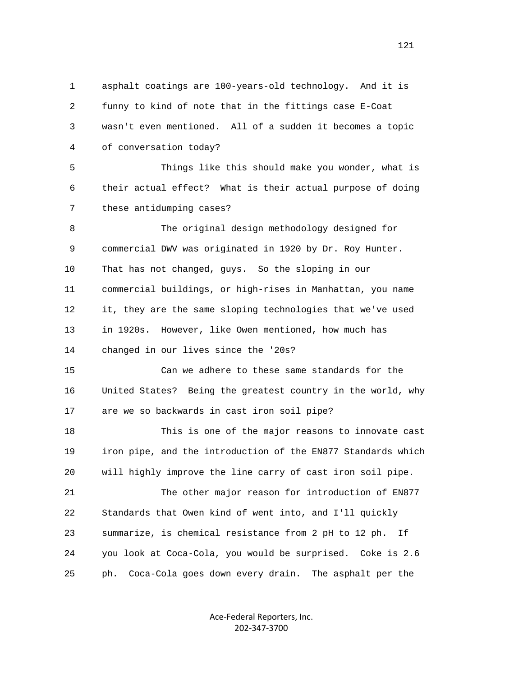1 asphalt coatings are 100-years-old technology. And it is 2 funny to kind of note that in the fittings case E-Coat 3 wasn't even mentioned. All of a sudden it becomes a topic 4 of conversation today? 5 Things like this should make you wonder, what is 6 their actual effect? What is their actual purpose of doing 7 these antidumping cases? 8 The original design methodology designed for 9 commercial DWV was originated in 1920 by Dr. Roy Hunter. 10 That has not changed, guys. So the sloping in our 11 commercial buildings, or high-rises in Manhattan, you name 12 it, they are the same sloping technologies that we've used 13 in 1920s. However, like Owen mentioned, how much has 14 changed in our lives since the '20s? 15 Can we adhere to these same standards for the 16 United States? Being the greatest country in the world, why 17 are we so backwards in cast iron soil pipe? 18 This is one of the major reasons to innovate cast 19 iron pipe, and the introduction of the EN877 Standards which 20 will highly improve the line carry of cast iron soil pipe. 21 The other major reason for introduction of EN877 22 Standards that Owen kind of went into, and I'll quickly

 23 summarize, is chemical resistance from 2 pH to 12 ph. If 24 you look at Coca-Cola, you would be surprised. Coke is 2.6 25 ph. Coca-Cola goes down every drain. The asphalt per the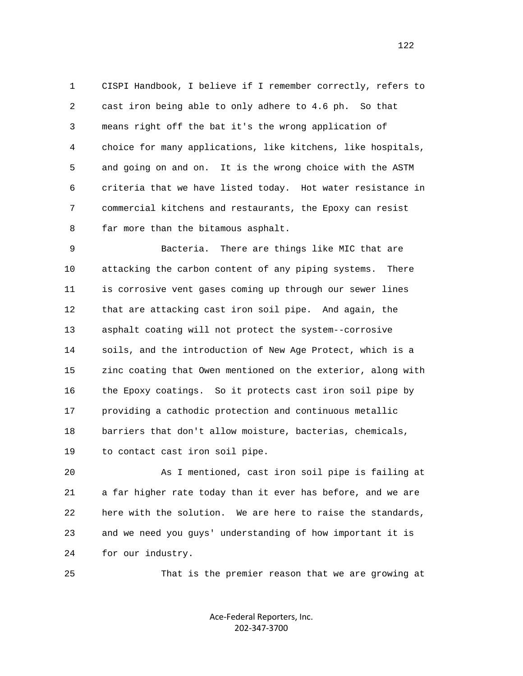1 CISPI Handbook, I believe if I remember correctly, refers to 2 cast iron being able to only adhere to 4.6 ph. So that 3 means right off the bat it's the wrong application of 4 choice for many applications, like kitchens, like hospitals, 5 and going on and on. It is the wrong choice with the ASTM 6 criteria that we have listed today. Hot water resistance in 7 commercial kitchens and restaurants, the Epoxy can resist 8 far more than the bitamous asphalt.

 9 Bacteria. There are things like MIC that are 10 attacking the carbon content of any piping systems. There 11 is corrosive vent gases coming up through our sewer lines 12 that are attacking cast iron soil pipe. And again, the 13 asphalt coating will not protect the system--corrosive 14 soils, and the introduction of New Age Protect, which is a 15 zinc coating that Owen mentioned on the exterior, along with 16 the Epoxy coatings. So it protects cast iron soil pipe by 17 providing a cathodic protection and continuous metallic 18 barriers that don't allow moisture, bacterias, chemicals, 19 to contact cast iron soil pipe.

 20 As I mentioned, cast iron soil pipe is failing at 21 a far higher rate today than it ever has before, and we are 22 here with the solution. We are here to raise the standards, 23 and we need you guys' understanding of how important it is 24 for our industry.

25 That is the premier reason that we are growing at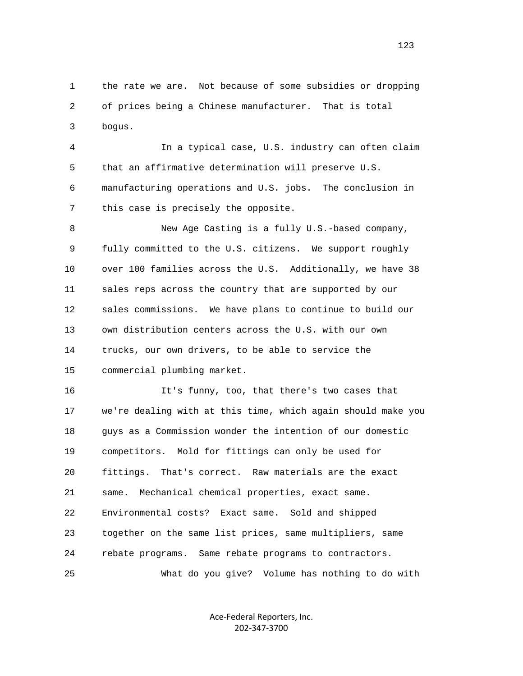1 the rate we are. Not because of some subsidies or dropping 2 of prices being a Chinese manufacturer. That is total 3 bogus.

 4 In a typical case, U.S. industry can often claim 5 that an affirmative determination will preserve U.S. 6 manufacturing operations and U.S. jobs. The conclusion in 7 this case is precisely the opposite.

 8 New Age Casting is a fully U.S.-based company, 9 fully committed to the U.S. citizens. We support roughly 10 over 100 families across the U.S. Additionally, we have 38 11 sales reps across the country that are supported by our 12 sales commissions. We have plans to continue to build our 13 own distribution centers across the U.S. with our own 14 trucks, our own drivers, to be able to service the 15 commercial plumbing market.

 16 It's funny, too, that there's two cases that 17 we're dealing with at this time, which again should make you 18 guys as a Commission wonder the intention of our domestic 19 competitors. Mold for fittings can only be used for 20 fittings. That's correct. Raw materials are the exact 21 same. Mechanical chemical properties, exact same. 22 Environmental costs? Exact same. Sold and shipped 23 together on the same list prices, same multipliers, same 24 rebate programs. Same rebate programs to contractors. 25 What do you give? Volume has nothing to do with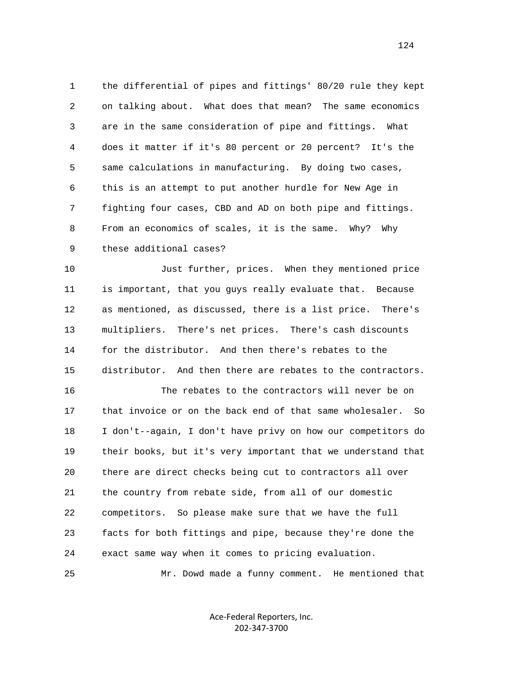1 the differential of pipes and fittings' 80/20 rule they kept 2 on talking about. What does that mean? The same economics 3 are in the same consideration of pipe and fittings. What 4 does it matter if it's 80 percent or 20 percent? It's the 5 same calculations in manufacturing. By doing two cases, 6 this is an attempt to put another hurdle for New Age in 7 fighting four cases, CBD and AD on both pipe and fittings. 8 From an economics of scales, it is the same. Why? Why 9 these additional cases?

 10 Just further, prices. When they mentioned price 11 is important, that you guys really evaluate that. Because 12 as mentioned, as discussed, there is a list price. There's 13 multipliers. There's net prices. There's cash discounts 14 for the distributor. And then there's rebates to the 15 distributor. And then there are rebates to the contractors.

 16 The rebates to the contractors will never be on 17 that invoice or on the back end of that same wholesaler. So 18 I don't--again, I don't have privy on how our competitors do 19 their books, but it's very important that we understand that 20 there are direct checks being cut to contractors all over 21 the country from rebate side, from all of our domestic 22 competitors. So please make sure that we have the full 23 facts for both fittings and pipe, because they're done the 24 exact same way when it comes to pricing evaluation.

25 Mr. Dowd made a funny comment. He mentioned that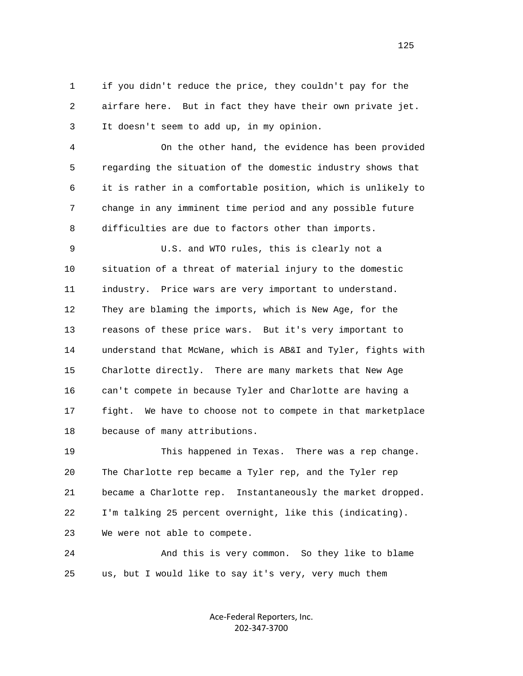1 if you didn't reduce the price, they couldn't pay for the 2 airfare here. But in fact they have their own private jet. 3 It doesn't seem to add up, in my opinion.

 4 On the other hand, the evidence has been provided 5 regarding the situation of the domestic industry shows that 6 it is rather in a comfortable position, which is unlikely to 7 change in any imminent time period and any possible future 8 difficulties are due to factors other than imports.

 9 U.S. and WTO rules, this is clearly not a 10 situation of a threat of material injury to the domestic 11 industry. Price wars are very important to understand. 12 They are blaming the imports, which is New Age, for the 13 reasons of these price wars. But it's very important to 14 understand that McWane, which is AB&I and Tyler, fights with 15 Charlotte directly. There are many markets that New Age 16 can't compete in because Tyler and Charlotte are having a 17 fight. We have to choose not to compete in that marketplace 18 because of many attributions.

 19 This happened in Texas. There was a rep change. 20 The Charlotte rep became a Tyler rep, and the Tyler rep 21 became a Charlotte rep. Instantaneously the market dropped. 22 I'm talking 25 percent overnight, like this (indicating). 23 We were not able to compete.

 24 And this is very common. So they like to blame 25 us, but I would like to say it's very, very much them

> Ace-Federal Reporters, Inc. 202-347-3700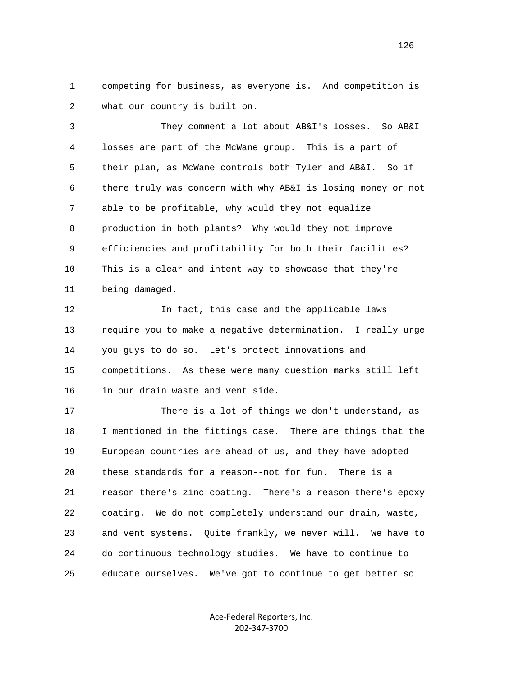1 competing for business, as everyone is. And competition is 2 what our country is built on.

 3 They comment a lot about AB&I's losses. So AB&I 4 losses are part of the McWane group. This is a part of 5 their plan, as McWane controls both Tyler and AB&I. So if 6 there truly was concern with why AB&I is losing money or not 7 able to be profitable, why would they not equalize 8 production in both plants? Why would they not improve 9 efficiencies and profitability for both their facilities? 10 This is a clear and intent way to showcase that they're 11 being damaged.

 12 In fact, this case and the applicable laws 13 require you to make a negative determination. I really urge 14 you guys to do so. Let's protect innovations and 15 competitions. As these were many question marks still left 16 in our drain waste and vent side.

 17 There is a lot of things we don't understand, as 18 I mentioned in the fittings case. There are things that the 19 European countries are ahead of us, and they have adopted 20 these standards for a reason--not for fun. There is a 21 reason there's zinc coating. There's a reason there's epoxy 22 coating. We do not completely understand our drain, waste, 23 and vent systems. Quite frankly, we never will. We have to 24 do continuous technology studies. We have to continue to 25 educate ourselves. We've got to continue to get better so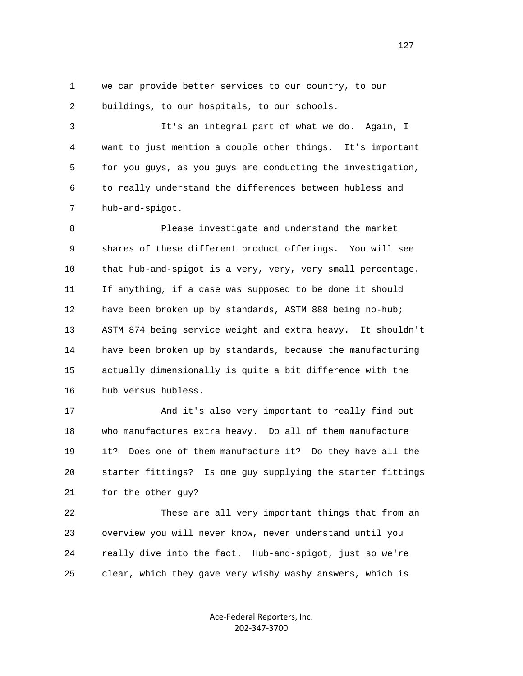1 we can provide better services to our country, to our 2 buildings, to our hospitals, to our schools.

 3 It's an integral part of what we do. Again, I 4 want to just mention a couple other things. It's important 5 for you guys, as you guys are conducting the investigation, 6 to really understand the differences between hubless and 7 hub-and-spigot.

 8 Please investigate and understand the market 9 shares of these different product offerings. You will see 10 that hub-and-spigot is a very, very, very small percentage. 11 If anything, if a case was supposed to be done it should 12 have been broken up by standards, ASTM 888 being no-hub; 13 ASTM 874 being service weight and extra heavy. It shouldn't 14 have been broken up by standards, because the manufacturing 15 actually dimensionally is quite a bit difference with the 16 hub versus hubless.

 17 And it's also very important to really find out 18 who manufactures extra heavy. Do all of them manufacture 19 it? Does one of them manufacture it? Do they have all the 20 starter fittings? Is one guy supplying the starter fittings 21 for the other guy?

 22 These are all very important things that from an 23 overview you will never know, never understand until you 24 really dive into the fact. Hub-and-spigot, just so we're 25 clear, which they gave very wishy washy answers, which is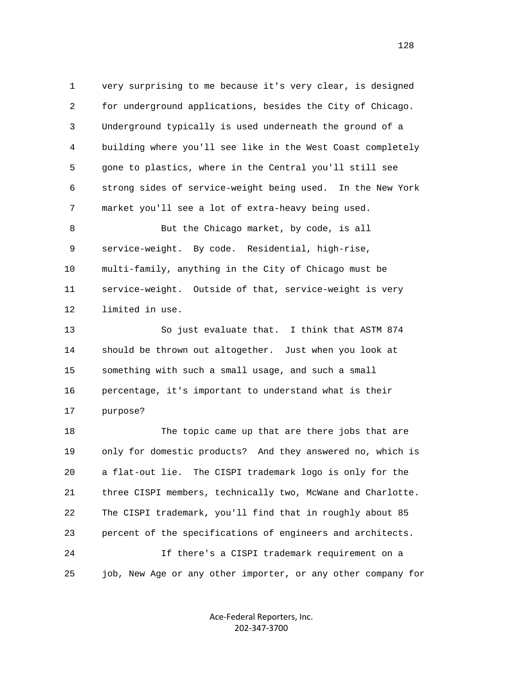1 very surprising to me because it's very clear, is designed 2 for underground applications, besides the City of Chicago. 3 Underground typically is used underneath the ground of a 4 building where you'll see like in the West Coast completely 5 gone to plastics, where in the Central you'll still see 6 strong sides of service-weight being used. In the New York 7 market you'll see a lot of extra-heavy being used.

 8 But the Chicago market, by code, is all 9 service-weight. By code. Residential, high-rise, 10 multi-family, anything in the City of Chicago must be 11 service-weight. Outside of that, service-weight is very 12 limited in use.

 13 So just evaluate that. I think that ASTM 874 14 should be thrown out altogether. Just when you look at 15 something with such a small usage, and such a small 16 percentage, it's important to understand what is their 17 purpose?

 18 The topic came up that are there jobs that are 19 only for domestic products? And they answered no, which is 20 a flat-out lie. The CISPI trademark logo is only for the 21 three CISPI members, technically two, McWane and Charlotte. 22 The CISPI trademark, you'll find that in roughly about 85 23 percent of the specifications of engineers and architects. 24 If there's a CISPI trademark requirement on a 25 job, New Age or any other importer, or any other company for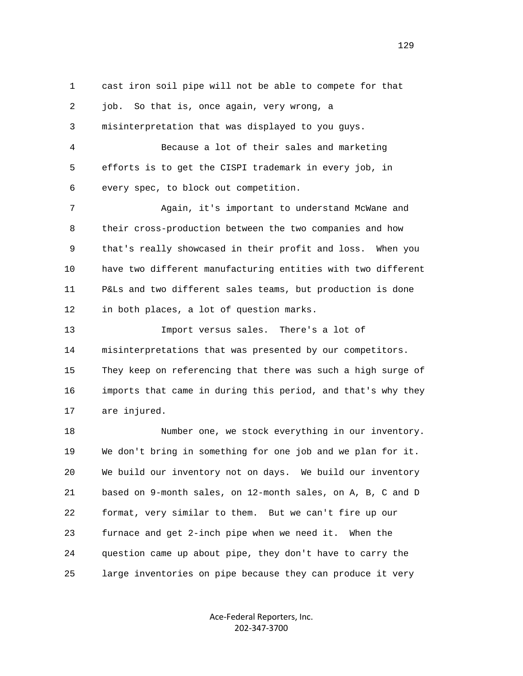1 cast iron soil pipe will not be able to compete for that 2 job. So that is, once again, very wrong, a 3 misinterpretation that was displayed to you guys. 4 Because a lot of their sales and marketing 5 efforts is to get the CISPI trademark in every job, in 6 every spec, to block out competition. 7 Again, it's important to understand McWane and 8 their cross-production between the two companies and how 9 that's really showcased in their profit and loss. When you 10 have two different manufacturing entities with two different 11 P&Ls and two different sales teams, but production is done 12 in both places, a lot of question marks. 13 Import versus sales. There's a lot of 14 misinterpretations that was presented by our competitors. 15 They keep on referencing that there was such a high surge of 16 imports that came in during this period, and that's why they 17 are injured. 18 Number one, we stock everything in our inventory. 19 We don't bring in something for one job and we plan for it. 20 We build our inventory not on days. We build our inventory 21 based on 9-month sales, on 12-month sales, on A, B, C and D 22 format, very similar to them. But we can't fire up our 23 furnace and get 2-inch pipe when we need it. When the 24 question came up about pipe, they don't have to carry the 25 large inventories on pipe because they can produce it very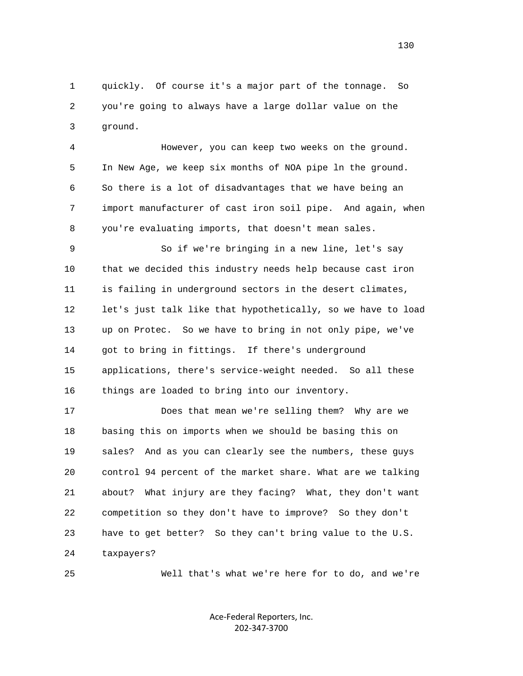1 quickly. Of course it's a major part of the tonnage. So 2 you're going to always have a large dollar value on the 3 ground.

 4 However, you can keep two weeks on the ground. 5 In New Age, we keep six months of NOA pipe ln the ground. 6 So there is a lot of disadvantages that we have being an 7 import manufacturer of cast iron soil pipe. And again, when 8 you're evaluating imports, that doesn't mean sales.

 9 So if we're bringing in a new line, let's say 10 that we decided this industry needs help because cast iron 11 is failing in underground sectors in the desert climates, 12 let's just talk like that hypothetically, so we have to load 13 up on Protec. So we have to bring in not only pipe, we've 14 got to bring in fittings. If there's underground 15 applications, there's service-weight needed. So all these 16 things are loaded to bring into our inventory.

 17 Does that mean we're selling them? Why are we 18 basing this on imports when we should be basing this on 19 sales? And as you can clearly see the numbers, these guys 20 control 94 percent of the market share. What are we talking 21 about? What injury are they facing? What, they don't want 22 competition so they don't have to improve? So they don't 23 have to get better? So they can't bring value to the U.S. 24 taxpayers?

25 Well that's what we're here for to do, and we're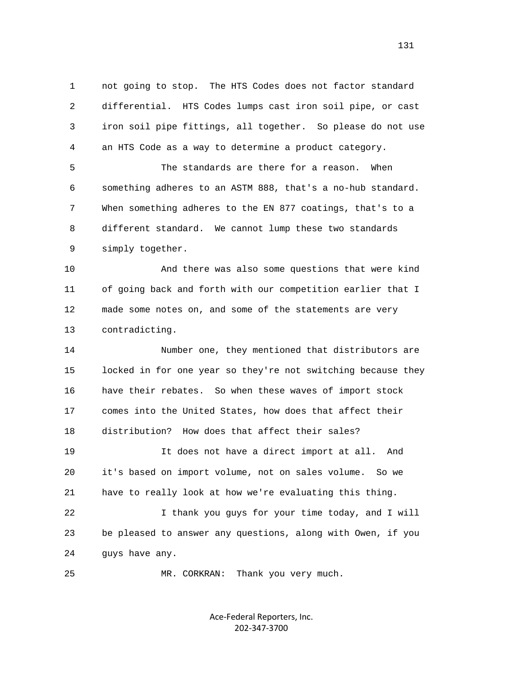1 not going to stop. The HTS Codes does not factor standard 2 differential. HTS Codes lumps cast iron soil pipe, or cast 3 iron soil pipe fittings, all together. So please do not use 4 an HTS Code as a way to determine a product category.

 5 The standards are there for a reason. When 6 something adheres to an ASTM 888, that's a no-hub standard. 7 When something adheres to the EN 877 coatings, that's to a 8 different standard. We cannot lump these two standards 9 simply together.

 10 And there was also some questions that were kind 11 of going back and forth with our competition earlier that I 12 made some notes on, and some of the statements are very 13 contradicting.

 14 Number one, they mentioned that distributors are 15 locked in for one year so they're not switching because they 16 have their rebates. So when these waves of import stock 17 comes into the United States, how does that affect their 18 distribution? How does that affect their sales? 19 It does not have a direct import at all. And 20 it's based on import volume, not on sales volume. So we 21 have to really look at how we're evaluating this thing.

 22 I thank you guys for your time today, and I will 23 be pleased to answer any questions, along with Owen, if you 24 guys have any.

25 MR. CORKRAN: Thank you very much.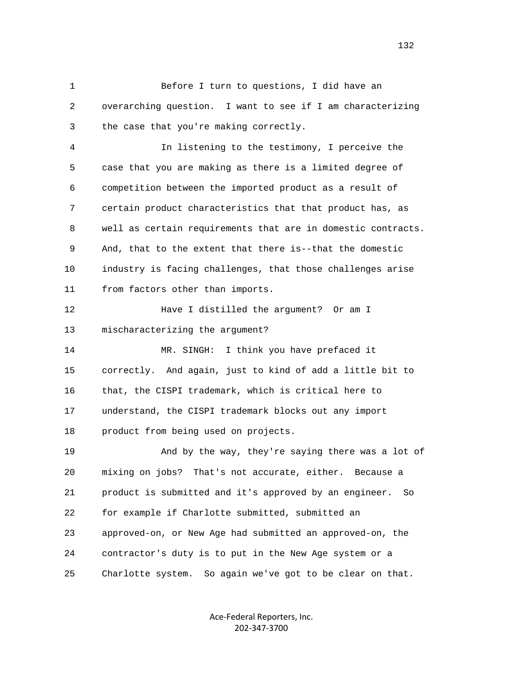1 Before I turn to questions, I did have an 2 overarching question. I want to see if I am characterizing 3 the case that you're making correctly.

 4 In listening to the testimony, I perceive the 5 case that you are making as there is a limited degree of 6 competition between the imported product as a result of 7 certain product characteristics that that product has, as 8 well as certain requirements that are in domestic contracts. 9 And, that to the extent that there is--that the domestic 10 industry is facing challenges, that those challenges arise 11 from factors other than imports.

 12 Have I distilled the argument? Or am I 13 mischaracterizing the argument?

 14 MR. SINGH: I think you have prefaced it 15 correctly. And again, just to kind of add a little bit to 16 that, the CISPI trademark, which is critical here to 17 understand, the CISPI trademark blocks out any import 18 product from being used on projects.

 19 And by the way, they're saying there was a lot of 20 mixing on jobs? That's not accurate, either. Because a 21 product is submitted and it's approved by an engineer. So 22 for example if Charlotte submitted, submitted an 23 approved-on, or New Age had submitted an approved-on, the 24 contractor's duty is to put in the New Age system or a 25 Charlotte system. So again we've got to be clear on that.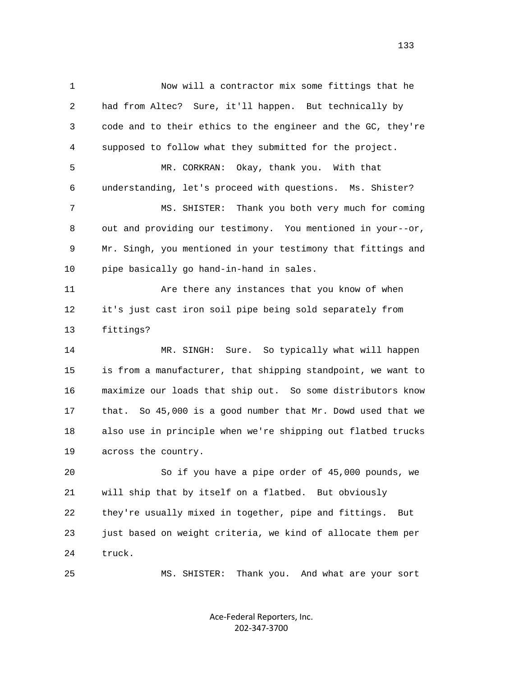1 Now will a contractor mix some fittings that he 2 had from Altec? Sure, it'll happen. But technically by 3 code and to their ethics to the engineer and the GC, they're 4 supposed to follow what they submitted for the project. 5 MR. CORKRAN: Okay, thank you. With that 6 understanding, let's proceed with questions. Ms. Shister? 7 MS. SHISTER: Thank you both very much for coming 8 out and providing our testimony. You mentioned in your--or, 9 Mr. Singh, you mentioned in your testimony that fittings and 10 pipe basically go hand-in-hand in sales. 11 Are there any instances that you know of when 12 it's just cast iron soil pipe being sold separately from 13 fittings? 14 MR. SINGH: Sure. So typically what will happen 15 is from a manufacturer, that shipping standpoint, we want to 16 maximize our loads that ship out. So some distributors know 17 that. So 45,000 is a good number that Mr. Dowd used that we 18 also use in principle when we're shipping out flatbed trucks 19 across the country. 20 So if you have a pipe order of 45,000 pounds, we 21 will ship that by itself on a flatbed. But obviously 22 they're usually mixed in together, pipe and fittings. But 23 just based on weight criteria, we kind of allocate them per 24 truck.

25 MS. SHISTER: Thank you. And what are your sort

Ace-Federal Reporters, Inc. 202-347-3700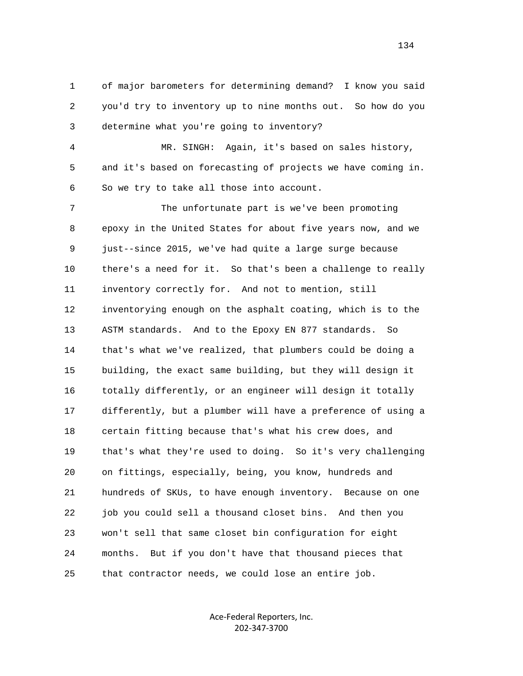1 of major barometers for determining demand? I know you said 2 you'd try to inventory up to nine months out. So how do you 3 determine what you're going to inventory?

 4 MR. SINGH: Again, it's based on sales history, 5 and it's based on forecasting of projects we have coming in. 6 So we try to take all those into account.

 7 The unfortunate part is we've been promoting 8 epoxy in the United States for about five years now, and we 9 just--since 2015, we've had quite a large surge because 10 there's a need for it. So that's been a challenge to really 11 inventory correctly for. And not to mention, still 12 inventorying enough on the asphalt coating, which is to the 13 ASTM standards. And to the Epoxy EN 877 standards. So 14 that's what we've realized, that plumbers could be doing a 15 building, the exact same building, but they will design it 16 totally differently, or an engineer will design it totally 17 differently, but a plumber will have a preference of using a 18 certain fitting because that's what his crew does, and 19 that's what they're used to doing. So it's very challenging 20 on fittings, especially, being, you know, hundreds and 21 hundreds of SKUs, to have enough inventory. Because on one 22 job you could sell a thousand closet bins. And then you 23 won't sell that same closet bin configuration for eight 24 months. But if you don't have that thousand pieces that 25 that contractor needs, we could lose an entire job.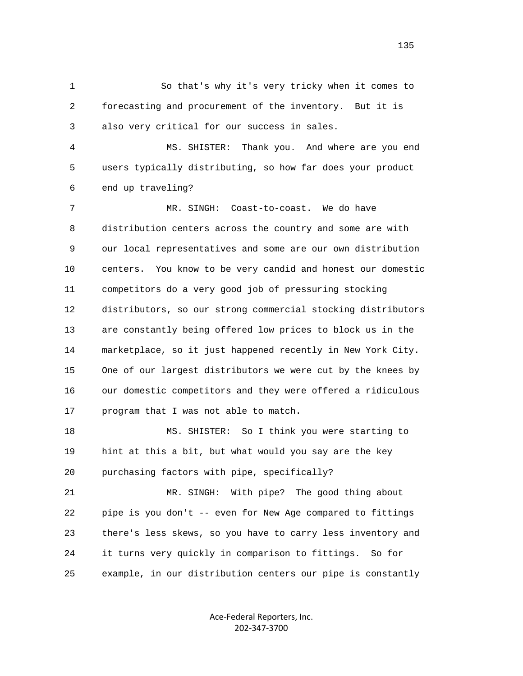1 So that's why it's very tricky when it comes to 2 forecasting and procurement of the inventory. But it is 3 also very critical for our success in sales.

 4 MS. SHISTER: Thank you. And where are you end 5 users typically distributing, so how far does your product 6 end up traveling?

 7 MR. SINGH: Coast-to-coast. We do have 8 distribution centers across the country and some are with 9 our local representatives and some are our own distribution 10 centers. You know to be very candid and honest our domestic 11 competitors do a very good job of pressuring stocking 12 distributors, so our strong commercial stocking distributors 13 are constantly being offered low prices to block us in the 14 marketplace, so it just happened recently in New York City. 15 One of our largest distributors we were cut by the knees by 16 our domestic competitors and they were offered a ridiculous 17 program that I was not able to match.

 18 MS. SHISTER: So I think you were starting to 19 hint at this a bit, but what would you say are the key 20 purchasing factors with pipe, specifically?

 21 MR. SINGH: With pipe? The good thing about 22 pipe is you don't -- even for New Age compared to fittings 23 there's less skews, so you have to carry less inventory and 24 it turns very quickly in comparison to fittings. So for 25 example, in our distribution centers our pipe is constantly

> Ace-Federal Reporters, Inc. 202-347-3700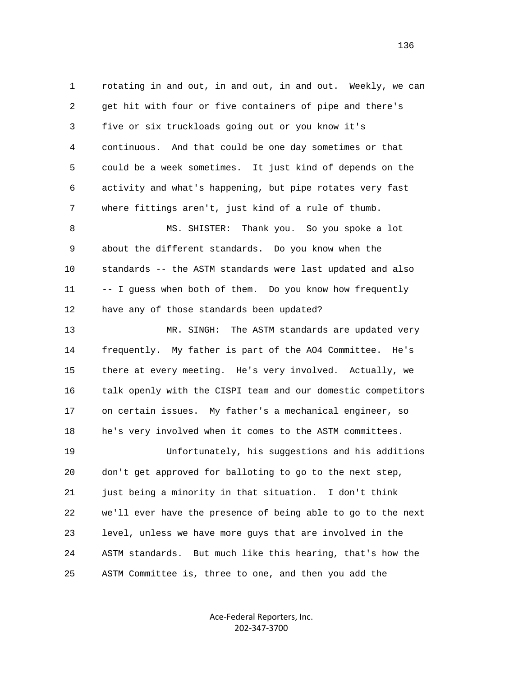1 rotating in and out, in and out, in and out. Weekly, we can 2 get hit with four or five containers of pipe and there's 3 five or six truckloads going out or you know it's 4 continuous. And that could be one day sometimes or that 5 could be a week sometimes. It just kind of depends on the 6 activity and what's happening, but pipe rotates very fast 7 where fittings aren't, just kind of a rule of thumb. 8 MS. SHISTER: Thank you. So you spoke a lot 9 about the different standards. Do you know when the 10 standards -- the ASTM standards were last updated and also 11 -- I guess when both of them. Do you know how frequently 12 have any of those standards been updated? 13 MR. SINGH: The ASTM standards are updated very 14 frequently. My father is part of the AO4 Committee. He's 15 there at every meeting. He's very involved. Actually, we 16 talk openly with the CISPI team and our domestic competitors 17 on certain issues. My father's a mechanical engineer, so 18 he's very involved when it comes to the ASTM committees. 19 Unfortunately, his suggestions and his additions 20 don't get approved for balloting to go to the next step, 21 just being a minority in that situation. I don't think 22 we'll ever have the presence of being able to go to the next 23 level, unless we have more guys that are involved in the 24 ASTM standards. But much like this hearing, that's how the 25 ASTM Committee is, three to one, and then you add the

> Ace-Federal Reporters, Inc. 202-347-3700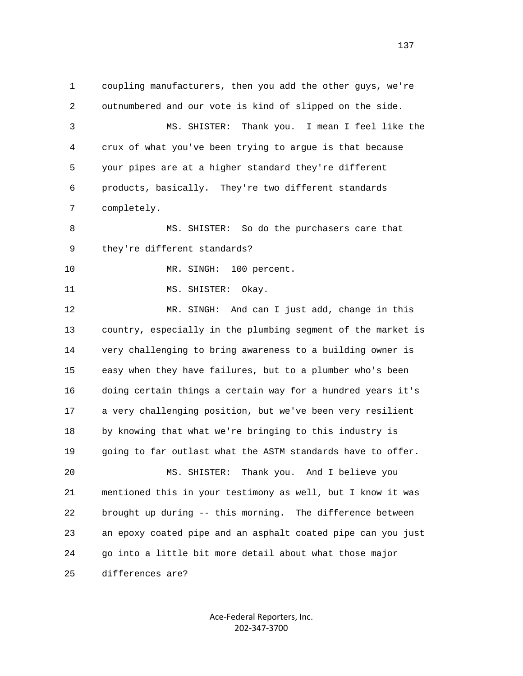1 coupling manufacturers, then you add the other guys, we're 2 outnumbered and our vote is kind of slipped on the side. 3 MS. SHISTER: Thank you. I mean I feel like the 4 crux of what you've been trying to argue is that because 5 your pipes are at a higher standard they're different 6 products, basically. They're two different standards 7 completely. 8 MS. SHISTER: So do the purchasers care that 9 they're different standards? 10 MR. SINGH: 100 percent. 11 MS. SHISTER: Okay. 12 MR. SINGH: And can I just add, change in this 13 country, especially in the plumbing segment of the market is 14 very challenging to bring awareness to a building owner is 15 easy when they have failures, but to a plumber who's been 16 doing certain things a certain way for a hundred years it's 17 a very challenging position, but we've been very resilient 18 by knowing that what we're bringing to this industry is 19 going to far outlast what the ASTM standards have to offer. 20 MS. SHISTER: Thank you. And I believe you 21 mentioned this in your testimony as well, but I know it was 22 brought up during -- this morning. The difference between 23 an epoxy coated pipe and an asphalt coated pipe can you just 24 go into a little bit more detail about what those major 25 differences are?

> Ace-Federal Reporters, Inc. 202-347-3700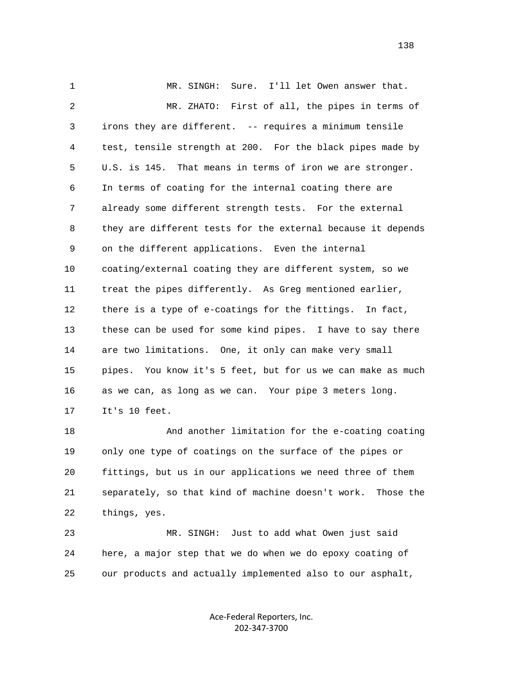1 MR. SINGH: Sure. I'll let Owen answer that. 2 MR. ZHATO: First of all, the pipes in terms of 3 irons they are different. -- requires a minimum tensile 4 test, tensile strength at 200. For the black pipes made by 5 U.S. is 145. That means in terms of iron we are stronger. 6 In terms of coating for the internal coating there are 7 already some different strength tests. For the external 8 they are different tests for the external because it depends 9 on the different applications. Even the internal 10 coating/external coating they are different system, so we 11 treat the pipes differently. As Greg mentioned earlier, 12 there is a type of e-coatings for the fittings. In fact, 13 these can be used for some kind pipes. I have to say there 14 are two limitations. One, it only can make very small 15 pipes. You know it's 5 feet, but for us we can make as much 16 as we can, as long as we can. Your pipe 3 meters long. 17 It's 10 feet.

 18 And another limitation for the e-coating coating 19 only one type of coatings on the surface of the pipes or 20 fittings, but us in our applications we need three of them 21 separately, so that kind of machine doesn't work. Those the 22 things, yes.

 23 MR. SINGH: Just to add what Owen just said 24 here, a major step that we do when we do epoxy coating of 25 our products and actually implemented also to our asphalt,

> Ace-Federal Reporters, Inc. 202-347-3700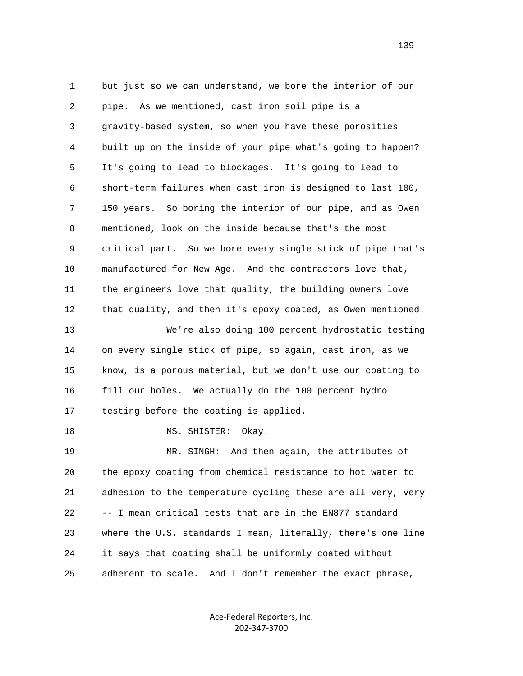1 but just so we can understand, we bore the interior of our 2 pipe. As we mentioned, cast iron soil pipe is a 3 gravity-based system, so when you have these porosities 4 built up on the inside of your pipe what's going to happen? 5 It's going to lead to blockages. It's going to lead to 6 short-term failures when cast iron is designed to last 100, 7 150 years. So boring the interior of our pipe, and as Owen 8 mentioned, look on the inside because that's the most 9 critical part. So we bore every single stick of pipe that's 10 manufactured for New Age. And the contractors love that, 11 the engineers love that quality, the building owners love 12 that quality, and then it's epoxy coated, as Owen mentioned. 13 We're also doing 100 percent hydrostatic testing 14 on every single stick of pipe, so again, cast iron, as we 15 know, is a porous material, but we don't use our coating to 16 fill our holes. We actually do the 100 percent hydro 17 testing before the coating is applied. 18 MS. SHISTER: Okay. 19 MR. SINGH: And then again, the attributes of 20 the epoxy coating from chemical resistance to hot water to 21 adhesion to the temperature cycling these are all very, very 22 -- I mean critical tests that are in the EN877 standard 23 where the U.S. standards I mean, literally, there's one line 24 it says that coating shall be uniformly coated without 25 adherent to scale. And I don't remember the exact phrase,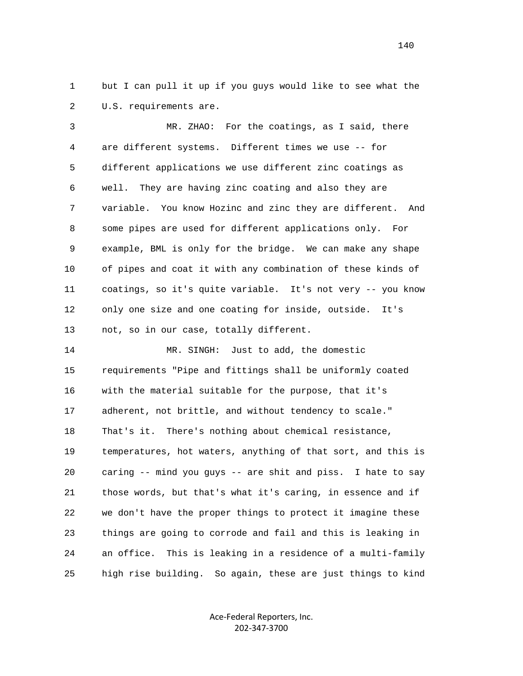1 but I can pull it up if you guys would like to see what the 2 U.S. requirements are.

 3 MR. ZHAO: For the coatings, as I said, there 4 are different systems. Different times we use -- for 5 different applications we use different zinc coatings as 6 well. They are having zinc coating and also they are 7 variable. You know Hozinc and zinc they are different. And 8 some pipes are used for different applications only. For 9 example, BML is only for the bridge. We can make any shape 10 of pipes and coat it with any combination of these kinds of 11 coatings, so it's quite variable. It's not very -- you know 12 only one size and one coating for inside, outside. It's 13 not, so in our case, totally different.

 14 MR. SINGH: Just to add, the domestic 15 requirements "Pipe and fittings shall be uniformly coated 16 with the material suitable for the purpose, that it's 17 adherent, not brittle, and without tendency to scale." 18 That's it. There's nothing about chemical resistance, 19 temperatures, hot waters, anything of that sort, and this is 20 caring -- mind you guys -- are shit and piss. I hate to say 21 those words, but that's what it's caring, in essence and if 22 we don't have the proper things to protect it imagine these 23 things are going to corrode and fail and this is leaking in 24 an office. This is leaking in a residence of a multi-family 25 high rise building. So again, these are just things to kind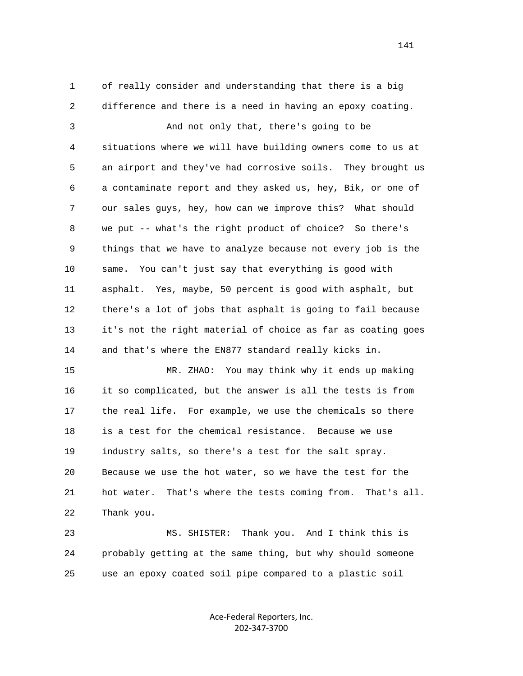1 of really consider and understanding that there is a big 2 difference and there is a need in having an epoxy coating.

 3 And not only that, there's going to be 4 situations where we will have building owners come to us at 5 an airport and they've had corrosive soils. They brought us 6 a contaminate report and they asked us, hey, Bik, or one of 7 our sales guys, hey, how can we improve this? What should 8 we put -- what's the right product of choice? So there's 9 things that we have to analyze because not every job is the 10 same. You can't just say that everything is good with 11 asphalt. Yes, maybe, 50 percent is good with asphalt, but 12 there's a lot of jobs that asphalt is going to fail because 13 it's not the right material of choice as far as coating goes 14 and that's where the EN877 standard really kicks in.

 15 MR. ZHAO: You may think why it ends up making 16 it so complicated, but the answer is all the tests is from 17 the real life. For example, we use the chemicals so there 18 is a test for the chemical resistance. Because we use 19 industry salts, so there's a test for the salt spray. 20 Because we use the hot water, so we have the test for the 21 hot water. That's where the tests coming from. That's all. 22 Thank you.

 23 MS. SHISTER: Thank you. And I think this is 24 probably getting at the same thing, but why should someone 25 use an epoxy coated soil pipe compared to a plastic soil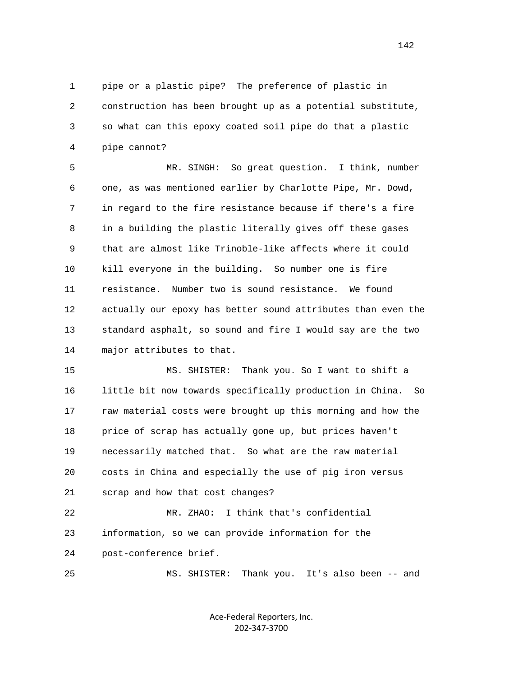1 pipe or a plastic pipe? The preference of plastic in 2 construction has been brought up as a potential substitute, 3 so what can this epoxy coated soil pipe do that a plastic 4 pipe cannot?

 5 MR. SINGH: So great question. I think, number 6 one, as was mentioned earlier by Charlotte Pipe, Mr. Dowd, 7 in regard to the fire resistance because if there's a fire 8 in a building the plastic literally gives off these gases 9 that are almost like Trinoble-like affects where it could 10 kill everyone in the building. So number one is fire 11 resistance. Number two is sound resistance. We found 12 actually our epoxy has better sound attributes than even the 13 standard asphalt, so sound and fire I would say are the two 14 major attributes to that.

 15 MS. SHISTER: Thank you. So I want to shift a 16 little bit now towards specifically production in China. So 17 raw material costs were brought up this morning and how the 18 price of scrap has actually gone up, but prices haven't 19 necessarily matched that. So what are the raw material 20 costs in China and especially the use of pig iron versus 21 scrap and how that cost changes?

 22 MR. ZHAO: I think that's confidential 23 information, so we can provide information for the 24 post-conference brief.

25 MS. SHISTER: Thank you. It's also been -- and

Ace-Federal Reporters, Inc. 202-347-3700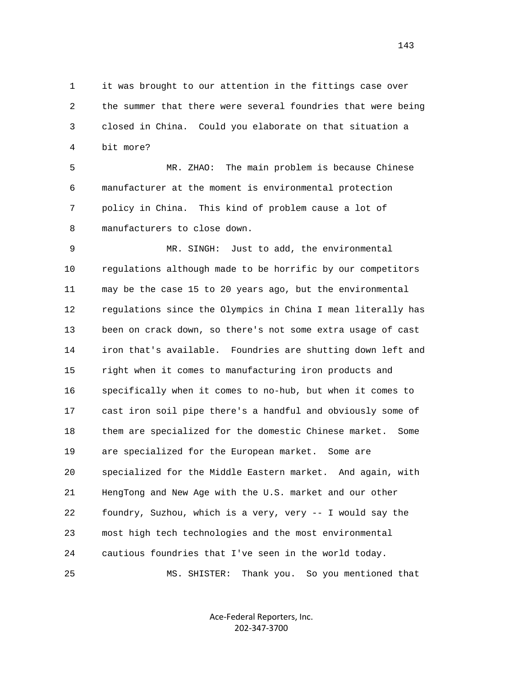1 it was brought to our attention in the fittings case over 2 the summer that there were several foundries that were being 3 closed in China. Could you elaborate on that situation a 4 bit more?

 5 MR. ZHAO: The main problem is because Chinese 6 manufacturer at the moment is environmental protection 7 policy in China. This kind of problem cause a lot of 8 manufacturers to close down.

 9 MR. SINGH: Just to add, the environmental 10 regulations although made to be horrific by our competitors 11 may be the case 15 to 20 years ago, but the environmental 12 regulations since the Olympics in China I mean literally has 13 been on crack down, so there's not some extra usage of cast 14 iron that's available. Foundries are shutting down left and 15 right when it comes to manufacturing iron products and 16 specifically when it comes to no-hub, but when it comes to 17 cast iron soil pipe there's a handful and obviously some of 18 them are specialized for the domestic Chinese market. Some 19 are specialized for the European market. Some are 20 specialized for the Middle Eastern market. And again, with 21 HengTong and New Age with the U.S. market and our other 22 foundry, Suzhou, which is a very, very -- I would say the 23 most high tech technologies and the most environmental 24 cautious foundries that I've seen in the world today. 25 MS. SHISTER: Thank you. So you mentioned that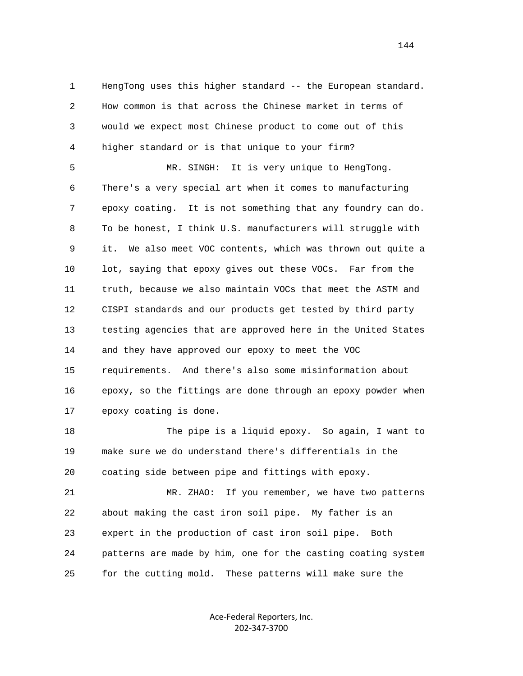1 HengTong uses this higher standard -- the European standard. 2 How common is that across the Chinese market in terms of 3 would we expect most Chinese product to come out of this 4 higher standard or is that unique to your firm?

 5 MR. SINGH: It is very unique to HengTong. 6 There's a very special art when it comes to manufacturing 7 epoxy coating. It is not something that any foundry can do. 8 To be honest, I think U.S. manufacturers will struggle with 9 it. We also meet VOC contents, which was thrown out quite a 10 lot, saying that epoxy gives out these VOCs. Far from the 11 truth, because we also maintain VOCs that meet the ASTM and 12 CISPI standards and our products get tested by third party 13 testing agencies that are approved here in the United States 14 and they have approved our epoxy to meet the VOC 15 requirements. And there's also some misinformation about 16 epoxy, so the fittings are done through an epoxy powder when 17 epoxy coating is done.

 18 The pipe is a liquid epoxy. So again, I want to 19 make sure we do understand there's differentials in the 20 coating side between pipe and fittings with epoxy.

 21 MR. ZHAO: If you remember, we have two patterns 22 about making the cast iron soil pipe. My father is an 23 expert in the production of cast iron soil pipe. Both 24 patterns are made by him, one for the casting coating system 25 for the cutting mold. These patterns will make sure the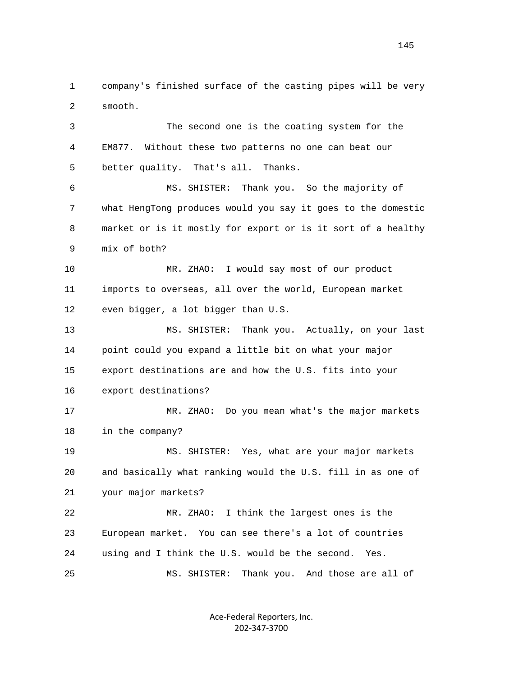1 company's finished surface of the casting pipes will be very 2 smooth.

 3 The second one is the coating system for the 4 EM877. Without these two patterns no one can beat our 5 better quality. That's all. Thanks. 6 MS. SHISTER: Thank you. So the majority of 7 what HengTong produces would you say it goes to the domestic 8 market or is it mostly for export or is it sort of a healthy

9 mix of both?

 10 MR. ZHAO: I would say most of our product 11 imports to overseas, all over the world, European market 12 even bigger, a lot bigger than U.S.

 13 MS. SHISTER: Thank you. Actually, on your last 14 point could you expand a little bit on what your major 15 export destinations are and how the U.S. fits into your 16 export destinations?

 17 MR. ZHAO: Do you mean what's the major markets 18 in the company?

 19 MS. SHISTER: Yes, what are your major markets 20 and basically what ranking would the U.S. fill in as one of 21 your major markets?

 22 MR. ZHAO: I think the largest ones is the 23 European market. You can see there's a lot of countries 24 using and I think the U.S. would be the second. Yes. 25 MS. SHISTER: Thank you. And those are all of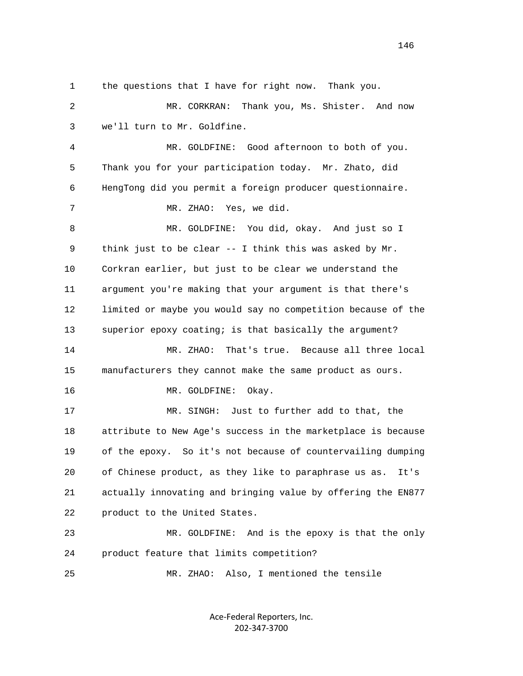1 the questions that I have for right now. Thank you. 2 MR. CORKRAN: Thank you, Ms. Shister. And now 3 we'll turn to Mr. Goldfine. 4 MR. GOLDFINE: Good afternoon to both of you. 5 Thank you for your participation today. Mr. Zhato, did 6 HengTong did you permit a foreign producer questionnaire. 7 MR. ZHAO: Yes, we did. 8 MR. GOLDFINE: You did, okay. And just so I 9 think just to be clear -- I think this was asked by Mr. 10 Corkran earlier, but just to be clear we understand the 11 argument you're making that your argument is that there's 12 limited or maybe you would say no competition because of the 13 superior epoxy coating; is that basically the argument? 14 MR. ZHAO: That's true. Because all three local 15 manufacturers they cannot make the same product as ours. 16 MR. GOLDFINE: Okay. 17 MR. SINGH: Just to further add to that, the 18 attribute to New Age's success in the marketplace is because 19 of the epoxy. So it's not because of countervailing dumping 20 of Chinese product, as they like to paraphrase us as. It's 21 actually innovating and bringing value by offering the EN877 22 product to the United States. 23 MR. GOLDFINE: And is the epoxy is that the only 24 product feature that limits competition? 25 MR. ZHAO: Also, I mentioned the tensile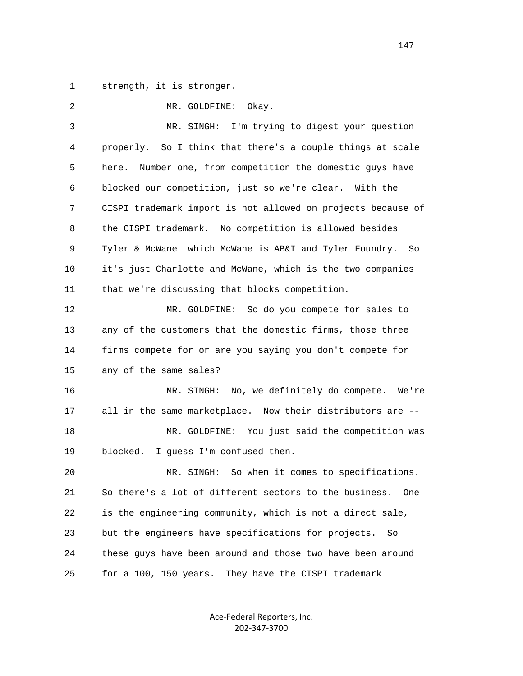1 strength, it is stronger.

| 2  | MR. GOLDFINE:<br>Okay.                                        |
|----|---------------------------------------------------------------|
| 3  | I'm trying to digest your question<br>MR. SINGH:              |
| 4  | properly. So I think that there's a couple things at scale    |
| 5  | Number one, from competition the domestic guys have<br>here.  |
| 6  | blocked our competition, just so we're clear. With the        |
| 7  | CISPI trademark import is not allowed on projects because of  |
| 8  | the CISPI trademark. No competition is allowed besides        |
| 9  | Tyler & McWane which McWane is AB&I and Tyler Foundry. So     |
| 10 | it's just Charlotte and McWane, which is the two companies    |
| 11 | that we're discussing that blocks competition.                |
| 12 | MR. GOLDFINE: So do you compete for sales to                  |
| 13 | any of the customers that the domestic firms, those three     |
| 14 | firms compete for or are you saying you don't compete for     |
| 15 | any of the same sales?                                        |
| 16 | MR. SINGH: No, we definitely do compete. We're                |
| 17 | all in the same marketplace. Now their distributors are --    |
| 18 | MR. GOLDFINE: You just said the competition was               |
| 19 | blocked.<br>I guess I'm confused then.                        |
| 20 | So when it comes to specifications.<br>MR. SINGH:             |
| 21 | So there's a lot of different sectors to the business.<br>One |
| 22 | is the engineering community, which is not a direct sale,     |
| 23 | but the engineers have specifications for projects.<br>So     |
| 24 | these guys have been around and those two have been around    |
| 25 | for a 100, 150 years.<br>They have the CISPI trademark        |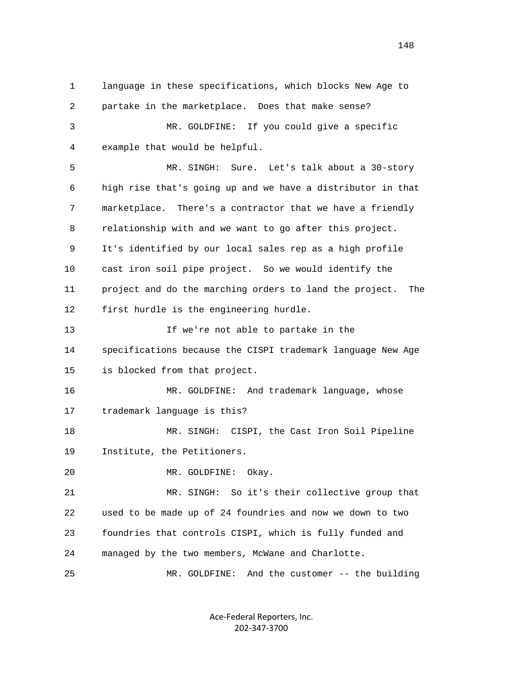1 language in these specifications, which blocks New Age to 2 partake in the marketplace. Does that make sense? 3 MR. GOLDFINE: If you could give a specific 4 example that would be helpful. 5 MR. SINGH: Sure. Let's talk about a 30-story 6 high rise that's going up and we have a distributor in that 7 marketplace. There's a contractor that we have a friendly 8 relationship with and we want to go after this project. 9 It's identified by our local sales rep as a high profile 10 cast iron soil pipe project. So we would identify the 11 project and do the marching orders to land the project. The 12 first hurdle is the engineering hurdle. 13 If we're not able to partake in the 14 specifications because the CISPI trademark language New Age 15 is blocked from that project. 16 MR. GOLDFINE: And trademark language, whose 17 trademark language is this? 18 MR. SINGH: CISPI, the Cast Iron Soil Pipeline 19 Institute, the Petitioners. 20 MR. GOLDFINE: Okay. 21 MR. SINGH: So it's their collective group that 22 used to be made up of 24 foundries and now we down to two 23 foundries that controls CISPI, which is fully funded and 24 managed by the two members, McWane and Charlotte. 25 MR. GOLDFINE: And the customer -- the building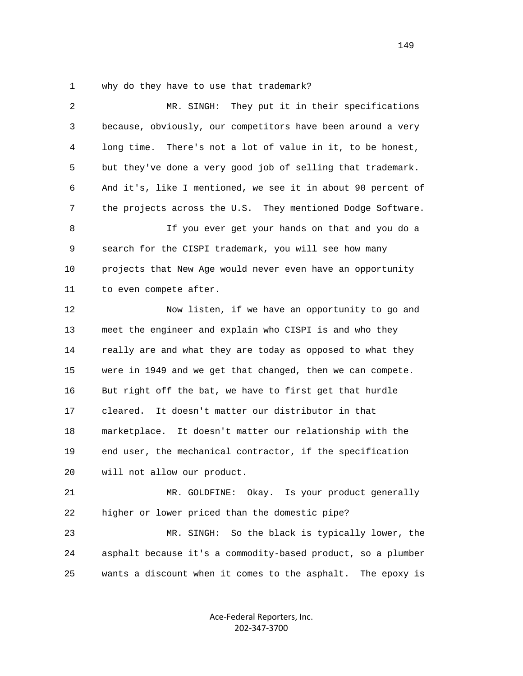1 why do they have to use that trademark?

| 2  | They put it in their specifications<br>MR. SINGH:            |
|----|--------------------------------------------------------------|
| 3  | because, obviously, our competitors have been around a very  |
| 4  | long time. There's not a lot of value in it, to be honest,   |
| 5  | but they've done a very good job of selling that trademark.  |
| 6  | And it's, like I mentioned, we see it in about 90 percent of |
| 7  | the projects across the U.S. They mentioned Dodge Software.  |
| 8  | If you ever get your hands on that and you do a              |
| 9  | search for the CISPI trademark, you will see how many        |
| 10 | projects that New Age would never even have an opportunity   |
| 11 | to even compete after.                                       |
| 12 | Now listen, if we have an opportunity to go and              |
| 13 | meet the engineer and explain who CISPI is and who they      |
| 14 | really are and what they are today as opposed to what they   |
| 15 | were in 1949 and we get that changed, then we can compete.   |
| 16 | But right off the bat, we have to first get that hurdle      |
| 17 | cleared. It doesn't matter our distributor in that           |
| 18 | marketplace. It doesn't matter our relationship with the     |
| 19 | end user, the mechanical contractor, if the specification    |
| 20 | will not allow our product.                                  |
| 21 | MR. GOLDFINE: Okay. Is your product generally                |
| 22 | higher or lower priced than the domestic pipe?               |
| 23 | MR. SINGH:<br>So the black is typically lower, the           |
| 24 | asphalt because it's a commodity-based product, so a plumber |
| 25 | wants a discount when it comes to the asphalt. The epoxy is  |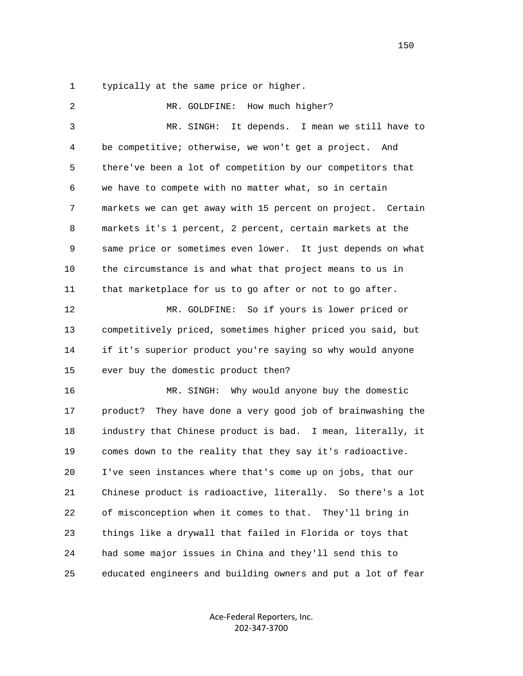1 typically at the same price or higher.

2 MR. GOLDFINE: How much higher? 3 MR. SINGH: It depends. I mean we still have to 4 be competitive; otherwise, we won't get a project. And 5 there've been a lot of competition by our competitors that 6 we have to compete with no matter what, so in certain 7 markets we can get away with 15 percent on project. Certain 8 markets it's 1 percent, 2 percent, certain markets at the 9 same price or sometimes even lower. It just depends on what 10 the circumstance is and what that project means to us in 11 that marketplace for us to go after or not to go after. 12 MR. GOLDFINE: So if yours is lower priced or 13 competitively priced, sometimes higher priced you said, but 14 if it's superior product you're saying so why would anyone 15 ever buy the domestic product then? 16 MR. SINGH: Why would anyone buy the domestic 17 product? They have done a very good job of brainwashing the 18 industry that Chinese product is bad. I mean, literally, it 19 comes down to the reality that they say it's radioactive. 20 I've seen instances where that's come up on jobs, that our 21 Chinese product is radioactive, literally. So there's a lot 22 of misconception when it comes to that. They'll bring in 23 things like a drywall that failed in Florida or toys that 24 had some major issues in China and they'll send this to 25 educated engineers and building owners and put a lot of fear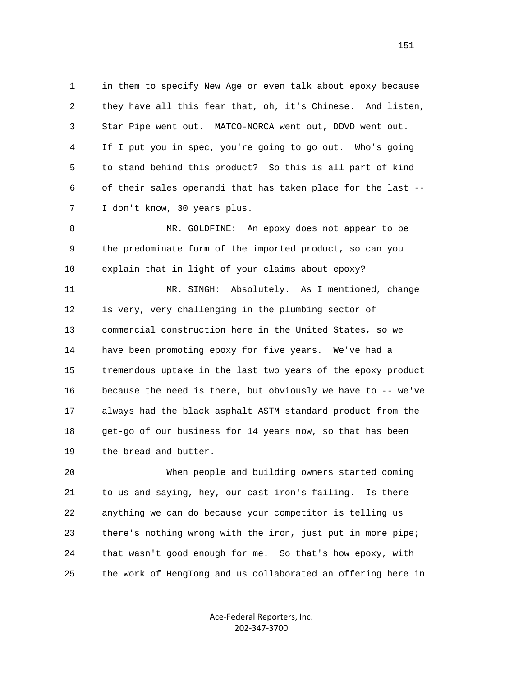1 in them to specify New Age or even talk about epoxy because 2 they have all this fear that, oh, it's Chinese. And listen, 3 Star Pipe went out. MATCO-NORCA went out, DDVD went out. 4 If I put you in spec, you're going to go out. Who's going 5 to stand behind this product? So this is all part of kind 6 of their sales operandi that has taken place for the last -- 7 I don't know, 30 years plus.

 8 MR. GOLDFINE: An epoxy does not appear to be 9 the predominate form of the imported product, so can you 10 explain that in light of your claims about epoxy?

 11 MR. SINGH: Absolutely. As I mentioned, change 12 is very, very challenging in the plumbing sector of 13 commercial construction here in the United States, so we 14 have been promoting epoxy for five years. We've had a 15 tremendous uptake in the last two years of the epoxy product 16 because the need is there, but obviously we have to -- we've 17 always had the black asphalt ASTM standard product from the 18 get-go of our business for 14 years now, so that has been 19 the bread and butter.

 20 When people and building owners started coming 21 to us and saying, hey, our cast iron's failing. Is there 22 anything we can do because your competitor is telling us 23 there's nothing wrong with the iron, just put in more pipe; 24 that wasn't good enough for me. So that's how epoxy, with 25 the work of HengTong and us collaborated an offering here in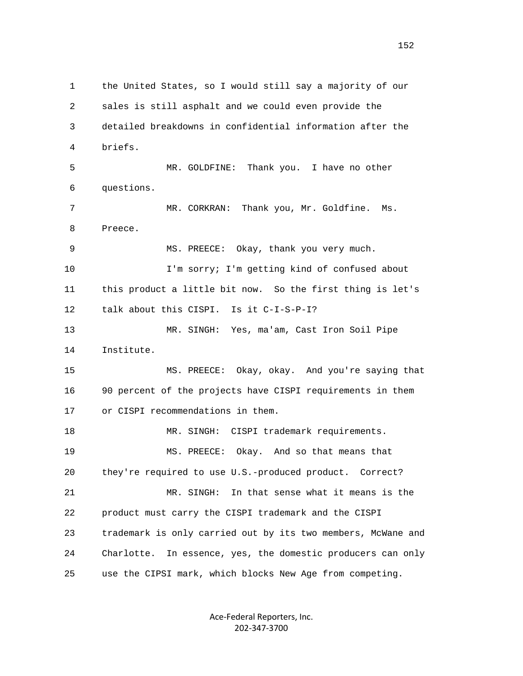1 the United States, so I would still say a majority of our 2 sales is still asphalt and we could even provide the 3 detailed breakdowns in confidential information after the 4 briefs. 5 MR. GOLDFINE: Thank you. I have no other 6 questions. 7 MR. CORKRAN: Thank you, Mr. Goldfine. Ms. 8 Preece. 9 MS. PREECE: Okay, thank you very much. 10 I'm sorry; I'm getting kind of confused about 11 this product a little bit now. So the first thing is let's 12 talk about this CISPI. Is it C-I-S-P-I? 13 MR. SINGH: Yes, ma'am, Cast Iron Soil Pipe 14 Institute. 15 MS. PREECE: Okay, okay. And you're saying that 16 90 percent of the projects have CISPI requirements in them 17 or CISPI recommendations in them. 18 MR. SINGH: CISPI trademark requirements. 19 MS. PREECE: Okay. And so that means that 20 they're required to use U.S.-produced product. Correct? 21 MR. SINGH: In that sense what it means is the 22 product must carry the CISPI trademark and the CISPI 23 trademark is only carried out by its two members, McWane and 24 Charlotte. In essence, yes, the domestic producers can only 25 use the CIPSI mark, which blocks New Age from competing.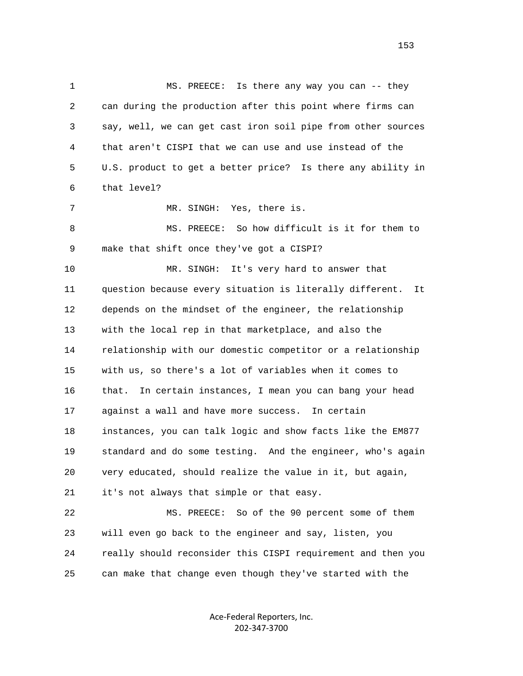1 MS. PREECE: Is there any way you can -- they 2 can during the production after this point where firms can 3 say, well, we can get cast iron soil pipe from other sources 4 that aren't CISPI that we can use and use instead of the 5 U.S. product to get a better price? Is there any ability in 6 that level? 7 MR. SINGH: Yes, there is. 8 MS. PREECE: So how difficult is it for them to 9 make that shift once they've got a CISPI? 10 MR. SINGH: It's very hard to answer that 11 question because every situation is literally different. It 12 depends on the mindset of the engineer, the relationship 13 with the local rep in that marketplace, and also the 14 relationship with our domestic competitor or a relationship 15 with us, so there's a lot of variables when it comes to 16 that. In certain instances, I mean you can bang your head 17 against a wall and have more success. In certain 18 instances, you can talk logic and show facts like the EM877 19 standard and do some testing. And the engineer, who's again 20 very educated, should realize the value in it, but again, 21 it's not always that simple or that easy. 22 MS. PREECE: So of the 90 percent some of them 23 will even go back to the engineer and say, listen, you 24 really should reconsider this CISPI requirement and then you 25 can make that change even though they've started with the

> Ace-Federal Reporters, Inc. 202-347-3700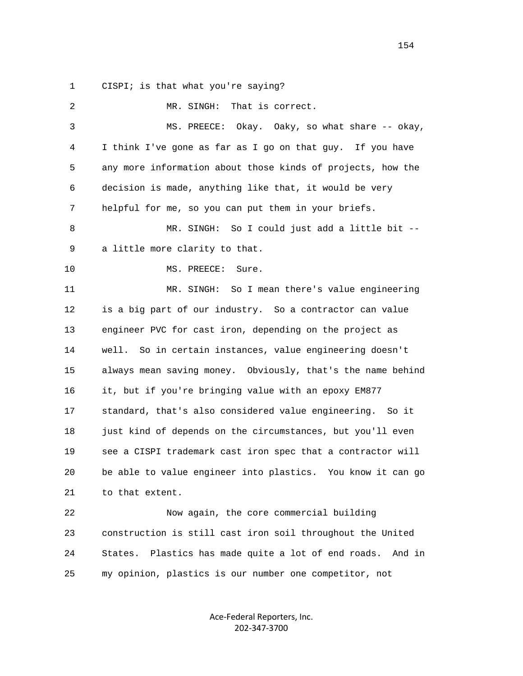1 CISPI; is that what you're saying?

| 2  | That is correct.<br>MR. SINGH:                                   |
|----|------------------------------------------------------------------|
| 3  | Okay. Oaky, so what share -- okay,<br>MS. PREECE:                |
| 4  | I think I've gone as far as I go on that guy. If you have        |
| 5  | any more information about those kinds of projects, how the      |
| 6  | decision is made, anything like that, it would be very           |
| 7  | helpful for me, so you can put them in your briefs.              |
| 8  | So I could just add a little bit --<br>MR. SINGH:                |
| 9  | a little more clarity to that.                                   |
| 10 | MS. PREECE:<br>Sure.                                             |
| 11 | So I mean there's value engineering<br>MR. SINGH:                |
| 12 | is a big part of our industry. So a contractor can value         |
| 13 | engineer PVC for cast iron, depending on the project as          |
| 14 | well. So in certain instances, value engineering doesn't         |
| 15 | always mean saving money. Obviously, that's the name behind      |
| 16 | it, but if you're bringing value with an epoxy EM877             |
| 17 | standard, that's also considered value engineering. So it        |
| 18 | just kind of depends on the circumstances, but you'll even       |
| 19 | see a CISPI trademark cast iron spec that a contractor will      |
| 20 | be able to value engineer into plastics. You know it can go      |
| 21 | to that extent.                                                  |
| 22 | Now again, the core commercial building                          |
| 23 | construction is still cast iron soil throughout the United       |
| 24 | Plastics has made quite a lot of end roads.<br>And in<br>States. |
| 25 | my opinion, plastics is our number one competitor, not           |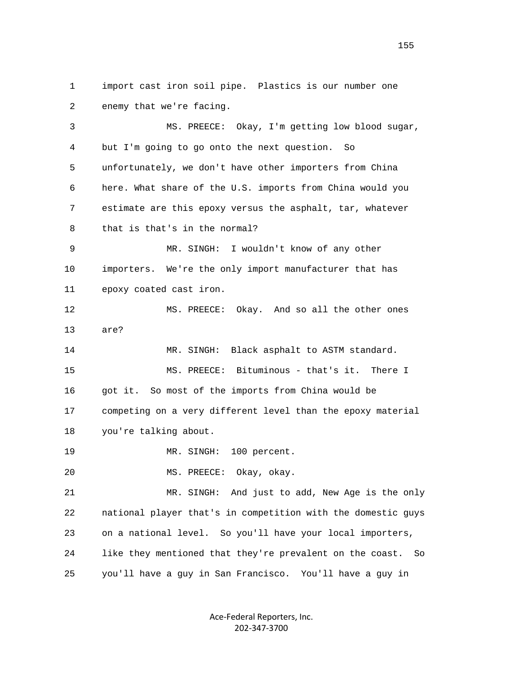1 import cast iron soil pipe. Plastics is our number one 2 enemy that we're facing. 3 MS. PREECE: Okay, I'm getting low blood sugar, 4 but I'm going to go onto the next question. So 5 unfortunately, we don't have other importers from China 6 here. What share of the U.S. imports from China would you 7 estimate are this epoxy versus the asphalt, tar, whatever 8 that is that's in the normal? 9 MR. SINGH: I wouldn't know of any other 10 importers. We're the only import manufacturer that has 11 epoxy coated cast iron. 12 MS. PREECE: Okay. And so all the other ones 13 are? 14 MR. SINGH: Black asphalt to ASTM standard. 15 MS. PREECE: Bituminous - that's it. There I 16 got it. So most of the imports from China would be 17 competing on a very different level than the epoxy material 18 you're talking about. 19 MR. SINGH: 100 percent. 20 MS. PREECE: Okay, okay. 21 MR. SINGH: And just to add, New Age is the only 22 national player that's in competition with the domestic guys 23 on a national level. So you'll have your local importers, 24 like they mentioned that they're prevalent on the coast. So 25 you'll have a guy in San Francisco. You'll have a guy in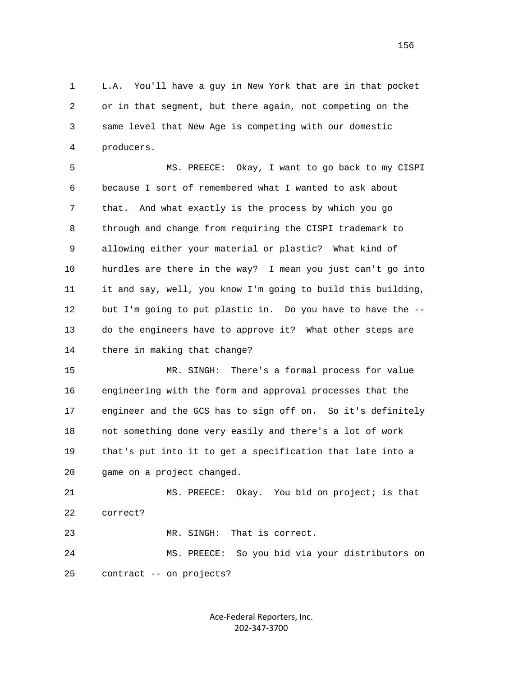1 L.A. You'll have a guy in New York that are in that pocket 2 or in that segment, but there again, not competing on the 3 same level that New Age is competing with our domestic 4 producers.

 5 MS. PREECE: Okay, I want to go back to my CISPI 6 because I sort of remembered what I wanted to ask about 7 that. And what exactly is the process by which you go 8 through and change from requiring the CISPI trademark to 9 allowing either your material or plastic? What kind of 10 hurdles are there in the way? I mean you just can't go into 11 it and say, well, you know I'm going to build this building, 12 but I'm going to put plastic in. Do you have to have the -- 13 do the engineers have to approve it? What other steps are 14 there in making that change?

 15 MR. SINGH: There's a formal process for value 16 engineering with the form and approval processes that the 17 engineer and the GCS has to sign off on. So it's definitely 18 not something done very easily and there's a lot of work 19 that's put into it to get a specification that late into a 20 game on a project changed.

 21 MS. PREECE: Okay. You bid on project; is that 22 correct?

23 MR. SINGH: That is correct.

 24 MS. PREECE: So you bid via your distributors on 25 contract -- on projects?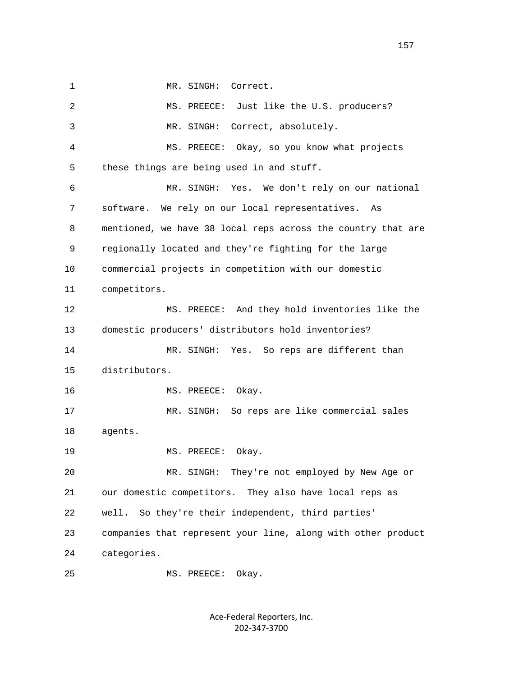1 MR. SINGH: Correct.

| 2  | MS. PREECE: Just like the U.S. producers?                    |
|----|--------------------------------------------------------------|
| 3  | Correct, absolutely.<br>MR. SINGH:                           |
| 4  | MS. PREECE: Okay, so you know what projects                  |
| 5  | these things are being used in and stuff.                    |
| 6  | Yes. We don't rely on our national<br>MR. SINGH:             |
| 7  | software. We rely on our local representatives.<br>As        |
| 8  | mentioned, we have 38 local reps across the country that are |
| 9  | regionally located and they're fighting for the large        |
| 10 | commercial projects in competition with our domestic         |
| 11 | competitors.                                                 |
| 12 | MS. PREECE: And they hold inventories like the               |
| 13 | domestic producers' distributors hold inventories?           |
| 14 | Yes. So reps are different than<br>MR. SINGH:                |
| 15 | distributors.                                                |
| 16 | MS. PREECE:<br>Okay.                                         |
| 17 | So reps are like commercial sales<br>MR. SINGH:              |
| 18 | agents.                                                      |
| 19 | MS. PREECE:<br>Okay.                                         |
| 20 | MR. SINGH:<br>They're not employed by New Age or             |
| 21 | our domestic competitors. They also have local reps as       |
| 22 | So they're their independent, third parties'<br>well.        |
| 23 | companies that represent your line, along with other product |
| 24 | categories.                                                  |
| 25 | Okay.<br>MS. PREECE:                                         |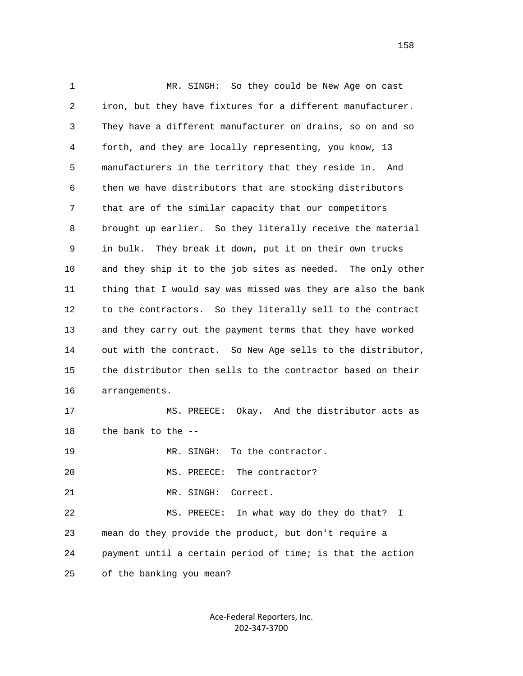1 MR. SINGH: So they could be New Age on cast 2 iron, but they have fixtures for a different manufacturer. 3 They have a different manufacturer on drains, so on and so 4 forth, and they are locally representing, you know, 13 5 manufacturers in the territory that they reside in. And 6 then we have distributors that are stocking distributors 7 that are of the similar capacity that our competitors 8 brought up earlier. So they literally receive the material 9 in bulk. They break it down, put it on their own trucks 10 and they ship it to the job sites as needed. The only other 11 thing that I would say was missed was they are also the bank 12 to the contractors. So they literally sell to the contract 13 and they carry out the payment terms that they have worked 14 out with the contract. So New Age sells to the distributor, 15 the distributor then sells to the contractor based on their 16 arrangements. 17 MS. PREECE: Okay. And the distributor acts as 18 the bank to the -- 19 MR. SINGH: To the contractor. 20 MS. PREECE: The contractor? 21 MR. SINGH: Correct. 22 MS. PREECE: In what way do they do that? I 23 mean do they provide the product, but don't require a 24 payment until a certain period of time; is that the action 25 of the banking you mean?

> Ace-Federal Reporters, Inc. 202-347-3700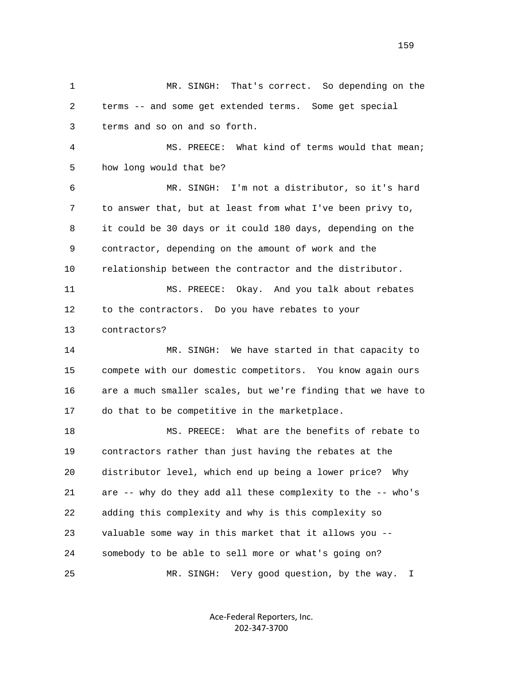1 MR. SINGH: That's correct. So depending on the 2 terms -- and some get extended terms. Some get special 3 terms and so on and so forth. 4 MS. PREECE: What kind of terms would that mean; 5 how long would that be? 6 MR. SINGH: I'm not a distributor, so it's hard 7 to answer that, but at least from what I've been privy to, 8 it could be 30 days or it could 180 days, depending on the 9 contractor, depending on the amount of work and the 10 relationship between the contractor and the distributor. 11 MS. PREECE: Okay. And you talk about rebates 12 to the contractors. Do you have rebates to your 13 contractors? 14 MR. SINGH: We have started in that capacity to 15 compete with our domestic competitors. You know again ours 16 are a much smaller scales, but we're finding that we have to 17 do that to be competitive in the marketplace. 18 MS. PREECE: What are the benefits of rebate to 19 contractors rather than just having the rebates at the 20 distributor level, which end up being a lower price? Why 21 are -- why do they add all these complexity to the -- who's 22 adding this complexity and why is this complexity so 23 valuable some way in this market that it allows you -- 24 somebody to be able to sell more or what's going on? 25 MR. SINGH: Very good question, by the way. I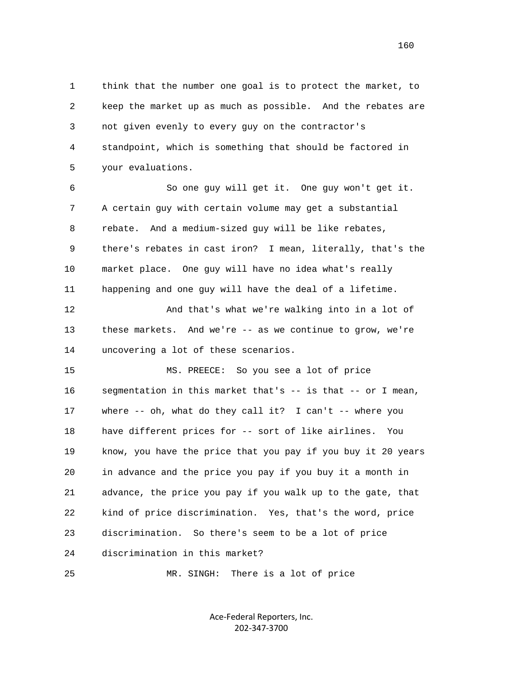1 think that the number one goal is to protect the market, to 2 keep the market up as much as possible. And the rebates are 3 not given evenly to every guy on the contractor's 4 standpoint, which is something that should be factored in 5 your evaluations.

 6 So one guy will get it. One guy won't get it. 7 A certain guy with certain volume may get a substantial 8 rebate. And a medium-sized guy will be like rebates, 9 there's rebates in cast iron? I mean, literally, that's the 10 market place. One guy will have no idea what's really 11 happening and one guy will have the deal of a lifetime.

 12 And that's what we're walking into in a lot of 13 these markets. And we're -- as we continue to grow, we're 14 uncovering a lot of these scenarios.

 15 MS. PREECE: So you see a lot of price 16 segmentation in this market that's -- is that -- or I mean, 17 where -- oh, what do they call it? I can't -- where you 18 have different prices for -- sort of like airlines. You 19 know, you have the price that you pay if you buy it 20 years 20 in advance and the price you pay if you buy it a month in 21 advance, the price you pay if you walk up to the gate, that 22 kind of price discrimination. Yes, that's the word, price 23 discrimination. So there's seem to be a lot of price 24 discrimination in this market?

25 MR. SINGH: There is a lot of price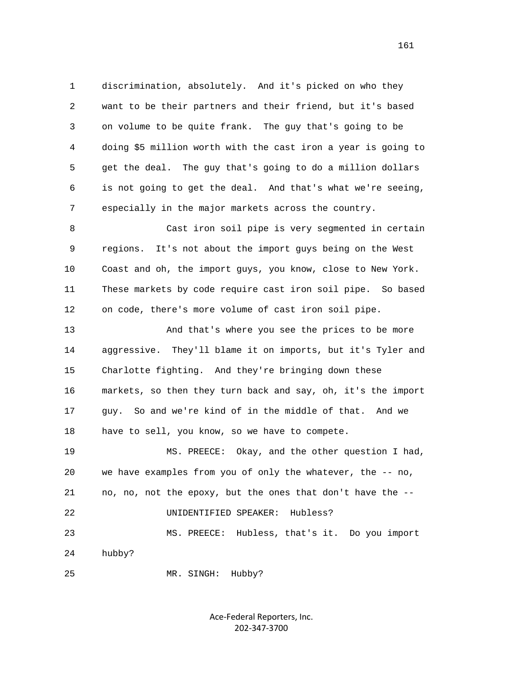1 discrimination, absolutely. And it's picked on who they 2 want to be their partners and their friend, but it's based 3 on volume to be quite frank. The guy that's going to be 4 doing \$5 million worth with the cast iron a year is going to 5 get the deal. The guy that's going to do a million dollars 6 is not going to get the deal. And that's what we're seeing, 7 especially in the major markets across the country.

 8 Cast iron soil pipe is very segmented in certain 9 regions. It's not about the import guys being on the West 10 Coast and oh, the import guys, you know, close to New York. 11 These markets by code require cast iron soil pipe. So based 12 on code, there's more volume of cast iron soil pipe.

 13 And that's where you see the prices to be more 14 aggressive. They'll blame it on imports, but it's Tyler and 15 Charlotte fighting. And they're bringing down these 16 markets, so then they turn back and say, oh, it's the import 17 guy. So and we're kind of in the middle of that. And we 18 have to sell, you know, so we have to compete. 19 MS. PREECE: Okay, and the other question I had, 20 we have examples from you of only the whatever, the -- no, 21 no, no, not the epoxy, but the ones that don't have the --

22 UNIDENTIFIED SPEAKER: Hubless?

 23 MS. PREECE: Hubless, that's it. Do you import 24 hubby?

25 MR. SINGH: Hubby?

Ace-Federal Reporters, Inc. 202-347-3700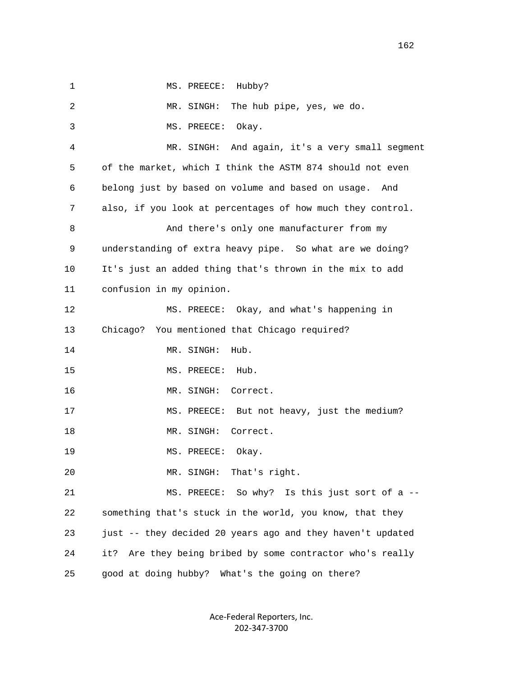1 MS. PREECE: Hubby? 2 MR. SINGH: The hub pipe, yes, we do. 3 MS. PREECE: Okay. 4 MR. SINGH: And again, it's a very small segment 5 of the market, which I think the ASTM 874 should not even 6 belong just by based on volume and based on usage. And 7 also, if you look at percentages of how much they control. 8 And there's only one manufacturer from my 9 understanding of extra heavy pipe. So what are we doing? 10 It's just an added thing that's thrown in the mix to add 11 confusion in my opinion. 12 MS. PREECE: Okay, and what's happening in 13 Chicago? You mentioned that Chicago required? 14 MR. SINGH: Hub. 15 MS. PREECE: Hub. 16 MR. SINGH: Correct. 17 MS. PREECE: But not heavy, just the medium? 18 MR. SINGH: Correct. 19 MS. PREECE: Okay. 20 MR. SINGH: That's right. 21 MS. PREECE: So why? Is this just sort of a -- 22 something that's stuck in the world, you know, that they 23 just -- they decided 20 years ago and they haven't updated 24 it? Are they being bribed by some contractor who's really 25 good at doing hubby? What's the going on there?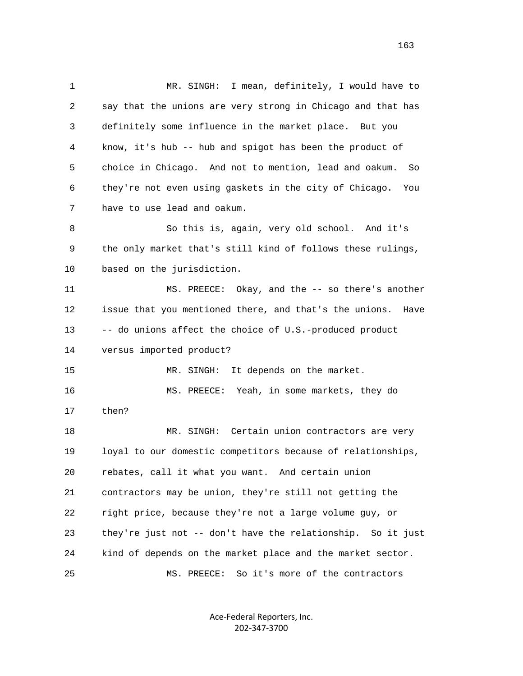1 MR. SINGH: I mean, definitely, I would have to 2 say that the unions are very strong in Chicago and that has 3 definitely some influence in the market place. But you 4 know, it's hub -- hub and spigot has been the product of 5 choice in Chicago. And not to mention, lead and oakum. So 6 they're not even using gaskets in the city of Chicago. You 7 have to use lead and oakum. 8 So this is, again, very old school. And it's 9 the only market that's still kind of follows these rulings, 10 based on the jurisdiction. 11 MS. PREECE: Okay, and the -- so there's another 12 issue that you mentioned there, and that's the unions. Have 13 -- do unions affect the choice of U.S.-produced product 14 versus imported product? 15 MR. SINGH: It depends on the market. 16 MS. PREECE: Yeah, in some markets, they do 17 then? 18 MR. SINGH: Certain union contractors are very 19 loyal to our domestic competitors because of relationships, 20 rebates, call it what you want. And certain union 21 contractors may be union, they're still not getting the 22 right price, because they're not a large volume guy, or 23 they're just not -- don't have the relationship. So it just 24 kind of depends on the market place and the market sector. 25 MS. PREECE: So it's more of the contractors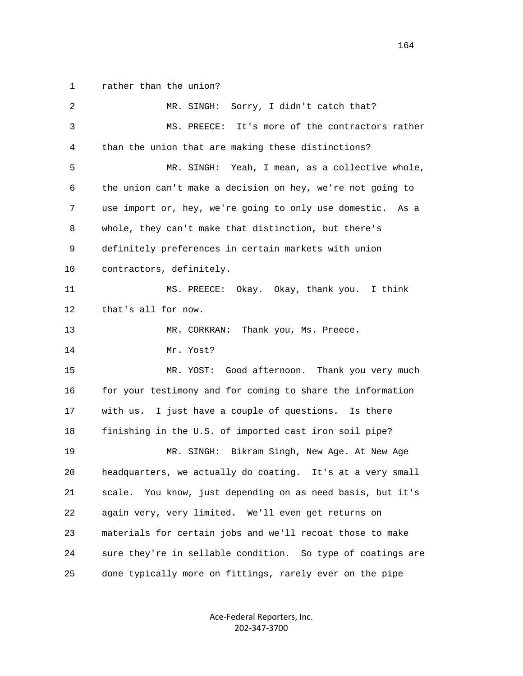1 rather than the union?

| 2  | Sorry, I didn't catch that?<br>MR. SINGH:                     |
|----|---------------------------------------------------------------|
| 3  | It's more of the contractors rather<br>MS. PREECE:            |
| 4  | than the union that are making these distinctions?            |
| 5  | Yeah, I mean, as a collective whole,<br>MR. SINGH:            |
| 6  | the union can't make a decision on hey, we're not going to    |
| 7  | use import or, hey, we're going to only use domestic.<br>As a |
| 8  | whole, they can't make that distinction, but there's          |
| 9  | definitely preferences in certain markets with union          |
| 10 | contractors, definitely.                                      |
| 11 | MS. PREECE: Okay. Okay, thank you. I think                    |
| 12 | that's all for now.                                           |
| 13 | Thank you, Ms. Preece.<br>MR. CORKRAN:                        |
| 14 | Mr. Yost?                                                     |
| 15 | Good afternoon. Thank you very much<br>MR. YOST:              |
| 16 | for your testimony and for coming to share the information    |
| 17 | I just have a couple of questions. Is there<br>with us.       |
| 18 | finishing in the U.S. of imported cast iron soil pipe?        |
| 19 | Bikram Singh, New Age. At New Age<br>MR. SINGH:               |
| 20 | headquarters, we actually do coating. It's at a very small    |
| 21 | scale. You know, just depending on as need basis, but it's    |
| 22 | again very, very limited. We'll even get returns on           |
| 23 | materials for certain jobs and we'll recoat those to make     |
| 24 | sure they're in sellable condition. So type of coatings are   |
| 25 | done typically more on fittings, rarely ever on the pipe      |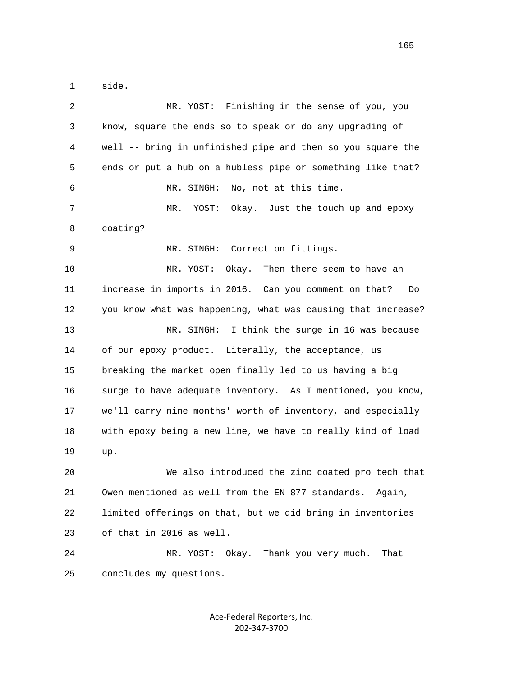1 side.

| $\sqrt{2}$ | MR. YOST: Finishing in the sense of you, you                 |
|------------|--------------------------------------------------------------|
| 3          | know, square the ends so to speak or do any upgrading of     |
| 4          | well -- bring in unfinished pipe and then so you square the  |
| 5          | ends or put a hub on a hubless pipe or something like that?  |
| 6          | No, not at this time.<br>MR. SINGH:                          |
| 7          | Okay. Just the touch up and epoxy<br>MR.<br>YOST:            |
| 8          | coating?                                                     |
| 9          | MR. SINGH: Correct on fittings.                              |
| 10         | MR. YOST:<br>Then there seem to have an<br>Okay.             |
| 11         | increase in imports in 2016. Can you comment on that?<br>Do  |
| 12         | you know what was happening, what was causing that increase? |
| 13         | I think the surge in 16 was because<br>MR. SINGH:            |
| 14         | of our epoxy product. Literally, the acceptance, us          |
| 15         | breaking the market open finally led to us having a big      |
| 16         | surge to have adequate inventory. As I mentioned, you know,  |
| 17         | we'll carry nine months' worth of inventory, and especially  |
| 18         | with epoxy being a new line, we have to really kind of load  |
| 19         | up.                                                          |
| 20         | We also introduced the zinc coated pro tech that             |
| 21         | Owen mentioned as well from the EN 877 standards. Again,     |
| 22         | limited offerings on that, but we did bring in inventories   |
| 23         | of that in 2016 as well.                                     |
| 24         | MR. YOST: Okay. Thank you very much.<br>That                 |
| 25         | concludes my questions.                                      |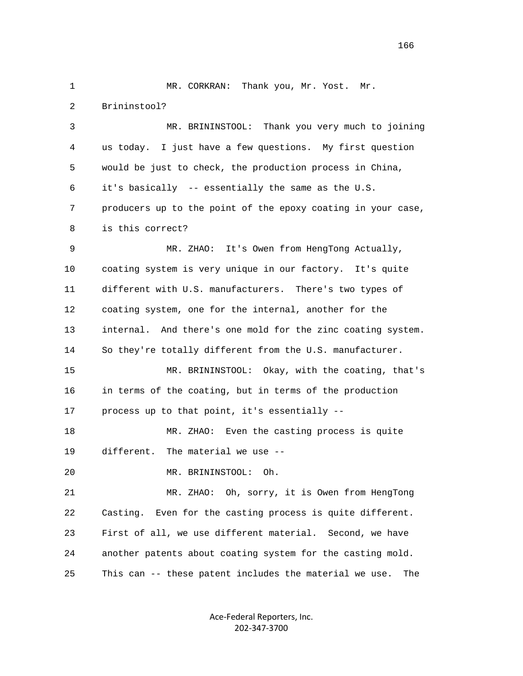1 MR. CORKRAN: Thank you, Mr. Yost. Mr. 2 Brininstool? 3 MR. BRININSTOOL: Thank you very much to joining 4 us today. I just have a few questions. My first question 5 would be just to check, the production process in China, 6 it's basically -- essentially the same as the U.S. 7 producers up to the point of the epoxy coating in your case, 8 is this correct? 9 MR. ZHAO: It's Owen from HengTong Actually, 10 coating system is very unique in our factory. It's quite 11 different with U.S. manufacturers. There's two types of 12 coating system, one for the internal, another for the 13 internal. And there's one mold for the zinc coating system. 14 So they're totally different from the U.S. manufacturer. 15 MR. BRININSTOOL: Okay, with the coating, that's 16 in terms of the coating, but in terms of the production 17 process up to that point, it's essentially -- 18 MR. ZHAO: Even the casting process is quite 19 different. The material we use -- 20 MR. BRININSTOOL: Oh. 21 MR. ZHAO: Oh, sorry, it is Owen from HengTong 22 Casting. Even for the casting process is quite different. 23 First of all, we use different material. Second, we have 24 another patents about coating system for the casting mold. 25 This can -- these patent includes the material we use. The

> Ace-Federal Reporters, Inc. 202-347-3700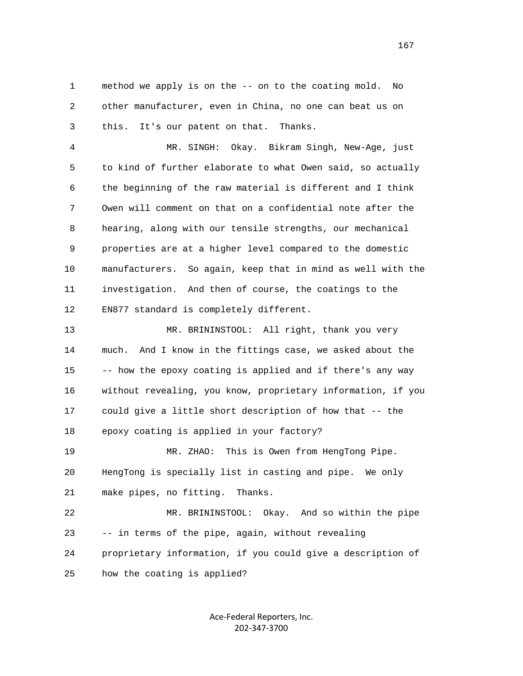1 method we apply is on the -- on to the coating mold. No 2 other manufacturer, even in China, no one can beat us on 3 this. It's our patent on that. Thanks.

 4 MR. SINGH: Okay. Bikram Singh, New-Age, just 5 to kind of further elaborate to what Owen said, so actually 6 the beginning of the raw material is different and I think 7 Owen will comment on that on a confidential note after the 8 hearing, along with our tensile strengths, our mechanical 9 properties are at a higher level compared to the domestic 10 manufacturers. So again, keep that in mind as well with the 11 investigation. And then of course, the coatings to the 12 EN877 standard is completely different.

 13 MR. BRININSTOOL: All right, thank you very 14 much. And I know in the fittings case, we asked about the 15 -- how the epoxy coating is applied and if there's any way 16 without revealing, you know, proprietary information, if you 17 could give a little short description of how that -- the 18 epoxy coating is applied in your factory? 19 MR. ZHAO: This is Owen from HengTong Pipe. 20 HengTong is specially list in casting and pipe. We only 21 make pipes, no fitting. Thanks. 22 MR. BRININSTOOL: Okay. And so within the pipe

23 -- in terms of the pipe, again, without revealing

 24 proprietary information, if you could give a description of 25 how the coating is applied?

> Ace-Federal Reporters, Inc. 202-347-3700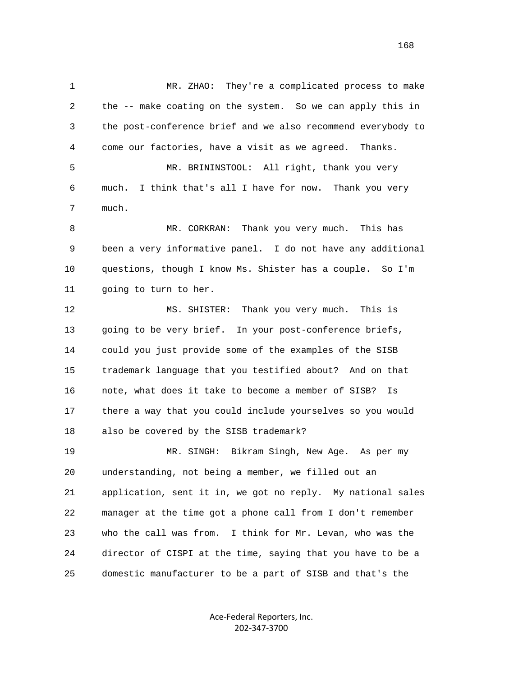1 MR. ZHAO: They're a complicated process to make 2 the -- make coating on the system. So we can apply this in 3 the post-conference brief and we also recommend everybody to 4 come our factories, have a visit as we agreed. Thanks. 5 MR. BRININSTOOL: All right, thank you very 6 much. I think that's all I have for now. Thank you very 7 much. 8 MR. CORKRAN: Thank you very much. This has 9 been a very informative panel. I do not have any additional 10 questions, though I know Ms. Shister has a couple. So I'm 11 going to turn to her. 12 MS. SHISTER: Thank you very much. This is 13 going to be very brief. In your post-conference briefs, 14 could you just provide some of the examples of the SISB 15 trademark language that you testified about? And on that 16 note, what does it take to become a member of SISB? Is 17 there a way that you could include yourselves so you would 18 also be covered by the SISB trademark? 19 MR. SINGH: Bikram Singh, New Age. As per my 20 understanding, not being a member, we filled out an 21 application, sent it in, we got no reply. My national sales 22 manager at the time got a phone call from I don't remember 23 who the call was from. I think for Mr. Levan, who was the 24 director of CISPI at the time, saying that you have to be a 25 domestic manufacturer to be a part of SISB and that's the

> Ace-Federal Reporters, Inc. 202-347-3700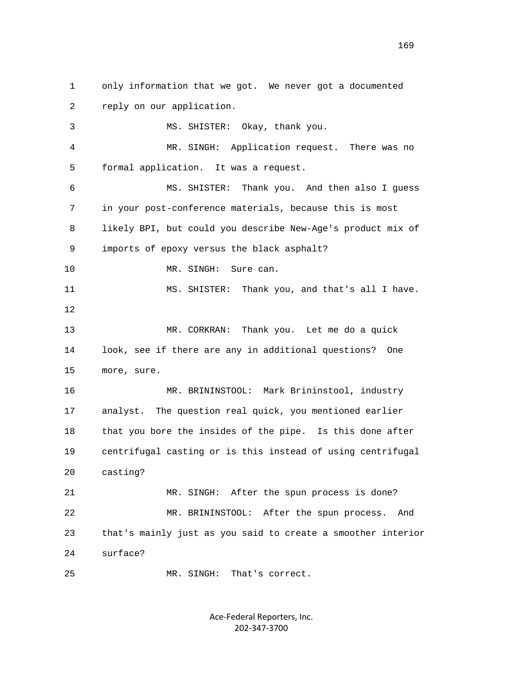1 only information that we got. We never got a documented 2 reply on our application. 3 MS. SHISTER: Okay, thank you. 4 MR. SINGH: Application request. There was no 5 formal application. It was a request. 6 MS. SHISTER: Thank you. And then also I guess 7 in your post-conference materials, because this is most 8 likely BPI, but could you describe New-Age's product mix of 9 imports of epoxy versus the black asphalt? 10 MR. SINGH: Sure can. 11 MS. SHISTER: Thank you, and that's all I have. 12 13 MR. CORKRAN: Thank you. Let me do a quick 14 look, see if there are any in additional questions? One 15 more, sure. 16 MR. BRININSTOOL: Mark Brininstool, industry 17 analyst. The question real quick, you mentioned earlier 18 that you bore the insides of the pipe. Is this done after 19 centrifugal casting or is this instead of using centrifugal 20 casting? 21 MR. SINGH: After the spun process is done? 22 MR. BRININSTOOL: After the spun process. And 23 that's mainly just as you said to create a smoother interior 24 surface? 25 MR. SINGH: That's correct.

> Ace-Federal Reporters, Inc. 202-347-3700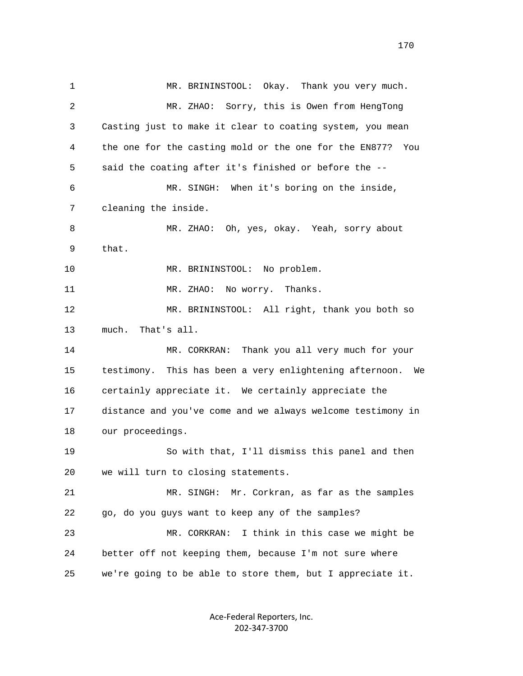1 MR. BRININSTOOL: Okay. Thank you very much. 2 MR. ZHAO: Sorry, this is Owen from HengTong 3 Casting just to make it clear to coating system, you mean 4 the one for the casting mold or the one for the EN877? You 5 said the coating after it's finished or before the -- 6 MR. SINGH: When it's boring on the inside, 7 cleaning the inside. 8 MR. ZHAO: Oh, yes, okay. Yeah, sorry about 9 that. 10 MR. BRININSTOOL: No problem. 11 MR. ZHAO: No worry. Thanks. 12 MR. BRININSTOOL: All right, thank you both so 13 much. That's all. 14 MR. CORKRAN: Thank you all very much for your 15 testimony. This has been a very enlightening afternoon. We 16 certainly appreciate it. We certainly appreciate the 17 distance and you've come and we always welcome testimony in 18 our proceedings. 19 So with that, I'll dismiss this panel and then 20 we will turn to closing statements. 21 MR. SINGH: Mr. Corkran, as far as the samples 22 go, do you guys want to keep any of the samples? 23 MR. CORKRAN: I think in this case we might be 24 better off not keeping them, because I'm not sure where 25 we're going to be able to store them, but I appreciate it.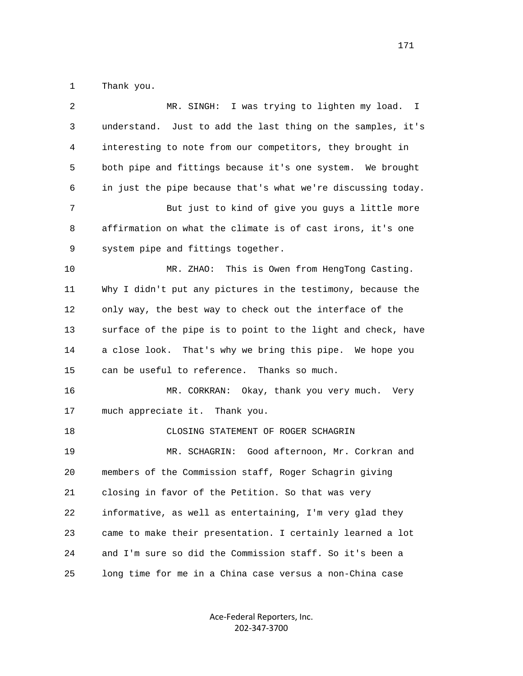1 Thank you.

| $\overline{c}$ | MR. SINGH: I was trying to lighten my load. I                |
|----------------|--------------------------------------------------------------|
| 3              | understand. Just to add the last thing on the samples, it's  |
| 4              | interesting to note from our competitors, they brought in    |
| 5              | both pipe and fittings because it's one system. We brought   |
| 6              | in just the pipe because that's what we're discussing today. |
| 7              | But just to kind of give you guys a little more              |
| 8              | affirmation on what the climate is of cast irons, it's one   |
| 9              | system pipe and fittings together.                           |
| 10             | MR. ZHAO:<br>This is Owen from HengTong Casting.             |
| 11             | Why I didn't put any pictures in the testimony, because the  |
| 12             | only way, the best way to check out the interface of the     |
| 13             | surface of the pipe is to point to the light and check, have |
| 14             | a close look. That's why we bring this pipe. We hope you     |
| 15             | can be useful to reference. Thanks so much.                  |
| 16             | MR. CORKRAN: Okay, thank you very much.<br>Very              |
| 17             | much appreciate it. Thank you.                               |
| 18             | CLOSING STATEMENT OF ROGER SCHAGRIN                          |
| 19             | MR. SCHAGRIN: Good afternoon, Mr. Corkran and                |
| 20             | members of the Commission staff, Roger Schagrin giving       |
| 21             | closing in favor of the Petition. So that was very           |
| 22             | informative, as well as entertaining, I'm very glad they     |
| 23             | came to make their presentation. I certainly learned a lot   |
| 24             | and I'm sure so did the Commission staff. So it's been a     |
| 25             | long time for me in a China case versus a non-China case     |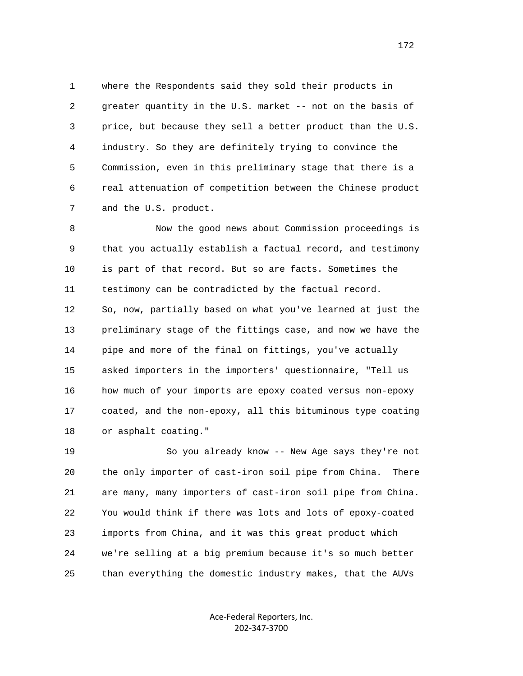1 where the Respondents said they sold their products in 2 greater quantity in the U.S. market -- not on the basis of 3 price, but because they sell a better product than the U.S. 4 industry. So they are definitely trying to convince the 5 Commission, even in this preliminary stage that there is a 6 real attenuation of competition between the Chinese product 7 and the U.S. product.

 8 Now the good news about Commission proceedings is 9 that you actually establish a factual record, and testimony 10 is part of that record. But so are facts. Sometimes the 11 testimony can be contradicted by the factual record. 12 So, now, partially based on what you've learned at just the 13 preliminary stage of the fittings case, and now we have the 14 pipe and more of the final on fittings, you've actually 15 asked importers in the importers' questionnaire, "Tell us 16 how much of your imports are epoxy coated versus non-epoxy 17 coated, and the non-epoxy, all this bituminous type coating 18 or asphalt coating."

 19 So you already know -- New Age says they're not 20 the only importer of cast-iron soil pipe from China. There 21 are many, many importers of cast-iron soil pipe from China. 22 You would think if there was lots and lots of epoxy-coated 23 imports from China, and it was this great product which 24 we're selling at a big premium because it's so much better 25 than everything the domestic industry makes, that the AUVs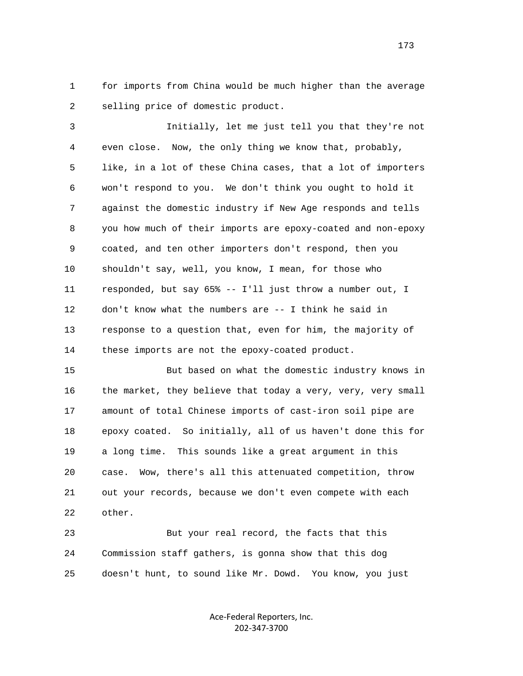1 for imports from China would be much higher than the average 2 selling price of domestic product.

 3 Initially, let me just tell you that they're not 4 even close. Now, the only thing we know that, probably, 5 like, in a lot of these China cases, that a lot of importers 6 won't respond to you. We don't think you ought to hold it 7 against the domestic industry if New Age responds and tells 8 you how much of their imports are epoxy-coated and non-epoxy 9 coated, and ten other importers don't respond, then you 10 shouldn't say, well, you know, I mean, for those who 11 responded, but say 65% -- I'll just throw a number out, I 12 don't know what the numbers are -- I think he said in 13 response to a question that, even for him, the majority of 14 these imports are not the epoxy-coated product.

 15 But based on what the domestic industry knows in 16 the market, they believe that today a very, very, very small 17 amount of total Chinese imports of cast-iron soil pipe are 18 epoxy coated. So initially, all of us haven't done this for 19 a long time. This sounds like a great argument in this 20 case. Wow, there's all this attenuated competition, throw 21 out your records, because we don't even compete with each 22 other.

 23 But your real record, the facts that this 24 Commission staff gathers, is gonna show that this dog 25 doesn't hunt, to sound like Mr. Dowd. You know, you just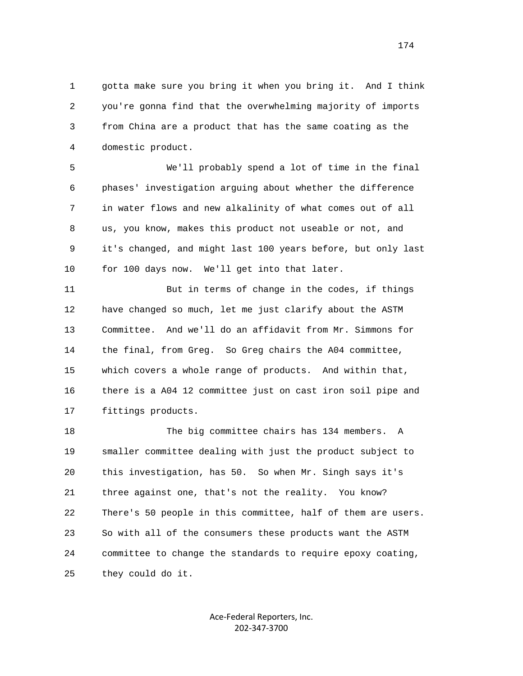1 gotta make sure you bring it when you bring it. And I think 2 you're gonna find that the overwhelming majority of imports 3 from China are a product that has the same coating as the 4 domestic product.

 5 We'll probably spend a lot of time in the final 6 phases' investigation arguing about whether the difference 7 in water flows and new alkalinity of what comes out of all 8 us, you know, makes this product not useable or not, and 9 it's changed, and might last 100 years before, but only last 10 for 100 days now. We'll get into that later.

 11 But in terms of change in the codes, if things 12 have changed so much, let me just clarify about the ASTM 13 Committee. And we'll do an affidavit from Mr. Simmons for 14 the final, from Greg. So Greg chairs the A04 committee, 15 which covers a whole range of products. And within that, 16 there is a A04 12 committee just on cast iron soil pipe and 17 fittings products.

 18 The big committee chairs has 134 members. A 19 smaller committee dealing with just the product subject to 20 this investigation, has 50. So when Mr. Singh says it's 21 three against one, that's not the reality. You know? 22 There's 50 people in this committee, half of them are users. 23 So with all of the consumers these products want the ASTM 24 committee to change the standards to require epoxy coating, 25 they could do it.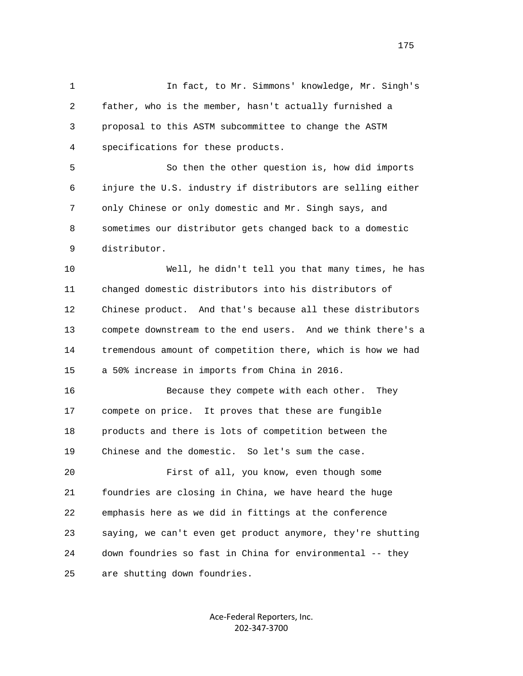1 In fact, to Mr. Simmons' knowledge, Mr. Singh's 2 father, who is the member, hasn't actually furnished a 3 proposal to this ASTM subcommittee to change the ASTM 4 specifications for these products. 5 So then the other question is, how did imports 6 injure the U.S. industry if distributors are selling either 7 only Chinese or only domestic and Mr. Singh says, and 8 sometimes our distributor gets changed back to a domestic 9 distributor. 10 Well, he didn't tell you that many times, he has 11 changed domestic distributors into his distributors of 12 Chinese product. And that's because all these distributors 13 compete downstream to the end users. And we think there's a 14 tremendous amount of competition there, which is how we had 15 a 50% increase in imports from China in 2016. 16 Because they compete with each other. They 17 compete on price. It proves that these are fungible 18 products and there is lots of competition between the 19 Chinese and the domestic. So let's sum the case. 20 First of all, you know, even though some 21 foundries are closing in China, we have heard the huge 22 emphasis here as we did in fittings at the conference 23 saying, we can't even get product anymore, they're shutting 24 down foundries so fast in China for environmental -- they 25 are shutting down foundries.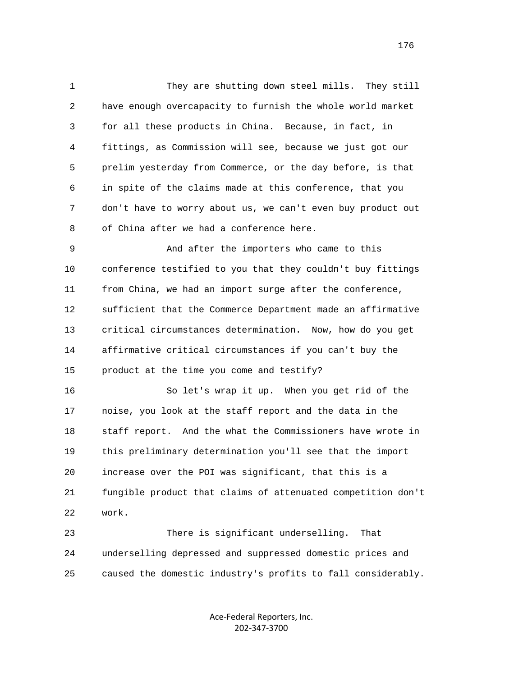1 They are shutting down steel mills. They still 2 have enough overcapacity to furnish the whole world market 3 for all these products in China. Because, in fact, in 4 fittings, as Commission will see, because we just got our 5 prelim yesterday from Commerce, or the day before, is that 6 in spite of the claims made at this conference, that you 7 don't have to worry about us, we can't even buy product out 8 of China after we had a conference here.

 9 And after the importers who came to this 10 conference testified to you that they couldn't buy fittings 11 from China, we had an import surge after the conference, 12 sufficient that the Commerce Department made an affirmative 13 critical circumstances determination. Now, how do you get 14 affirmative critical circumstances if you can't buy the 15 product at the time you come and testify?

 16 So let's wrap it up. When you get rid of the 17 noise, you look at the staff report and the data in the 18 staff report. And the what the Commissioners have wrote in 19 this preliminary determination you'll see that the import 20 increase over the POI was significant, that this is a 21 fungible product that claims of attenuated competition don't 22 work.

 23 There is significant underselling. That 24 underselling depressed and suppressed domestic prices and 25 caused the domestic industry's profits to fall considerably.

> Ace-Federal Reporters, Inc. 202-347-3700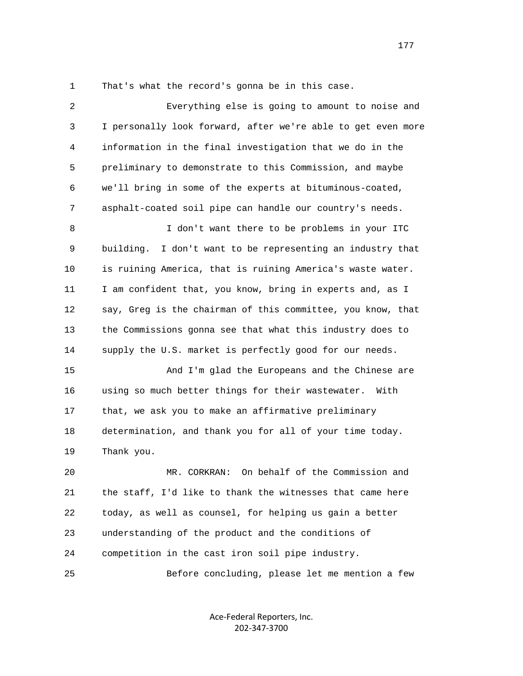1 That's what the record's gonna be in this case.

 2 Everything else is going to amount to noise and 3 I personally look forward, after we're able to get even more 4 information in the final investigation that we do in the 5 preliminary to demonstrate to this Commission, and maybe 6 we'll bring in some of the experts at bituminous-coated, 7 asphalt-coated soil pipe can handle our country's needs. 8 I don't want there to be problems in your ITC 9 building. I don't want to be representing an industry that 10 is ruining America, that is ruining America's waste water. 11 I am confident that, you know, bring in experts and, as I 12 say, Greg is the chairman of this committee, you know, that 13 the Commissions gonna see that what this industry does to 14 supply the U.S. market is perfectly good for our needs. 15 And I'm glad the Europeans and the Chinese are 16 using so much better things for their wastewater. With 17 that, we ask you to make an affirmative preliminary 18 determination, and thank you for all of your time today. 19 Thank you. 20 MR. CORKRAN: On behalf of the Commission and 21 the staff, I'd like to thank the witnesses that came here 22 today, as well as counsel, for helping us gain a better 23 understanding of the product and the conditions of 24 competition in the cast iron soil pipe industry. 25 Before concluding, please let me mention a few

> Ace-Federal Reporters, Inc. 202-347-3700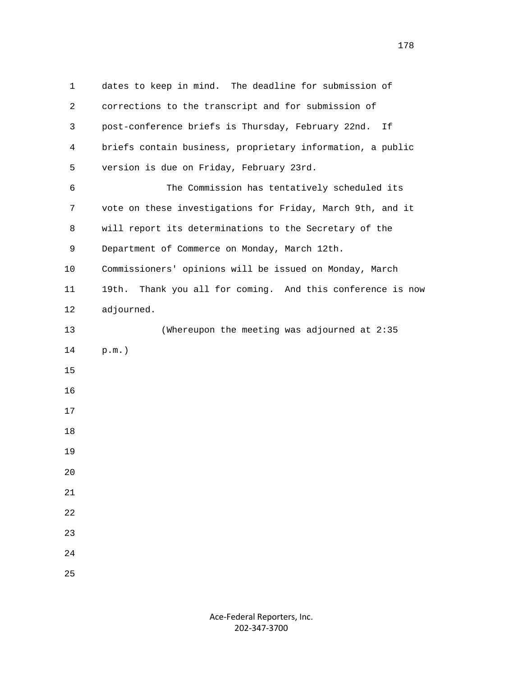1 dates to keep in mind. The deadline for submission of 2 corrections to the transcript and for submission of 3 post-conference briefs is Thursday, February 22nd. If 4 briefs contain business, proprietary information, a public 5 version is due on Friday, February 23rd. 6 The Commission has tentatively scheduled its 7 vote on these investigations for Friday, March 9th, and it 8 will report its determinations to the Secretary of the 9 Department of Commerce on Monday, March 12th. 10 Commissioners' opinions will be issued on Monday, March 11 19th. Thank you all for coming. And this conference is now 12 adjourned. 13 (Whereupon the meeting was adjourned at 2:35 14 p.m.) 15 16 17 18 19 20 21 22 23 24 25